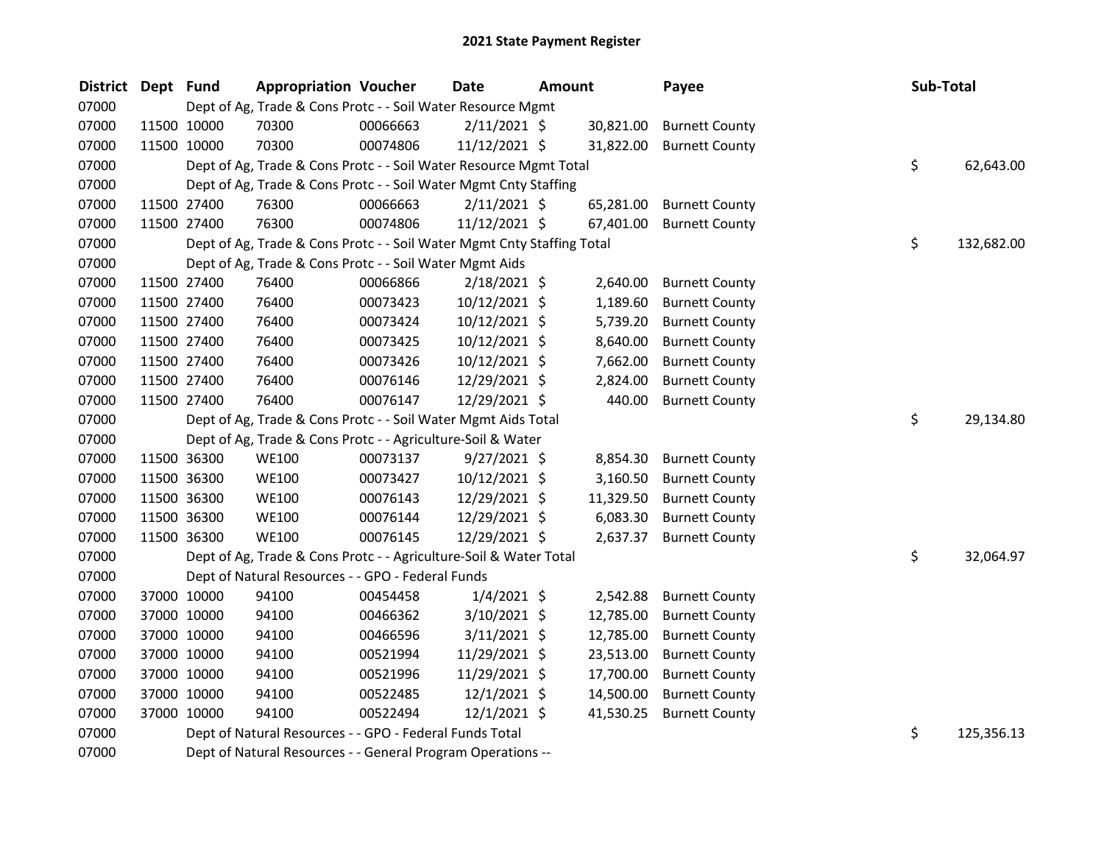| <b>District</b> | Dept Fund |             | <b>Appropriation Voucher</b>                                           |          | <b>Date</b>    | <b>Amount</b> |           | Payee                 | Sub-Total |            |
|-----------------|-----------|-------------|------------------------------------------------------------------------|----------|----------------|---------------|-----------|-----------------------|-----------|------------|
| 07000           |           |             | Dept of Ag, Trade & Cons Protc - - Soil Water Resource Mgmt            |          |                |               |           |                       |           |            |
| 07000           |           | 11500 10000 | 70300                                                                  | 00066663 | 2/11/2021 \$   |               | 30,821.00 | <b>Burnett County</b> |           |            |
| 07000           |           | 11500 10000 | 70300                                                                  | 00074806 | 11/12/2021 \$  |               | 31,822.00 | <b>Burnett County</b> |           |            |
| 07000           |           |             | Dept of Ag, Trade & Cons Protc - - Soil Water Resource Mgmt Total      |          |                |               |           |                       | \$        | 62,643.00  |
| 07000           |           |             | Dept of Ag, Trade & Cons Protc - - Soil Water Mgmt Cnty Staffing       |          |                |               |           |                       |           |            |
| 07000           |           | 11500 27400 | 76300                                                                  | 00066663 | $2/11/2021$ \$ |               | 65,281.00 | <b>Burnett County</b> |           |            |
| 07000           |           | 11500 27400 | 76300                                                                  | 00074806 | 11/12/2021 \$  |               | 67,401.00 | <b>Burnett County</b> |           |            |
| 07000           |           |             | Dept of Ag, Trade & Cons Protc - - Soil Water Mgmt Cnty Staffing Total |          |                |               |           |                       | \$        | 132,682.00 |
| 07000           |           |             | Dept of Ag, Trade & Cons Protc - - Soil Water Mgmt Aids                |          |                |               |           |                       |           |            |
| 07000           |           | 11500 27400 | 76400                                                                  | 00066866 | $2/18/2021$ \$ |               | 2,640.00  | <b>Burnett County</b> |           |            |
| 07000           |           | 11500 27400 | 76400                                                                  | 00073423 | 10/12/2021 \$  |               | 1,189.60  | <b>Burnett County</b> |           |            |
| 07000           |           | 11500 27400 | 76400                                                                  | 00073424 | 10/12/2021 \$  |               | 5,739.20  | <b>Burnett County</b> |           |            |
| 07000           |           | 11500 27400 | 76400                                                                  | 00073425 | 10/12/2021 \$  |               | 8,640.00  | <b>Burnett County</b> |           |            |
| 07000           |           | 11500 27400 | 76400                                                                  | 00073426 | 10/12/2021 \$  |               | 7,662.00  | <b>Burnett County</b> |           |            |
| 07000           |           | 11500 27400 | 76400                                                                  | 00076146 | 12/29/2021 \$  |               | 2,824.00  | <b>Burnett County</b> |           |            |
| 07000           |           | 11500 27400 | 76400                                                                  | 00076147 | 12/29/2021 \$  |               | 440.00    | <b>Burnett County</b> |           |            |
| 07000           |           |             | Dept of Ag, Trade & Cons Protc - - Soil Water Mgmt Aids Total          |          |                |               |           |                       | \$        | 29,134.80  |
| 07000           |           |             | Dept of Ag, Trade & Cons Protc - - Agriculture-Soil & Water            |          |                |               |           |                       |           |            |
| 07000           |           | 11500 36300 | <b>WE100</b>                                                           | 00073137 | $9/27/2021$ \$ |               | 8,854.30  | <b>Burnett County</b> |           |            |
| 07000           |           | 11500 36300 | <b>WE100</b>                                                           | 00073427 | 10/12/2021 \$  |               | 3,160.50  | <b>Burnett County</b> |           |            |
| 07000           |           | 11500 36300 | <b>WE100</b>                                                           | 00076143 | 12/29/2021 \$  |               | 11,329.50 | <b>Burnett County</b> |           |            |
| 07000           |           | 11500 36300 | <b>WE100</b>                                                           | 00076144 | 12/29/2021 \$  |               | 6,083.30  | <b>Burnett County</b> |           |            |
| 07000           |           | 11500 36300 | <b>WE100</b>                                                           | 00076145 | 12/29/2021 \$  |               | 2,637.37  | <b>Burnett County</b> |           |            |
| 07000           |           |             | Dept of Ag, Trade & Cons Protc - - Agriculture-Soil & Water Total      |          |                |               |           |                       | \$        | 32,064.97  |
| 07000           |           |             | Dept of Natural Resources - - GPO - Federal Funds                      |          |                |               |           |                       |           |            |
| 07000           |           | 37000 10000 | 94100                                                                  | 00454458 | $1/4/2021$ \$  |               | 2,542.88  | <b>Burnett County</b> |           |            |
| 07000           |           | 37000 10000 | 94100                                                                  | 00466362 | 3/10/2021 \$   |               | 12,785.00 | <b>Burnett County</b> |           |            |
| 07000           |           | 37000 10000 | 94100                                                                  | 00466596 | $3/11/2021$ \$ |               | 12,785.00 | <b>Burnett County</b> |           |            |
| 07000           |           | 37000 10000 | 94100                                                                  | 00521994 | 11/29/2021 \$  |               | 23,513.00 | <b>Burnett County</b> |           |            |
| 07000           |           | 37000 10000 | 94100                                                                  | 00521996 | 11/29/2021 \$  |               | 17,700.00 | <b>Burnett County</b> |           |            |
| 07000           |           | 37000 10000 | 94100                                                                  | 00522485 | $12/1/2021$ \$ |               | 14,500.00 | <b>Burnett County</b> |           |            |
| 07000           |           | 37000 10000 | 94100                                                                  | 00522494 | 12/1/2021 \$   |               | 41,530.25 | <b>Burnett County</b> |           |            |
| 07000           |           |             | Dept of Natural Resources - - GPO - Federal Funds Total                |          |                |               |           |                       | \$        | 125,356.13 |
| 07000           |           |             | Dept of Natural Resources - - General Program Operations --            |          |                |               |           |                       |           |            |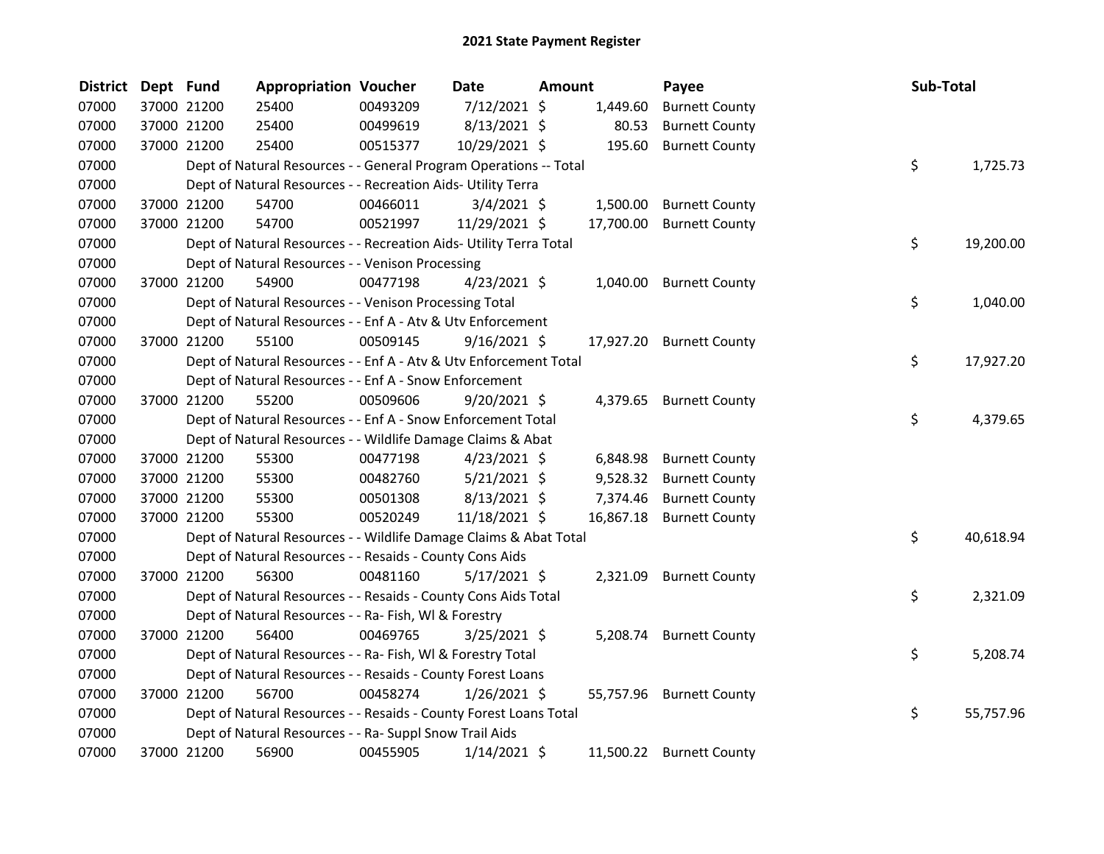| <b>District</b> | Dept Fund |             | <b>Appropriation Voucher</b>                                       |          | Date           | Amount |           | Payee                    | Sub-Total |           |
|-----------------|-----------|-------------|--------------------------------------------------------------------|----------|----------------|--------|-----------|--------------------------|-----------|-----------|
| 07000           |           | 37000 21200 | 25400                                                              | 00493209 | 7/12/2021 \$   |        | 1,449.60  | <b>Burnett County</b>    |           |           |
| 07000           |           | 37000 21200 | 25400                                                              | 00499619 | $8/13/2021$ \$ |        | 80.53     | <b>Burnett County</b>    |           |           |
| 07000           |           | 37000 21200 | 25400                                                              | 00515377 | 10/29/2021 \$  |        | 195.60    | <b>Burnett County</b>    |           |           |
| 07000           |           |             | Dept of Natural Resources - - General Program Operations -- Total  |          |                |        |           |                          | \$        | 1,725.73  |
| 07000           |           |             | Dept of Natural Resources - - Recreation Aids- Utility Terra       |          |                |        |           |                          |           |           |
| 07000           |           | 37000 21200 | 54700                                                              | 00466011 | $3/4/2021$ \$  |        | 1,500.00  | <b>Burnett County</b>    |           |           |
| 07000           |           | 37000 21200 | 54700                                                              | 00521997 | 11/29/2021 \$  |        | 17,700.00 | <b>Burnett County</b>    |           |           |
| 07000           |           |             | Dept of Natural Resources - - Recreation Aids- Utility Terra Total |          |                |        |           |                          | \$        | 19,200.00 |
| 07000           |           |             | Dept of Natural Resources - - Venison Processing                   |          |                |        |           |                          |           |           |
| 07000           |           | 37000 21200 | 54900                                                              | 00477198 | $4/23/2021$ \$ |        | 1,040.00  | <b>Burnett County</b>    |           |           |
| 07000           |           |             | Dept of Natural Resources - - Venison Processing Total             |          |                |        |           |                          | \$        | 1,040.00  |
| 07000           |           |             | Dept of Natural Resources - - Enf A - Atv & Utv Enforcement        |          |                |        |           |                          |           |           |
| 07000           |           | 37000 21200 | 55100                                                              | 00509145 | $9/16/2021$ \$ |        |           | 17,927.20 Burnett County |           |           |
| 07000           |           |             | Dept of Natural Resources - - Enf A - Atv & Utv Enforcement Total  |          |                |        |           |                          | \$        | 17,927.20 |
| 07000           |           |             | Dept of Natural Resources - - Enf A - Snow Enforcement             |          |                |        |           |                          |           |           |
| 07000           |           | 37000 21200 | 55200                                                              | 00509606 | $9/20/2021$ \$ |        | 4,379.65  | <b>Burnett County</b>    |           |           |
| 07000           |           |             | Dept of Natural Resources - - Enf A - Snow Enforcement Total       |          |                |        |           |                          | \$        | 4,379.65  |
| 07000           |           |             | Dept of Natural Resources - - Wildlife Damage Claims & Abat        |          |                |        |           |                          |           |           |
| 07000           |           | 37000 21200 | 55300                                                              | 00477198 | $4/23/2021$ \$ |        | 6,848.98  | <b>Burnett County</b>    |           |           |
| 07000           |           | 37000 21200 | 55300                                                              | 00482760 | $5/21/2021$ \$ |        | 9,528.32  | <b>Burnett County</b>    |           |           |
| 07000           |           | 37000 21200 | 55300                                                              | 00501308 | $8/13/2021$ \$ |        | 7,374.46  | <b>Burnett County</b>    |           |           |
| 07000           |           | 37000 21200 | 55300                                                              | 00520249 | 11/18/2021 \$  |        | 16,867.18 | <b>Burnett County</b>    |           |           |
| 07000           |           |             | Dept of Natural Resources - - Wildlife Damage Claims & Abat Total  |          |                |        |           |                          | \$        | 40,618.94 |
| 07000           |           |             | Dept of Natural Resources - - Resaids - County Cons Aids           |          |                |        |           |                          |           |           |
| 07000           |           | 37000 21200 | 56300                                                              | 00481160 | $5/17/2021$ \$ |        | 2,321.09  | <b>Burnett County</b>    |           |           |
| 07000           |           |             | Dept of Natural Resources - - Resaids - County Cons Aids Total     |          |                |        |           |                          | \$        | 2,321.09  |
| 07000           |           |             | Dept of Natural Resources - - Ra- Fish, WI & Forestry              |          |                |        |           |                          |           |           |
| 07000           |           | 37000 21200 | 56400                                                              | 00469765 | $3/25/2021$ \$ |        |           | 5,208.74 Burnett County  |           |           |
| 07000           |           |             | Dept of Natural Resources - - Ra- Fish, WI & Forestry Total        |          |                |        |           |                          | \$        | 5,208.74  |
| 07000           |           |             | Dept of Natural Resources - - Resaids - County Forest Loans        |          |                |        |           |                          |           |           |
| 07000           |           | 37000 21200 | 56700                                                              | 00458274 | $1/26/2021$ \$ |        |           | 55,757.96 Burnett County |           |           |
| 07000           |           |             | Dept of Natural Resources - - Resaids - County Forest Loans Total  |          |                |        |           |                          | \$        | 55,757.96 |
| 07000           |           |             | Dept of Natural Resources - - Ra- Suppl Snow Trail Aids            |          |                |        |           |                          |           |           |
| 07000           |           | 37000 21200 | 56900                                                              | 00455905 | $1/14/2021$ \$ |        | 11,500.22 | <b>Burnett County</b>    |           |           |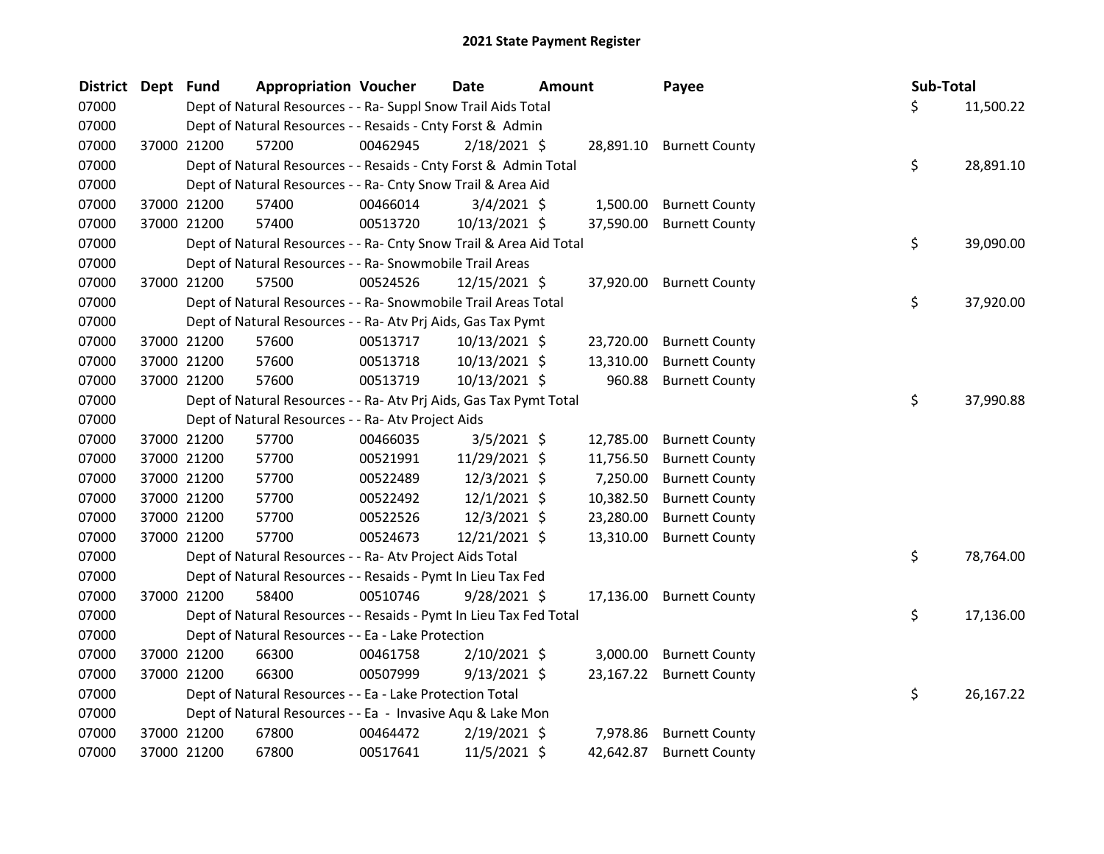| District Dept Fund |             | <b>Appropriation Voucher</b>                                       |          | <b>Date</b>    | <b>Amount</b> |           | Payee                    | Sub-Total |           |
|--------------------|-------------|--------------------------------------------------------------------|----------|----------------|---------------|-----------|--------------------------|-----------|-----------|
| 07000              |             | Dept of Natural Resources - - Ra- Suppl Snow Trail Aids Total      |          |                |               |           |                          | \$        | 11,500.22 |
| 07000              |             | Dept of Natural Resources - - Resaids - Cnty Forst & Admin         |          |                |               |           |                          |           |           |
| 07000              | 37000 21200 | 57200                                                              | 00462945 | $2/18/2021$ \$ |               |           | 28,891.10 Burnett County |           |           |
| 07000              |             | Dept of Natural Resources - - Resaids - Cnty Forst & Admin Total   |          |                |               |           |                          | \$        | 28,891.10 |
| 07000              |             | Dept of Natural Resources - - Ra- Cnty Snow Trail & Area Aid       |          |                |               |           |                          |           |           |
| 07000              | 37000 21200 | 57400                                                              | 00466014 | $3/4/2021$ \$  |               | 1,500.00  | <b>Burnett County</b>    |           |           |
| 07000              | 37000 21200 | 57400                                                              | 00513720 | 10/13/2021 \$  |               | 37,590.00 | <b>Burnett County</b>    |           |           |
| 07000              |             | Dept of Natural Resources - - Ra- Cnty Snow Trail & Area Aid Total |          |                |               |           |                          | \$        | 39,090.00 |
| 07000              |             | Dept of Natural Resources - - Ra- Snowmobile Trail Areas           |          |                |               |           |                          |           |           |
| 07000              | 37000 21200 | 57500                                                              | 00524526 | 12/15/2021 \$  |               |           | 37,920.00 Burnett County |           |           |
| 07000              |             | Dept of Natural Resources - - Ra- Snowmobile Trail Areas Total     |          |                |               |           |                          | \$        | 37,920.00 |
| 07000              |             | Dept of Natural Resources - - Ra- Atv Prj Aids, Gas Tax Pymt       |          |                |               |           |                          |           |           |
| 07000              | 37000 21200 | 57600                                                              | 00513717 | 10/13/2021 \$  |               | 23,720.00 | <b>Burnett County</b>    |           |           |
| 07000              | 37000 21200 | 57600                                                              | 00513718 | 10/13/2021 \$  |               | 13,310.00 | <b>Burnett County</b>    |           |           |
| 07000              | 37000 21200 | 57600                                                              | 00513719 | 10/13/2021 \$  |               | 960.88    | <b>Burnett County</b>    |           |           |
| 07000              |             | Dept of Natural Resources - - Ra- Atv Prj Aids, Gas Tax Pymt Total |          |                |               |           |                          | \$        | 37,990.88 |
| 07000              |             | Dept of Natural Resources - - Ra- Atv Project Aids                 |          |                |               |           |                          |           |           |
| 07000              | 37000 21200 | 57700                                                              | 00466035 | $3/5/2021$ \$  |               |           | 12,785.00 Burnett County |           |           |
| 07000              | 37000 21200 | 57700                                                              | 00521991 | 11/29/2021 \$  |               | 11,756.50 | <b>Burnett County</b>    |           |           |
| 07000              | 37000 21200 | 57700                                                              | 00522489 | 12/3/2021 \$   |               | 7,250.00  | <b>Burnett County</b>    |           |           |
| 07000              | 37000 21200 | 57700                                                              | 00522492 | $12/1/2021$ \$ |               | 10,382.50 | <b>Burnett County</b>    |           |           |
| 07000              | 37000 21200 | 57700                                                              | 00522526 | 12/3/2021 \$   |               | 23,280.00 | <b>Burnett County</b>    |           |           |
| 07000              | 37000 21200 | 57700                                                              | 00524673 | 12/21/2021 \$  |               | 13,310.00 | <b>Burnett County</b>    |           |           |
| 07000              |             | Dept of Natural Resources - - Ra- Atv Project Aids Total           |          |                |               |           |                          | \$        | 78,764.00 |
| 07000              |             | Dept of Natural Resources - - Resaids - Pymt In Lieu Tax Fed       |          |                |               |           |                          |           |           |
| 07000              | 37000 21200 | 58400                                                              | 00510746 | $9/28/2021$ \$ |               |           | 17,136.00 Burnett County |           |           |
| 07000              |             | Dept of Natural Resources - - Resaids - Pymt In Lieu Tax Fed Total |          |                |               |           |                          | \$        | 17,136.00 |
| 07000              |             | Dept of Natural Resources - - Ea - Lake Protection                 |          |                |               |           |                          |           |           |
| 07000              | 37000 21200 | 66300                                                              | 00461758 | $2/10/2021$ \$ |               | 3,000.00  | <b>Burnett County</b>    |           |           |
| 07000              | 37000 21200 | 66300                                                              | 00507999 | $9/13/2021$ \$ |               |           | 23,167.22 Burnett County |           |           |
| 07000              |             | Dept of Natural Resources - - Ea - Lake Protection Total           |          |                |               |           |                          | \$        | 26,167.22 |
| 07000              |             | Dept of Natural Resources - - Ea - Invasive Aqu & Lake Mon         |          |                |               |           |                          |           |           |
| 07000              | 37000 21200 | 67800                                                              | 00464472 | $2/19/2021$ \$ |               | 7,978.86  | <b>Burnett County</b>    |           |           |
| 07000              | 37000 21200 | 67800                                                              | 00517641 | 11/5/2021 \$   |               | 42,642.87 | <b>Burnett County</b>    |           |           |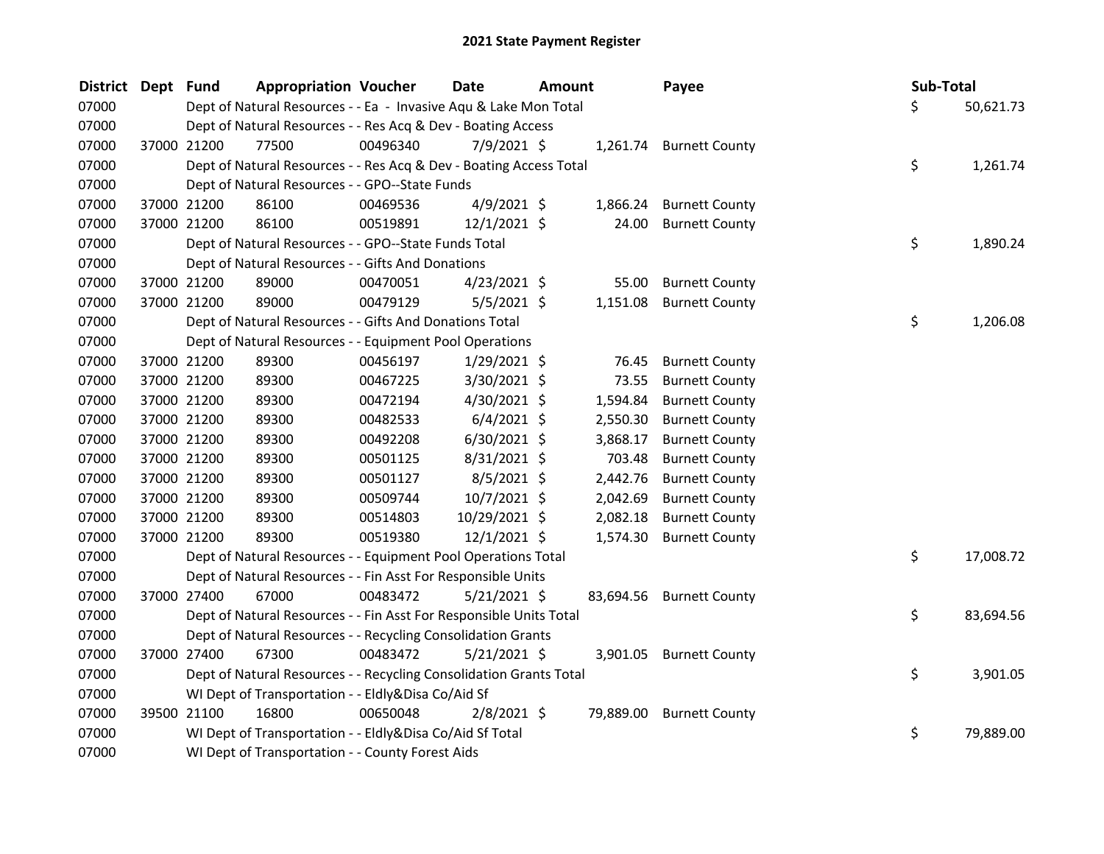| <b>District Dept Fund</b> |             | <b>Appropriation Voucher</b>                                       |          | <b>Date</b>    | <b>Amount</b> |           | Payee                   | Sub-Total |           |
|---------------------------|-------------|--------------------------------------------------------------------|----------|----------------|---------------|-----------|-------------------------|-----------|-----------|
| 07000                     |             | Dept of Natural Resources - - Ea - Invasive Aqu & Lake Mon Total   |          |                |               |           |                         | \$        | 50,621.73 |
| 07000                     |             | Dept of Natural Resources - - Res Acq & Dev - Boating Access       |          |                |               |           |                         |           |           |
| 07000                     | 37000 21200 | 77500                                                              | 00496340 | $7/9/2021$ \$  |               |           | 1,261.74 Burnett County |           |           |
| 07000                     |             | Dept of Natural Resources - - Res Acq & Dev - Boating Access Total |          |                |               |           |                         | \$        | 1,261.74  |
| 07000                     |             | Dept of Natural Resources - - GPO--State Funds                     |          |                |               |           |                         |           |           |
| 07000                     | 37000 21200 | 86100                                                              | 00469536 | $4/9/2021$ \$  |               | 1,866.24  | <b>Burnett County</b>   |           |           |
| 07000                     | 37000 21200 | 86100                                                              | 00519891 | $12/1/2021$ \$ |               | 24.00     | <b>Burnett County</b>   |           |           |
| 07000                     |             | Dept of Natural Resources - - GPO--State Funds Total               |          |                |               |           |                         | \$        | 1,890.24  |
| 07000                     |             | Dept of Natural Resources - - Gifts And Donations                  |          |                |               |           |                         |           |           |
| 07000                     | 37000 21200 | 89000                                                              | 00470051 | $4/23/2021$ \$ |               | 55.00     | <b>Burnett County</b>   |           |           |
| 07000                     | 37000 21200 | 89000                                                              | 00479129 | $5/5/2021$ \$  |               | 1,151.08  | <b>Burnett County</b>   |           |           |
| 07000                     |             | Dept of Natural Resources - - Gifts And Donations Total            |          |                |               |           |                         | \$        | 1,206.08  |
| 07000                     |             | Dept of Natural Resources - - Equipment Pool Operations            |          |                |               |           |                         |           |           |
| 07000                     | 37000 21200 | 89300                                                              | 00456197 | 1/29/2021 \$   |               | 76.45     | <b>Burnett County</b>   |           |           |
| 07000                     | 37000 21200 | 89300                                                              | 00467225 | 3/30/2021 \$   |               | 73.55     | <b>Burnett County</b>   |           |           |
| 07000                     | 37000 21200 | 89300                                                              | 00472194 | 4/30/2021 \$   |               | 1,594.84  | <b>Burnett County</b>   |           |           |
| 07000                     | 37000 21200 | 89300                                                              | 00482533 | $6/4/2021$ \$  |               | 2,550.30  | <b>Burnett County</b>   |           |           |
| 07000                     | 37000 21200 | 89300                                                              | 00492208 | $6/30/2021$ \$ |               | 3,868.17  | <b>Burnett County</b>   |           |           |
| 07000                     | 37000 21200 | 89300                                                              | 00501125 | 8/31/2021 \$   |               | 703.48    | <b>Burnett County</b>   |           |           |
| 07000                     | 37000 21200 | 89300                                                              | 00501127 | $8/5/2021$ \$  |               | 2,442.76  | <b>Burnett County</b>   |           |           |
| 07000                     | 37000 21200 | 89300                                                              | 00509744 | 10/7/2021 \$   |               | 2,042.69  | <b>Burnett County</b>   |           |           |
| 07000                     | 37000 21200 | 89300                                                              | 00514803 | 10/29/2021 \$  |               | 2,082.18  | <b>Burnett County</b>   |           |           |
| 07000                     | 37000 21200 | 89300                                                              | 00519380 | $12/1/2021$ \$ |               | 1,574.30  | <b>Burnett County</b>   |           |           |
| 07000                     |             | Dept of Natural Resources - - Equipment Pool Operations Total      |          |                |               |           |                         | \$        | 17,008.72 |
| 07000                     |             | Dept of Natural Resources - - Fin Asst For Responsible Units       |          |                |               |           |                         |           |           |
| 07000                     | 37000 27400 | 67000                                                              | 00483472 | $5/21/2021$ \$ |               | 83,694.56 | <b>Burnett County</b>   |           |           |
| 07000                     |             | Dept of Natural Resources - - Fin Asst For Responsible Units Total |          |                |               |           |                         | \$        | 83,694.56 |
| 07000                     |             | Dept of Natural Resources - - Recycling Consolidation Grants       |          |                |               |           |                         |           |           |
| 07000                     | 37000 27400 | 67300                                                              | 00483472 | $5/21/2021$ \$ |               |           | 3,901.05 Burnett County |           |           |
| 07000                     |             | Dept of Natural Resources - - Recycling Consolidation Grants Total |          |                |               |           |                         | \$        | 3,901.05  |
| 07000                     |             | WI Dept of Transportation - - Eldly&Disa Co/Aid Sf                 |          |                |               |           |                         |           |           |
| 07000                     | 39500 21100 | 16800                                                              | 00650048 | $2/8/2021$ \$  |               | 79,889.00 | <b>Burnett County</b>   |           |           |
| 07000                     |             | WI Dept of Transportation - - Eldly&Disa Co/Aid Sf Total           |          |                |               |           |                         | \$        | 79,889.00 |
| 07000                     |             | WI Dept of Transportation - - County Forest Aids                   |          |                |               |           |                         |           |           |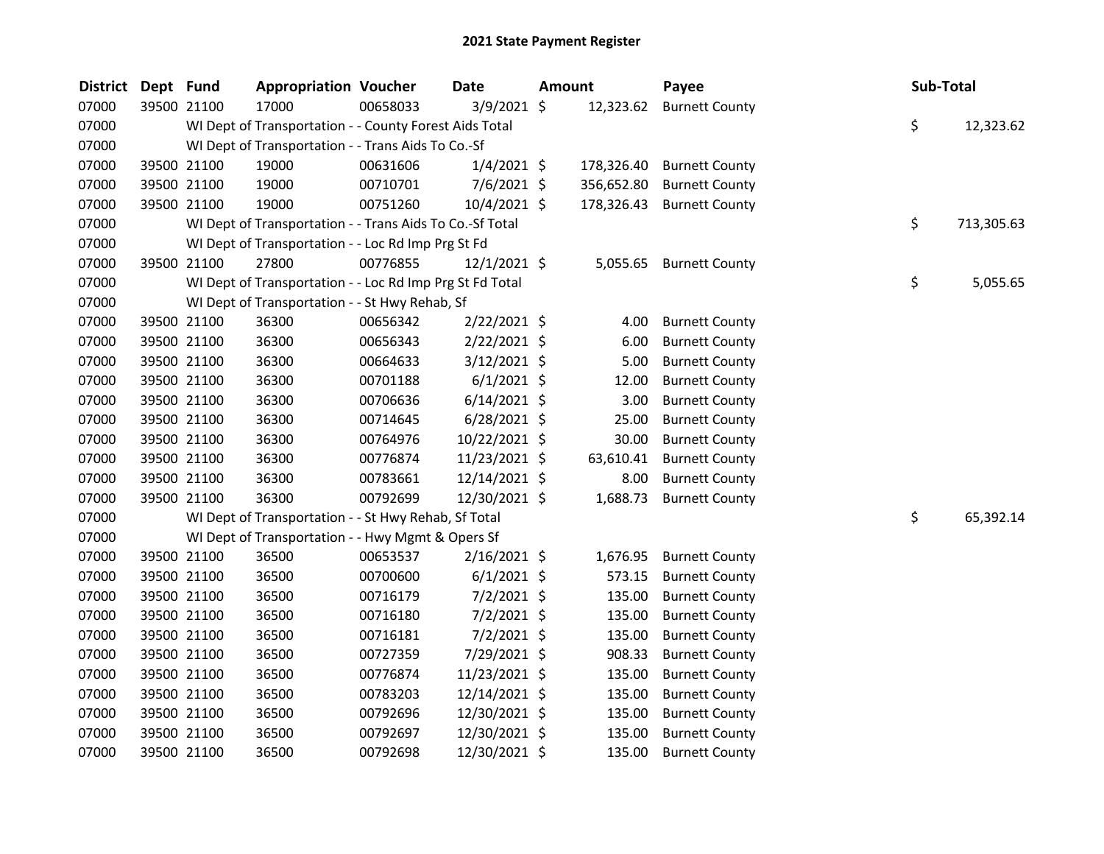| District | Dept Fund   |             | <b>Appropriation Voucher</b>                             |          | Date           | <b>Amount</b> |            | Payee                     | <b>Sub-Total</b> |
|----------|-------------|-------------|----------------------------------------------------------|----------|----------------|---------------|------------|---------------------------|------------------|
| 07000    |             | 39500 21100 | 17000                                                    | 00658033 | $3/9/2021$ \$  |               | 12,323.62  | <b>Burnett County</b>     |                  |
| 07000    |             |             | WI Dept of Transportation - - County Forest Aids Total   |          |                |               |            |                           | \$<br>12,323.62  |
| 07000    |             |             | WI Dept of Transportation - - Trans Aids To Co.-Sf       |          |                |               |            |                           |                  |
| 07000    |             | 39500 21100 | 19000                                                    | 00631606 | $1/4/2021$ \$  |               | 178,326.40 | <b>Burnett County</b>     |                  |
| 07000    | 39500 21100 |             | 19000                                                    | 00710701 | $7/6/2021$ \$  |               | 356,652.80 | <b>Burnett County</b>     |                  |
| 07000    |             | 39500 21100 | 19000                                                    | 00751260 | 10/4/2021 \$   |               |            | 178,326.43 Burnett County |                  |
| 07000    |             |             | WI Dept of Transportation - - Trans Aids To Co.-Sf Total |          |                |               |            |                           | \$<br>713,305.63 |
| 07000    |             |             | WI Dept of Transportation - - Loc Rd Imp Prg St Fd       |          |                |               |            |                           |                  |
| 07000    |             | 39500 21100 | 27800                                                    | 00776855 | $12/1/2021$ \$ |               | 5,055.65   | <b>Burnett County</b>     |                  |
| 07000    |             |             | WI Dept of Transportation - - Loc Rd Imp Prg St Fd Total |          |                |               |            |                           | \$<br>5,055.65   |
| 07000    |             |             | WI Dept of Transportation - - St Hwy Rehab, Sf           |          |                |               |            |                           |                  |
| 07000    |             | 39500 21100 | 36300                                                    | 00656342 | 2/22/2021 \$   |               | 4.00       | <b>Burnett County</b>     |                  |
| 07000    |             | 39500 21100 | 36300                                                    | 00656343 | $2/22/2021$ \$ |               | 6.00       | <b>Burnett County</b>     |                  |
| 07000    |             | 39500 21100 | 36300                                                    | 00664633 | $3/12/2021$ \$ |               | 5.00       | <b>Burnett County</b>     |                  |
| 07000    |             | 39500 21100 | 36300                                                    | 00701188 | $6/1/2021$ \$  |               | 12.00      | <b>Burnett County</b>     |                  |
| 07000    |             | 39500 21100 | 36300                                                    | 00706636 | $6/14/2021$ \$ |               | 3.00       | <b>Burnett County</b>     |                  |
| 07000    |             | 39500 21100 | 36300                                                    | 00714645 | $6/28/2021$ \$ |               | 25.00      | <b>Burnett County</b>     |                  |
| 07000    |             | 39500 21100 | 36300                                                    | 00764976 | 10/22/2021 \$  |               | 30.00      | <b>Burnett County</b>     |                  |
| 07000    | 39500 21100 |             | 36300                                                    | 00776874 | 11/23/2021 \$  |               | 63,610.41  | <b>Burnett County</b>     |                  |
| 07000    | 39500 21100 |             | 36300                                                    | 00783661 | 12/14/2021 \$  |               | 8.00       | <b>Burnett County</b>     |                  |
| 07000    |             | 39500 21100 | 36300                                                    | 00792699 | 12/30/2021 \$  |               | 1,688.73   | <b>Burnett County</b>     |                  |
| 07000    |             |             | WI Dept of Transportation - - St Hwy Rehab, Sf Total     |          |                |               |            |                           | \$<br>65,392.14  |
| 07000    |             |             | WI Dept of Transportation - - Hwy Mgmt & Opers Sf        |          |                |               |            |                           |                  |
| 07000    |             | 39500 21100 | 36500                                                    | 00653537 | $2/16/2021$ \$ |               | 1,676.95   | <b>Burnett County</b>     |                  |
| 07000    |             | 39500 21100 | 36500                                                    | 00700600 | $6/1/2021$ \$  |               | 573.15     | <b>Burnett County</b>     |                  |
| 07000    |             | 39500 21100 | 36500                                                    | 00716179 | $7/2/2021$ \$  |               | 135.00     | <b>Burnett County</b>     |                  |
| 07000    |             | 39500 21100 | 36500                                                    | 00716180 | $7/2/2021$ \$  |               | 135.00     | <b>Burnett County</b>     |                  |
| 07000    |             | 39500 21100 | 36500                                                    | 00716181 | $7/2/2021$ \$  |               | 135.00     | <b>Burnett County</b>     |                  |
| 07000    |             | 39500 21100 | 36500                                                    | 00727359 | 7/29/2021 \$   |               | 908.33     | <b>Burnett County</b>     |                  |
| 07000    |             | 39500 21100 | 36500                                                    | 00776874 | 11/23/2021 \$  |               | 135.00     | <b>Burnett County</b>     |                  |
| 07000    |             | 39500 21100 | 36500                                                    | 00783203 | 12/14/2021 \$  |               | 135.00     | <b>Burnett County</b>     |                  |
| 07000    |             | 39500 21100 | 36500                                                    | 00792696 | 12/30/2021 \$  |               | 135.00     | <b>Burnett County</b>     |                  |
| 07000    |             | 39500 21100 | 36500                                                    | 00792697 | 12/30/2021 \$  |               | 135.00     | <b>Burnett County</b>     |                  |
| 07000    |             | 39500 21100 | 36500                                                    | 00792698 | 12/30/2021 \$  |               | 135.00     | <b>Burnett County</b>     |                  |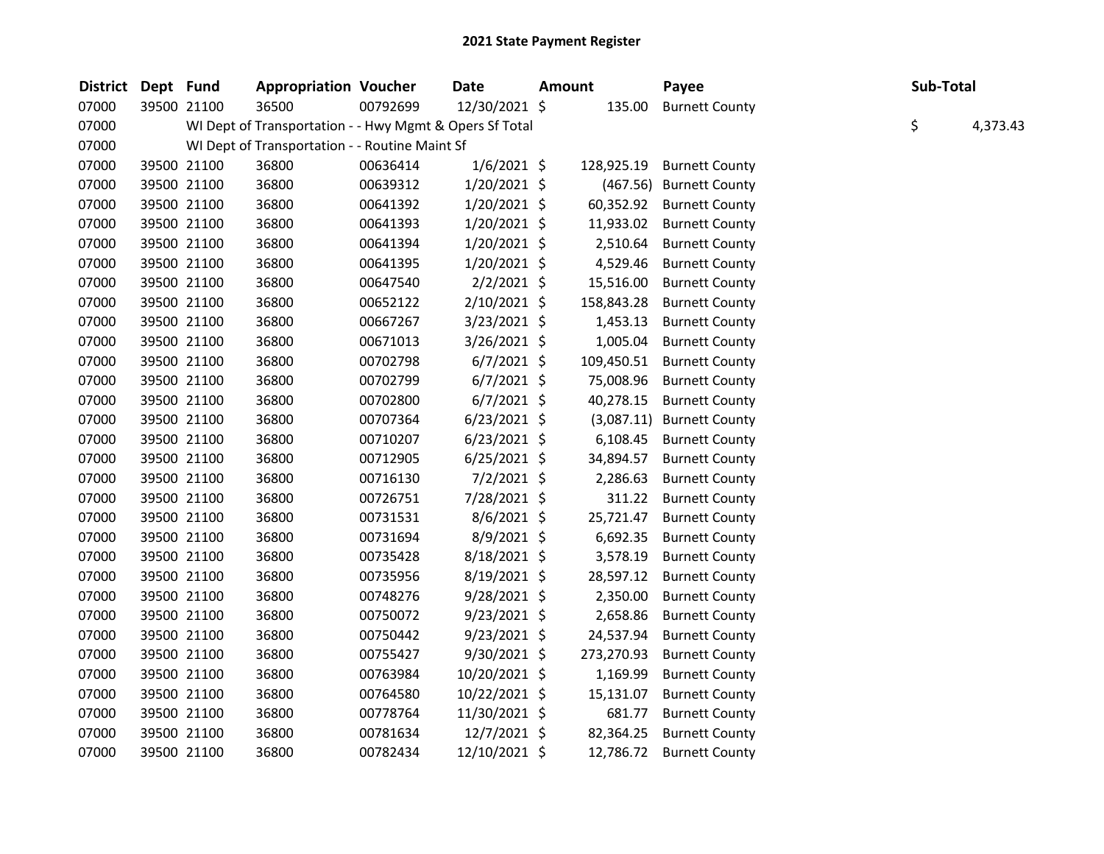| District Dept Fund |             | <b>Appropriation Voucher</b>                            |          | Date           | Amount |            | Payee                     | Sub-Total |          |
|--------------------|-------------|---------------------------------------------------------|----------|----------------|--------|------------|---------------------------|-----------|----------|
| 07000              | 39500 21100 | 36500                                                   | 00792699 | 12/30/2021 \$  |        | 135.00     | <b>Burnett County</b>     |           |          |
| 07000              |             | WI Dept of Transportation - - Hwy Mgmt & Opers Sf Total |          |                |        |            |                           | \$        | 4,373.43 |
| 07000              |             | WI Dept of Transportation - - Routine Maint Sf          |          |                |        |            |                           |           |          |
| 07000              | 39500 21100 | 36800                                                   | 00636414 | $1/6/2021$ \$  |        | 128,925.19 | <b>Burnett County</b>     |           |          |
| 07000              | 39500 21100 | 36800                                                   | 00639312 | 1/20/2021 \$   |        |            | (467.56) Burnett County   |           |          |
| 07000              | 39500 21100 | 36800                                                   | 00641392 | 1/20/2021 \$   |        |            | 60,352.92 Burnett County  |           |          |
| 07000              | 39500 21100 | 36800                                                   | 00641393 | 1/20/2021 \$   |        | 11,933.02  | <b>Burnett County</b>     |           |          |
| 07000              | 39500 21100 | 36800                                                   | 00641394 | $1/20/2021$ \$ |        | 2,510.64   | <b>Burnett County</b>     |           |          |
| 07000              | 39500 21100 | 36800                                                   | 00641395 | 1/20/2021 \$   |        | 4,529.46   | <b>Burnett County</b>     |           |          |
| 07000              | 39500 21100 | 36800                                                   | 00647540 | $2/2/2021$ \$  |        | 15,516.00  | <b>Burnett County</b>     |           |          |
| 07000              | 39500 21100 | 36800                                                   | 00652122 | 2/10/2021 \$   |        | 158,843.28 | <b>Burnett County</b>     |           |          |
| 07000              | 39500 21100 | 36800                                                   | 00667267 | $3/23/2021$ \$ |        | 1,453.13   | <b>Burnett County</b>     |           |          |
| 07000              | 39500 21100 | 36800                                                   | 00671013 | 3/26/2021 \$   |        | 1,005.04   | <b>Burnett County</b>     |           |          |
| 07000              | 39500 21100 | 36800                                                   | 00702798 | $6/7/2021$ \$  |        | 109,450.51 | <b>Burnett County</b>     |           |          |
| 07000              | 39500 21100 | 36800                                                   | 00702799 | $6/7/2021$ \$  |        | 75,008.96  | <b>Burnett County</b>     |           |          |
| 07000              | 39500 21100 | 36800                                                   | 00702800 | $6/7/2021$ \$  |        | 40,278.15  | <b>Burnett County</b>     |           |          |
| 07000              | 39500 21100 | 36800                                                   | 00707364 | $6/23/2021$ \$ |        |            | (3,087.11) Burnett County |           |          |
| 07000              | 39500 21100 | 36800                                                   | 00710207 | $6/23/2021$ \$ |        | 6,108.45   | <b>Burnett County</b>     |           |          |
| 07000              | 39500 21100 | 36800                                                   | 00712905 | $6/25/2021$ \$ |        | 34,894.57  | <b>Burnett County</b>     |           |          |
| 07000              | 39500 21100 | 36800                                                   | 00716130 | $7/2/2021$ \$  |        | 2,286.63   | <b>Burnett County</b>     |           |          |
| 07000              | 39500 21100 | 36800                                                   | 00726751 | 7/28/2021 \$   |        | 311.22     | <b>Burnett County</b>     |           |          |
| 07000              | 39500 21100 | 36800                                                   | 00731531 | 8/6/2021 \$    |        | 25,721.47  | <b>Burnett County</b>     |           |          |
| 07000              | 39500 21100 | 36800                                                   | 00731694 | 8/9/2021 \$    |        | 6,692.35   | <b>Burnett County</b>     |           |          |
| 07000              | 39500 21100 | 36800                                                   | 00735428 | 8/18/2021 \$   |        | 3,578.19   | <b>Burnett County</b>     |           |          |
| 07000              | 39500 21100 | 36800                                                   | 00735956 | 8/19/2021 \$   |        | 28,597.12  | <b>Burnett County</b>     |           |          |
| 07000              | 39500 21100 | 36800                                                   | 00748276 | 9/28/2021 \$   |        | 2,350.00   | <b>Burnett County</b>     |           |          |
| 07000              | 39500 21100 | 36800                                                   | 00750072 | $9/23/2021$ \$ |        | 2,658.86   | <b>Burnett County</b>     |           |          |
| 07000              | 39500 21100 | 36800                                                   | 00750442 | $9/23/2021$ \$ |        | 24,537.94  | <b>Burnett County</b>     |           |          |
| 07000              | 39500 21100 | 36800                                                   | 00755427 | 9/30/2021 \$   |        | 273,270.93 | <b>Burnett County</b>     |           |          |
| 07000              | 39500 21100 | 36800                                                   | 00763984 | 10/20/2021 \$  |        | 1,169.99   | <b>Burnett County</b>     |           |          |
| 07000              | 39500 21100 | 36800                                                   | 00764580 | 10/22/2021 \$  |        | 15,131.07  | <b>Burnett County</b>     |           |          |
| 07000              | 39500 21100 | 36800                                                   | 00778764 | 11/30/2021 \$  |        | 681.77     | <b>Burnett County</b>     |           |          |
| 07000              | 39500 21100 | 36800                                                   | 00781634 | 12/7/2021 \$   |        | 82,364.25  | <b>Burnett County</b>     |           |          |
| 07000              | 39500 21100 | 36800                                                   | 00782434 | 12/10/2021 \$  |        | 12,786.72  | <b>Burnett County</b>     |           |          |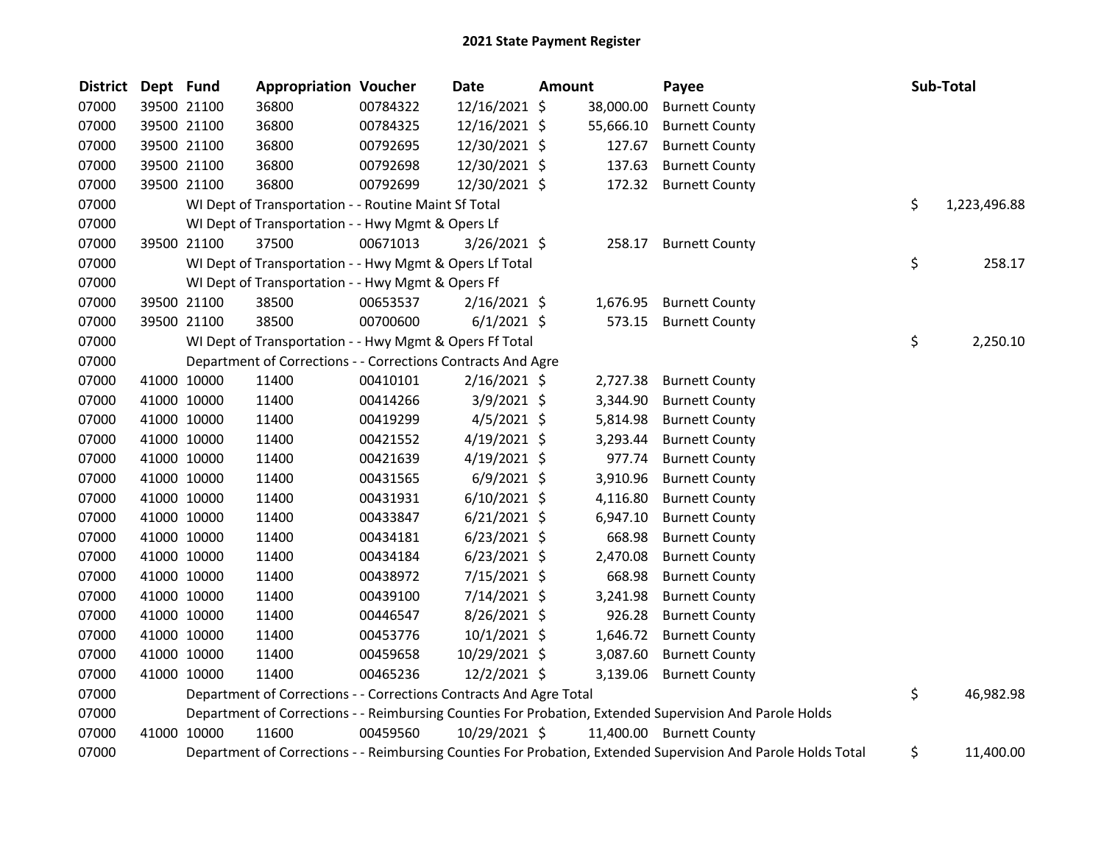| <b>District</b> | Dept Fund |             | <b>Appropriation Voucher</b>                                       |          | <b>Date</b>    | <b>Amount</b> |           | Payee                                                                                                         | Sub-Total          |
|-----------------|-----------|-------------|--------------------------------------------------------------------|----------|----------------|---------------|-----------|---------------------------------------------------------------------------------------------------------------|--------------------|
| 07000           |           | 39500 21100 | 36800                                                              | 00784322 | 12/16/2021 \$  |               | 38,000.00 | <b>Burnett County</b>                                                                                         |                    |
| 07000           |           | 39500 21100 | 36800                                                              | 00784325 | 12/16/2021 \$  |               | 55,666.10 | <b>Burnett County</b>                                                                                         |                    |
| 07000           |           | 39500 21100 | 36800                                                              | 00792695 | 12/30/2021 \$  |               | 127.67    | <b>Burnett County</b>                                                                                         |                    |
| 07000           |           | 39500 21100 | 36800                                                              | 00792698 | 12/30/2021 \$  |               | 137.63    | <b>Burnett County</b>                                                                                         |                    |
| 07000           |           | 39500 21100 | 36800                                                              | 00792699 | 12/30/2021 \$  |               | 172.32    | <b>Burnett County</b>                                                                                         |                    |
| 07000           |           |             | WI Dept of Transportation - - Routine Maint Sf Total               |          |                |               |           |                                                                                                               | \$<br>1,223,496.88 |
| 07000           |           |             | WI Dept of Transportation - - Hwy Mgmt & Opers Lf                  |          |                |               |           |                                                                                                               |                    |
| 07000           |           | 39500 21100 | 37500                                                              | 00671013 | $3/26/2021$ \$ |               | 258.17    | <b>Burnett County</b>                                                                                         |                    |
| 07000           |           |             | WI Dept of Transportation - - Hwy Mgmt & Opers Lf Total            |          |                |               |           |                                                                                                               | \$<br>258.17       |
| 07000           |           |             | WI Dept of Transportation - - Hwy Mgmt & Opers Ff                  |          |                |               |           |                                                                                                               |                    |
| 07000           |           | 39500 21100 | 38500                                                              | 00653537 | $2/16/2021$ \$ |               | 1,676.95  | <b>Burnett County</b>                                                                                         |                    |
| 07000           |           | 39500 21100 | 38500                                                              | 00700600 | $6/1/2021$ \$  |               | 573.15    | <b>Burnett County</b>                                                                                         |                    |
| 07000           |           |             | WI Dept of Transportation - - Hwy Mgmt & Opers Ff Total            |          |                |               |           |                                                                                                               | \$<br>2,250.10     |
| 07000           |           |             | Department of Corrections - - Corrections Contracts And Agre       |          |                |               |           |                                                                                                               |                    |
| 07000           |           | 41000 10000 | 11400                                                              | 00410101 | $2/16/2021$ \$ |               | 2,727.38  | <b>Burnett County</b>                                                                                         |                    |
| 07000           |           | 41000 10000 | 11400                                                              | 00414266 | 3/9/2021 \$    |               | 3,344.90  | <b>Burnett County</b>                                                                                         |                    |
| 07000           |           | 41000 10000 | 11400                                                              | 00419299 | $4/5/2021$ \$  |               | 5,814.98  | <b>Burnett County</b>                                                                                         |                    |
| 07000           |           | 41000 10000 | 11400                                                              | 00421552 | $4/19/2021$ \$ |               | 3,293.44  | <b>Burnett County</b>                                                                                         |                    |
| 07000           |           | 41000 10000 | 11400                                                              | 00421639 | $4/19/2021$ \$ |               | 977.74    | <b>Burnett County</b>                                                                                         |                    |
| 07000           |           | 41000 10000 | 11400                                                              | 00431565 | $6/9/2021$ \$  |               | 3,910.96  | <b>Burnett County</b>                                                                                         |                    |
| 07000           |           | 41000 10000 | 11400                                                              | 00431931 | $6/10/2021$ \$ |               | 4,116.80  | <b>Burnett County</b>                                                                                         |                    |
| 07000           |           | 41000 10000 | 11400                                                              | 00433847 | $6/21/2021$ \$ |               | 6,947.10  | <b>Burnett County</b>                                                                                         |                    |
| 07000           |           | 41000 10000 | 11400                                                              | 00434181 | $6/23/2021$ \$ |               | 668.98    | <b>Burnett County</b>                                                                                         |                    |
| 07000           |           | 41000 10000 | 11400                                                              | 00434184 | $6/23/2021$ \$ |               | 2,470.08  | <b>Burnett County</b>                                                                                         |                    |
| 07000           |           | 41000 10000 | 11400                                                              | 00438972 | 7/15/2021 \$   |               | 668.98    | <b>Burnett County</b>                                                                                         |                    |
| 07000           |           | 41000 10000 | 11400                                                              | 00439100 | 7/14/2021 \$   |               | 3,241.98  | <b>Burnett County</b>                                                                                         |                    |
| 07000           |           | 41000 10000 | 11400                                                              | 00446547 | 8/26/2021 \$   |               | 926.28    | <b>Burnett County</b>                                                                                         |                    |
| 07000           |           | 41000 10000 | 11400                                                              | 00453776 | $10/1/2021$ \$ |               | 1,646.72  | <b>Burnett County</b>                                                                                         |                    |
| 07000           |           | 41000 10000 | 11400                                                              | 00459658 | 10/29/2021 \$  |               | 3,087.60  | <b>Burnett County</b>                                                                                         |                    |
| 07000           |           | 41000 10000 | 11400                                                              | 00465236 | 12/2/2021 \$   |               | 3,139.06  | <b>Burnett County</b>                                                                                         |                    |
| 07000           |           |             | Department of Corrections - - Corrections Contracts And Agre Total |          |                |               |           |                                                                                                               | \$<br>46,982.98    |
| 07000           |           |             |                                                                    |          |                |               |           | Department of Corrections - - Reimbursing Counties For Probation, Extended Supervision And Parole Holds       |                    |
| 07000           |           | 41000 10000 | 11600                                                              | 00459560 | 10/29/2021 \$  |               |           | 11,400.00 Burnett County                                                                                      |                    |
| 07000           |           |             |                                                                    |          |                |               |           | Department of Corrections - - Reimbursing Counties For Probation, Extended Supervision And Parole Holds Total | \$<br>11,400.00    |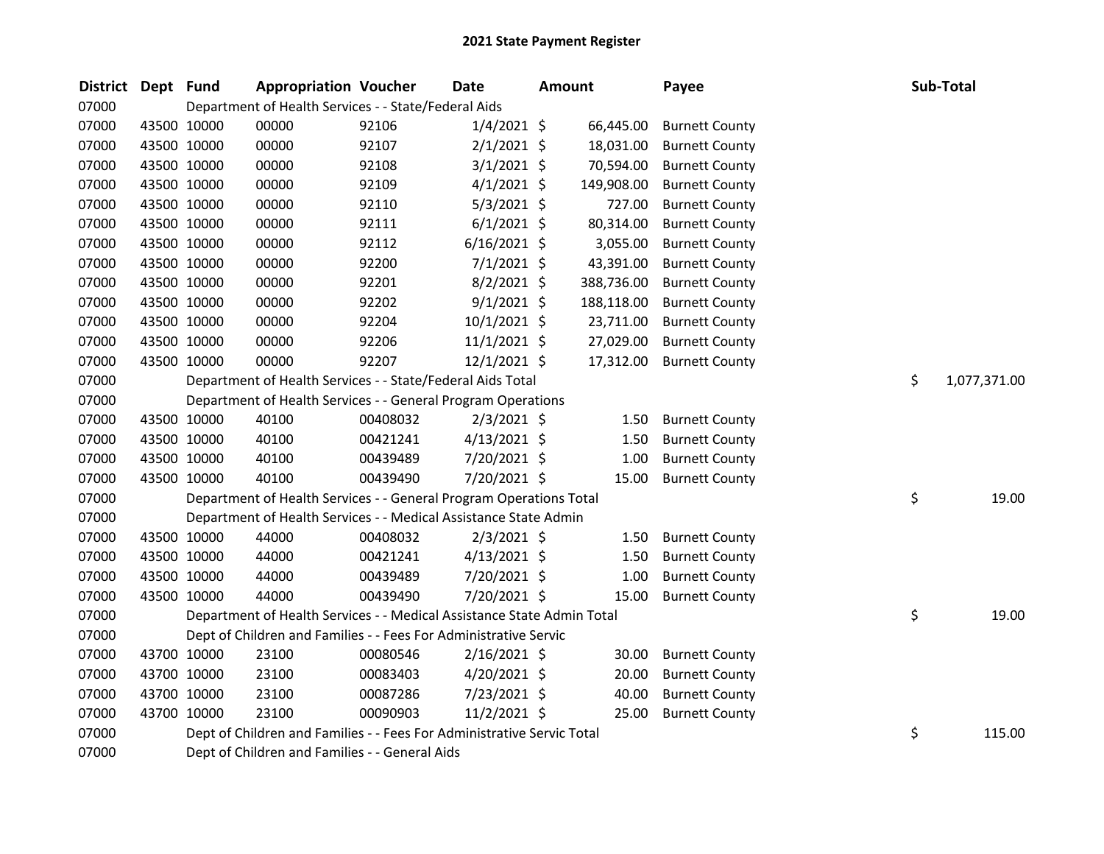| <b>District</b> | Dept Fund |             | <b>Appropriation Voucher</b>                                           |          | <b>Date</b>    | <b>Amount</b> |            | Payee                 | Sub-Total          |
|-----------------|-----------|-------------|------------------------------------------------------------------------|----------|----------------|---------------|------------|-----------------------|--------------------|
| 07000           |           |             | Department of Health Services - - State/Federal Aids                   |          |                |               |            |                       |                    |
| 07000           |           | 43500 10000 | 00000                                                                  | 92106    | $1/4/2021$ \$  |               | 66,445.00  | <b>Burnett County</b> |                    |
| 07000           |           | 43500 10000 | 00000                                                                  | 92107    | $2/1/2021$ \$  |               | 18,031.00  | <b>Burnett County</b> |                    |
| 07000           |           | 43500 10000 | 00000                                                                  | 92108    | $3/1/2021$ \$  |               | 70,594.00  | <b>Burnett County</b> |                    |
| 07000           |           | 43500 10000 | 00000                                                                  | 92109    | $4/1/2021$ \$  |               | 149,908.00 | <b>Burnett County</b> |                    |
| 07000           |           | 43500 10000 | 00000                                                                  | 92110    | $5/3/2021$ \$  |               | 727.00     | <b>Burnett County</b> |                    |
| 07000           |           | 43500 10000 | 00000                                                                  | 92111    | $6/1/2021$ \$  |               | 80,314.00  | <b>Burnett County</b> |                    |
| 07000           |           | 43500 10000 | 00000                                                                  | 92112    | $6/16/2021$ \$ |               | 3,055.00   | <b>Burnett County</b> |                    |
| 07000           |           | 43500 10000 | 00000                                                                  | 92200    | $7/1/2021$ \$  |               | 43,391.00  | <b>Burnett County</b> |                    |
| 07000           |           | 43500 10000 | 00000                                                                  | 92201    | $8/2/2021$ \$  |               | 388,736.00 | <b>Burnett County</b> |                    |
| 07000           |           | 43500 10000 | 00000                                                                  | 92202    | $9/1/2021$ \$  |               | 188,118.00 | <b>Burnett County</b> |                    |
| 07000           |           | 43500 10000 | 00000                                                                  | 92204    | 10/1/2021 \$   |               | 23,711.00  | <b>Burnett County</b> |                    |
| 07000           |           | 43500 10000 | 00000                                                                  | 92206    | $11/1/2021$ \$ |               | 27,029.00  | <b>Burnett County</b> |                    |
| 07000           |           | 43500 10000 | 00000                                                                  | 92207    | $12/1/2021$ \$ |               | 17,312.00  | <b>Burnett County</b> |                    |
| 07000           |           |             | Department of Health Services - - State/Federal Aids Total             |          |                |               |            |                       | \$<br>1,077,371.00 |
| 07000           |           |             | Department of Health Services - - General Program Operations           |          |                |               |            |                       |                    |
| 07000           |           | 43500 10000 | 40100                                                                  | 00408032 | $2/3/2021$ \$  |               | 1.50       | <b>Burnett County</b> |                    |
| 07000           |           | 43500 10000 | 40100                                                                  | 00421241 | $4/13/2021$ \$ |               | 1.50       | <b>Burnett County</b> |                    |
| 07000           |           | 43500 10000 | 40100                                                                  | 00439489 | 7/20/2021 \$   |               | 1.00       | <b>Burnett County</b> |                    |
| 07000           |           | 43500 10000 | 40100                                                                  | 00439490 | 7/20/2021 \$   |               | 15.00      | <b>Burnett County</b> |                    |
| 07000           |           |             | Department of Health Services - - General Program Operations Total     |          |                |               |            |                       | \$<br>19.00        |
| 07000           |           |             | Department of Health Services - - Medical Assistance State Admin       |          |                |               |            |                       |                    |
| 07000           |           | 43500 10000 | 44000                                                                  | 00408032 | $2/3/2021$ \$  |               | 1.50       | <b>Burnett County</b> |                    |
| 07000           |           | 43500 10000 | 44000                                                                  | 00421241 | $4/13/2021$ \$ |               | 1.50       | <b>Burnett County</b> |                    |
| 07000           |           | 43500 10000 | 44000                                                                  | 00439489 | 7/20/2021 \$   |               | 1.00       | <b>Burnett County</b> |                    |
| 07000           |           | 43500 10000 | 44000                                                                  | 00439490 | 7/20/2021 \$   |               | 15.00      | <b>Burnett County</b> |                    |
| 07000           |           |             | Department of Health Services - - Medical Assistance State Admin Total |          |                |               |            |                       | \$<br>19.00        |
| 07000           |           |             | Dept of Children and Families - - Fees For Administrative Servic       |          |                |               |            |                       |                    |
| 07000           |           | 43700 10000 | 23100                                                                  | 00080546 | $2/16/2021$ \$ |               | 30.00      | <b>Burnett County</b> |                    |
| 07000           |           | 43700 10000 | 23100                                                                  | 00083403 | $4/20/2021$ \$ |               | 20.00      | <b>Burnett County</b> |                    |
| 07000           |           | 43700 10000 | 23100                                                                  | 00087286 | 7/23/2021 \$   |               | 40.00      | <b>Burnett County</b> |                    |
| 07000           |           | 43700 10000 | 23100                                                                  | 00090903 | $11/2/2021$ \$ |               | 25.00      | <b>Burnett County</b> |                    |
| 07000           |           |             | Dept of Children and Families - - Fees For Administrative Servic Total |          |                |               |            |                       | \$<br>115.00       |
| 07000           |           |             | Dept of Children and Families - - General Aids                         |          |                |               |            |                       |                    |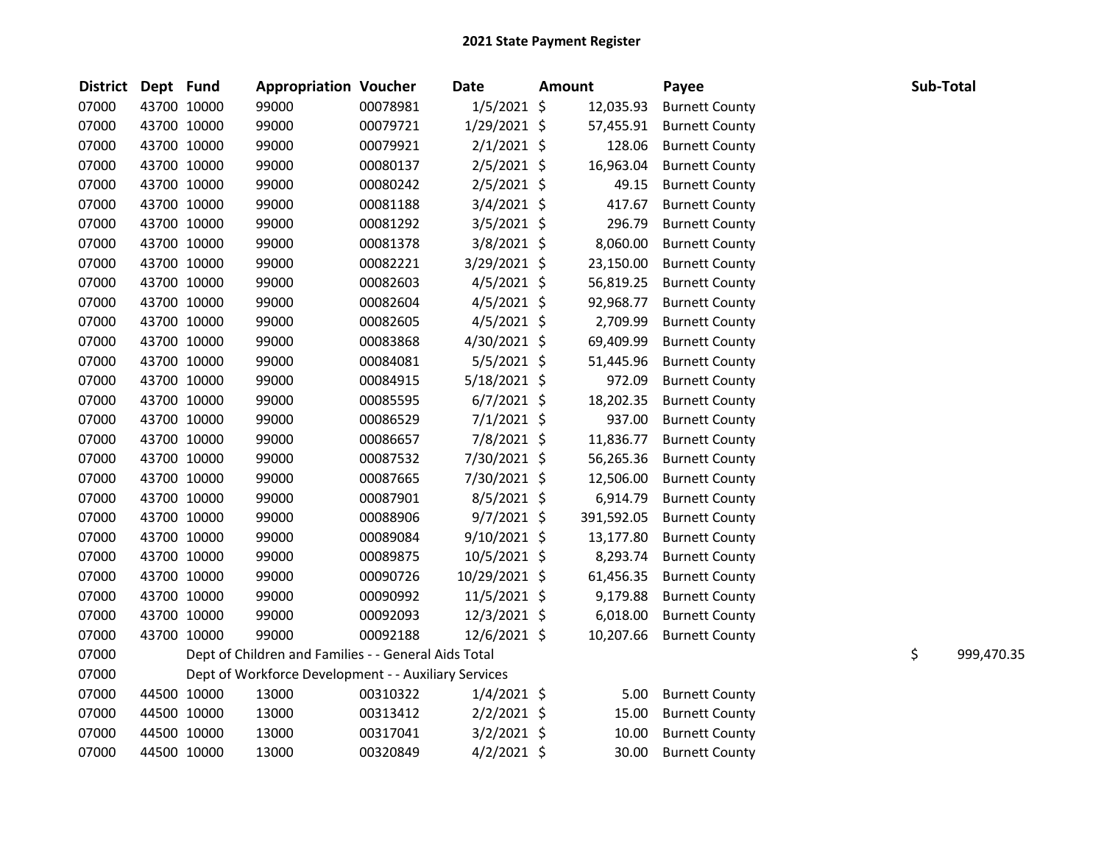| <b>District</b> | Dept Fund   | <b>Appropriation Voucher</b>                         |          | <b>Date</b>    | <b>Amount</b> |            | Payee                 | Sub-Total |            |
|-----------------|-------------|------------------------------------------------------|----------|----------------|---------------|------------|-----------------------|-----------|------------|
| 07000           | 43700 10000 | 99000                                                | 00078981 | $1/5/2021$ \$  |               | 12,035.93  | <b>Burnett County</b> |           |            |
| 07000           | 43700 10000 | 99000                                                | 00079721 | 1/29/2021 \$   |               | 57,455.91  | <b>Burnett County</b> |           |            |
| 07000           | 43700 10000 | 99000                                                | 00079921 | $2/1/2021$ \$  |               | 128.06     | <b>Burnett County</b> |           |            |
| 07000           | 43700 10000 | 99000                                                | 00080137 | $2/5/2021$ \$  |               | 16,963.04  | <b>Burnett County</b> |           |            |
| 07000           | 43700 10000 | 99000                                                | 00080242 | $2/5/2021$ \$  |               | 49.15      | <b>Burnett County</b> |           |            |
| 07000           | 43700 10000 | 99000                                                | 00081188 | 3/4/2021 \$    |               | 417.67     | <b>Burnett County</b> |           |            |
| 07000           | 43700 10000 | 99000                                                | 00081292 | 3/5/2021 \$    |               | 296.79     | <b>Burnett County</b> |           |            |
| 07000           | 43700 10000 | 99000                                                | 00081378 | 3/8/2021 \$    |               | 8,060.00   | <b>Burnett County</b> |           |            |
| 07000           | 43700 10000 | 99000                                                | 00082221 | 3/29/2021 \$   |               | 23,150.00  | <b>Burnett County</b> |           |            |
| 07000           | 43700 10000 | 99000                                                | 00082603 | $4/5/2021$ \$  |               | 56,819.25  | <b>Burnett County</b> |           |            |
| 07000           | 43700 10000 | 99000                                                | 00082604 | $4/5/2021$ \$  |               | 92,968.77  | <b>Burnett County</b> |           |            |
| 07000           | 43700 10000 | 99000                                                | 00082605 | $4/5/2021$ \$  |               | 2,709.99   | <b>Burnett County</b> |           |            |
| 07000           | 43700 10000 | 99000                                                | 00083868 | 4/30/2021 \$   |               | 69,409.99  | <b>Burnett County</b> |           |            |
| 07000           | 43700 10000 | 99000                                                | 00084081 | $5/5/2021$ \$  |               | 51,445.96  | <b>Burnett County</b> |           |            |
| 07000           | 43700 10000 | 99000                                                | 00084915 | $5/18/2021$ \$ |               | 972.09     | <b>Burnett County</b> |           |            |
| 07000           | 43700 10000 | 99000                                                | 00085595 | $6/7/2021$ \$  |               | 18,202.35  | <b>Burnett County</b> |           |            |
| 07000           | 43700 10000 | 99000                                                | 00086529 | $7/1/2021$ \$  |               | 937.00     | <b>Burnett County</b> |           |            |
| 07000           | 43700 10000 | 99000                                                | 00086657 | 7/8/2021 \$    |               | 11,836.77  | <b>Burnett County</b> |           |            |
| 07000           | 43700 10000 | 99000                                                | 00087532 | 7/30/2021 \$   |               | 56,265.36  | <b>Burnett County</b> |           |            |
| 07000           | 43700 10000 | 99000                                                | 00087665 | 7/30/2021 \$   |               | 12,506.00  | <b>Burnett County</b> |           |            |
| 07000           | 43700 10000 | 99000                                                | 00087901 | 8/5/2021 \$    |               | 6,914.79   | <b>Burnett County</b> |           |            |
| 07000           | 43700 10000 | 99000                                                | 00088906 | $9/7/2021$ \$  |               | 391,592.05 | <b>Burnett County</b> |           |            |
| 07000           | 43700 10000 | 99000                                                | 00089084 | $9/10/2021$ \$ |               | 13,177.80  | <b>Burnett County</b> |           |            |
| 07000           | 43700 10000 | 99000                                                | 00089875 | $10/5/2021$ \$ |               | 8,293.74   | <b>Burnett County</b> |           |            |
| 07000           | 43700 10000 | 99000                                                | 00090726 | 10/29/2021 \$  |               | 61,456.35  | <b>Burnett County</b> |           |            |
| 07000           | 43700 10000 | 99000                                                | 00090992 | 11/5/2021 \$   |               | 9,179.88   | <b>Burnett County</b> |           |            |
| 07000           | 43700 10000 | 99000                                                | 00092093 | 12/3/2021 \$   |               | 6,018.00   | <b>Burnett County</b> |           |            |
| 07000           | 43700 10000 | 99000                                                | 00092188 | 12/6/2021 \$   |               | 10,207.66  | <b>Burnett County</b> |           |            |
| 07000           |             | Dept of Children and Families - - General Aids Total |          |                |               |            |                       | \$        | 999,470.35 |
| 07000           |             | Dept of Workforce Development - - Auxiliary Services |          |                |               |            |                       |           |            |
| 07000           | 44500 10000 | 13000                                                | 00310322 | $1/4/2021$ \$  |               | 5.00       | <b>Burnett County</b> |           |            |
| 07000           | 44500 10000 | 13000                                                | 00313412 | $2/2/2021$ \$  |               | 15.00      | <b>Burnett County</b> |           |            |
| 07000           | 44500 10000 | 13000                                                | 00317041 | $3/2/2021$ \$  |               | 10.00      | <b>Burnett County</b> |           |            |
| 07000           | 44500 10000 | 13000                                                | 00320849 | $4/2/2021$ \$  |               | 30.00      | <b>Burnett County</b> |           |            |
|                 |             |                                                      |          |                |               |            |                       |           |            |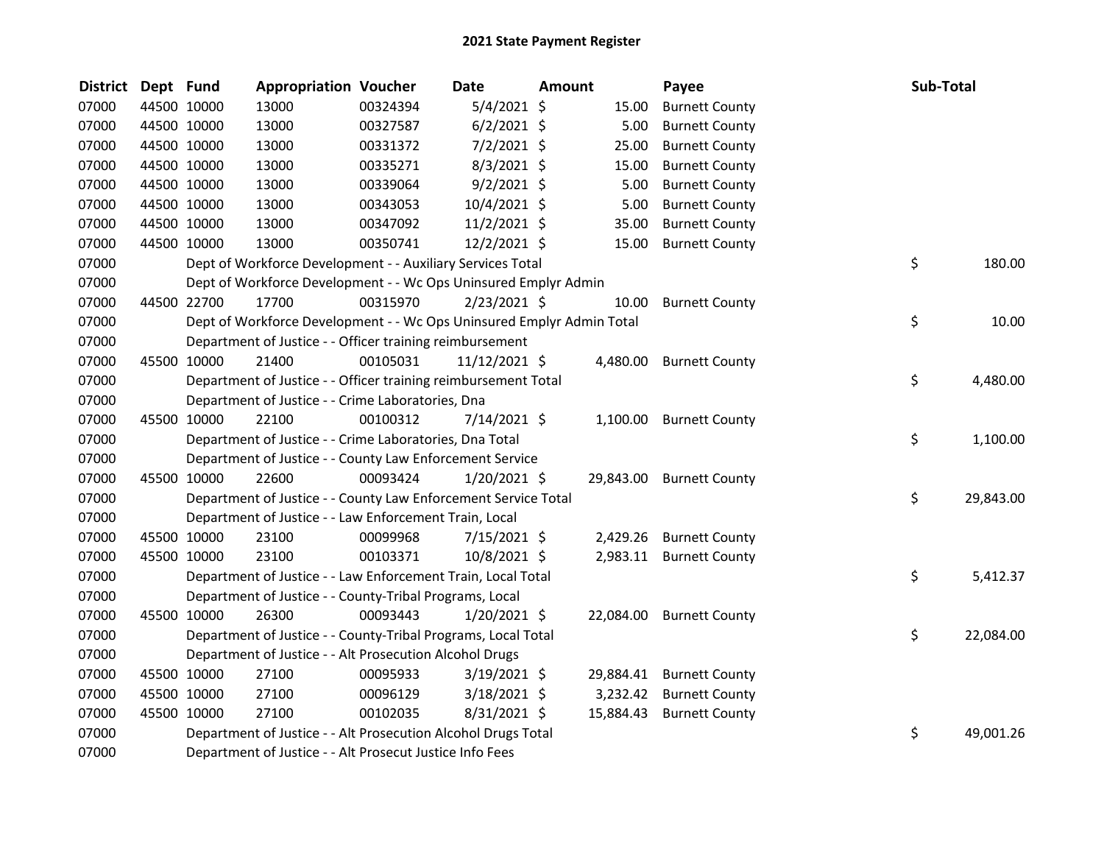| <b>District</b> | Dept Fund |             | <b>Appropriation Voucher</b>                                          |          | <b>Date</b>    | Amount |          | Payee                    | <b>Sub-Total</b> |           |
|-----------------|-----------|-------------|-----------------------------------------------------------------------|----------|----------------|--------|----------|--------------------------|------------------|-----------|
| 07000           |           | 44500 10000 | 13000                                                                 | 00324394 | $5/4/2021$ \$  |        | 15.00    | <b>Burnett County</b>    |                  |           |
| 07000           |           | 44500 10000 | 13000                                                                 | 00327587 | $6/2/2021$ \$  |        | 5.00     | <b>Burnett County</b>    |                  |           |
| 07000           |           | 44500 10000 | 13000                                                                 | 00331372 | $7/2/2021$ \$  |        | 25.00    | <b>Burnett County</b>    |                  |           |
| 07000           |           | 44500 10000 | 13000                                                                 | 00335271 | $8/3/2021$ \$  |        | 15.00    | <b>Burnett County</b>    |                  |           |
| 07000           |           | 44500 10000 | 13000                                                                 | 00339064 | $9/2/2021$ \$  |        | 5.00     | <b>Burnett County</b>    |                  |           |
| 07000           |           | 44500 10000 | 13000                                                                 | 00343053 | 10/4/2021 \$   |        | 5.00     | <b>Burnett County</b>    |                  |           |
| 07000           |           | 44500 10000 | 13000                                                                 | 00347092 | 11/2/2021 \$   |        | 35.00    | <b>Burnett County</b>    |                  |           |
| 07000           |           | 44500 10000 | 13000                                                                 | 00350741 | 12/2/2021 \$   |        | 15.00    | <b>Burnett County</b>    |                  |           |
| 07000           |           |             | Dept of Workforce Development - - Auxiliary Services Total            |          |                |        |          |                          | \$               | 180.00    |
| 07000           |           |             | Dept of Workforce Development - - Wc Ops Uninsured Emplyr Admin       |          |                |        |          |                          |                  |           |
| 07000           |           | 44500 22700 | 17700                                                                 | 00315970 | $2/23/2021$ \$ |        | 10.00    | <b>Burnett County</b>    |                  |           |
| 07000           |           |             | Dept of Workforce Development - - Wc Ops Uninsured Emplyr Admin Total |          |                |        |          |                          | \$               | 10.00     |
| 07000           |           |             | Department of Justice - - Officer training reimbursement              |          |                |        |          |                          |                  |           |
| 07000           |           | 45500 10000 | 21400                                                                 | 00105031 | 11/12/2021 \$  |        | 4,480.00 | <b>Burnett County</b>    |                  |           |
| 07000           |           |             | Department of Justice - - Officer training reimbursement Total        |          |                |        |          |                          | \$               | 4,480.00  |
| 07000           |           |             | Department of Justice - - Crime Laboratories, Dna                     |          |                |        |          |                          |                  |           |
| 07000           |           | 45500 10000 | 22100                                                                 | 00100312 | 7/14/2021 \$   |        |          | 1,100.00 Burnett County  |                  |           |
| 07000           |           |             | Department of Justice - - Crime Laboratories, Dna Total               |          |                |        |          |                          | \$.              | 1,100.00  |
| 07000           |           |             | Department of Justice - - County Law Enforcement Service              |          |                |        |          |                          |                  |           |
| 07000           |           | 45500 10000 | 22600                                                                 | 00093424 | $1/20/2021$ \$ |        |          | 29,843.00 Burnett County |                  |           |
| 07000           |           |             | Department of Justice - - County Law Enforcement Service Total        |          |                |        |          |                          | \$               | 29,843.00 |
| 07000           |           |             | Department of Justice - - Law Enforcement Train, Local                |          |                |        |          |                          |                  |           |
| 07000           |           | 45500 10000 | 23100                                                                 | 00099968 | 7/15/2021 \$   |        | 2,429.26 | <b>Burnett County</b>    |                  |           |
| 07000           |           | 45500 10000 | 23100                                                                 | 00103371 | 10/8/2021 \$   |        |          | 2,983.11 Burnett County  |                  |           |
| 07000           |           |             | Department of Justice - - Law Enforcement Train, Local Total          |          |                |        |          |                          | \$               | 5,412.37  |
| 07000           |           |             | Department of Justice - - County-Tribal Programs, Local               |          |                |        |          |                          |                  |           |
| 07000           |           | 45500 10000 | 26300                                                                 | 00093443 | $1/20/2021$ \$ |        |          | 22,084.00 Burnett County |                  |           |
| 07000           |           |             | Department of Justice - - County-Tribal Programs, Local Total         |          |                |        |          |                          | \$               | 22,084.00 |
| 07000           |           |             | Department of Justice - - Alt Prosecution Alcohol Drugs               |          |                |        |          |                          |                  |           |
| 07000           |           | 45500 10000 | 27100                                                                 | 00095933 | $3/19/2021$ \$ |        |          | 29,884.41 Burnett County |                  |           |
| 07000           |           | 45500 10000 | 27100                                                                 | 00096129 | 3/18/2021 \$   |        | 3,232.42 | <b>Burnett County</b>    |                  |           |
| 07000           |           | 45500 10000 | 27100                                                                 | 00102035 | 8/31/2021 \$   |        |          | 15,884.43 Burnett County |                  |           |
| 07000           |           |             | Department of Justice - - Alt Prosecution Alcohol Drugs Total         |          |                |        |          |                          | \$               | 49,001.26 |
| 07000           |           |             | Department of Justice - - Alt Prosecut Justice Info Fees              |          |                |        |          |                          |                  |           |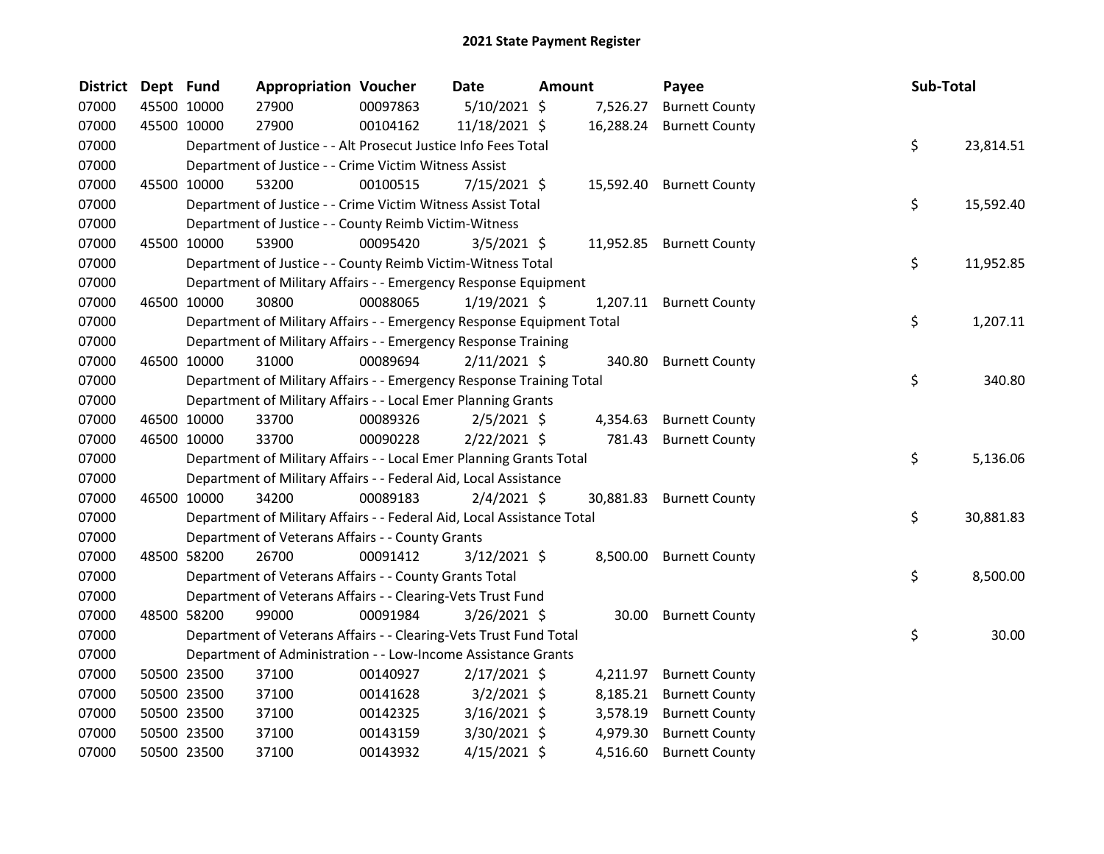| <b>District</b> | Dept Fund |             | <b>Appropriation Voucher</b>                                           |          | Date           | Amount |           | Payee                 | Sub-Total       |
|-----------------|-----------|-------------|------------------------------------------------------------------------|----------|----------------|--------|-----------|-----------------------|-----------------|
| 07000           |           | 45500 10000 | 27900                                                                  | 00097863 | 5/10/2021 \$   |        | 7,526.27  | <b>Burnett County</b> |                 |
| 07000           |           | 45500 10000 | 27900                                                                  | 00104162 | 11/18/2021 \$  |        | 16,288.24 | <b>Burnett County</b> |                 |
| 07000           |           |             | Department of Justice - - Alt Prosecut Justice Info Fees Total         |          |                |        |           |                       | \$<br>23,814.51 |
| 07000           |           |             | Department of Justice - - Crime Victim Witness Assist                  |          |                |        |           |                       |                 |
| 07000           |           | 45500 10000 | 53200                                                                  | 00100515 | $7/15/2021$ \$ |        | 15,592.40 | <b>Burnett County</b> |                 |
| 07000           |           |             | Department of Justice - - Crime Victim Witness Assist Total            |          |                |        |           |                       | \$<br>15,592.40 |
| 07000           |           |             | Department of Justice - - County Reimb Victim-Witness                  |          |                |        |           |                       |                 |
| 07000           |           | 45500 10000 | 53900                                                                  | 00095420 | $3/5/2021$ \$  |        | 11,952.85 | <b>Burnett County</b> |                 |
| 07000           |           |             | Department of Justice - - County Reimb Victim-Witness Total            |          |                |        |           |                       | \$<br>11,952.85 |
| 07000           |           |             | Department of Military Affairs - - Emergency Response Equipment        |          |                |        |           |                       |                 |
| 07000           |           | 46500 10000 | 30800                                                                  | 00088065 | $1/19/2021$ \$ |        | 1,207.11  | <b>Burnett County</b> |                 |
| 07000           |           |             | Department of Military Affairs - - Emergency Response Equipment Total  |          |                |        |           |                       | \$<br>1,207.11  |
| 07000           |           |             | Department of Military Affairs - - Emergency Response Training         |          |                |        |           |                       |                 |
| 07000           |           | 46500 10000 | 31000                                                                  | 00089694 | $2/11/2021$ \$ |        | 340.80    | <b>Burnett County</b> |                 |
| 07000           |           |             | Department of Military Affairs - - Emergency Response Training Total   |          |                |        |           |                       | \$<br>340.80    |
| 07000           |           |             | Department of Military Affairs - - Local Emer Planning Grants          |          |                |        |           |                       |                 |
| 07000           |           | 46500 10000 | 33700                                                                  | 00089326 | $2/5/2021$ \$  |        | 4,354.63  | <b>Burnett County</b> |                 |
| 07000           |           | 46500 10000 | 33700                                                                  | 00090228 | $2/22/2021$ \$ |        | 781.43    | <b>Burnett County</b> |                 |
| 07000           |           |             | Department of Military Affairs - - Local Emer Planning Grants Total    |          |                |        |           |                       | \$<br>5,136.06  |
| 07000           |           |             | Department of Military Affairs - - Federal Aid, Local Assistance       |          |                |        |           |                       |                 |
| 07000           |           | 46500 10000 | 34200                                                                  | 00089183 | $2/4/2021$ \$  |        | 30,881.83 | <b>Burnett County</b> |                 |
| 07000           |           |             | Department of Military Affairs - - Federal Aid, Local Assistance Total |          |                |        |           |                       | \$<br>30,881.83 |
| 07000           |           |             | Department of Veterans Affairs - - County Grants                       |          |                |        |           |                       |                 |
| 07000           |           | 48500 58200 | 26700                                                                  | 00091412 | $3/12/2021$ \$ |        | 8,500.00  | <b>Burnett County</b> |                 |
| 07000           |           |             | Department of Veterans Affairs - - County Grants Total                 |          |                |        |           |                       | \$<br>8,500.00  |
| 07000           |           |             | Department of Veterans Affairs - - Clearing-Vets Trust Fund            |          |                |        |           |                       |                 |
| 07000           |           | 48500 58200 | 99000                                                                  | 00091984 | $3/26/2021$ \$ |        | 30.00     | <b>Burnett County</b> |                 |
| 07000           |           |             | Department of Veterans Affairs - - Clearing-Vets Trust Fund Total      |          |                |        |           |                       | \$<br>30.00     |
| 07000           |           |             | Department of Administration - - Low-Income Assistance Grants          |          |                |        |           |                       |                 |
| 07000           |           | 50500 23500 | 37100                                                                  | 00140927 | $2/17/2021$ \$ |        | 4,211.97  | <b>Burnett County</b> |                 |
| 07000           |           | 50500 23500 | 37100                                                                  | 00141628 | $3/2/2021$ \$  |        | 8,185.21  | <b>Burnett County</b> |                 |
| 07000           |           | 50500 23500 | 37100                                                                  | 00142325 | $3/16/2021$ \$ |        | 3,578.19  | <b>Burnett County</b> |                 |
| 07000           |           | 50500 23500 | 37100                                                                  | 00143159 | $3/30/2021$ \$ |        | 4,979.30  | <b>Burnett County</b> |                 |
| 07000           |           | 50500 23500 | 37100                                                                  | 00143932 | $4/15/2021$ \$ |        | 4,516.60  | <b>Burnett County</b> |                 |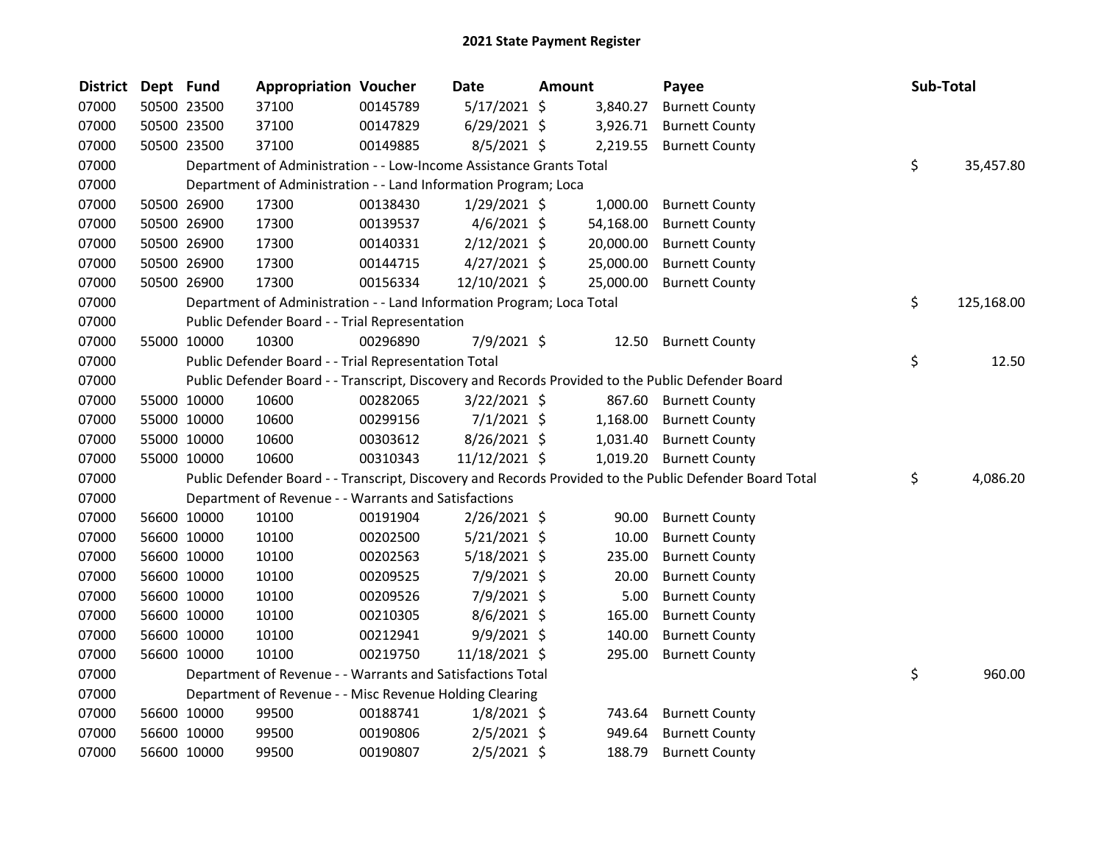| <b>District</b> | Dept Fund |             | <b>Appropriation Voucher</b>                                          |          | Date           | Amount    | Payee                                                                                                   | <b>Sub-Total</b> |
|-----------------|-----------|-------------|-----------------------------------------------------------------------|----------|----------------|-----------|---------------------------------------------------------------------------------------------------------|------------------|
| 07000           |           | 50500 23500 | 37100                                                                 | 00145789 | $5/17/2021$ \$ | 3,840.27  | <b>Burnett County</b>                                                                                   |                  |
| 07000           |           | 50500 23500 | 37100                                                                 | 00147829 | $6/29/2021$ \$ | 3,926.71  | <b>Burnett County</b>                                                                                   |                  |
| 07000           |           | 50500 23500 | 37100                                                                 | 00149885 | $8/5/2021$ \$  | 2,219.55  | <b>Burnett County</b>                                                                                   |                  |
| 07000           |           |             | Department of Administration - - Low-Income Assistance Grants Total   |          |                |           |                                                                                                         | \$<br>35,457.80  |
| 07000           |           |             | Department of Administration - - Land Information Program; Loca       |          |                |           |                                                                                                         |                  |
| 07000           |           | 50500 26900 | 17300                                                                 | 00138430 | $1/29/2021$ \$ | 1,000.00  | <b>Burnett County</b>                                                                                   |                  |
| 07000           |           | 50500 26900 | 17300                                                                 | 00139537 | $4/6/2021$ \$  | 54,168.00 | <b>Burnett County</b>                                                                                   |                  |
| 07000           |           | 50500 26900 | 17300                                                                 | 00140331 | $2/12/2021$ \$ | 20,000.00 | <b>Burnett County</b>                                                                                   |                  |
| 07000           |           | 50500 26900 | 17300                                                                 | 00144715 | $4/27/2021$ \$ | 25,000.00 | <b>Burnett County</b>                                                                                   |                  |
| 07000           |           | 50500 26900 | 17300                                                                 | 00156334 | 12/10/2021 \$  | 25,000.00 | <b>Burnett County</b>                                                                                   |                  |
| 07000           |           |             | Department of Administration - - Land Information Program; Loca Total |          |                |           |                                                                                                         | \$<br>125,168.00 |
| 07000           |           |             | Public Defender Board - - Trial Representation                        |          |                |           |                                                                                                         |                  |
| 07000           |           | 55000 10000 | 10300                                                                 | 00296890 | 7/9/2021 \$    | 12.50     | <b>Burnett County</b>                                                                                   |                  |
| 07000           |           |             | Public Defender Board - - Trial Representation Total                  |          |                |           |                                                                                                         | \$<br>12.50      |
| 07000           |           |             |                                                                       |          |                |           | Public Defender Board - - Transcript, Discovery and Records Provided to the Public Defender Board       |                  |
| 07000           |           | 55000 10000 | 10600                                                                 | 00282065 | $3/22/2021$ \$ | 867.60    | <b>Burnett County</b>                                                                                   |                  |
| 07000           |           | 55000 10000 | 10600                                                                 | 00299156 | $7/1/2021$ \$  | 1,168.00  | <b>Burnett County</b>                                                                                   |                  |
| 07000           |           | 55000 10000 | 10600                                                                 | 00303612 | 8/26/2021 \$   | 1,031.40  | <b>Burnett County</b>                                                                                   |                  |
| 07000           |           | 55000 10000 | 10600                                                                 | 00310343 | 11/12/2021 \$  | 1,019.20  | <b>Burnett County</b>                                                                                   |                  |
| 07000           |           |             |                                                                       |          |                |           | Public Defender Board - - Transcript, Discovery and Records Provided to the Public Defender Board Total | \$<br>4,086.20   |
| 07000           |           |             | Department of Revenue - - Warrants and Satisfactions                  |          |                |           |                                                                                                         |                  |
| 07000           |           | 56600 10000 | 10100                                                                 | 00191904 | 2/26/2021 \$   | 90.00     | <b>Burnett County</b>                                                                                   |                  |
| 07000           |           | 56600 10000 | 10100                                                                 | 00202500 | $5/21/2021$ \$ | 10.00     | <b>Burnett County</b>                                                                                   |                  |
| 07000           |           | 56600 10000 | 10100                                                                 | 00202563 | $5/18/2021$ \$ | 235.00    | <b>Burnett County</b>                                                                                   |                  |
| 07000           |           | 56600 10000 | 10100                                                                 | 00209525 | 7/9/2021 \$    | 20.00     | <b>Burnett County</b>                                                                                   |                  |
| 07000           |           | 56600 10000 | 10100                                                                 | 00209526 | 7/9/2021 \$    | 5.00      | <b>Burnett County</b>                                                                                   |                  |
| 07000           |           | 56600 10000 | 10100                                                                 | 00210305 | $8/6/2021$ \$  | 165.00    | <b>Burnett County</b>                                                                                   |                  |
| 07000           |           | 56600 10000 | 10100                                                                 | 00212941 | $9/9/2021$ \$  | 140.00    | <b>Burnett County</b>                                                                                   |                  |
| 07000           |           | 56600 10000 | 10100                                                                 | 00219750 | 11/18/2021 \$  | 295.00    | <b>Burnett County</b>                                                                                   |                  |
| 07000           |           |             | Department of Revenue - - Warrants and Satisfactions Total            |          |                |           |                                                                                                         | \$<br>960.00     |
| 07000           |           |             | Department of Revenue - - Misc Revenue Holding Clearing               |          |                |           |                                                                                                         |                  |
| 07000           |           | 56600 10000 | 99500                                                                 | 00188741 | $1/8/2021$ \$  | 743.64    | <b>Burnett County</b>                                                                                   |                  |
| 07000           |           | 56600 10000 | 99500                                                                 | 00190806 | $2/5/2021$ \$  | 949.64    | <b>Burnett County</b>                                                                                   |                  |
| 07000           |           | 56600 10000 | 99500                                                                 | 00190807 | $2/5/2021$ \$  | 188.79    | <b>Burnett County</b>                                                                                   |                  |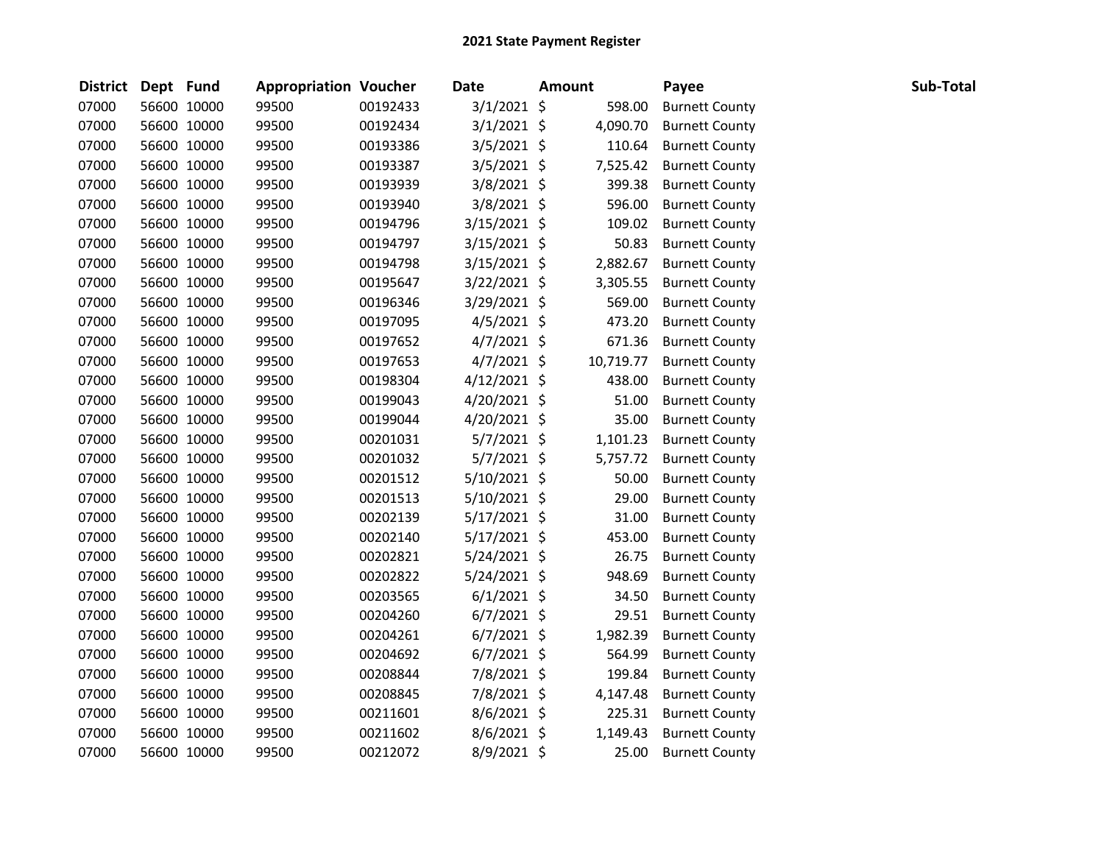| <b>District</b> | Dept Fund |             | <b>Appropriation Voucher</b> |          | <b>Date</b>    | <b>Amount</b> | Payee                 | Sub-Total |
|-----------------|-----------|-------------|------------------------------|----------|----------------|---------------|-----------------------|-----------|
| 07000           |           | 56600 10000 | 99500                        | 00192433 | $3/1/2021$ \$  | 598.00        | <b>Burnett County</b> |           |
| 07000           |           | 56600 10000 | 99500                        | 00192434 | $3/1/2021$ \$  | 4,090.70      | <b>Burnett County</b> |           |
| 07000           |           | 56600 10000 | 99500                        | 00193386 | $3/5/2021$ \$  | 110.64        | <b>Burnett County</b> |           |
| 07000           |           | 56600 10000 | 99500                        | 00193387 | $3/5/2021$ \$  | 7,525.42      | <b>Burnett County</b> |           |
| 07000           |           | 56600 10000 | 99500                        | 00193939 | 3/8/2021 \$    | 399.38        | <b>Burnett County</b> |           |
| 07000           |           | 56600 10000 | 99500                        | 00193940 | 3/8/2021 \$    | 596.00        | <b>Burnett County</b> |           |
| 07000           |           | 56600 10000 | 99500                        | 00194796 | $3/15/2021$ \$ | 109.02        | <b>Burnett County</b> |           |
| 07000           |           | 56600 10000 | 99500                        | 00194797 | $3/15/2021$ \$ | 50.83         | <b>Burnett County</b> |           |
| 07000           |           | 56600 10000 | 99500                        | 00194798 | $3/15/2021$ \$ | 2,882.67      | <b>Burnett County</b> |           |
| 07000           |           | 56600 10000 | 99500                        | 00195647 | 3/22/2021 \$   | 3,305.55      | <b>Burnett County</b> |           |
| 07000           |           | 56600 10000 | 99500                        | 00196346 | 3/29/2021 \$   | 569.00        | <b>Burnett County</b> |           |
| 07000           |           | 56600 10000 | 99500                        | 00197095 | $4/5/2021$ \$  | 473.20        | <b>Burnett County</b> |           |
| 07000           |           | 56600 10000 | 99500                        | 00197652 | $4/7/2021$ \$  | 671.36        | <b>Burnett County</b> |           |
| 07000           |           | 56600 10000 | 99500                        | 00197653 | $4/7/2021$ \$  | 10,719.77     | <b>Burnett County</b> |           |
| 07000           |           | 56600 10000 | 99500                        | 00198304 | $4/12/2021$ \$ | 438.00        | <b>Burnett County</b> |           |
| 07000           |           | 56600 10000 | 99500                        | 00199043 | 4/20/2021 \$   | 51.00         | <b>Burnett County</b> |           |
| 07000           |           | 56600 10000 | 99500                        | 00199044 | $4/20/2021$ \$ | 35.00         | <b>Burnett County</b> |           |
| 07000           |           | 56600 10000 | 99500                        | 00201031 | $5/7/2021$ \$  | 1,101.23      | <b>Burnett County</b> |           |
| 07000           |           | 56600 10000 | 99500                        | 00201032 | 5/7/2021 \$    | 5,757.72      | <b>Burnett County</b> |           |
| 07000           |           | 56600 10000 | 99500                        | 00201512 | $5/10/2021$ \$ | 50.00         | <b>Burnett County</b> |           |
| 07000           |           | 56600 10000 | 99500                        | 00201513 | $5/10/2021$ \$ | 29.00         | <b>Burnett County</b> |           |
| 07000           |           | 56600 10000 | 99500                        | 00202139 | $5/17/2021$ \$ | 31.00         | <b>Burnett County</b> |           |
| 07000           |           | 56600 10000 | 99500                        | 00202140 | $5/17/2021$ \$ | 453.00        | <b>Burnett County</b> |           |
| 07000           |           | 56600 10000 | 99500                        | 00202821 | $5/24/2021$ \$ | 26.75         | <b>Burnett County</b> |           |
| 07000           |           | 56600 10000 | 99500                        | 00202822 | 5/24/2021 \$   | 948.69        | <b>Burnett County</b> |           |
| 07000           |           | 56600 10000 | 99500                        | 00203565 | $6/1/2021$ \$  | 34.50         | <b>Burnett County</b> |           |
| 07000           |           | 56600 10000 | 99500                        | 00204260 | $6/7/2021$ \$  | 29.51         | <b>Burnett County</b> |           |
| 07000           |           | 56600 10000 | 99500                        | 00204261 | $6/7/2021$ \$  | 1,982.39      | <b>Burnett County</b> |           |
| 07000           |           | 56600 10000 | 99500                        | 00204692 | $6/7/2021$ \$  | 564.99        | <b>Burnett County</b> |           |
| 07000           |           | 56600 10000 | 99500                        | 00208844 | 7/8/2021 \$    | 199.84        | <b>Burnett County</b> |           |
| 07000           |           | 56600 10000 | 99500                        | 00208845 | 7/8/2021 \$    | 4,147.48      | <b>Burnett County</b> |           |
| 07000           |           | 56600 10000 | 99500                        | 00211601 | 8/6/2021 \$    | 225.31        | <b>Burnett County</b> |           |
| 07000           |           | 56600 10000 | 99500                        | 00211602 | 8/6/2021 \$    | 1,149.43      | <b>Burnett County</b> |           |
| 07000           |           | 56600 10000 | 99500                        | 00212072 | 8/9/2021 \$    | 25.00         | <b>Burnett County</b> |           |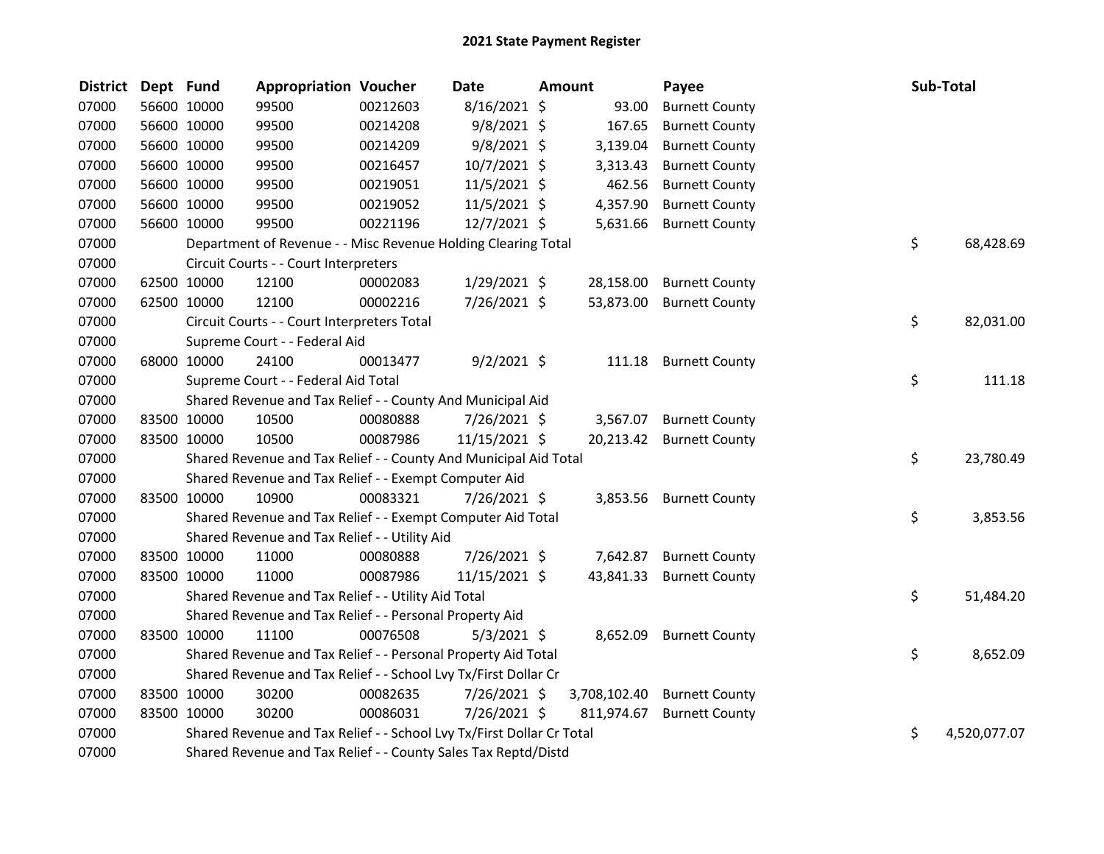| <b>District</b> | Dept Fund |             | <b>Appropriation Voucher</b>                                          |          | <b>Date</b>    | <b>Amount</b> | Payee                   | Sub-Total |              |
|-----------------|-----------|-------------|-----------------------------------------------------------------------|----------|----------------|---------------|-------------------------|-----------|--------------|
| 07000           |           | 56600 10000 | 99500                                                                 | 00212603 | 8/16/2021 \$   | 93.00         | <b>Burnett County</b>   |           |              |
| 07000           |           | 56600 10000 | 99500                                                                 | 00214208 | $9/8/2021$ \$  | 167.65        | <b>Burnett County</b>   |           |              |
| 07000           |           | 56600 10000 | 99500                                                                 | 00214209 | $9/8/2021$ \$  | 3,139.04      | <b>Burnett County</b>   |           |              |
| 07000           |           | 56600 10000 | 99500                                                                 | 00216457 | 10/7/2021 \$   | 3,313.43      | <b>Burnett County</b>   |           |              |
| 07000           |           | 56600 10000 | 99500                                                                 | 00219051 | $11/5/2021$ \$ | 462.56        | <b>Burnett County</b>   |           |              |
| 07000           |           | 56600 10000 | 99500                                                                 | 00219052 | $11/5/2021$ \$ | 4,357.90      | <b>Burnett County</b>   |           |              |
| 07000           |           | 56600 10000 | 99500                                                                 | 00221196 | 12/7/2021 \$   | 5,631.66      | <b>Burnett County</b>   |           |              |
| 07000           |           |             | Department of Revenue - - Misc Revenue Holding Clearing Total         |          |                |               |                         | \$        | 68,428.69    |
| 07000           |           |             | Circuit Courts - - Court Interpreters                                 |          |                |               |                         |           |              |
| 07000           |           | 62500 10000 | 12100                                                                 | 00002083 | 1/29/2021 \$   | 28,158.00     | <b>Burnett County</b>   |           |              |
| 07000           |           | 62500 10000 | 12100                                                                 | 00002216 | 7/26/2021 \$   | 53,873.00     | <b>Burnett County</b>   |           |              |
| 07000           |           |             | Circuit Courts - - Court Interpreters Total                           |          |                |               |                         | \$        | 82,031.00    |
| 07000           |           |             | Supreme Court - - Federal Aid                                         |          |                |               |                         |           |              |
| 07000           |           | 68000 10000 | 24100                                                                 | 00013477 | $9/2/2021$ \$  | 111.18        | <b>Burnett County</b>   |           |              |
| 07000           |           |             | Supreme Court - - Federal Aid Total                                   |          |                |               |                         | \$        | 111.18       |
| 07000           |           |             | Shared Revenue and Tax Relief - - County And Municipal Aid            |          |                |               |                         |           |              |
| 07000           |           | 83500 10000 | 10500                                                                 | 00080888 | 7/26/2021 \$   | 3,567.07      | <b>Burnett County</b>   |           |              |
| 07000           |           | 83500 10000 | 10500                                                                 | 00087986 | 11/15/2021 \$  | 20,213.42     | <b>Burnett County</b>   |           |              |
| 07000           |           |             | Shared Revenue and Tax Relief - - County And Municipal Aid Total      |          |                |               |                         | \$        | 23,780.49    |
| 07000           |           |             | Shared Revenue and Tax Relief - - Exempt Computer Aid                 |          |                |               |                         |           |              |
| 07000           |           | 83500 10000 | 10900                                                                 | 00083321 | 7/26/2021 \$   |               | 3,853.56 Burnett County |           |              |
| 07000           |           |             | Shared Revenue and Tax Relief - - Exempt Computer Aid Total           |          |                |               |                         | \$        | 3,853.56     |
| 07000           |           |             | Shared Revenue and Tax Relief - - Utility Aid                         |          |                |               |                         |           |              |
| 07000           |           | 83500 10000 | 11000                                                                 | 00080888 | 7/26/2021 \$   | 7,642.87      | <b>Burnett County</b>   |           |              |
| 07000           |           | 83500 10000 | 11000                                                                 | 00087986 | 11/15/2021 \$  | 43,841.33     | <b>Burnett County</b>   |           |              |
| 07000           |           |             | Shared Revenue and Tax Relief - - Utility Aid Total                   |          |                |               |                         | \$        | 51,484.20    |
| 07000           |           |             | Shared Revenue and Tax Relief - - Personal Property Aid               |          |                |               |                         |           |              |
| 07000           |           | 83500 10000 | 11100                                                                 | 00076508 | $5/3/2021$ \$  | 8,652.09      | <b>Burnett County</b>   |           |              |
| 07000           |           |             | Shared Revenue and Tax Relief - - Personal Property Aid Total         |          |                |               |                         | \$        | 8,652.09     |
| 07000           |           |             | Shared Revenue and Tax Relief - - School Lvy Tx/First Dollar Cr       |          |                |               |                         |           |              |
| 07000           |           | 83500 10000 | 30200                                                                 | 00082635 | 7/26/2021 \$   | 3,708,102.40  | <b>Burnett County</b>   |           |              |
| 07000           |           | 83500 10000 | 30200                                                                 | 00086031 | 7/26/2021 \$   | 811,974.67    | <b>Burnett County</b>   |           |              |
| 07000           |           |             | Shared Revenue and Tax Relief - - School Lvy Tx/First Dollar Cr Total |          |                |               |                         | \$        | 4,520,077.07 |
| 07000           |           |             | Shared Revenue and Tax Relief - - County Sales Tax Reptd/Distd        |          |                |               |                         |           |              |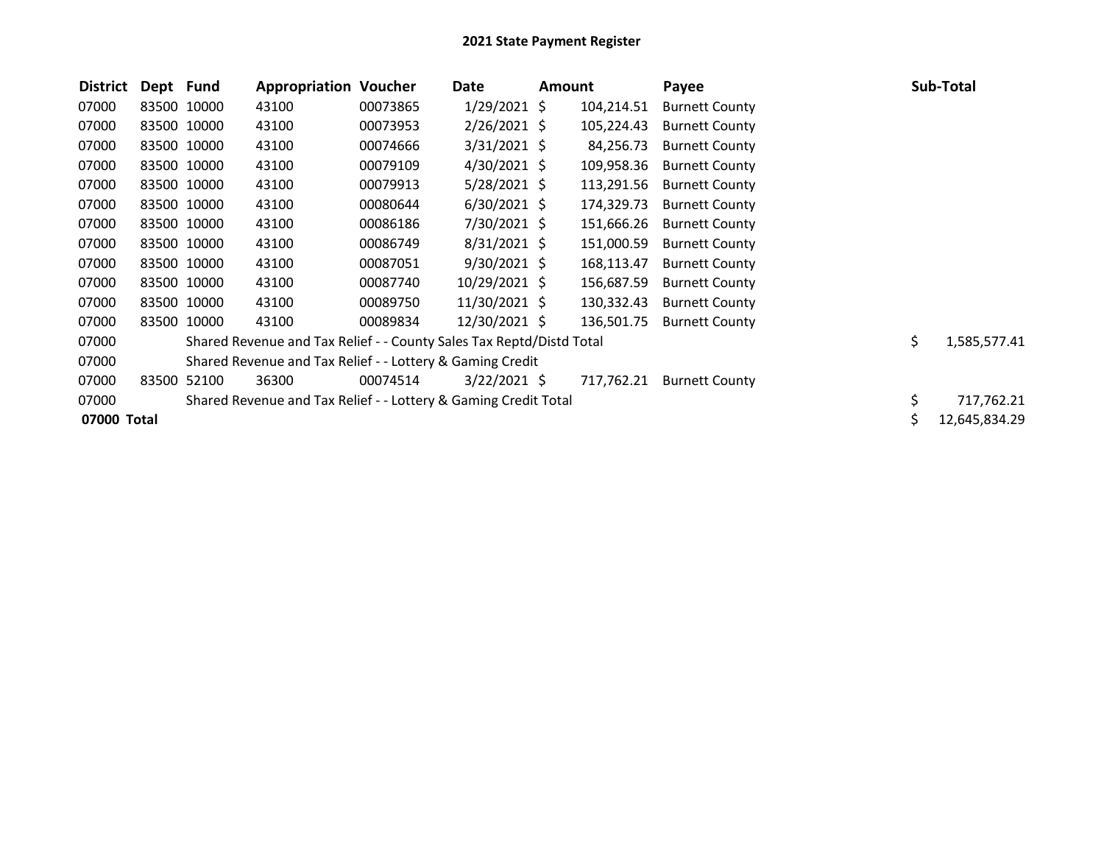| <b>District</b> | Dept Fund |             | <b>Appropriation Voucher</b>                                         |          | Date           | Amount |            | Payee                 | Sub-Total          |
|-----------------|-----------|-------------|----------------------------------------------------------------------|----------|----------------|--------|------------|-----------------------|--------------------|
| 07000           |           | 83500 10000 | 43100                                                                | 00073865 | $1/29/2021$ \$ |        | 104,214.51 | <b>Burnett County</b> |                    |
| 07000           |           | 83500 10000 | 43100                                                                | 00073953 | $2/26/2021$ \$ |        | 105,224.43 | <b>Burnett County</b> |                    |
| 07000           |           | 83500 10000 | 43100                                                                | 00074666 | $3/31/2021$ \$ |        | 84,256.73  | <b>Burnett County</b> |                    |
| 07000           |           | 83500 10000 | 43100                                                                | 00079109 | $4/30/2021$ \$ |        | 109,958.36 | <b>Burnett County</b> |                    |
| 07000           |           | 83500 10000 | 43100                                                                | 00079913 | $5/28/2021$ \$ |        | 113,291.56 | <b>Burnett County</b> |                    |
| 07000           |           | 83500 10000 | 43100                                                                | 00080644 | $6/30/2021$ \$ |        | 174,329.73 | <b>Burnett County</b> |                    |
| 07000           |           | 83500 10000 | 43100                                                                | 00086186 | 7/30/2021 \$   |        | 151,666.26 | <b>Burnett County</b> |                    |
| 07000           |           | 83500 10000 | 43100                                                                | 00086749 | $8/31/2021$ \$ |        | 151,000.59 | <b>Burnett County</b> |                    |
| 07000           |           | 83500 10000 | 43100                                                                | 00087051 | $9/30/2021$ \$ |        | 168,113.47 | <b>Burnett County</b> |                    |
| 07000           |           | 83500 10000 | 43100                                                                | 00087740 | 10/29/2021 \$  |        | 156,687.59 | <b>Burnett County</b> |                    |
| 07000           |           | 83500 10000 | 43100                                                                | 00089750 | 11/30/2021 \$  |        | 130,332.43 | <b>Burnett County</b> |                    |
| 07000           |           | 83500 10000 | 43100                                                                | 00089834 | 12/30/2021 \$  |        | 136,501.75 | <b>Burnett County</b> |                    |
| 07000           |           |             | Shared Revenue and Tax Relief - - County Sales Tax Reptd/Distd Total |          |                |        |            |                       | \$<br>1,585,577.41 |
| 07000           |           |             | Shared Revenue and Tax Relief - - Lottery & Gaming Credit            |          |                |        |            |                       |                    |
| 07000           |           | 83500 52100 | 36300                                                                | 00074514 | $3/22/2021$ \$ |        | 717,762.21 | <b>Burnett County</b> |                    |
| 07000           |           |             | Shared Revenue and Tax Relief - - Lottery & Gaming Credit Total      |          |                |        |            |                       | \$<br>717,762.21   |
| 07000 Total     |           |             |                                                                      |          |                |        |            |                       | 12,645,834.29      |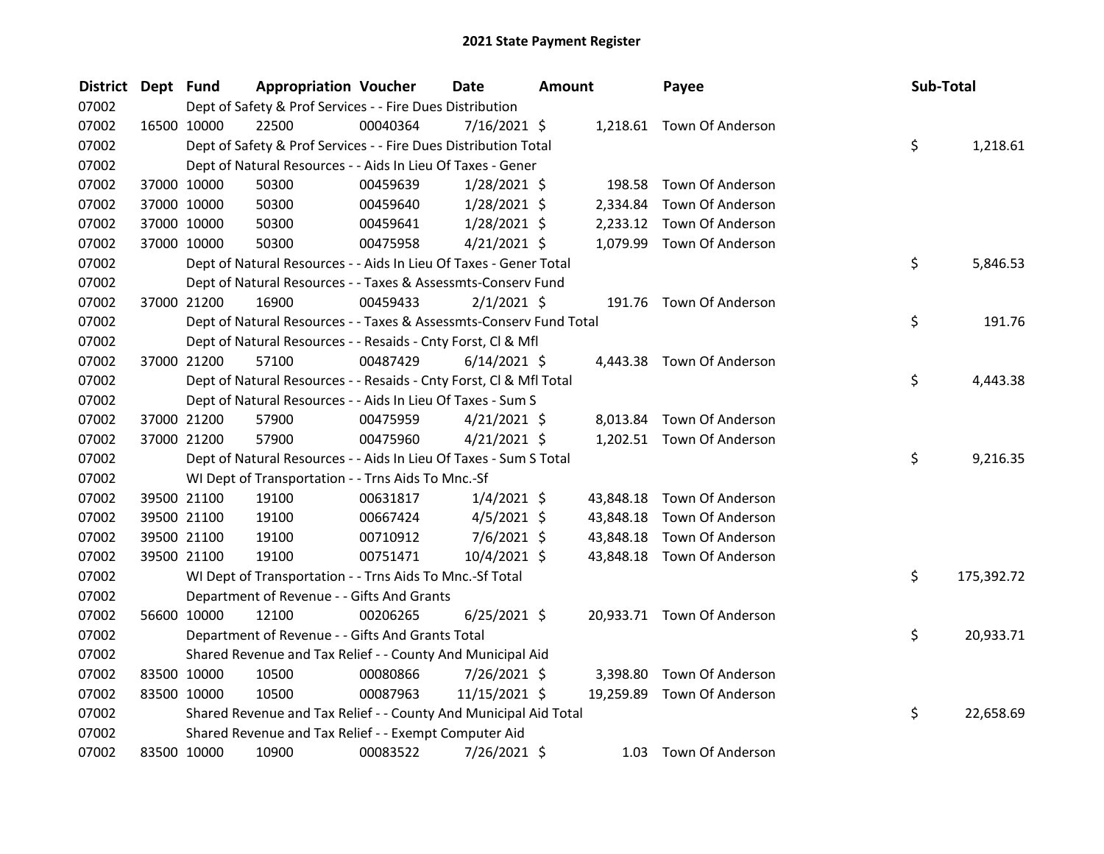| <b>District</b> | Dept Fund |                      | <b>Appropriation Voucher</b>                                       | Date           | <b>Amount</b> | Payee                      | Sub-Total        |
|-----------------|-----------|----------------------|--------------------------------------------------------------------|----------------|---------------|----------------------------|------------------|
| 07002           |           |                      | Dept of Safety & Prof Services - - Fire Dues Distribution          |                |               |                            |                  |
| 07002           |           | 22500<br>16500 10000 | 00040364                                                           | 7/16/2021 \$   |               | 1,218.61 Town Of Anderson  |                  |
| 07002           |           |                      | Dept of Safety & Prof Services - - Fire Dues Distribution Total    |                |               |                            | \$<br>1,218.61   |
| 07002           |           |                      | Dept of Natural Resources - - Aids In Lieu Of Taxes - Gener        |                |               |                            |                  |
| 07002           |           | 37000 10000<br>50300 | 00459639                                                           | $1/28/2021$ \$ |               | 198.58 Town Of Anderson    |                  |
| 07002           |           | 37000 10000<br>50300 | 00459640                                                           | $1/28/2021$ \$ |               | 2,334.84 Town Of Anderson  |                  |
| 07002           |           | 37000 10000<br>50300 | 00459641                                                           | $1/28/2021$ \$ |               | 2,233.12 Town Of Anderson  |                  |
| 07002           |           | 37000 10000<br>50300 | 00475958                                                           | $4/21/2021$ \$ |               | 1,079.99 Town Of Anderson  |                  |
| 07002           |           |                      | Dept of Natural Resources - - Aids In Lieu Of Taxes - Gener Total  |                |               |                            | \$<br>5,846.53   |
| 07002           |           |                      | Dept of Natural Resources - - Taxes & Assessmts-Conserv Fund       |                |               |                            |                  |
| 07002           |           | 37000 21200<br>16900 | 00459433                                                           | $2/1/2021$ \$  |               | 191.76 Town Of Anderson    |                  |
| 07002           |           |                      | Dept of Natural Resources - - Taxes & Assessmts-Conserv Fund Total |                |               |                            | \$<br>191.76     |
| 07002           |           |                      | Dept of Natural Resources - - Resaids - Cnty Forst, Cl & Mfl       |                |               |                            |                  |
| 07002           |           | 37000 21200<br>57100 | 00487429                                                           | $6/14/2021$ \$ |               | 4,443.38 Town Of Anderson  |                  |
| 07002           |           |                      | Dept of Natural Resources - - Resaids - Cnty Forst, Cl & Mfl Total |                |               |                            | \$<br>4,443.38   |
| 07002           |           |                      | Dept of Natural Resources - - Aids In Lieu Of Taxes - Sum S        |                |               |                            |                  |
| 07002           |           | 37000 21200<br>57900 | 00475959                                                           | $4/21/2021$ \$ |               | 8,013.84 Town Of Anderson  |                  |
| 07002           |           | 37000 21200<br>57900 | 00475960                                                           | $4/21/2021$ \$ |               | 1,202.51 Town Of Anderson  |                  |
| 07002           |           |                      | Dept of Natural Resources - - Aids In Lieu Of Taxes - Sum S Total  |                |               |                            | \$<br>9,216.35   |
| 07002           |           |                      | WI Dept of Transportation - - Trns Aids To Mnc.-Sf                 |                |               |                            |                  |
| 07002           |           | 19100<br>39500 21100 | 00631817                                                           | $1/4/2021$ \$  | 43,848.18     | Town Of Anderson           |                  |
| 07002           |           | 19100<br>39500 21100 | 00667424                                                           | $4/5/2021$ \$  | 43,848.18     | Town Of Anderson           |                  |
| 07002           |           | 39500 21100<br>19100 | 00710912                                                           | 7/6/2021 \$    | 43,848.18     | Town Of Anderson           |                  |
| 07002           |           | 19100<br>39500 21100 | 00751471                                                           | 10/4/2021 \$   |               | 43,848.18 Town Of Anderson |                  |
| 07002           |           |                      | WI Dept of Transportation - - Trns Aids To Mnc.-Sf Total           |                |               |                            | \$<br>175,392.72 |
| 07002           |           |                      | Department of Revenue - - Gifts And Grants                         |                |               |                            |                  |
| 07002           |           | 56600 10000<br>12100 | 00206265                                                           | $6/25/2021$ \$ |               | 20,933.71 Town Of Anderson |                  |
| 07002           |           |                      | Department of Revenue - - Gifts And Grants Total                   |                |               |                            | \$<br>20,933.71  |
| 07002           |           |                      | Shared Revenue and Tax Relief - - County And Municipal Aid         |                |               |                            |                  |
| 07002           |           | 83500 10000<br>10500 | 00080866                                                           | 7/26/2021 \$   |               | 3,398.80 Town Of Anderson  |                  |
| 07002           |           | 83500 10000<br>10500 | 00087963                                                           | 11/15/2021 \$  |               | 19,259.89 Town Of Anderson |                  |
| 07002           |           |                      | Shared Revenue and Tax Relief - - County And Municipal Aid Total   |                |               |                            | \$<br>22,658.69  |
| 07002           |           |                      | Shared Revenue and Tax Relief - - Exempt Computer Aid              |                |               |                            |                  |
| 07002           |           | 83500 10000<br>10900 | 00083522                                                           | 7/26/2021 \$   |               | 1.03 Town Of Anderson      |                  |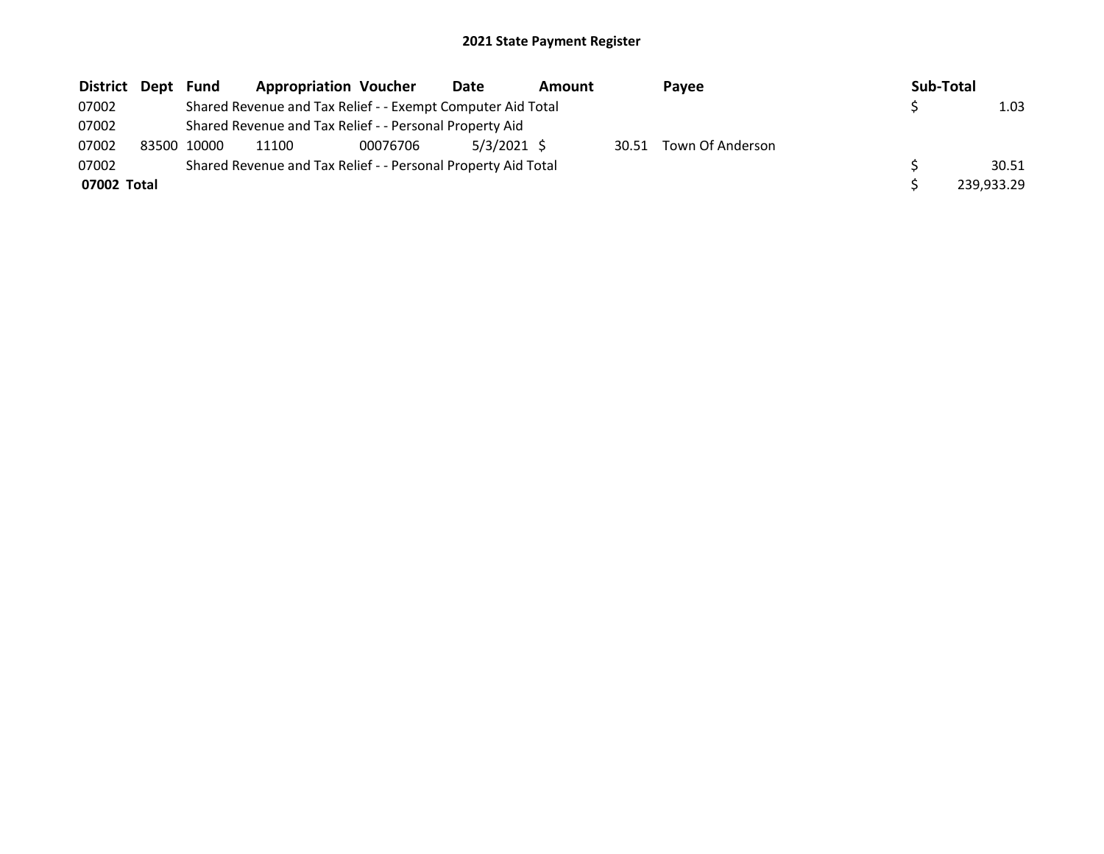| District Dept |       | Fund  | <b>Appropriation Voucher</b>                                  |          | Date        | Amount |       | Pavee            | Sub-Total |            |
|---------------|-------|-------|---------------------------------------------------------------|----------|-------------|--------|-------|------------------|-----------|------------|
| 07002         |       |       | Shared Revenue and Tax Relief - - Exempt Computer Aid Total   |          |             |        |       |                  |           | 1.03       |
| 07002         |       |       | Shared Revenue and Tax Relief - - Personal Property Aid       |          |             |        |       |                  |           |            |
| 07002         | 83500 | 10000 | 11100                                                         | 00076706 | 5/3/2021 \$ |        | 30.51 | Town Of Anderson |           |            |
| 07002         |       |       | Shared Revenue and Tax Relief - - Personal Property Aid Total |          |             |        |       |                  |           | 30.51      |
| 07002 Total   |       |       |                                                               |          |             |        |       |                  |           | 239,933.29 |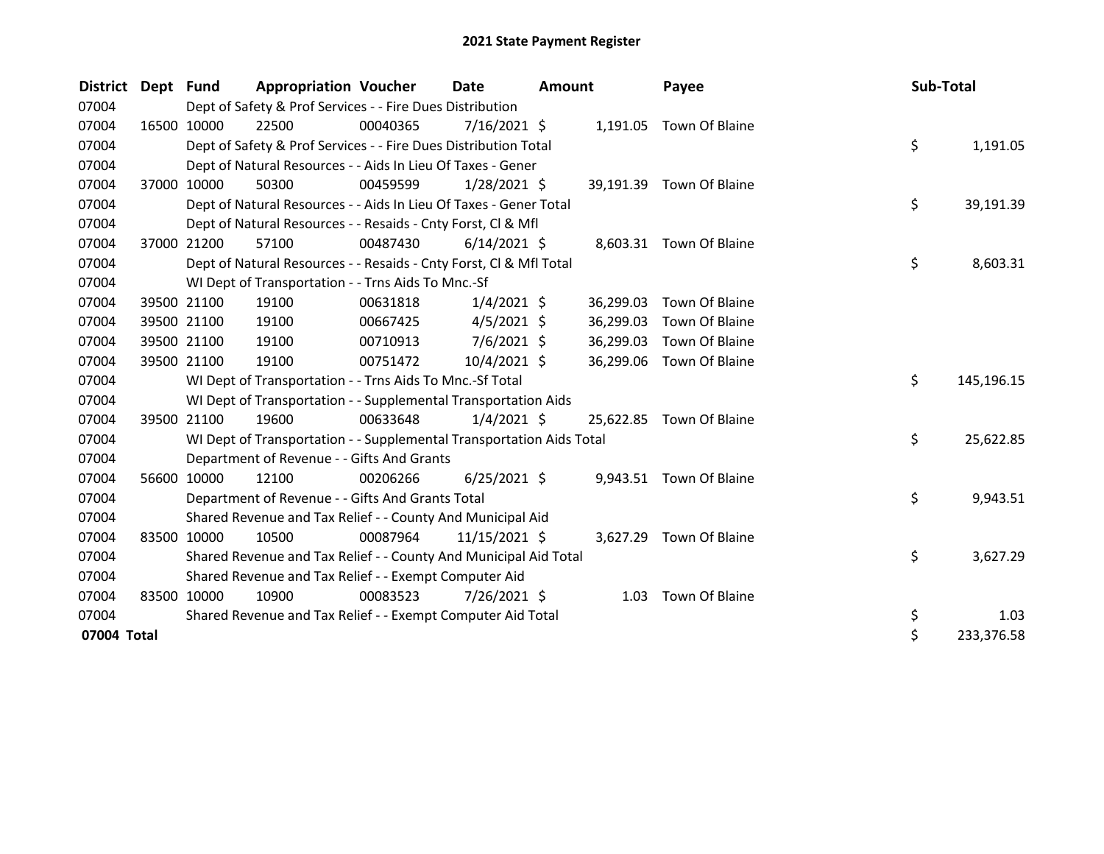| <b>District</b> | Dept Fund |             | <b>Appropriation Voucher</b>                                         |          | Date           | <b>Amount</b> |           | Payee                    | Sub-Total |            |
|-----------------|-----------|-------------|----------------------------------------------------------------------|----------|----------------|---------------|-----------|--------------------------|-----------|------------|
| 07004           |           |             | Dept of Safety & Prof Services - - Fire Dues Distribution            |          |                |               |           |                          |           |            |
| 07004           |           | 16500 10000 | 22500                                                                | 00040365 | $7/16/2021$ \$ |               | 1,191.05  | Town Of Blaine           |           |            |
| 07004           |           |             | Dept of Safety & Prof Services - - Fire Dues Distribution Total      |          |                |               |           |                          | \$        | 1,191.05   |
| 07004           |           |             | Dept of Natural Resources - - Aids In Lieu Of Taxes - Gener          |          |                |               |           |                          |           |            |
| 07004           |           | 37000 10000 | 50300                                                                | 00459599 | $1/28/2021$ \$ |               | 39,191.39 | Town Of Blaine           |           |            |
| 07004           |           |             | Dept of Natural Resources - - Aids In Lieu Of Taxes - Gener Total    |          |                |               |           |                          | \$        | 39,191.39  |
| 07004           |           |             | Dept of Natural Resources - - Resaids - Cnty Forst, Cl & Mfl         |          |                |               |           |                          |           |            |
| 07004           |           | 37000 21200 | 57100                                                                | 00487430 | $6/14/2021$ \$ |               |           | 8,603.31 Town Of Blaine  |           |            |
| 07004           |           |             | Dept of Natural Resources - - Resaids - Cnty Forst, Cl & Mfl Total   |          |                |               |           |                          | \$        | 8,603.31   |
| 07004           |           |             | WI Dept of Transportation - - Trns Aids To Mnc.-Sf                   |          |                |               |           |                          |           |            |
| 07004           |           | 39500 21100 | 19100                                                                | 00631818 | $1/4/2021$ \$  |               | 36,299.03 | Town Of Blaine           |           |            |
| 07004           |           | 39500 21100 | 19100                                                                | 00667425 | $4/5/2021$ \$  |               | 36,299.03 | Town Of Blaine           |           |            |
| 07004           |           | 39500 21100 | 19100                                                                | 00710913 | $7/6/2021$ \$  |               | 36,299.03 | Town Of Blaine           |           |            |
| 07004           |           | 39500 21100 | 19100                                                                | 00751472 | 10/4/2021 \$   |               | 36,299.06 | Town Of Blaine           |           |            |
| 07004           |           |             | WI Dept of Transportation - - Trns Aids To Mnc.-Sf Total             |          |                |               |           |                          | \$        | 145,196.15 |
| 07004           |           |             | WI Dept of Transportation - - Supplemental Transportation Aids       |          |                |               |           |                          |           |            |
| 07004           |           | 39500 21100 | 19600                                                                | 00633648 | $1/4/2021$ \$  |               |           | 25,622.85 Town Of Blaine |           |            |
| 07004           |           |             | WI Dept of Transportation - - Supplemental Transportation Aids Total |          |                |               |           |                          | \$        | 25,622.85  |
| 07004           |           |             | Department of Revenue - - Gifts And Grants                           |          |                |               |           |                          |           |            |
| 07004           |           | 56600 10000 | 12100                                                                | 00206266 | $6/25/2021$ \$ |               |           | 9,943.51 Town Of Blaine  |           |            |
| 07004           |           |             | Department of Revenue - - Gifts And Grants Total                     |          |                |               |           |                          | \$        | 9,943.51   |
| 07004           |           |             | Shared Revenue and Tax Relief - - County And Municipal Aid           |          |                |               |           |                          |           |            |
| 07004           | 83500     | 10000       | 10500                                                                | 00087964 | 11/15/2021 \$  |               | 3,627.29  | Town Of Blaine           |           |            |
| 07004           |           |             | Shared Revenue and Tax Relief - - County And Municipal Aid Total     |          |                |               |           |                          | \$        | 3,627.29   |
| 07004           |           |             | Shared Revenue and Tax Relief - - Exempt Computer Aid                |          |                |               |           |                          |           |            |
| 07004           |           | 83500 10000 | 10900                                                                | 00083523 | 7/26/2021 \$   |               | 1.03      | Town Of Blaine           |           |            |
| 07004           |           |             | Shared Revenue and Tax Relief - - Exempt Computer Aid Total          |          |                |               |           |                          | \$        | 1.03       |
| 07004 Total     |           |             |                                                                      |          |                |               |           |                          | \$        | 233,376.58 |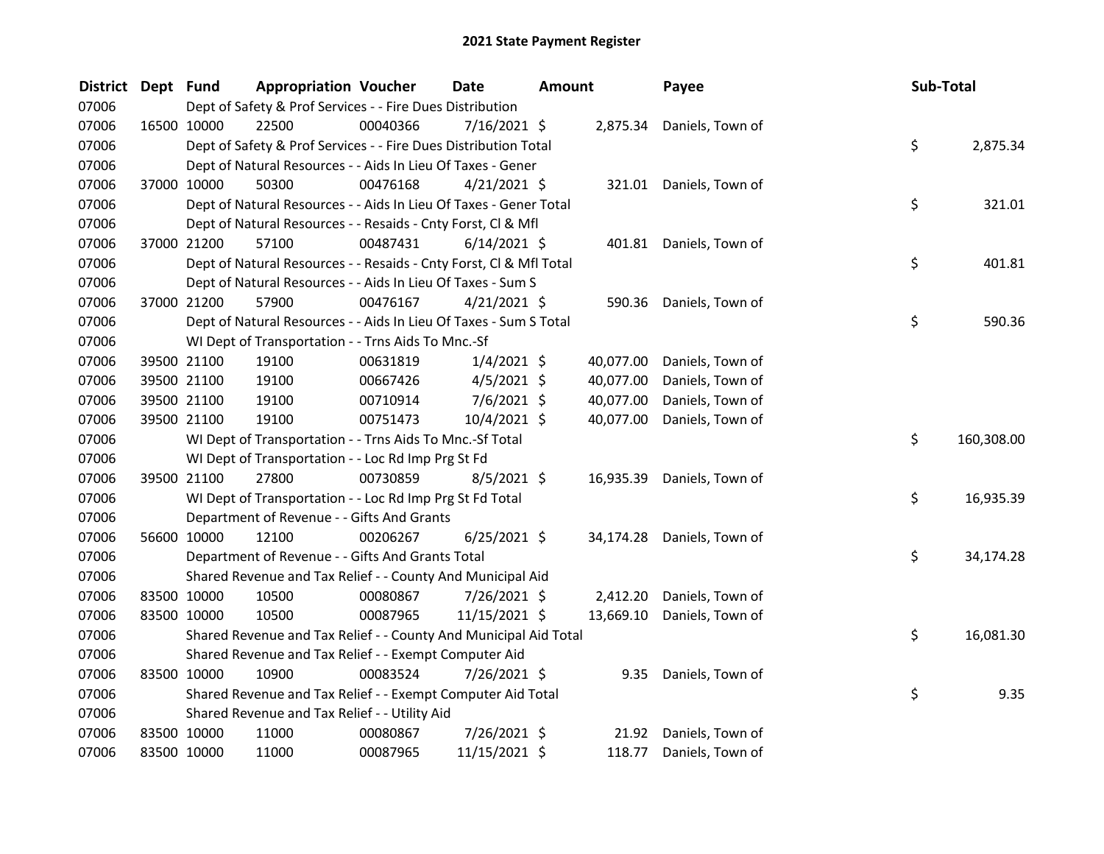| <b>District</b> | Dept Fund |             | <b>Appropriation Voucher</b>                                       |          | Date           | <b>Amount</b> |           | Payee                     | Sub-Total |            |
|-----------------|-----------|-------------|--------------------------------------------------------------------|----------|----------------|---------------|-----------|---------------------------|-----------|------------|
| 07006           |           |             | Dept of Safety & Prof Services - - Fire Dues Distribution          |          |                |               |           |                           |           |            |
| 07006           |           | 16500 10000 | 22500                                                              | 00040366 | 7/16/2021 \$   |               |           | 2,875.34 Daniels, Town of |           |            |
| 07006           |           |             | Dept of Safety & Prof Services - - Fire Dues Distribution Total    |          |                |               |           |                           | \$        | 2,875.34   |
| 07006           |           |             | Dept of Natural Resources - - Aids In Lieu Of Taxes - Gener        |          |                |               |           |                           |           |            |
| 07006           |           | 37000 10000 | 50300                                                              | 00476168 | $4/21/2021$ \$ |               |           | 321.01 Daniels, Town of   |           |            |
| 07006           |           |             | Dept of Natural Resources - - Aids In Lieu Of Taxes - Gener Total  |          |                |               |           |                           | \$        | 321.01     |
| 07006           |           |             | Dept of Natural Resources - - Resaids - Cnty Forst, Cl & Mfl       |          |                |               |           |                           |           |            |
| 07006           |           | 37000 21200 | 57100                                                              | 00487431 | $6/14/2021$ \$ |               |           | 401.81 Daniels, Town of   |           |            |
| 07006           |           |             | Dept of Natural Resources - - Resaids - Cnty Forst, Cl & Mfl Total |          |                |               |           |                           | \$        | 401.81     |
| 07006           |           |             | Dept of Natural Resources - - Aids In Lieu Of Taxes - Sum S        |          |                |               |           |                           |           |            |
| 07006           |           | 37000 21200 | 57900                                                              | 00476167 | $4/21/2021$ \$ |               | 590.36    | Daniels, Town of          |           |            |
| 07006           |           |             | Dept of Natural Resources - - Aids In Lieu Of Taxes - Sum S Total  |          |                |               |           |                           | \$        | 590.36     |
| 07006           |           |             | WI Dept of Transportation - - Trns Aids To Mnc.-Sf                 |          |                |               |           |                           |           |            |
| 07006           |           | 39500 21100 | 19100                                                              | 00631819 | $1/4/2021$ \$  |               | 40,077.00 | Daniels, Town of          |           |            |
| 07006           |           | 39500 21100 | 19100                                                              | 00667426 | $4/5/2021$ \$  |               | 40,077.00 | Daniels, Town of          |           |            |
| 07006           |           | 39500 21100 | 19100                                                              | 00710914 | 7/6/2021 \$    |               | 40,077.00 | Daniels, Town of          |           |            |
| 07006           |           | 39500 21100 | 19100                                                              | 00751473 | 10/4/2021 \$   |               | 40,077.00 | Daniels, Town of          |           |            |
| 07006           |           |             | WI Dept of Transportation - - Trns Aids To Mnc.-Sf Total           |          |                |               |           |                           | \$        | 160,308.00 |
| 07006           |           |             | WI Dept of Transportation - - Loc Rd Imp Prg St Fd                 |          |                |               |           |                           |           |            |
| 07006           |           | 39500 21100 | 27800                                                              | 00730859 | $8/5/2021$ \$  |               | 16,935.39 | Daniels, Town of          |           |            |
| 07006           |           |             | WI Dept of Transportation - - Loc Rd Imp Prg St Fd Total           |          |                |               |           |                           | \$        | 16,935.39  |
| 07006           |           |             | Department of Revenue - - Gifts And Grants                         |          |                |               |           |                           |           |            |
| 07006           |           | 56600 10000 | 12100                                                              | 00206267 | $6/25/2021$ \$ |               | 34,174.28 | Daniels, Town of          |           |            |
| 07006           |           |             | Department of Revenue - - Gifts And Grants Total                   |          |                |               |           |                           | \$        | 34,174.28  |
| 07006           |           |             | Shared Revenue and Tax Relief - - County And Municipal Aid         |          |                |               |           |                           |           |            |
| 07006           |           | 83500 10000 | 10500                                                              | 00080867 | 7/26/2021 \$   |               | 2,412.20  | Daniels, Town of          |           |            |
| 07006           |           | 83500 10000 | 10500                                                              | 00087965 | 11/15/2021 \$  |               | 13,669.10 | Daniels, Town of          |           |            |
| 07006           |           |             | Shared Revenue and Tax Relief - - County And Municipal Aid Total   |          |                |               |           |                           | \$        | 16,081.30  |
| 07006           |           |             | Shared Revenue and Tax Relief - - Exempt Computer Aid              |          |                |               |           |                           |           |            |
| 07006           |           | 83500 10000 | 10900                                                              | 00083524 | 7/26/2021 \$   |               | 9.35      | Daniels, Town of          |           |            |
| 07006           |           |             | Shared Revenue and Tax Relief - - Exempt Computer Aid Total        |          |                |               |           |                           | \$        | 9.35       |
| 07006           |           |             | Shared Revenue and Tax Relief - - Utility Aid                      |          |                |               |           |                           |           |            |
| 07006           |           | 83500 10000 | 11000                                                              | 00080867 | 7/26/2021 \$   |               | 21.92     | Daniels, Town of          |           |            |
| 07006           |           | 83500 10000 | 11000                                                              | 00087965 | 11/15/2021 \$  |               | 118.77    | Daniels, Town of          |           |            |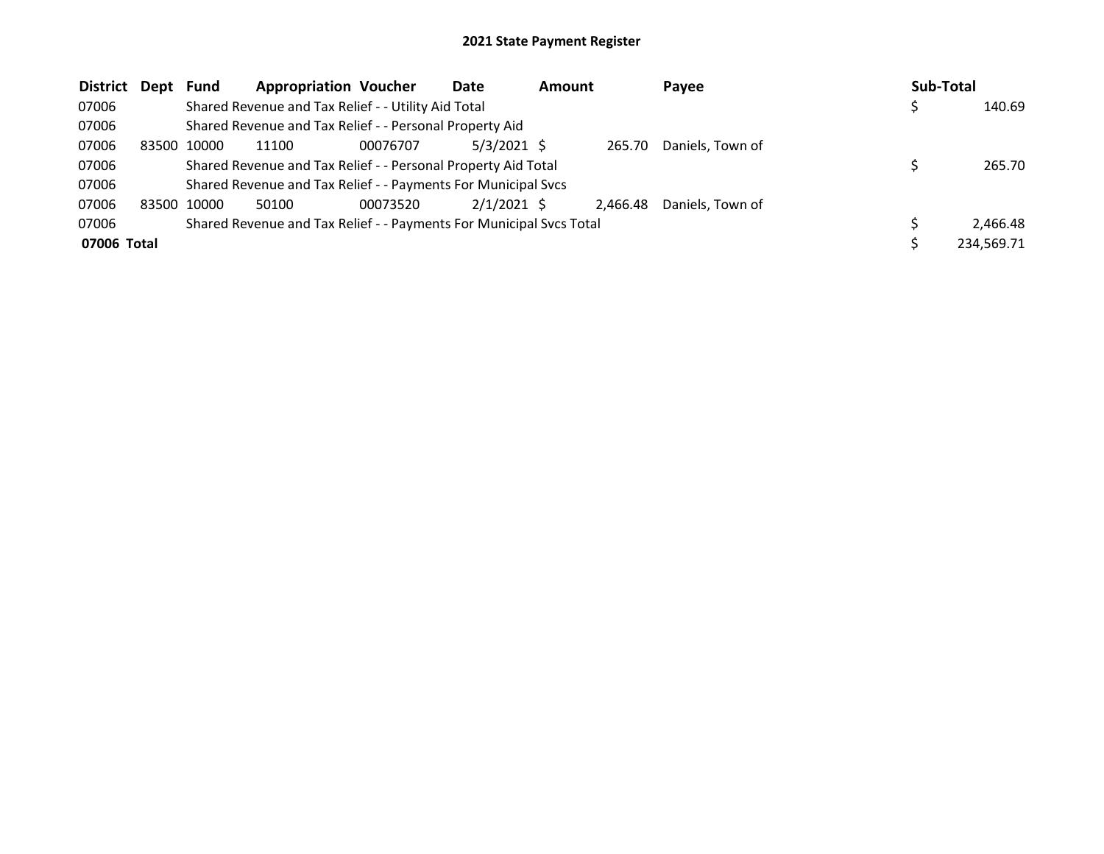| <b>District</b> | Dept  | Fund  | <b>Appropriation Voucher</b>                                        |          | Date          | <b>Amount</b> |          | Payee            | Sub-Total |            |
|-----------------|-------|-------|---------------------------------------------------------------------|----------|---------------|---------------|----------|------------------|-----------|------------|
| 07006           |       |       | Shared Revenue and Tax Relief - - Utility Aid Total                 |          |               |               |          |                  |           | 140.69     |
| 07006           |       |       | Shared Revenue and Tax Relief - - Personal Property Aid             |          |               |               |          |                  |           |            |
| 07006           | 83500 | 10000 | 11100                                                               | 00076707 | $5/3/2021$ \$ |               | 265.70   | Daniels, Town of |           |            |
| 07006           |       |       | Shared Revenue and Tax Relief - - Personal Property Aid Total       |          |               |               |          |                  |           | 265.70     |
| 07006           |       |       | Shared Revenue and Tax Relief - - Payments For Municipal Svcs       |          |               |               |          |                  |           |            |
| 07006           | 83500 | 10000 | 50100                                                               | 00073520 | $2/1/2021$ \$ |               | 2.466.48 | Daniels, Town of |           |            |
| 07006           |       |       | Shared Revenue and Tax Relief - - Payments For Municipal Svcs Total |          |               |               |          |                  |           | 2.466.48   |
| 07006 Total     |       |       |                                                                     |          |               |               |          |                  |           | 234,569.71 |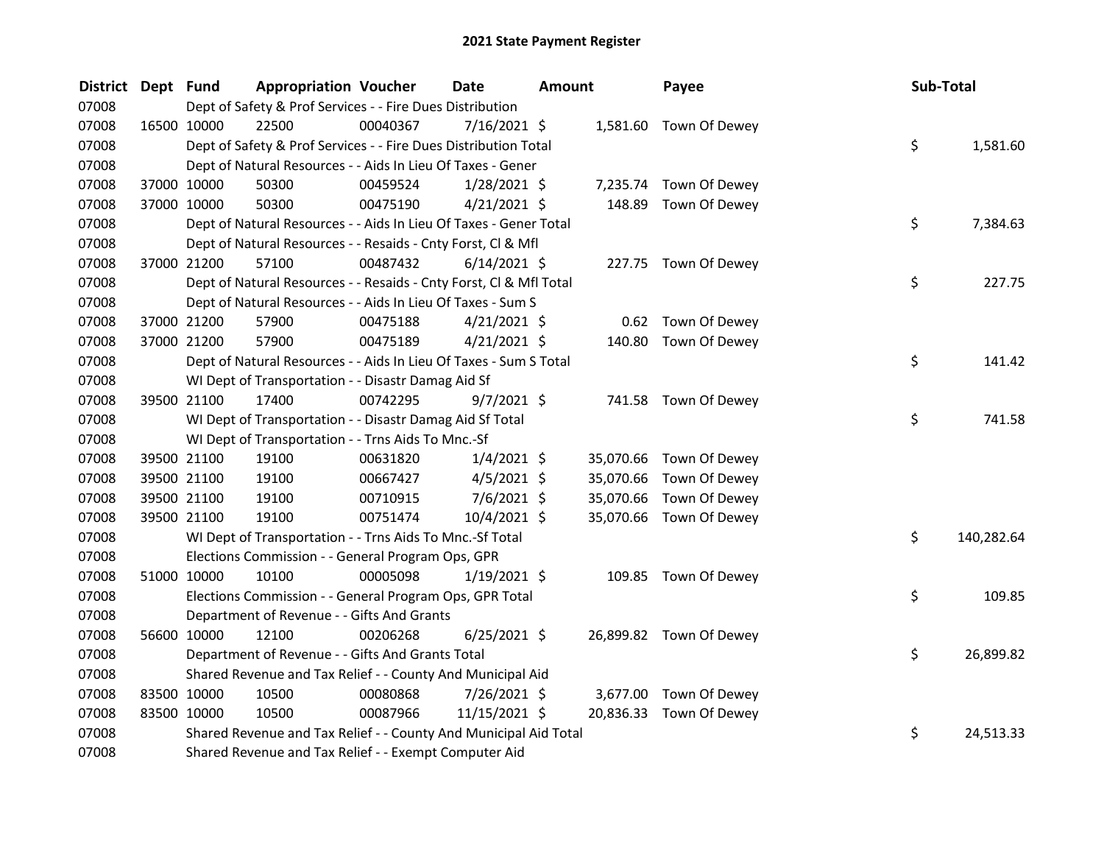| <b>District</b> | Dept Fund |             | <b>Appropriation Voucher</b>                                       |          | <b>Date</b>    | <b>Amount</b> |           | Payee                   | Sub-Total |            |
|-----------------|-----------|-------------|--------------------------------------------------------------------|----------|----------------|---------------|-----------|-------------------------|-----------|------------|
| 07008           |           |             | Dept of Safety & Prof Services - - Fire Dues Distribution          |          |                |               |           |                         |           |            |
| 07008           |           | 16500 10000 | 22500                                                              | 00040367 | 7/16/2021 \$   |               |           | 1,581.60 Town Of Dewey  |           |            |
| 07008           |           |             | Dept of Safety & Prof Services - - Fire Dues Distribution Total    |          |                |               |           |                         | \$        | 1,581.60   |
| 07008           |           |             | Dept of Natural Resources - - Aids In Lieu Of Taxes - Gener        |          |                |               |           |                         |           |            |
| 07008           |           | 37000 10000 | 50300                                                              | 00459524 | $1/28/2021$ \$ |               |           | 7,235.74 Town Of Dewey  |           |            |
| 07008           |           | 37000 10000 | 50300                                                              | 00475190 | $4/21/2021$ \$ |               | 148.89    | Town Of Dewey           |           |            |
| 07008           |           |             | Dept of Natural Resources - - Aids In Lieu Of Taxes - Gener Total  |          |                |               |           |                         | \$        | 7,384.63   |
| 07008           |           |             | Dept of Natural Resources - - Resaids - Cnty Forst, Cl & Mfl       |          |                |               |           |                         |           |            |
| 07008           |           | 37000 21200 | 57100                                                              | 00487432 | $6/14/2021$ \$ |               |           | 227.75 Town Of Dewey    |           |            |
| 07008           |           |             | Dept of Natural Resources - - Resaids - Cnty Forst, Cl & Mfl Total |          |                |               |           |                         | \$        | 227.75     |
| 07008           |           |             | Dept of Natural Resources - - Aids In Lieu Of Taxes - Sum S        |          |                |               |           |                         |           |            |
| 07008           |           | 37000 21200 | 57900                                                              | 00475188 | $4/21/2021$ \$ |               |           | 0.62 Town Of Dewey      |           |            |
| 07008           |           | 37000 21200 | 57900                                                              | 00475189 | $4/21/2021$ \$ |               |           | 140.80 Town Of Dewey    |           |            |
| 07008           |           |             | Dept of Natural Resources - - Aids In Lieu Of Taxes - Sum S Total  |          |                |               |           |                         | \$        | 141.42     |
| 07008           |           |             | WI Dept of Transportation - - Disastr Damag Aid Sf                 |          |                |               |           |                         |           |            |
| 07008           |           | 39500 21100 | 17400                                                              | 00742295 | $9/7/2021$ \$  |               |           | 741.58 Town Of Dewey    |           |            |
| 07008           |           |             | WI Dept of Transportation - - Disastr Damag Aid Sf Total           |          |                |               |           |                         | \$        | 741.58     |
| 07008           |           |             | WI Dept of Transportation - - Trns Aids To Mnc.-Sf                 |          |                |               |           |                         |           |            |
| 07008           |           | 39500 21100 | 19100                                                              | 00631820 | $1/4/2021$ \$  |               |           | 35,070.66 Town Of Dewey |           |            |
| 07008           |           | 39500 21100 | 19100                                                              | 00667427 | $4/5/2021$ \$  |               | 35,070.66 | Town Of Dewey           |           |            |
| 07008           |           | 39500 21100 | 19100                                                              | 00710915 | $7/6/2021$ \$  |               |           | 35,070.66 Town Of Dewey |           |            |
| 07008           |           | 39500 21100 | 19100                                                              | 00751474 | 10/4/2021 \$   |               |           | 35,070.66 Town Of Dewey |           |            |
| 07008           |           |             | WI Dept of Transportation - - Trns Aids To Mnc.-Sf Total           |          |                |               |           |                         | \$        | 140,282.64 |
| 07008           |           |             | Elections Commission - - General Program Ops, GPR                  |          |                |               |           |                         |           |            |
| 07008           |           | 51000 10000 | 10100                                                              | 00005098 | $1/19/2021$ \$ |               |           | 109.85 Town Of Dewey    |           |            |
| 07008           |           |             | Elections Commission - - General Program Ops, GPR Total            |          |                |               |           |                         | \$.       | 109.85     |
| 07008           |           |             | Department of Revenue - - Gifts And Grants                         |          |                |               |           |                         |           |            |
| 07008           |           | 56600 10000 | 12100                                                              | 00206268 | $6/25/2021$ \$ |               |           | 26,899.82 Town Of Dewey |           |            |
| 07008           |           |             | Department of Revenue - - Gifts And Grants Total                   |          |                |               |           |                         | \$        | 26,899.82  |
| 07008           |           |             | Shared Revenue and Tax Relief - - County And Municipal Aid         |          |                |               |           |                         |           |            |
| 07008           |           | 83500 10000 | 10500                                                              | 00080868 | 7/26/2021 \$   |               |           | 3,677.00 Town Of Dewey  |           |            |
| 07008           |           | 83500 10000 | 10500                                                              | 00087966 | 11/15/2021 \$  |               |           | 20,836.33 Town Of Dewey |           |            |
| 07008           |           |             | Shared Revenue and Tax Relief - - County And Municipal Aid Total   |          |                |               |           |                         | \$        | 24,513.33  |
| 07008           |           |             | Shared Revenue and Tax Relief - - Exempt Computer Aid              |          |                |               |           |                         |           |            |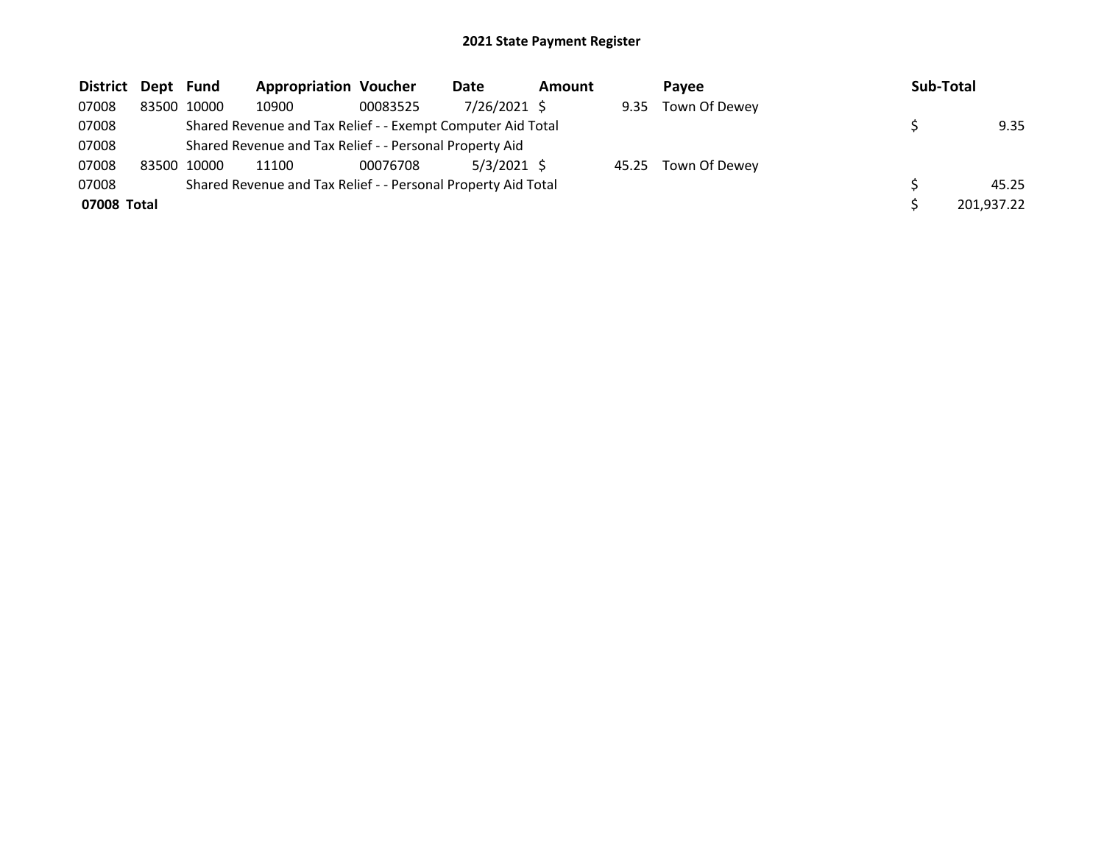| <b>District</b> | Dept Fund |       | <b>Appropriation Voucher</b>                                  |          | Date          | Amount |      | <b>Pavee</b>        | <b>Sub-Total</b> |
|-----------------|-----------|-------|---------------------------------------------------------------|----------|---------------|--------|------|---------------------|------------------|
| 07008           | 83500     | 10000 | 10900                                                         | 00083525 | 7/26/2021 \$  |        | 9.35 | Town Of Dewey       |                  |
| 07008           |           |       | Shared Revenue and Tax Relief - - Exempt Computer Aid Total   |          |               |        |      |                     | 9.35             |
| 07008           |           |       | Shared Revenue and Tax Relief - - Personal Property Aid       |          |               |        |      |                     |                  |
| 07008           | 83500     | 10000 | 11100                                                         | 00076708 | $5/3/2021$ \$ |        |      | 45.25 Town Of Dewey |                  |
| 07008           |           |       | Shared Revenue and Tax Relief - - Personal Property Aid Total |          |               |        |      |                     | 45.25            |
| 07008 Total     |           |       |                                                               |          |               |        |      |                     | 201,937.22       |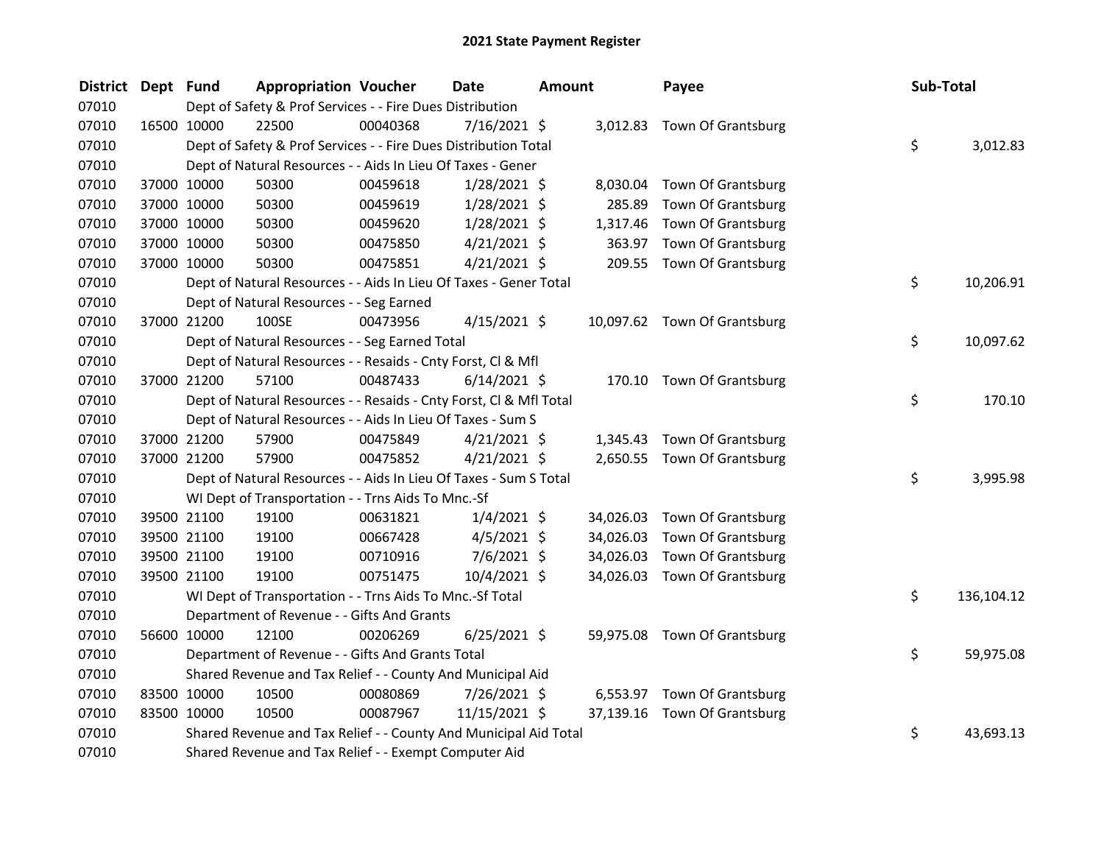| <b>District</b> | Dept Fund   |             | <b>Appropriation Voucher</b>                                       |          | <b>Date</b>    | <b>Amount</b> |           | Payee                        | Sub-Total |            |
|-----------------|-------------|-------------|--------------------------------------------------------------------|----------|----------------|---------------|-----------|------------------------------|-----------|------------|
| 07010           |             |             | Dept of Safety & Prof Services - - Fire Dues Distribution          |          |                |               |           |                              |           |            |
| 07010           | 16500 10000 |             | 22500                                                              | 00040368 | $7/16/2021$ \$ |               |           | 3,012.83 Town Of Grantsburg  |           |            |
| 07010           |             |             | Dept of Safety & Prof Services - - Fire Dues Distribution Total    |          |                |               |           |                              | \$        | 3,012.83   |
| 07010           |             |             | Dept of Natural Resources - - Aids In Lieu Of Taxes - Gener        |          |                |               |           |                              |           |            |
| 07010           |             | 37000 10000 | 50300                                                              | 00459618 | $1/28/2021$ \$ |               | 8,030.04  | Town Of Grantsburg           |           |            |
| 07010           |             | 37000 10000 | 50300                                                              | 00459619 | $1/28/2021$ \$ |               | 285.89    | Town Of Grantsburg           |           |            |
| 07010           |             | 37000 10000 | 50300                                                              | 00459620 | $1/28/2021$ \$ |               | 1,317.46  | Town Of Grantsburg           |           |            |
| 07010           |             | 37000 10000 | 50300                                                              | 00475850 | $4/21/2021$ \$ |               | 363.97    | Town Of Grantsburg           |           |            |
| 07010           | 37000 10000 |             | 50300                                                              | 00475851 | $4/21/2021$ \$ |               |           | 209.55 Town Of Grantsburg    |           |            |
| 07010           |             |             | Dept of Natural Resources - - Aids In Lieu Of Taxes - Gener Total  |          |                |               |           |                              | \$        | 10,206.91  |
| 07010           |             |             | Dept of Natural Resources - - Seg Earned                           |          |                |               |           |                              |           |            |
| 07010           |             | 37000 21200 | 100SE                                                              | 00473956 | $4/15/2021$ \$ |               |           | 10,097.62 Town Of Grantsburg |           |            |
| 07010           |             |             | Dept of Natural Resources - - Seg Earned Total                     |          |                |               |           |                              | \$        | 10,097.62  |
| 07010           |             |             | Dept of Natural Resources - - Resaids - Cnty Forst, Cl & Mfl       |          |                |               |           |                              |           |            |
| 07010           |             | 37000 21200 | 57100                                                              | 00487433 | $6/14/2021$ \$ |               |           | 170.10 Town Of Grantsburg    |           |            |
| 07010           |             |             | Dept of Natural Resources - - Resaids - Cnty Forst, CI & Mfl Total |          |                |               |           |                              | \$        | 170.10     |
| 07010           |             |             | Dept of Natural Resources - - Aids In Lieu Of Taxes - Sum S        |          |                |               |           |                              |           |            |
| 07010           | 37000 21200 |             | 57900                                                              | 00475849 | $4/21/2021$ \$ |               |           | 1,345.43 Town Of Grantsburg  |           |            |
| 07010           | 37000 21200 |             | 57900                                                              | 00475852 | $4/21/2021$ \$ |               |           | 2,650.55 Town Of Grantsburg  |           |            |
| 07010           |             |             | Dept of Natural Resources - - Aids In Lieu Of Taxes - Sum S Total  |          |                |               |           |                              | \$        | 3,995.98   |
| 07010           |             |             | WI Dept of Transportation - - Trns Aids To Mnc.-Sf                 |          |                |               |           |                              |           |            |
| 07010           |             | 39500 21100 | 19100                                                              | 00631821 | $1/4/2021$ \$  |               | 34,026.03 | Town Of Grantsburg           |           |            |
| 07010           | 39500 21100 |             | 19100                                                              | 00667428 | $4/5/2021$ \$  |               | 34,026.03 | Town Of Grantsburg           |           |            |
| 07010           | 39500 21100 |             | 19100                                                              | 00710916 | 7/6/2021 \$    |               | 34,026.03 | Town Of Grantsburg           |           |            |
| 07010           | 39500 21100 |             | 19100                                                              | 00751475 | 10/4/2021 \$   |               |           | 34,026.03 Town Of Grantsburg |           |            |
| 07010           |             |             | WI Dept of Transportation - - Trns Aids To Mnc.-Sf Total           |          |                |               |           |                              | \$        | 136,104.12 |
| 07010           |             |             | Department of Revenue - - Gifts And Grants                         |          |                |               |           |                              |           |            |
| 07010           | 56600 10000 |             | 12100                                                              | 00206269 | $6/25/2021$ \$ |               |           | 59,975.08 Town Of Grantsburg |           |            |
| 07010           |             |             | Department of Revenue - - Gifts And Grants Total                   |          |                |               |           |                              | \$        | 59,975.08  |
| 07010           |             |             | Shared Revenue and Tax Relief - - County And Municipal Aid         |          |                |               |           |                              |           |            |
| 07010           | 83500 10000 |             | 10500                                                              | 00080869 | 7/26/2021 \$   |               |           | 6,553.97 Town Of Grantsburg  |           |            |
| 07010           | 83500 10000 |             | 10500                                                              | 00087967 | 11/15/2021 \$  |               |           | 37,139.16 Town Of Grantsburg |           |            |
| 07010           |             |             | Shared Revenue and Tax Relief - - County And Municipal Aid Total   |          |                |               |           |                              | \$        | 43,693.13  |
| 07010           |             |             | Shared Revenue and Tax Relief - - Exempt Computer Aid              |          |                |               |           |                              |           |            |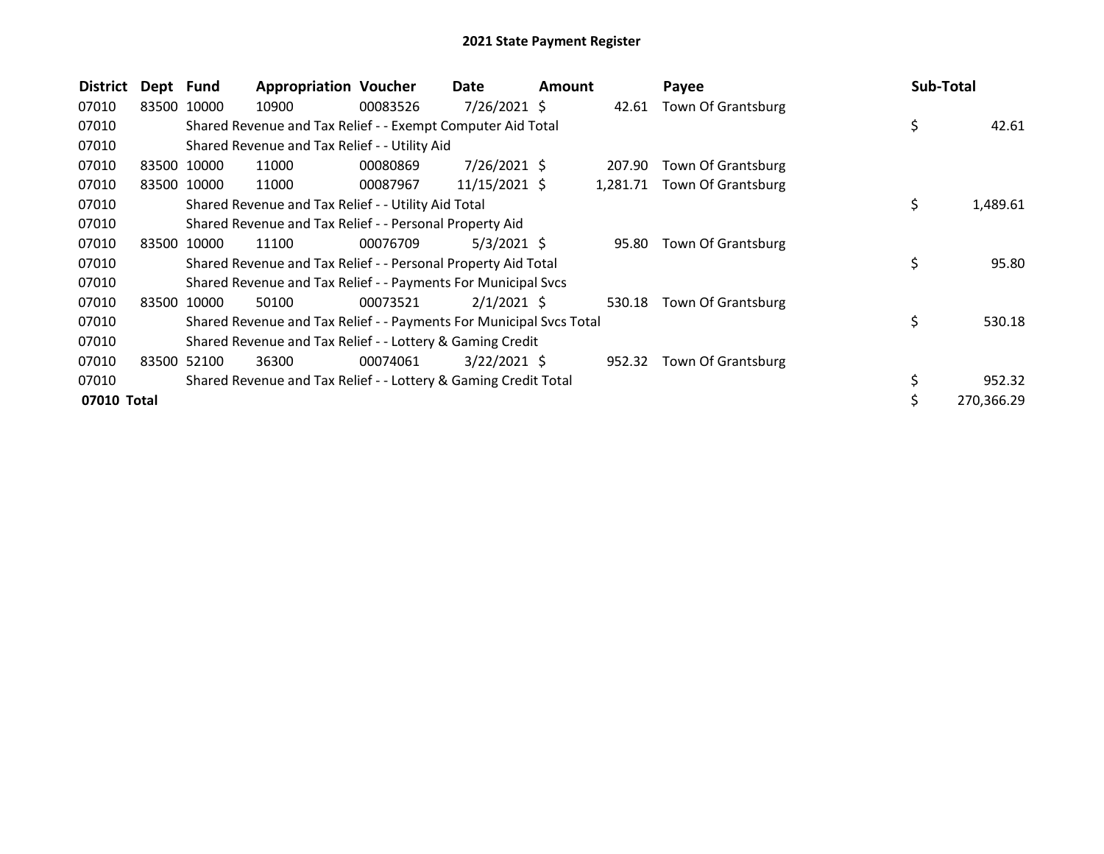| <b>District</b> | Dept Fund |             | <b>Appropriation Voucher</b>                                        |          | Date            | <b>Amount</b> |          | Payee              | Sub-Total      |
|-----------------|-----------|-------------|---------------------------------------------------------------------|----------|-----------------|---------------|----------|--------------------|----------------|
| 07010           |           | 83500 10000 | 10900                                                               | 00083526 | $7/26/2021$ \$  |               | 42.61    | Town Of Grantsburg |                |
| 07010           |           |             | Shared Revenue and Tax Relief - - Exempt Computer Aid Total         |          |                 |               |          |                    | \$<br>42.61    |
| 07010           |           |             | Shared Revenue and Tax Relief - - Utility Aid                       |          |                 |               |          |                    |                |
| 07010           |           | 83500 10000 | 11000                                                               | 00080869 | 7/26/2021 \$    |               | 207.90   | Town Of Grantsburg |                |
| 07010           | 83500     | 10000       | 11000                                                               | 00087967 | $11/15/2021$ \$ |               | 1,281.71 | Town Of Grantsburg |                |
| 07010           |           |             | Shared Revenue and Tax Relief - - Utility Aid Total                 |          |                 |               |          |                    | \$<br>1,489.61 |
| 07010           |           |             | Shared Revenue and Tax Relief - - Personal Property Aid             |          |                 |               |          |                    |                |
| 07010           |           | 83500 10000 | 11100                                                               | 00076709 | $5/3/2021$ \$   |               | 95.80    | Town Of Grantsburg |                |
| 07010           |           |             | Shared Revenue and Tax Relief - - Personal Property Aid Total       |          |                 |               |          |                    | \$<br>95.80    |
| 07010           |           |             | Shared Revenue and Tax Relief - - Payments For Municipal Svcs       |          |                 |               |          |                    |                |
| 07010           |           | 83500 10000 | 50100                                                               | 00073521 | $2/1/2021$ \$   |               | 530.18   | Town Of Grantsburg |                |
| 07010           |           |             | Shared Revenue and Tax Relief - - Payments For Municipal Svcs Total |          |                 |               |          |                    | \$<br>530.18   |
| 07010           |           |             | Shared Revenue and Tax Relief - - Lottery & Gaming Credit           |          |                 |               |          |                    |                |
| 07010           | 83500     | 52100       | 36300                                                               | 00074061 | $3/22/2021$ \$  |               | 952.32   | Town Of Grantsburg |                |
| 07010           |           |             | Shared Revenue and Tax Relief - - Lottery & Gaming Credit Total     |          |                 |               |          |                    | \$<br>952.32   |
| 07010 Total     |           |             |                                                                     |          |                 |               |          |                    | 270,366.29     |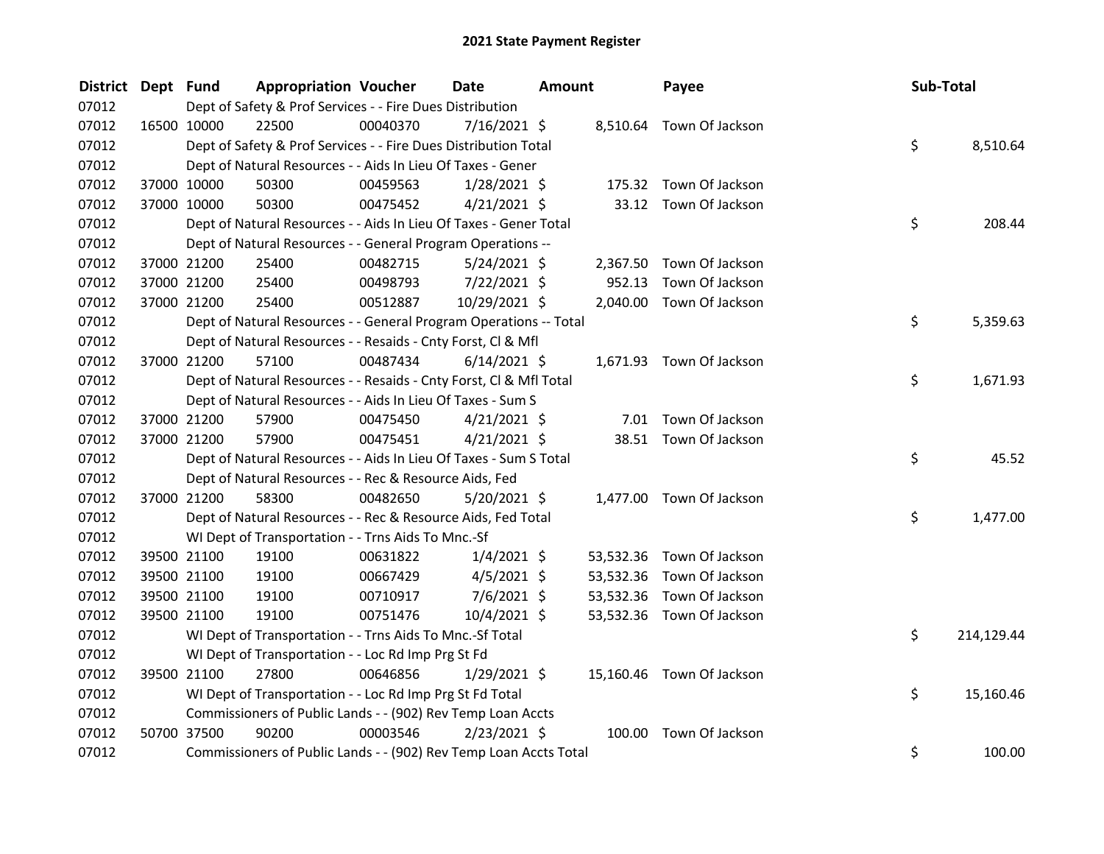| <b>District</b> | Dept Fund   |             | <b>Appropriation Voucher</b>                                       |          | Date           | <b>Amount</b> |           | Payee                     | Sub-Total |            |
|-----------------|-------------|-------------|--------------------------------------------------------------------|----------|----------------|---------------|-----------|---------------------------|-----------|------------|
| 07012           |             |             | Dept of Safety & Prof Services - - Fire Dues Distribution          |          |                |               |           |                           |           |            |
| 07012           | 16500 10000 |             | 22500                                                              | 00040370 | 7/16/2021 \$   |               |           | 8,510.64 Town Of Jackson  |           |            |
| 07012           |             |             | Dept of Safety & Prof Services - - Fire Dues Distribution Total    |          |                |               |           |                           | \$        | 8,510.64   |
| 07012           |             |             | Dept of Natural Resources - - Aids In Lieu Of Taxes - Gener        |          |                |               |           |                           |           |            |
| 07012           |             | 37000 10000 | 50300                                                              | 00459563 | $1/28/2021$ \$ |               |           | 175.32 Town Of Jackson    |           |            |
| 07012           |             | 37000 10000 | 50300                                                              | 00475452 | $4/21/2021$ \$ |               |           | 33.12 Town Of Jackson     |           |            |
| 07012           |             |             | Dept of Natural Resources - - Aids In Lieu Of Taxes - Gener Total  |          |                |               |           |                           | \$        | 208.44     |
| 07012           |             |             | Dept of Natural Resources - - General Program Operations --        |          |                |               |           |                           |           |            |
| 07012           |             | 37000 21200 | 25400                                                              | 00482715 | $5/24/2021$ \$ |               |           | 2,367.50 Town Of Jackson  |           |            |
| 07012           |             | 37000 21200 | 25400                                                              | 00498793 | 7/22/2021 \$   |               | 952.13    | Town Of Jackson           |           |            |
| 07012           |             | 37000 21200 | 25400                                                              | 00512887 | 10/29/2021 \$  |               |           | 2,040.00 Town Of Jackson  |           |            |
| 07012           |             |             | Dept of Natural Resources - - General Program Operations -- Total  |          |                |               |           |                           | \$        | 5,359.63   |
| 07012           |             |             | Dept of Natural Resources - - Resaids - Cnty Forst, Cl & Mfl       |          |                |               |           |                           |           |            |
| 07012           |             | 37000 21200 | 57100                                                              | 00487434 | $6/14/2021$ \$ |               |           | 1,671.93 Town Of Jackson  |           |            |
| 07012           |             |             | Dept of Natural Resources - - Resaids - Cnty Forst, Cl & Mfl Total |          |                |               |           |                           | \$        | 1,671.93   |
| 07012           |             |             | Dept of Natural Resources - - Aids In Lieu Of Taxes - Sum S        |          |                |               |           |                           |           |            |
| 07012           | 37000 21200 |             | 57900                                                              | 00475450 | $4/21/2021$ \$ |               |           | 7.01 Town Of Jackson      |           |            |
| 07012           |             | 37000 21200 | 57900                                                              | 00475451 | $4/21/2021$ \$ |               |           | 38.51 Town Of Jackson     |           |            |
| 07012           |             |             | Dept of Natural Resources - - Aids In Lieu Of Taxes - Sum S Total  |          |                |               |           |                           | \$        | 45.52      |
| 07012           |             |             | Dept of Natural Resources - - Rec & Resource Aids, Fed             |          |                |               |           |                           |           |            |
| 07012           |             | 37000 21200 | 58300                                                              | 00482650 | $5/20/2021$ \$ |               |           | 1,477.00 Town Of Jackson  |           |            |
| 07012           |             |             | Dept of Natural Resources - - Rec & Resource Aids, Fed Total       |          |                |               |           |                           | \$        | 1,477.00   |
| 07012           |             |             | WI Dept of Transportation - - Trns Aids To Mnc.-Sf                 |          |                |               |           |                           |           |            |
| 07012           |             | 39500 21100 | 19100                                                              | 00631822 | $1/4/2021$ \$  |               | 53,532.36 | Town Of Jackson           |           |            |
| 07012           |             | 39500 21100 | 19100                                                              | 00667429 | $4/5/2021$ \$  |               | 53,532.36 | Town Of Jackson           |           |            |
| 07012           | 39500 21100 |             | 19100                                                              | 00710917 | 7/6/2021 \$    |               | 53,532.36 | Town Of Jackson           |           |            |
| 07012           |             | 39500 21100 | 19100                                                              | 00751476 | 10/4/2021 \$   |               |           | 53,532.36 Town Of Jackson |           |            |
| 07012           |             |             | WI Dept of Transportation - - Trns Aids To Mnc.-Sf Total           |          |                |               |           |                           | \$        | 214,129.44 |
| 07012           |             |             | WI Dept of Transportation - - Loc Rd Imp Prg St Fd                 |          |                |               |           |                           |           |            |
| 07012           |             | 39500 21100 | 27800                                                              | 00646856 | $1/29/2021$ \$ |               |           | 15,160.46 Town Of Jackson |           |            |
| 07012           |             |             | WI Dept of Transportation - - Loc Rd Imp Prg St Fd Total           |          |                |               |           |                           | \$        | 15,160.46  |
| 07012           |             |             | Commissioners of Public Lands - - (902) Rev Temp Loan Accts        |          |                |               |           |                           |           |            |
| 07012           | 50700 37500 |             | 90200                                                              | 00003546 | $2/23/2021$ \$ |               |           | 100.00 Town Of Jackson    |           |            |
| 07012           |             |             | Commissioners of Public Lands - - (902) Rev Temp Loan Accts Total  |          |                |               |           |                           | \$        | 100.00     |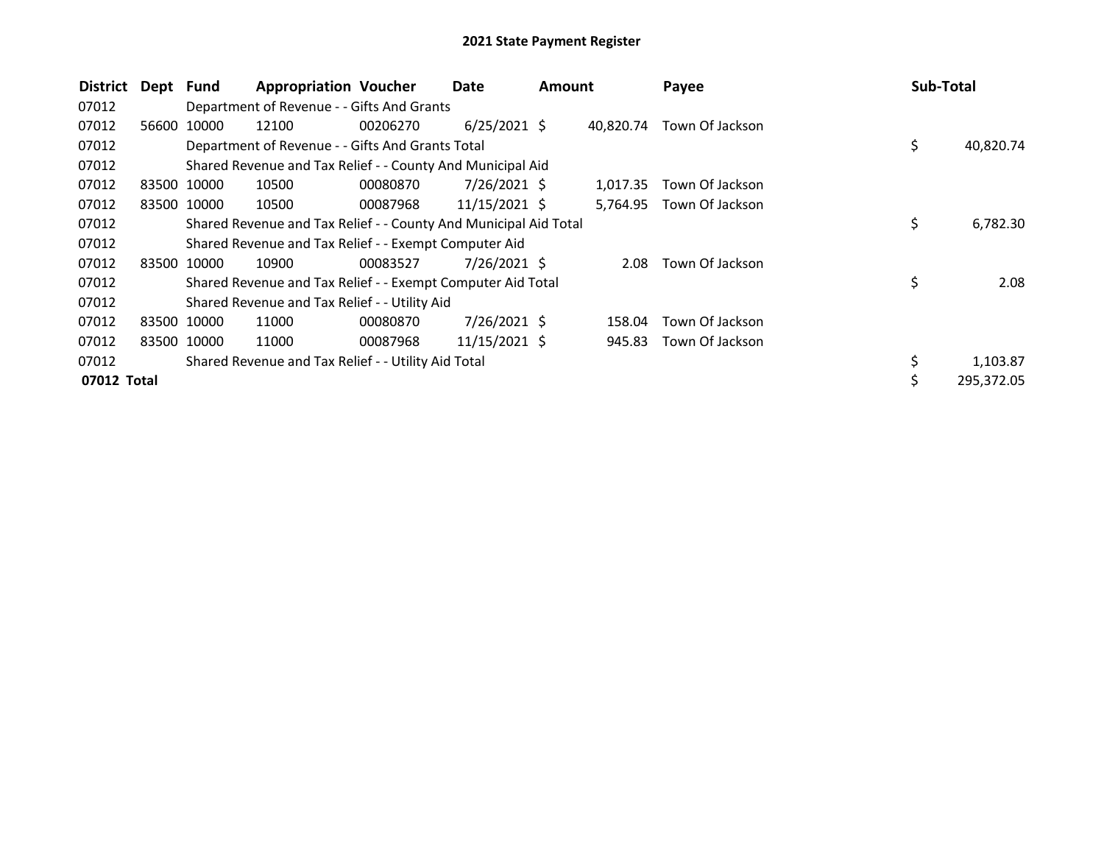| <b>District</b> | Dept  | Fund        | <b>Appropriation Voucher</b>                                     |          | Date            | <b>Amount</b> |           | Payee           | <b>Sub-Total</b> |      |
|-----------------|-------|-------------|------------------------------------------------------------------|----------|-----------------|---------------|-----------|-----------------|------------------|------|
| 07012           |       |             | Department of Revenue - - Gifts And Grants                       |          |                 |               |           |                 |                  |      |
| 07012           | 56600 | 10000       | 12100                                                            | 00206270 | $6/25/2021$ \$  |               | 40.820.74 | Town Of Jackson |                  |      |
| 07012           |       |             | Department of Revenue - - Gifts And Grants Total                 |          |                 |               |           |                 | \$<br>40,820.74  |      |
| 07012           |       |             | Shared Revenue and Tax Relief - - County And Municipal Aid       |          |                 |               |           |                 |                  |      |
| 07012           |       | 83500 10000 | 10500                                                            | 00080870 | $7/26/2021$ \$  |               | 1,017.35  | Town Of Jackson |                  |      |
| 07012           | 83500 | 10000       | 10500                                                            | 00087968 | $11/15/2021$ \$ |               | 5,764.95  | Town Of Jackson |                  |      |
| 07012           |       |             | Shared Revenue and Tax Relief - - County And Municipal Aid Total |          |                 |               |           |                 | \$<br>6,782.30   |      |
| 07012           |       |             | Shared Revenue and Tax Relief - - Exempt Computer Aid            |          |                 |               |           |                 |                  |      |
| 07012           | 83500 | 10000       | 10900                                                            | 00083527 | 7/26/2021 \$    |               | 2.08      | Town Of Jackson |                  |      |
| 07012           |       |             | Shared Revenue and Tax Relief - - Exempt Computer Aid Total      |          |                 |               |           |                 | \$               | 2.08 |
| 07012           |       |             | Shared Revenue and Tax Relief - - Utility Aid                    |          |                 |               |           |                 |                  |      |
| 07012           |       | 83500 10000 | 11000                                                            | 00080870 | 7/26/2021 \$    |               | 158.04    | Town Of Jackson |                  |      |
| 07012           |       | 83500 10000 | 11000                                                            | 00087968 | 11/15/2021 \$   |               | 945.83    | Town Of Jackson |                  |      |
| 07012           |       |             | Shared Revenue and Tax Relief - - Utility Aid Total              |          |                 |               |           |                 | 1,103.87         |      |
| 07012 Total     |       |             |                                                                  |          |                 |               |           |                 | 295,372.05       |      |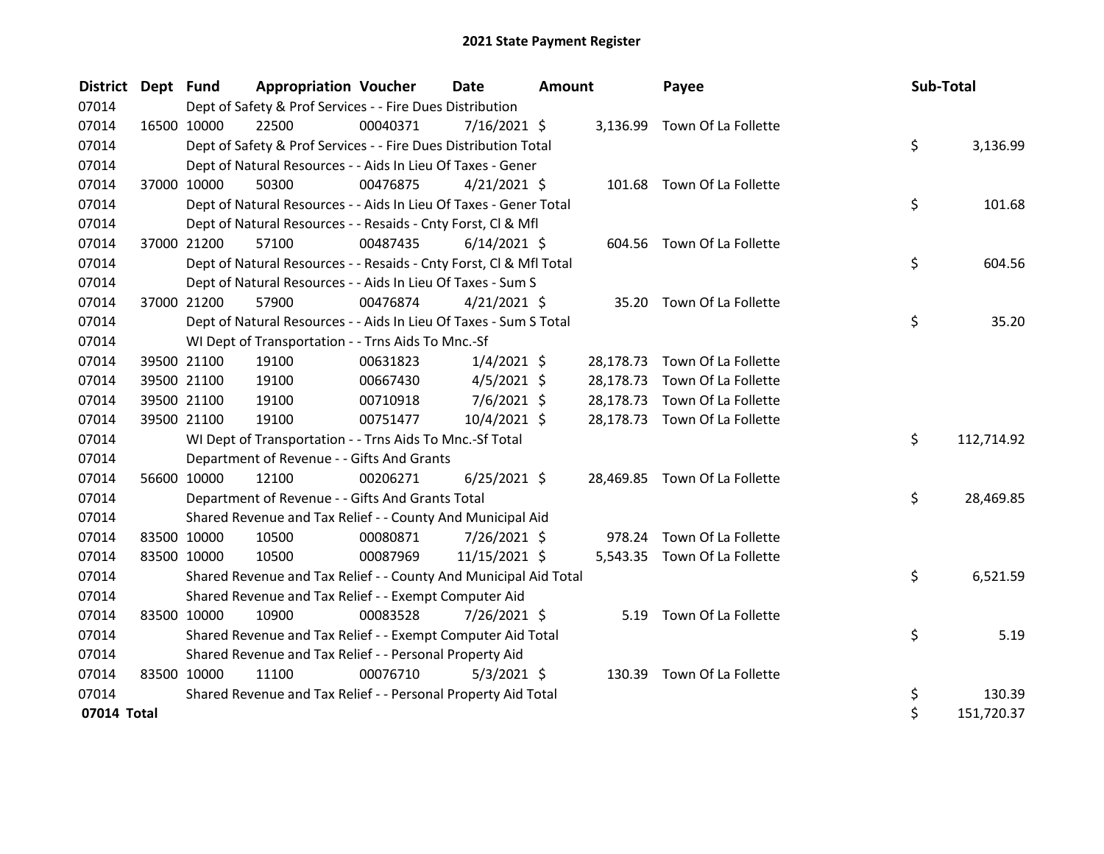| <b>District</b> | Dept Fund |             | <b>Appropriation Voucher</b>                                       |          | <b>Date</b>    | Amount |           | Payee                         | Sub-Total |            |
|-----------------|-----------|-------------|--------------------------------------------------------------------|----------|----------------|--------|-----------|-------------------------------|-----------|------------|
| 07014           |           |             | Dept of Safety & Prof Services - - Fire Dues Distribution          |          |                |        |           |                               |           |            |
| 07014           |           | 16500 10000 | 22500                                                              | 00040371 | 7/16/2021 \$   |        |           | 3,136.99 Town Of La Follette  |           |            |
| 07014           |           |             | Dept of Safety & Prof Services - - Fire Dues Distribution Total    |          |                |        |           |                               | \$        | 3,136.99   |
| 07014           |           |             | Dept of Natural Resources - - Aids In Lieu Of Taxes - Gener        |          |                |        |           |                               |           |            |
| 07014           |           | 37000 10000 | 50300                                                              | 00476875 | $4/21/2021$ \$ |        |           | 101.68 Town Of La Follette    |           |            |
| 07014           |           |             | Dept of Natural Resources - - Aids In Lieu Of Taxes - Gener Total  |          |                |        |           |                               | \$        | 101.68     |
| 07014           |           |             | Dept of Natural Resources - - Resaids - Cnty Forst, CI & Mfl       |          |                |        |           |                               |           |            |
| 07014           |           | 37000 21200 | 57100                                                              | 00487435 | $6/14/2021$ \$ |        |           | 604.56 Town Of La Follette    |           |            |
| 07014           |           |             | Dept of Natural Resources - - Resaids - Cnty Forst, Cl & Mfl Total |          |                |        |           |                               | \$        | 604.56     |
| 07014           |           |             | Dept of Natural Resources - - Aids In Lieu Of Taxes - Sum S        |          |                |        |           |                               |           |            |
| 07014           |           | 37000 21200 | 57900                                                              | 00476874 | $4/21/2021$ \$ |        |           | 35.20 Town Of La Follette     |           |            |
| 07014           |           |             | Dept of Natural Resources - - Aids In Lieu Of Taxes - Sum S Total  |          |                |        |           |                               | \$        | 35.20      |
| 07014           |           |             | WI Dept of Transportation - - Trns Aids To Mnc.-Sf                 |          |                |        |           |                               |           |            |
| 07014           |           | 39500 21100 | 19100                                                              | 00631823 | $1/4/2021$ \$  |        |           | 28,178.73 Town Of La Follette |           |            |
| 07014           |           | 39500 21100 | 19100                                                              | 00667430 | $4/5/2021$ \$  |        | 28,178.73 | Town Of La Follette           |           |            |
| 07014           |           | 39500 21100 | 19100                                                              | 00710918 | $7/6/2021$ \$  |        |           | 28,178.73 Town Of La Follette |           |            |
| 07014           |           | 39500 21100 | 19100                                                              | 00751477 | 10/4/2021 \$   |        |           | 28,178.73 Town Of La Follette |           |            |
| 07014           |           |             | WI Dept of Transportation - - Trns Aids To Mnc.-Sf Total           |          |                |        |           |                               | \$        | 112,714.92 |
| 07014           |           |             | Department of Revenue - - Gifts And Grants                         |          |                |        |           |                               |           |            |
| 07014           |           | 56600 10000 | 12100                                                              | 00206271 | $6/25/2021$ \$ |        |           | 28,469.85 Town Of La Follette |           |            |
| 07014           |           |             | Department of Revenue - - Gifts And Grants Total                   |          |                |        |           |                               | \$        | 28,469.85  |
| 07014           |           |             | Shared Revenue and Tax Relief - - County And Municipal Aid         |          |                |        |           |                               |           |            |
| 07014           |           | 83500 10000 | 10500                                                              | 00080871 | 7/26/2021 \$   |        |           | 978.24 Town Of La Follette    |           |            |
| 07014           |           | 83500 10000 | 10500                                                              | 00087969 | 11/15/2021 \$  |        |           | 5,543.35 Town Of La Follette  |           |            |
| 07014           |           |             | Shared Revenue and Tax Relief - - County And Municipal Aid Total   |          |                |        |           |                               | \$        | 6,521.59   |
| 07014           |           |             | Shared Revenue and Tax Relief - - Exempt Computer Aid              |          |                |        |           |                               |           |            |
| 07014           |           | 83500 10000 | 10900                                                              | 00083528 | 7/26/2021 \$   |        |           | 5.19 Town Of La Follette      |           |            |
| 07014           |           |             | Shared Revenue and Tax Relief - - Exempt Computer Aid Total        |          |                |        |           |                               | \$        | 5.19       |
| 07014           |           |             | Shared Revenue and Tax Relief - - Personal Property Aid            |          |                |        |           |                               |           |            |
| 07014           |           | 83500 10000 | 11100                                                              | 00076710 | $5/3/2021$ \$  |        |           | 130.39 Town Of La Follette    |           |            |
| 07014           |           |             | Shared Revenue and Tax Relief - - Personal Property Aid Total      |          |                |        |           |                               | \$        | 130.39     |
| 07014 Total     |           |             |                                                                    |          |                |        |           |                               | \$        | 151,720.37 |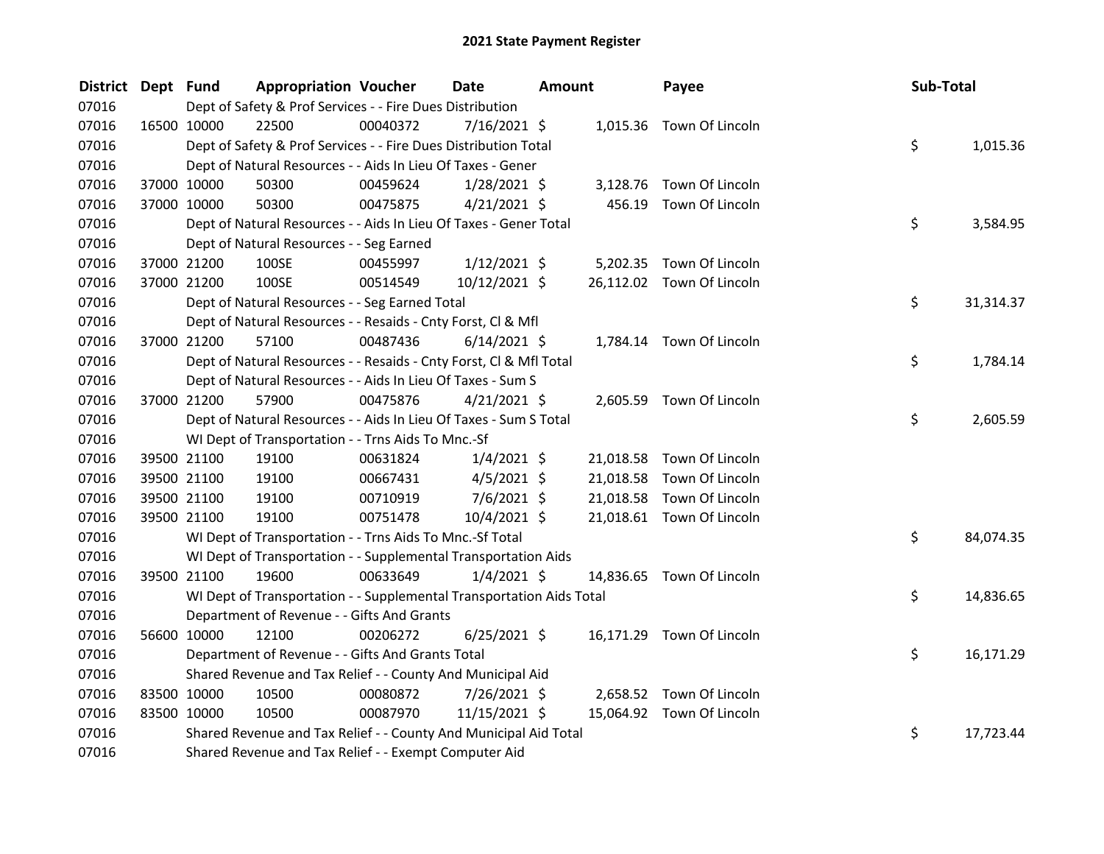| <b>District</b> | Dept Fund |                                                                      | <b>Appropriation Voucher</b> | Date           | <b>Amount</b> | Payee                     |     | Sub-Total |
|-----------------|-----------|----------------------------------------------------------------------|------------------------------|----------------|---------------|---------------------------|-----|-----------|
| 07016           |           | Dept of Safety & Prof Services - - Fire Dues Distribution            |                              |                |               |                           |     |           |
| 07016           |           | 16500 10000<br>22500                                                 | 00040372                     | 7/16/2021 \$   |               | 1,015.36 Town Of Lincoln  |     |           |
| 07016           |           | Dept of Safety & Prof Services - - Fire Dues Distribution Total      |                              |                |               |                           | \$  | 1,015.36  |
| 07016           |           | Dept of Natural Resources - - Aids In Lieu Of Taxes - Gener          |                              |                |               |                           |     |           |
| 07016           |           | 37000 10000<br>50300                                                 | 00459624                     | $1/28/2021$ \$ |               | 3,128.76 Town Of Lincoln  |     |           |
| 07016           |           | 37000 10000<br>50300                                                 | 00475875                     | $4/21/2021$ \$ |               | 456.19 Town Of Lincoln    |     |           |
| 07016           |           | Dept of Natural Resources - - Aids In Lieu Of Taxes - Gener Total    |                              |                |               |                           | \$  | 3,584.95  |
| 07016           |           | Dept of Natural Resources - - Seg Earned                             |                              |                |               |                           |     |           |
| 07016           |           | 100SE<br>37000 21200                                                 | 00455997                     | $1/12/2021$ \$ |               | 5,202.35 Town Of Lincoln  |     |           |
| 07016           |           | 37000 21200<br>100SE                                                 | 00514549                     | 10/12/2021 \$  |               | 26,112.02 Town Of Lincoln |     |           |
| 07016           |           | Dept of Natural Resources - - Seg Earned Total                       |                              |                |               |                           | \$. | 31,314.37 |
| 07016           |           | Dept of Natural Resources - - Resaids - Cnty Forst, Cl & Mfl         |                              |                |               |                           |     |           |
| 07016           |           | 37000 21200<br>57100                                                 | 00487436                     | $6/14/2021$ \$ |               | 1,784.14 Town Of Lincoln  |     |           |
| 07016           |           | Dept of Natural Resources - - Resaids - Cnty Forst, Cl & Mfl Total   |                              |                |               |                           | \$. | 1,784.14  |
| 07016           |           | Dept of Natural Resources - - Aids In Lieu Of Taxes - Sum S          |                              |                |               |                           |     |           |
| 07016           |           | 37000 21200<br>57900                                                 | 00475876                     | $4/21/2021$ \$ |               | 2,605.59 Town Of Lincoln  |     |           |
| 07016           |           | Dept of Natural Resources - - Aids In Lieu Of Taxes - Sum S Total    |                              |                |               |                           | \$  | 2,605.59  |
| 07016           |           | WI Dept of Transportation - - Trns Aids To Mnc.-Sf                   |                              |                |               |                           |     |           |
| 07016           |           | 39500 21100<br>19100                                                 | 00631824                     | $1/4/2021$ \$  |               | 21,018.58 Town Of Lincoln |     |           |
| 07016           |           | 39500 21100<br>19100                                                 | 00667431                     | $4/5/2021$ \$  | 21,018.58     | Town Of Lincoln           |     |           |
| 07016           |           | 39500 21100<br>19100                                                 | 00710919                     | $7/6/2021$ \$  | 21,018.58     | Town Of Lincoln           |     |           |
| 07016           |           | 19100<br>39500 21100                                                 | 00751478                     | 10/4/2021 \$   |               | 21,018.61 Town Of Lincoln |     |           |
| 07016           |           | WI Dept of Transportation - - Trns Aids To Mnc.-Sf Total             |                              |                |               |                           | \$  | 84,074.35 |
| 07016           |           | WI Dept of Transportation - - Supplemental Transportation Aids       |                              |                |               |                           |     |           |
| 07016           |           | 19600<br>39500 21100                                                 | 00633649                     | $1/4/2021$ \$  |               | 14,836.65 Town Of Lincoln |     |           |
| 07016           |           | WI Dept of Transportation - - Supplemental Transportation Aids Total |                              |                |               |                           | \$  | 14,836.65 |
| 07016           |           | Department of Revenue - - Gifts And Grants                           |                              |                |               |                           |     |           |
| 07016           |           | 56600 10000<br>12100                                                 | 00206272                     | $6/25/2021$ \$ |               | 16,171.29 Town Of Lincoln |     |           |
| 07016           |           | Department of Revenue - - Gifts And Grants Total                     |                              |                |               |                           | \$. | 16,171.29 |
| 07016           |           | Shared Revenue and Tax Relief - - County And Municipal Aid           |                              |                |               |                           |     |           |
| 07016           |           | 83500 10000<br>10500                                                 | 00080872                     | 7/26/2021 \$   |               | 2,658.52 Town Of Lincoln  |     |           |
| 07016           |           | 83500 10000<br>10500                                                 | 00087970                     | 11/15/2021 \$  |               | 15,064.92 Town Of Lincoln |     |           |
| 07016           |           | Shared Revenue and Tax Relief - - County And Municipal Aid Total     |                              |                |               |                           | \$  | 17,723.44 |
| 07016           |           | Shared Revenue and Tax Relief - - Exempt Computer Aid                |                              |                |               |                           |     |           |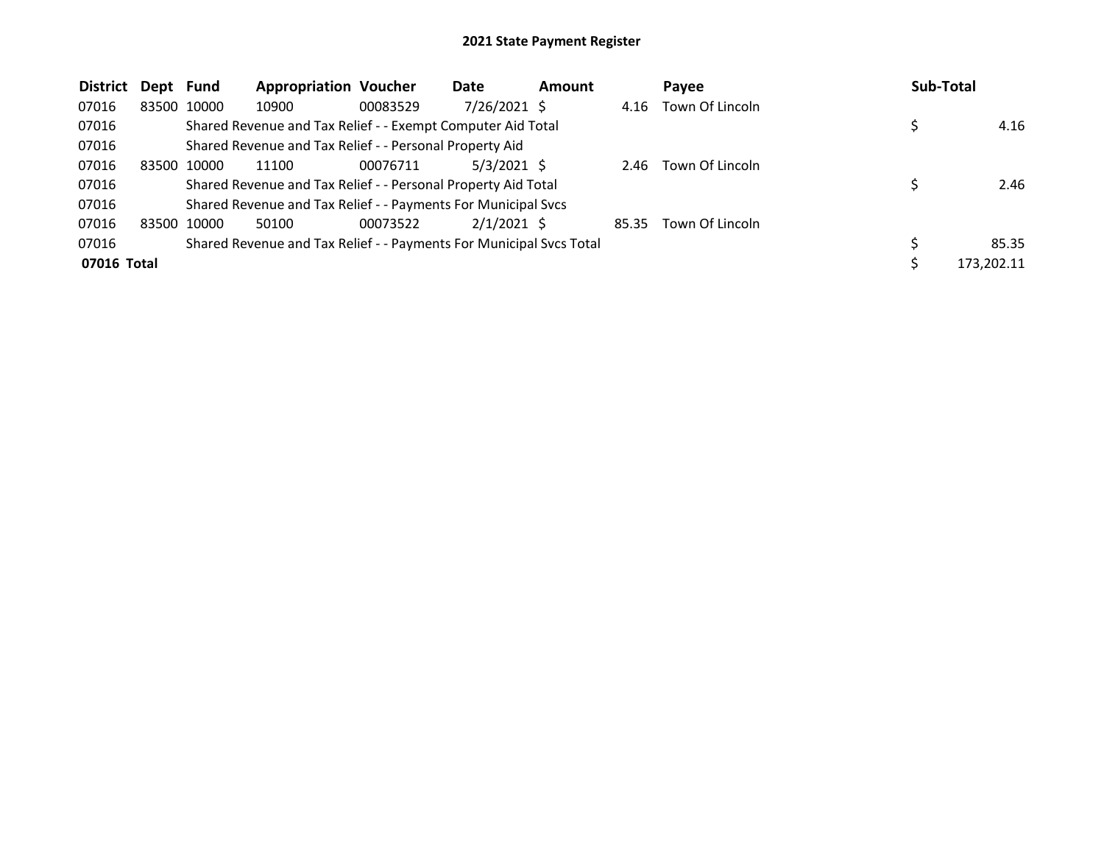| <b>District</b> | Dept Fund |       | <b>Appropriation Voucher</b>                                        |          | Date           | <b>Amount</b> |       | Payee           | <b>Sub-Total</b> |
|-----------------|-----------|-------|---------------------------------------------------------------------|----------|----------------|---------------|-------|-----------------|------------------|
| 07016           | 83500     | 10000 | 10900                                                               | 00083529 | $7/26/2021$ \$ |               | 4.16  | Town Of Lincoln |                  |
| 07016           |           |       | Shared Revenue and Tax Relief - - Exempt Computer Aid Total         |          |                |               |       |                 | 4.16             |
| 07016           |           |       | Shared Revenue and Tax Relief - - Personal Property Aid             |          |                |               |       |                 |                  |
| 07016           | 83500     | 10000 | 11100                                                               | 00076711 | $5/3/2021$ \$  |               | 2.46  | Town Of Lincoln |                  |
| 07016           |           |       | Shared Revenue and Tax Relief - - Personal Property Aid Total       |          |                |               |       |                 | 2.46             |
| 07016           |           |       | Shared Revenue and Tax Relief - - Payments For Municipal Svcs       |          |                |               |       |                 |                  |
| 07016           | 83500     | 10000 | 50100                                                               | 00073522 | $2/1/2021$ \$  |               | 85.35 | Town Of Lincoln |                  |
| 07016           |           |       | Shared Revenue and Tax Relief - - Payments For Municipal Svcs Total |          |                |               |       |                 | 85.35            |
| 07016 Total     |           |       |                                                                     |          |                |               |       |                 | 173,202.11       |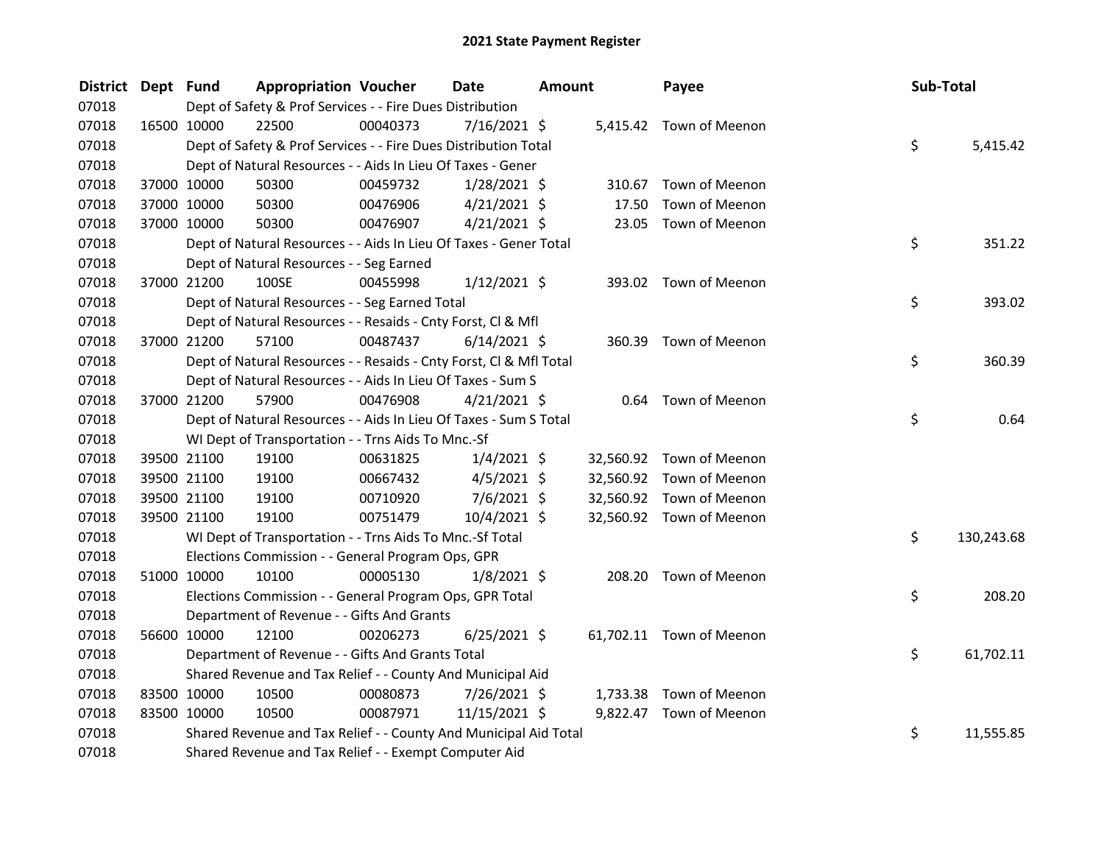| <b>District</b> | Dept Fund |             | <b>Appropriation Voucher</b>                                       |          | <b>Date</b>    | <b>Amount</b> |        | Payee                    | Sub-Total |            |
|-----------------|-----------|-------------|--------------------------------------------------------------------|----------|----------------|---------------|--------|--------------------------|-----------|------------|
| 07018           |           |             | Dept of Safety & Prof Services - - Fire Dues Distribution          |          |                |               |        |                          |           |            |
| 07018           |           | 16500 10000 | 22500                                                              | 00040373 | $7/16/2021$ \$ |               |        | 5,415.42 Town of Meenon  |           |            |
| 07018           |           |             | Dept of Safety & Prof Services - - Fire Dues Distribution Total    |          |                |               |        |                          | \$        | 5,415.42   |
| 07018           |           |             | Dept of Natural Resources - - Aids In Lieu Of Taxes - Gener        |          |                |               |        |                          |           |            |
| 07018           |           | 37000 10000 | 50300                                                              | 00459732 | $1/28/2021$ \$ |               | 310.67 | Town of Meenon           |           |            |
| 07018           |           | 37000 10000 | 50300                                                              | 00476906 | $4/21/2021$ \$ |               | 17.50  | Town of Meenon           |           |            |
| 07018           |           | 37000 10000 | 50300                                                              | 00476907 | $4/21/2021$ \$ |               |        | 23.05 Town of Meenon     |           |            |
| 07018           |           |             | Dept of Natural Resources - - Aids In Lieu Of Taxes - Gener Total  |          |                |               |        |                          | \$        | 351.22     |
| 07018           |           |             | Dept of Natural Resources - - Seg Earned                           |          |                |               |        |                          |           |            |
| 07018           |           | 37000 21200 | 100SE                                                              | 00455998 | $1/12/2021$ \$ |               |        | 393.02 Town of Meenon    |           |            |
| 07018           |           |             | Dept of Natural Resources - - Seg Earned Total                     |          |                |               |        |                          | \$        | 393.02     |
| 07018           |           |             | Dept of Natural Resources - - Resaids - Cnty Forst, Cl & Mfl       |          |                |               |        |                          |           |            |
| 07018           |           | 37000 21200 | 57100                                                              | 00487437 | $6/14/2021$ \$ |               |        | 360.39 Town of Meenon    |           |            |
| 07018           |           |             | Dept of Natural Resources - - Resaids - Cnty Forst, Cl & Mfl Total |          |                |               |        |                          | \$        | 360.39     |
| 07018           |           |             | Dept of Natural Resources - - Aids In Lieu Of Taxes - Sum S        |          |                |               |        |                          |           |            |
| 07018           |           | 37000 21200 | 57900                                                              | 00476908 | $4/21/2021$ \$ |               |        | 0.64 Town of Meenon      |           |            |
| 07018           |           |             | Dept of Natural Resources - - Aids In Lieu Of Taxes - Sum S Total  |          |                |               |        |                          | \$        | 0.64       |
| 07018           |           |             | WI Dept of Transportation - - Trns Aids To Mnc.-Sf                 |          |                |               |        |                          |           |            |
| 07018           |           | 39500 21100 | 19100                                                              | 00631825 | $1/4/2021$ \$  |               |        | 32,560.92 Town of Meenon |           |            |
| 07018           |           | 39500 21100 | 19100                                                              | 00667432 | $4/5/2021$ \$  |               |        | 32,560.92 Town of Meenon |           |            |
| 07018           |           | 39500 21100 | 19100                                                              | 00710920 | $7/6/2021$ \$  |               |        | 32,560.92 Town of Meenon |           |            |
| 07018           |           | 39500 21100 | 19100                                                              | 00751479 | 10/4/2021 \$   |               |        | 32,560.92 Town of Meenon |           |            |
| 07018           |           |             | WI Dept of Transportation - - Trns Aids To Mnc.-Sf Total           |          |                |               |        |                          | \$        | 130,243.68 |
| 07018           |           |             | Elections Commission - - General Program Ops, GPR                  |          |                |               |        |                          |           |            |
| 07018           |           | 51000 10000 | 10100                                                              | 00005130 | $1/8/2021$ \$  |               |        | 208.20 Town of Meenon    |           |            |
| 07018           |           |             | Elections Commission - - General Program Ops, GPR Total            |          |                |               |        |                          | \$        | 208.20     |
| 07018           |           |             | Department of Revenue - - Gifts And Grants                         |          |                |               |        |                          |           |            |
| 07018           |           | 56600 10000 | 12100                                                              | 00206273 | $6/25/2021$ \$ |               |        | 61,702.11 Town of Meenon |           |            |
| 07018           |           |             | Department of Revenue - - Gifts And Grants Total                   |          |                |               |        |                          | \$        | 61,702.11  |
| 07018           |           |             | Shared Revenue and Tax Relief - - County And Municipal Aid         |          |                |               |        |                          |           |            |
| 07018           |           | 83500 10000 | 10500                                                              | 00080873 | 7/26/2021 \$   |               |        | 1,733.38 Town of Meenon  |           |            |
| 07018           |           | 83500 10000 | 10500                                                              | 00087971 | 11/15/2021 \$  |               |        | 9,822.47 Town of Meenon  |           |            |
| 07018           |           |             | Shared Revenue and Tax Relief - - County And Municipal Aid Total   |          |                |               |        |                          | \$        | 11,555.85  |
| 07018           |           |             | Shared Revenue and Tax Relief - - Exempt Computer Aid              |          |                |               |        |                          |           |            |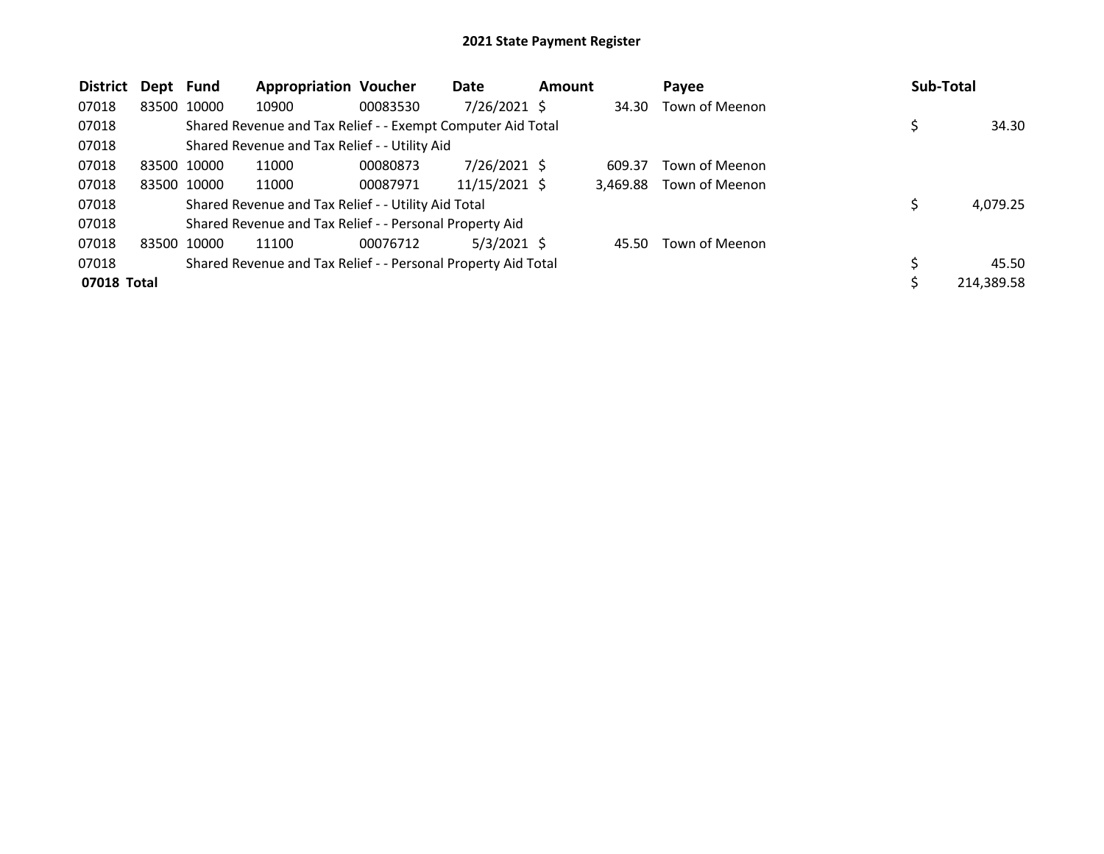| <b>District</b> | Dept Fund |             | <b>Appropriation Voucher</b>                                  |          | Date           | <b>Amount</b> |          | Payee          | <b>Sub-Total</b> |            |
|-----------------|-----------|-------------|---------------------------------------------------------------|----------|----------------|---------------|----------|----------------|------------------|------------|
| 07018           |           | 83500 10000 | 10900                                                         | 00083530 | 7/26/2021 \$   |               | 34.30    | Town of Meenon |                  |            |
| 07018           |           |             | Shared Revenue and Tax Relief - - Exempt Computer Aid Total   |          |                |               |          |                |                  | 34.30      |
| 07018           |           |             | Shared Revenue and Tax Relief - - Utility Aid                 |          |                |               |          |                |                  |            |
| 07018           |           | 83500 10000 | 11000                                                         | 00080873 | $7/26/2021$ \$ |               | 609.37   | Town of Meenon |                  |            |
| 07018           |           | 83500 10000 | 11000                                                         | 00087971 | 11/15/2021 \$  |               | 3,469.88 | Town of Meenon |                  |            |
| 07018           |           |             | Shared Revenue and Tax Relief - - Utility Aid Total           |          |                |               |          |                | Ś                | 4,079.25   |
| 07018           |           |             | Shared Revenue and Tax Relief - - Personal Property Aid       |          |                |               |          |                |                  |            |
| 07018           |           | 83500 10000 | 11100                                                         | 00076712 | $5/3/2021$ \$  |               | 45.50    | Town of Meenon |                  |            |
| 07018           |           |             | Shared Revenue and Tax Relief - - Personal Property Aid Total |          |                |               |          |                |                  | 45.50      |
| 07018 Total     |           |             |                                                               |          |                |               |          |                |                  | 214,389.58 |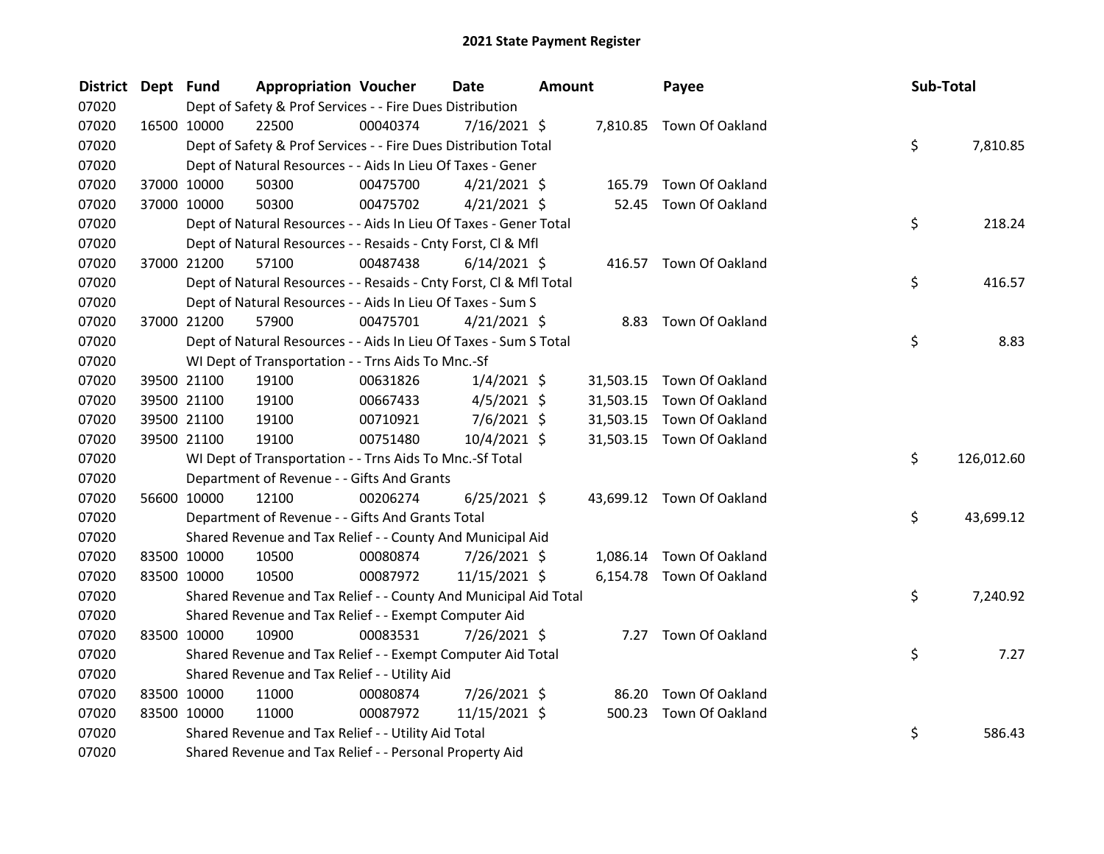| District Dept Fund |             | <b>Appropriation Voucher</b>                                       |          | <b>Date</b>    | <b>Amount</b> |           | Payee                     | Sub-Total |            |
|--------------------|-------------|--------------------------------------------------------------------|----------|----------------|---------------|-----------|---------------------------|-----------|------------|
| 07020              |             | Dept of Safety & Prof Services - - Fire Dues Distribution          |          |                |               |           |                           |           |            |
| 07020              | 16500 10000 | 22500                                                              | 00040374 | $7/16/2021$ \$ |               |           | 7,810.85 Town Of Oakland  |           |            |
| 07020              |             | Dept of Safety & Prof Services - - Fire Dues Distribution Total    |          |                |               |           |                           | \$        | 7,810.85   |
| 07020              |             | Dept of Natural Resources - - Aids In Lieu Of Taxes - Gener        |          |                |               |           |                           |           |            |
| 07020              | 37000 10000 | 50300                                                              | 00475700 | $4/21/2021$ \$ |               | 165.79    | Town Of Oakland           |           |            |
| 07020              | 37000 10000 | 50300                                                              | 00475702 | $4/21/2021$ \$ |               |           | 52.45 Town Of Oakland     |           |            |
| 07020              |             | Dept of Natural Resources - - Aids In Lieu Of Taxes - Gener Total  |          |                |               |           |                           | \$        | 218.24     |
| 07020              |             | Dept of Natural Resources - - Resaids - Cnty Forst, Cl & Mfl       |          |                |               |           |                           |           |            |
| 07020              | 37000 21200 | 57100                                                              | 00487438 | $6/14/2021$ \$ |               |           | 416.57 Town Of Oakland    |           |            |
| 07020              |             | Dept of Natural Resources - - Resaids - Cnty Forst, Cl & Mfl Total |          |                |               |           |                           | \$        | 416.57     |
| 07020              |             | Dept of Natural Resources - - Aids In Lieu Of Taxes - Sum S        |          |                |               |           |                           |           |            |
| 07020              | 37000 21200 | 57900                                                              | 00475701 | $4/21/2021$ \$ |               |           | 8.83 Town Of Oakland      |           |            |
| 07020              |             | Dept of Natural Resources - - Aids In Lieu Of Taxes - Sum S Total  |          |                |               |           |                           | \$        | 8.83       |
| 07020              |             | WI Dept of Transportation - - Trns Aids To Mnc.-Sf                 |          |                |               |           |                           |           |            |
| 07020              | 39500 21100 | 19100                                                              | 00631826 | $1/4/2021$ \$  |               |           | 31,503.15 Town Of Oakland |           |            |
| 07020              | 39500 21100 | 19100                                                              | 00667433 | $4/5/2021$ \$  |               | 31,503.15 | Town Of Oakland           |           |            |
| 07020              | 39500 21100 | 19100                                                              | 00710921 | $7/6/2021$ \$  |               |           | 31,503.15 Town Of Oakland |           |            |
| 07020              | 39500 21100 | 19100                                                              | 00751480 | $10/4/2021$ \$ |               |           | 31,503.15 Town Of Oakland |           |            |
| 07020              |             | WI Dept of Transportation - - Trns Aids To Mnc.-Sf Total           |          |                |               |           |                           | \$        | 126,012.60 |
| 07020              |             | Department of Revenue - - Gifts And Grants                         |          |                |               |           |                           |           |            |
| 07020              | 56600 10000 | 12100                                                              | 00206274 | $6/25/2021$ \$ |               |           | 43,699.12 Town Of Oakland |           |            |
| 07020              |             | Department of Revenue - - Gifts And Grants Total                   |          |                |               |           |                           | \$        | 43,699.12  |
| 07020              |             | Shared Revenue and Tax Relief - - County And Municipal Aid         |          |                |               |           |                           |           |            |
| 07020              | 83500 10000 | 10500                                                              | 00080874 | 7/26/2021 \$   |               |           | 1,086.14 Town Of Oakland  |           |            |
| 07020              | 83500 10000 | 10500                                                              | 00087972 | 11/15/2021 \$  |               |           | 6,154.78 Town Of Oakland  |           |            |
| 07020              |             | Shared Revenue and Tax Relief - - County And Municipal Aid Total   |          |                |               |           |                           | \$        | 7,240.92   |
| 07020              |             | Shared Revenue and Tax Relief - - Exempt Computer Aid              |          |                |               |           |                           |           |            |
| 07020              | 83500 10000 | 10900                                                              | 00083531 | 7/26/2021 \$   |               |           | 7.27 Town Of Oakland      |           |            |
| 07020              |             | Shared Revenue and Tax Relief - - Exempt Computer Aid Total        |          |                |               |           |                           | \$        | 7.27       |
| 07020              |             | Shared Revenue and Tax Relief - - Utility Aid                      |          |                |               |           |                           |           |            |
| 07020              | 83500 10000 | 11000                                                              | 00080874 | 7/26/2021 \$   |               | 86.20     | Town Of Oakland           |           |            |
| 07020              | 83500 10000 | 11000                                                              | 00087972 | 11/15/2021 \$  |               | 500.23    | Town Of Oakland           |           |            |
| 07020              |             | Shared Revenue and Tax Relief - - Utility Aid Total                |          |                |               |           |                           | \$        | 586.43     |
| 07020              |             | Shared Revenue and Tax Relief - - Personal Property Aid            |          |                |               |           |                           |           |            |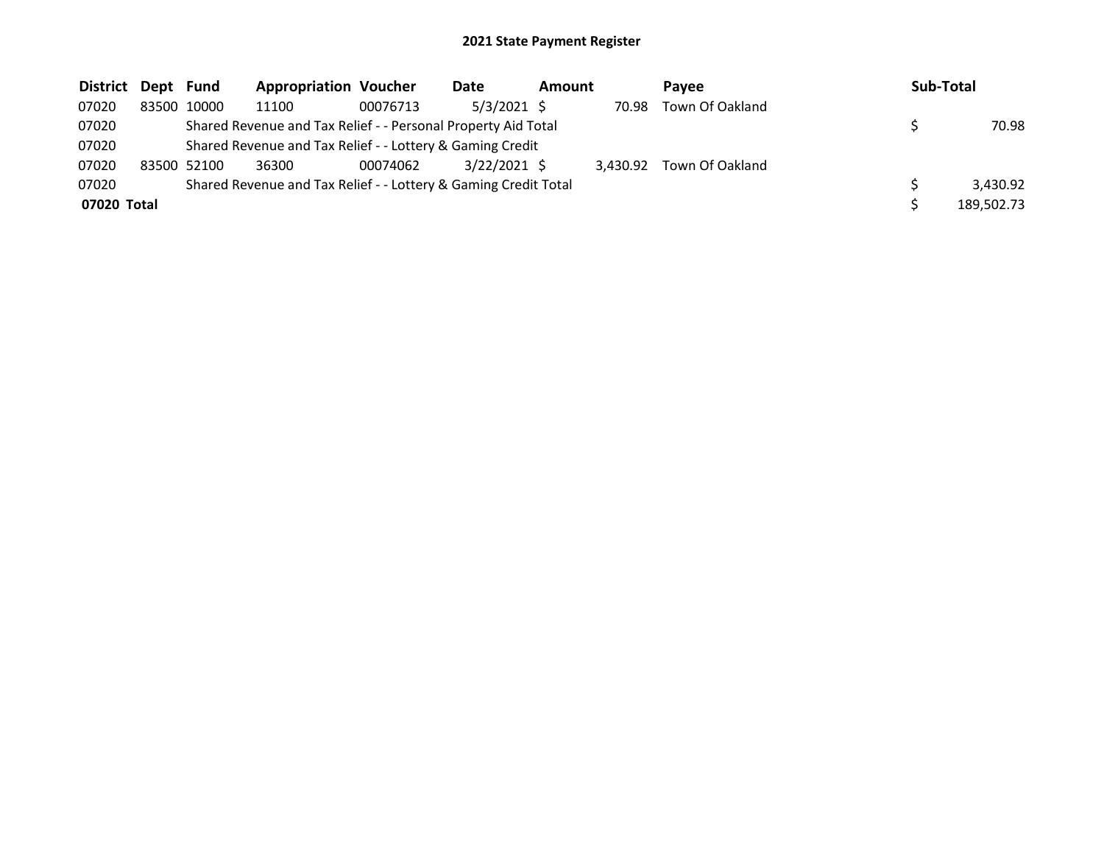| <b>District</b> | Dept Fund |             | <b>Appropriation Voucher</b>                                    |          | Date           | Amount |          | Pavee           | <b>Sub-Total</b> |
|-----------------|-----------|-------------|-----------------------------------------------------------------|----------|----------------|--------|----------|-----------------|------------------|
| 07020           |           | 83500 10000 | 11100                                                           | 00076713 | $5/3/2021$ \$  |        | 70.98    | Town Of Oakland |                  |
| 07020           |           |             | Shared Revenue and Tax Relief - - Personal Property Aid Total   |          |                |        |          |                 | 70.98            |
| 07020           |           |             | Shared Revenue and Tax Relief - - Lottery & Gaming Credit       |          |                |        |          |                 |                  |
| 07020           |           | 83500 52100 | 36300                                                           | 00074062 | $3/22/2021$ \$ |        | 3.430.92 | Town Of Oakland |                  |
| 07020           |           |             | Shared Revenue and Tax Relief - - Lottery & Gaming Credit Total |          |                |        |          |                 | 3.430.92         |
| 07020 Total     |           |             |                                                                 |          |                |        |          |                 | 189,502.73       |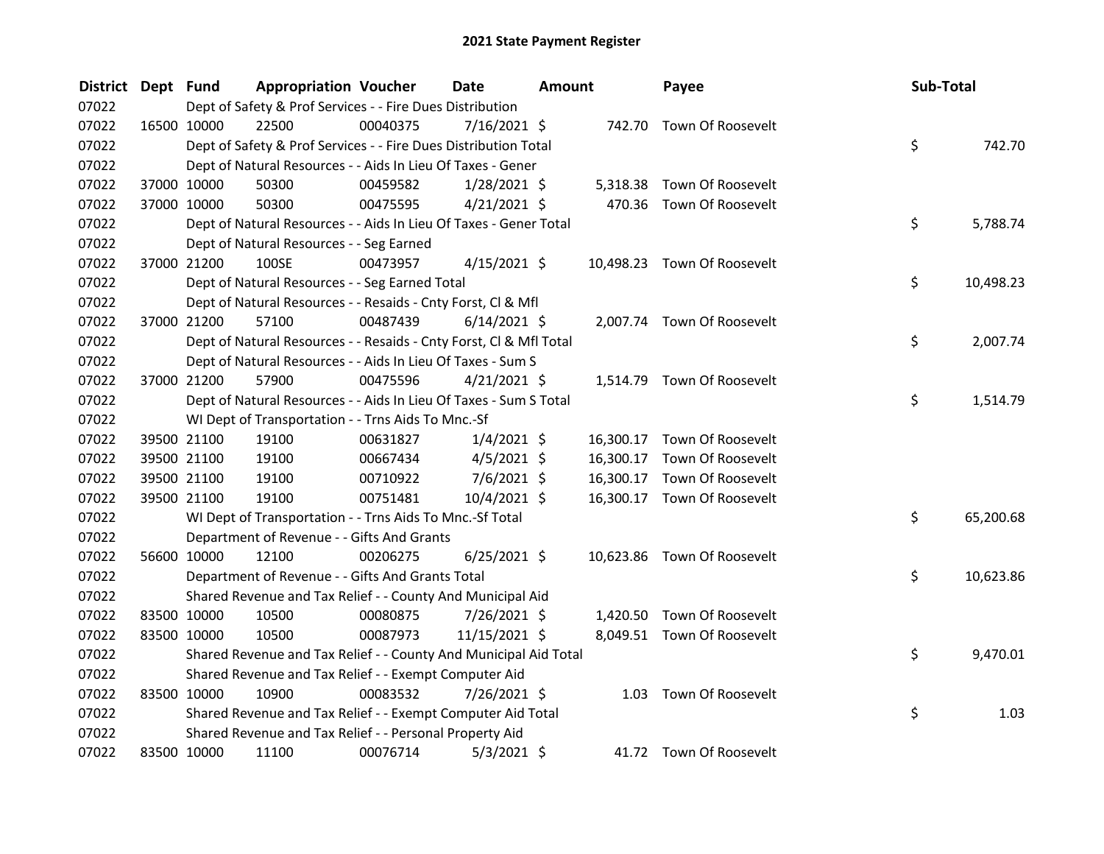| <b>District</b> | Dept Fund   |             | <b>Appropriation Voucher</b>                                       |          | <b>Date</b>    | <b>Amount</b> |           | Payee                       | Sub-Total |           |
|-----------------|-------------|-------------|--------------------------------------------------------------------|----------|----------------|---------------|-----------|-----------------------------|-----------|-----------|
| 07022           |             |             | Dept of Safety & Prof Services - - Fire Dues Distribution          |          |                |               |           |                             |           |           |
| 07022           |             | 16500 10000 | 22500                                                              | 00040375 | 7/16/2021 \$   |               |           | 742.70 Town Of Roosevelt    |           |           |
| 07022           |             |             | Dept of Safety & Prof Services - - Fire Dues Distribution Total    |          |                |               |           |                             | \$.       | 742.70    |
| 07022           |             |             | Dept of Natural Resources - - Aids In Lieu Of Taxes - Gener        |          |                |               |           |                             |           |           |
| 07022           |             | 37000 10000 | 50300                                                              | 00459582 | $1/28/2021$ \$ |               |           | 5,318.38 Town Of Roosevelt  |           |           |
| 07022           |             | 37000 10000 | 50300                                                              | 00475595 | $4/21/2021$ \$ |               |           | 470.36 Town Of Roosevelt    |           |           |
| 07022           |             |             | Dept of Natural Resources - - Aids In Lieu Of Taxes - Gener Total  |          |                |               |           |                             | \$        | 5,788.74  |
| 07022           |             |             | Dept of Natural Resources - - Seg Earned                           |          |                |               |           |                             |           |           |
| 07022           |             | 37000 21200 | 100SE                                                              | 00473957 | $4/15/2021$ \$ |               |           | 10,498.23 Town Of Roosevelt |           |           |
| 07022           |             |             | Dept of Natural Resources - - Seg Earned Total                     |          |                |               |           |                             | \$.       | 10,498.23 |
| 07022           |             |             | Dept of Natural Resources - - Resaids - Cnty Forst, Cl & Mfl       |          |                |               |           |                             |           |           |
| 07022           |             | 37000 21200 | 57100                                                              | 00487439 | $6/14/2021$ \$ |               |           | 2,007.74 Town Of Roosevelt  |           |           |
| 07022           |             |             | Dept of Natural Resources - - Resaids - Cnty Forst, Cl & Mfl Total |          |                |               |           |                             | \$.       | 2,007.74  |
| 07022           |             |             | Dept of Natural Resources - - Aids In Lieu Of Taxes - Sum S        |          |                |               |           |                             |           |           |
| 07022           |             | 37000 21200 | 57900                                                              | 00475596 | $4/21/2021$ \$ |               |           | 1,514.79 Town Of Roosevelt  |           |           |
| 07022           |             |             | Dept of Natural Resources - - Aids In Lieu Of Taxes - Sum S Total  |          |                |               |           |                             | \$        | 1,514.79  |
| 07022           |             |             | WI Dept of Transportation - - Trns Aids To Mnc.-Sf                 |          |                |               |           |                             |           |           |
| 07022           |             | 39500 21100 | 19100                                                              | 00631827 | $1/4/2021$ \$  |               |           | 16,300.17 Town Of Roosevelt |           |           |
| 07022           |             | 39500 21100 | 19100                                                              | 00667434 | $4/5/2021$ \$  |               | 16,300.17 | Town Of Roosevelt           |           |           |
| 07022           |             | 39500 21100 | 19100                                                              | 00710922 | $7/6/2021$ \$  |               | 16,300.17 | Town Of Roosevelt           |           |           |
| 07022           |             | 39500 21100 | 19100                                                              | 00751481 | 10/4/2021 \$   |               |           | 16,300.17 Town Of Roosevelt |           |           |
| 07022           |             |             | WI Dept of Transportation - - Trns Aids To Mnc.-Sf Total           |          |                |               |           |                             | \$        | 65,200.68 |
| 07022           |             |             | Department of Revenue - - Gifts And Grants                         |          |                |               |           |                             |           |           |
| 07022           |             | 56600 10000 | 12100                                                              | 00206275 | $6/25/2021$ \$ |               |           | 10,623.86 Town Of Roosevelt |           |           |
| 07022           |             |             | Department of Revenue - - Gifts And Grants Total                   |          |                |               |           |                             | \$        | 10,623.86 |
| 07022           |             |             | Shared Revenue and Tax Relief - - County And Municipal Aid         |          |                |               |           |                             |           |           |
| 07022           |             | 83500 10000 | 10500                                                              | 00080875 | $7/26/2021$ \$ |               |           | 1,420.50 Town Of Roosevelt  |           |           |
| 07022           |             | 83500 10000 | 10500                                                              | 00087973 | 11/15/2021 \$  |               |           | 8,049.51 Town Of Roosevelt  |           |           |
| 07022           |             |             | Shared Revenue and Tax Relief - - County And Municipal Aid Total   |          |                |               |           |                             | \$        | 9,470.01  |
| 07022           |             |             | Shared Revenue and Tax Relief - - Exempt Computer Aid              |          |                |               |           |                             |           |           |
| 07022           | 83500 10000 |             | 10900                                                              | 00083532 | 7/26/2021 \$   |               |           | 1.03 Town Of Roosevelt      |           |           |
| 07022           |             |             | Shared Revenue and Tax Relief - - Exempt Computer Aid Total        |          |                |               |           |                             | \$        | 1.03      |
| 07022           |             |             | Shared Revenue and Tax Relief - - Personal Property Aid            |          |                |               |           |                             |           |           |
| 07022           |             | 83500 10000 | 11100                                                              | 00076714 | $5/3/2021$ \$  |               |           | 41.72 Town Of Roosevelt     |           |           |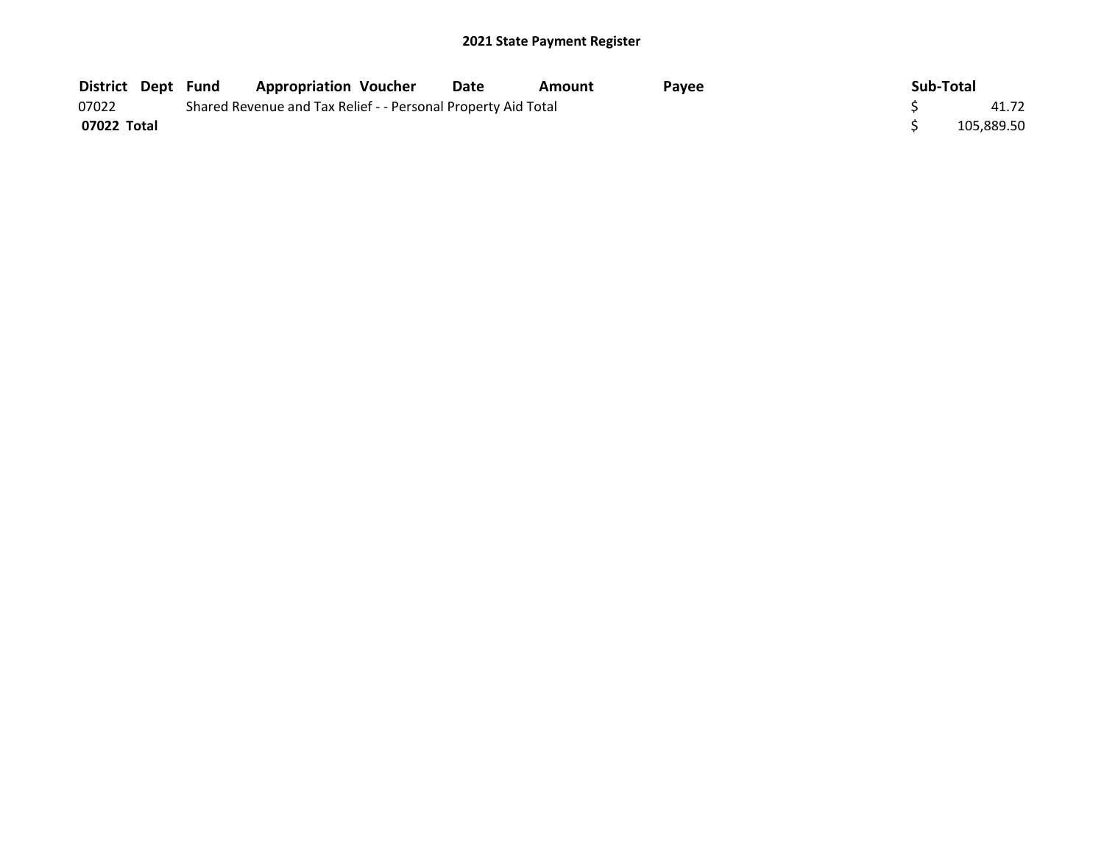| <b>District Dept Fund</b> |  | <b>Appropriation Voucher</b>                                  | Date | Amount | <b>Pavee</b> | Sub-Total |            |
|---------------------------|--|---------------------------------------------------------------|------|--------|--------------|-----------|------------|
| 07022                     |  | Shared Revenue and Tax Relief - - Personal Property Aid Total |      |        |              |           | 41.72      |
| 07022 Total               |  |                                                               |      |        |              |           | 105.889.50 |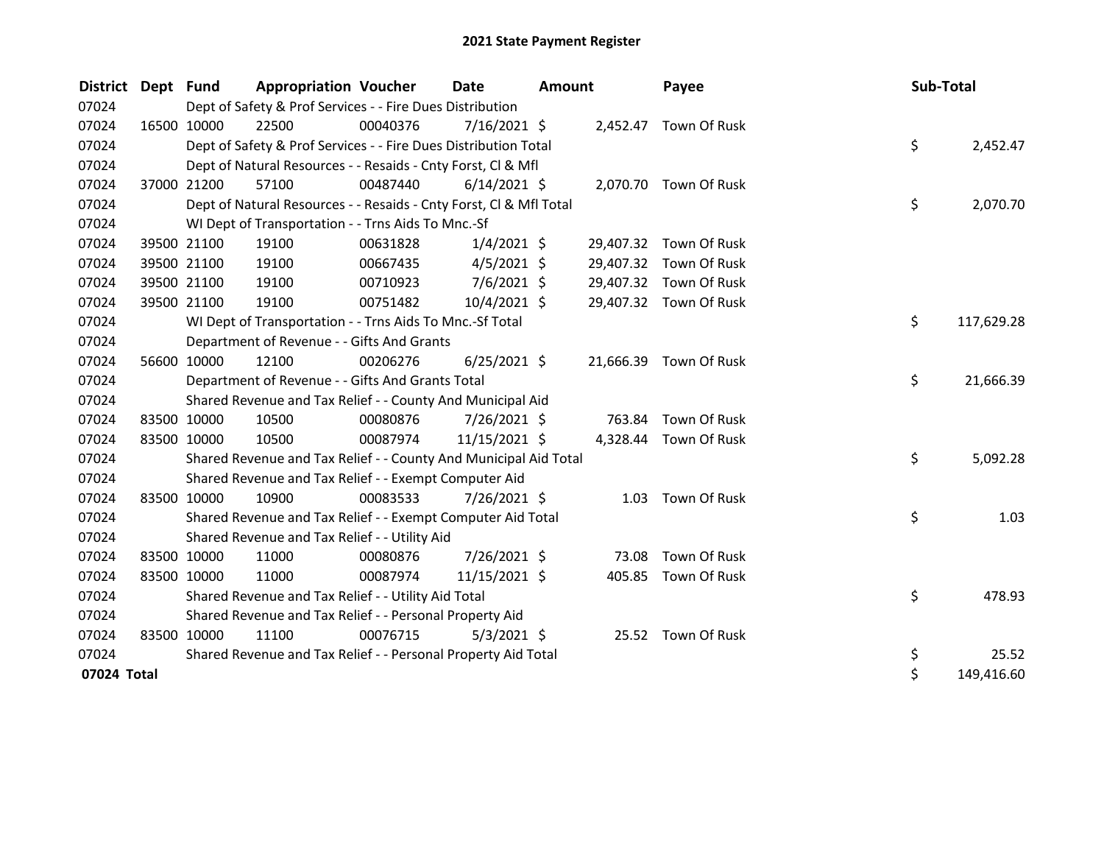| <b>District</b> | Dept Fund |             | <b>Appropriation Voucher</b>                                       |          | <b>Date</b>    | <b>Amount</b> |           | Payee                  | Sub-Total |            |
|-----------------|-----------|-------------|--------------------------------------------------------------------|----------|----------------|---------------|-----------|------------------------|-----------|------------|
| 07024           |           |             | Dept of Safety & Prof Services - - Fire Dues Distribution          |          |                |               |           |                        |           |            |
| 07024           |           | 16500 10000 | 22500                                                              | 00040376 | $7/16/2021$ \$ |               |           | 2,452.47 Town Of Rusk  |           |            |
| 07024           |           |             | Dept of Safety & Prof Services - - Fire Dues Distribution Total    |          |                |               |           |                        | \$        | 2,452.47   |
| 07024           |           |             | Dept of Natural Resources - - Resaids - Cnty Forst, Cl & Mfl       |          |                |               |           |                        |           |            |
| 07024           |           | 37000 21200 | 57100                                                              | 00487440 | $6/14/2021$ \$ |               |           | 2,070.70 Town Of Rusk  |           |            |
| 07024           |           |             | Dept of Natural Resources - - Resaids - Cnty Forst, Cl & Mfl Total |          |                |               |           |                        | \$        | 2,070.70   |
| 07024           |           |             | WI Dept of Transportation - - Trns Aids To Mnc.-Sf                 |          |                |               |           |                        |           |            |
| 07024           |           | 39500 21100 | 19100                                                              | 00631828 | $1/4/2021$ \$  |               | 29,407.32 | Town Of Rusk           |           |            |
| 07024           |           | 39500 21100 | 19100                                                              | 00667435 | $4/5/2021$ \$  |               | 29,407.32 | Town Of Rusk           |           |            |
| 07024           |           | 39500 21100 | 19100                                                              | 00710923 | $7/6/2021$ \$  |               |           | 29,407.32 Town Of Rusk |           |            |
| 07024           |           | 39500 21100 | 19100                                                              | 00751482 | $10/4/2021$ \$ |               |           | 29,407.32 Town Of Rusk |           |            |
| 07024           |           |             | WI Dept of Transportation - - Trns Aids To Mnc.-Sf Total           |          |                |               |           |                        | \$        | 117,629.28 |
| 07024           |           |             | Department of Revenue - - Gifts And Grants                         |          |                |               |           |                        |           |            |
| 07024           |           | 56600 10000 | 12100                                                              | 00206276 | $6/25/2021$ \$ |               |           | 21,666.39 Town Of Rusk |           |            |
| 07024           |           |             | Department of Revenue - - Gifts And Grants Total                   |          |                |               |           |                        | \$        | 21,666.39  |
| 07024           |           |             | Shared Revenue and Tax Relief - - County And Municipal Aid         |          |                |               |           |                        |           |            |
| 07024           |           | 83500 10000 | 10500                                                              | 00080876 | 7/26/2021 \$   |               | 763.84    | Town Of Rusk           |           |            |
| 07024           |           | 83500 10000 | 10500                                                              | 00087974 | 11/15/2021 \$  |               | 4,328.44  | Town Of Rusk           |           |            |
| 07024           |           |             | Shared Revenue and Tax Relief - - County And Municipal Aid Total   |          |                |               |           |                        | \$        | 5,092.28   |
| 07024           |           |             | Shared Revenue and Tax Relief - - Exempt Computer Aid              |          |                |               |           |                        |           |            |
| 07024           |           | 83500 10000 | 10900                                                              | 00083533 | 7/26/2021 \$   |               | 1.03      | Town Of Rusk           |           |            |
| 07024           |           |             | Shared Revenue and Tax Relief - - Exempt Computer Aid Total        |          |                |               |           |                        | \$        | 1.03       |
| 07024           |           |             | Shared Revenue and Tax Relief - - Utility Aid                      |          |                |               |           |                        |           |            |
| 07024           |           | 83500 10000 | 11000                                                              | 00080876 | 7/26/2021 \$   |               | 73.08     | Town Of Rusk           |           |            |
| 07024           |           | 83500 10000 | 11000                                                              | 00087974 | 11/15/2021 \$  |               | 405.85    | Town Of Rusk           |           |            |
| 07024           |           |             | Shared Revenue and Tax Relief - - Utility Aid Total                |          |                |               |           |                        | \$        | 478.93     |
| 07024           |           |             | Shared Revenue and Tax Relief - - Personal Property Aid            |          |                |               |           |                        |           |            |
| 07024           |           | 83500 10000 | 11100                                                              | 00076715 | $5/3/2021$ \$  |               |           | 25.52 Town Of Rusk     |           |            |
| 07024           |           |             | Shared Revenue and Tax Relief - - Personal Property Aid Total      |          |                |               |           |                        | \$        | 25.52      |
| 07024 Total     |           |             |                                                                    |          |                |               |           |                        | \$        | 149,416.60 |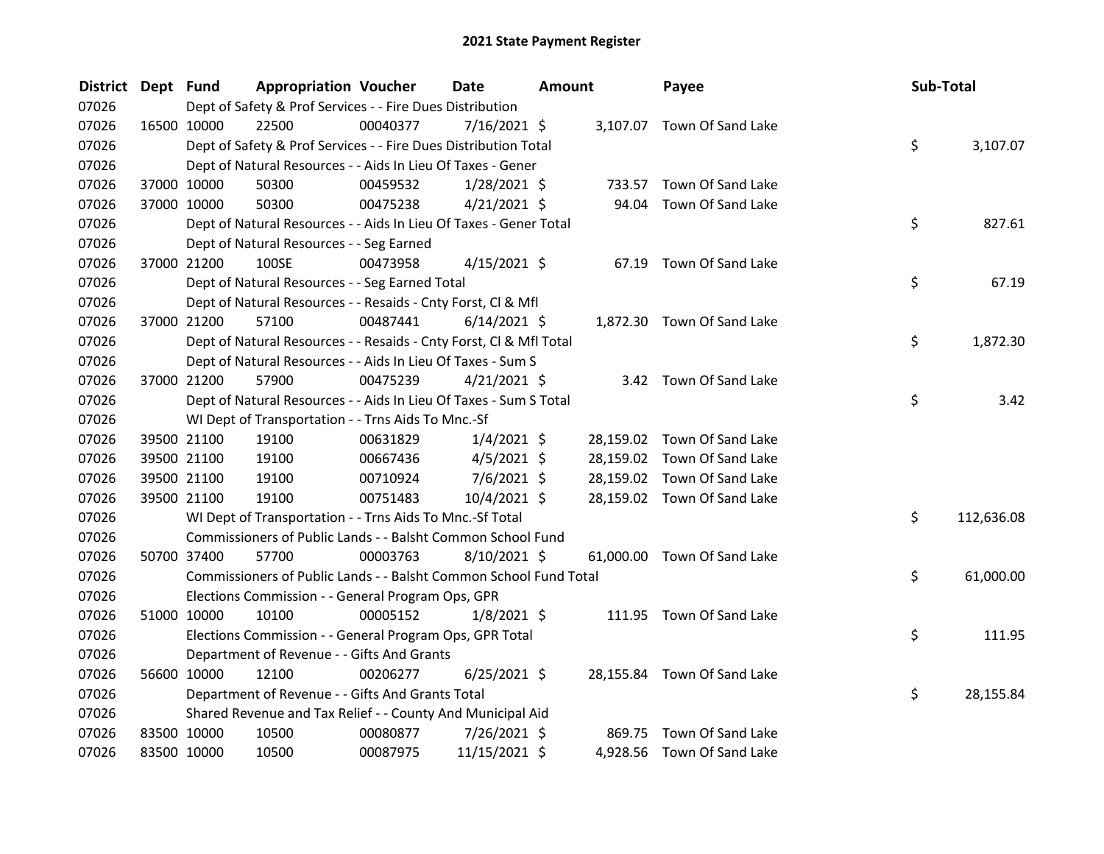| <b>District</b> | Dept Fund |             | <b>Appropriation Voucher</b>                                       |          | Date           | <b>Amount</b> |       | Payee                       | Sub-Total |            |
|-----------------|-----------|-------------|--------------------------------------------------------------------|----------|----------------|---------------|-------|-----------------------------|-----------|------------|
| 07026           |           |             | Dept of Safety & Prof Services - - Fire Dues Distribution          |          |                |               |       |                             |           |            |
| 07026           |           | 16500 10000 | 22500                                                              | 00040377 | 7/16/2021 \$   |               |       | 3,107.07 Town Of Sand Lake  |           |            |
| 07026           |           |             | Dept of Safety & Prof Services - - Fire Dues Distribution Total    |          |                |               |       |                             | \$        | 3,107.07   |
| 07026           |           |             | Dept of Natural Resources - - Aids In Lieu Of Taxes - Gener        |          |                |               |       |                             |           |            |
| 07026           |           | 37000 10000 | 50300                                                              | 00459532 | $1/28/2021$ \$ |               |       | 733.57 Town Of Sand Lake    |           |            |
| 07026           |           | 37000 10000 | 50300                                                              | 00475238 | $4/21/2021$ \$ |               | 94.04 | Town Of Sand Lake           |           |            |
| 07026           |           |             | Dept of Natural Resources - - Aids In Lieu Of Taxes - Gener Total  |          |                |               |       |                             | \$        | 827.61     |
| 07026           |           |             | Dept of Natural Resources - - Seg Earned                           |          |                |               |       |                             |           |            |
| 07026           |           | 37000 21200 | 100SE                                                              | 00473958 | $4/15/2021$ \$ |               |       | 67.19 Town Of Sand Lake     |           |            |
| 07026           |           |             | Dept of Natural Resources - - Seg Earned Total                     |          |                |               |       |                             | \$        | 67.19      |
| 07026           |           |             | Dept of Natural Resources - - Resaids - Cnty Forst, Cl & Mfl       |          |                |               |       |                             |           |            |
| 07026           |           | 37000 21200 | 57100                                                              | 00487441 | $6/14/2021$ \$ |               |       | 1,872.30 Town Of Sand Lake  |           |            |
| 07026           |           |             | Dept of Natural Resources - - Resaids - Cnty Forst, Cl & Mfl Total |          |                |               |       |                             | \$        | 1,872.30   |
| 07026           |           |             | Dept of Natural Resources - - Aids In Lieu Of Taxes - Sum S        |          |                |               |       |                             |           |            |
| 07026           |           | 37000 21200 | 57900                                                              | 00475239 | $4/21/2021$ \$ |               |       | 3.42 Town Of Sand Lake      |           |            |
| 07026           |           |             | Dept of Natural Resources - - Aids In Lieu Of Taxes - Sum S Total  |          |                |               |       |                             | \$        | 3.42       |
| 07026           |           |             | WI Dept of Transportation - - Trns Aids To Mnc.-Sf                 |          |                |               |       |                             |           |            |
| 07026           |           | 39500 21100 | 19100                                                              | 00631829 | $1/4/2021$ \$  |               |       | 28,159.02 Town Of Sand Lake |           |            |
| 07026           |           | 39500 21100 | 19100                                                              | 00667436 | $4/5/2021$ \$  |               |       | 28,159.02 Town Of Sand Lake |           |            |
| 07026           |           | 39500 21100 | 19100                                                              | 00710924 | 7/6/2021 \$    |               |       | 28,159.02 Town Of Sand Lake |           |            |
| 07026           |           | 39500 21100 | 19100                                                              | 00751483 | 10/4/2021 \$   |               |       | 28,159.02 Town Of Sand Lake |           |            |
| 07026           |           |             | WI Dept of Transportation - - Trns Aids To Mnc.-Sf Total           |          |                |               |       |                             | \$        | 112,636.08 |
| 07026           |           |             | Commissioners of Public Lands - - Balsht Common School Fund        |          |                |               |       |                             |           |            |
| 07026           |           | 50700 37400 | 57700                                                              | 00003763 | $8/10/2021$ \$ |               |       | 61,000.00 Town Of Sand Lake |           |            |
| 07026           |           |             | Commissioners of Public Lands - - Balsht Common School Fund Total  |          |                |               |       |                             | \$        | 61,000.00  |
| 07026           |           |             | Elections Commission - - General Program Ops, GPR                  |          |                |               |       |                             |           |            |
| 07026           |           | 51000 10000 | 10100                                                              | 00005152 | $1/8/2021$ \$  |               |       | 111.95 Town Of Sand Lake    |           |            |
| 07026           |           |             | Elections Commission - - General Program Ops, GPR Total            |          |                |               |       |                             | \$        | 111.95     |
| 07026           |           |             | Department of Revenue - - Gifts And Grants                         |          |                |               |       |                             |           |            |
| 07026           |           | 56600 10000 | 12100                                                              | 00206277 | $6/25/2021$ \$ |               |       | 28,155.84 Town Of Sand Lake |           |            |
| 07026           |           |             | Department of Revenue - - Gifts And Grants Total                   |          |                |               |       |                             | \$        | 28,155.84  |
| 07026           |           |             | Shared Revenue and Tax Relief - - County And Municipal Aid         |          |                |               |       |                             |           |            |
| 07026           |           | 83500 10000 | 10500                                                              | 00080877 | 7/26/2021 \$   |               |       | 869.75 Town Of Sand Lake    |           |            |
| 07026           |           | 83500 10000 | 10500                                                              | 00087975 | 11/15/2021 \$  |               |       | 4,928.56 Town Of Sand Lake  |           |            |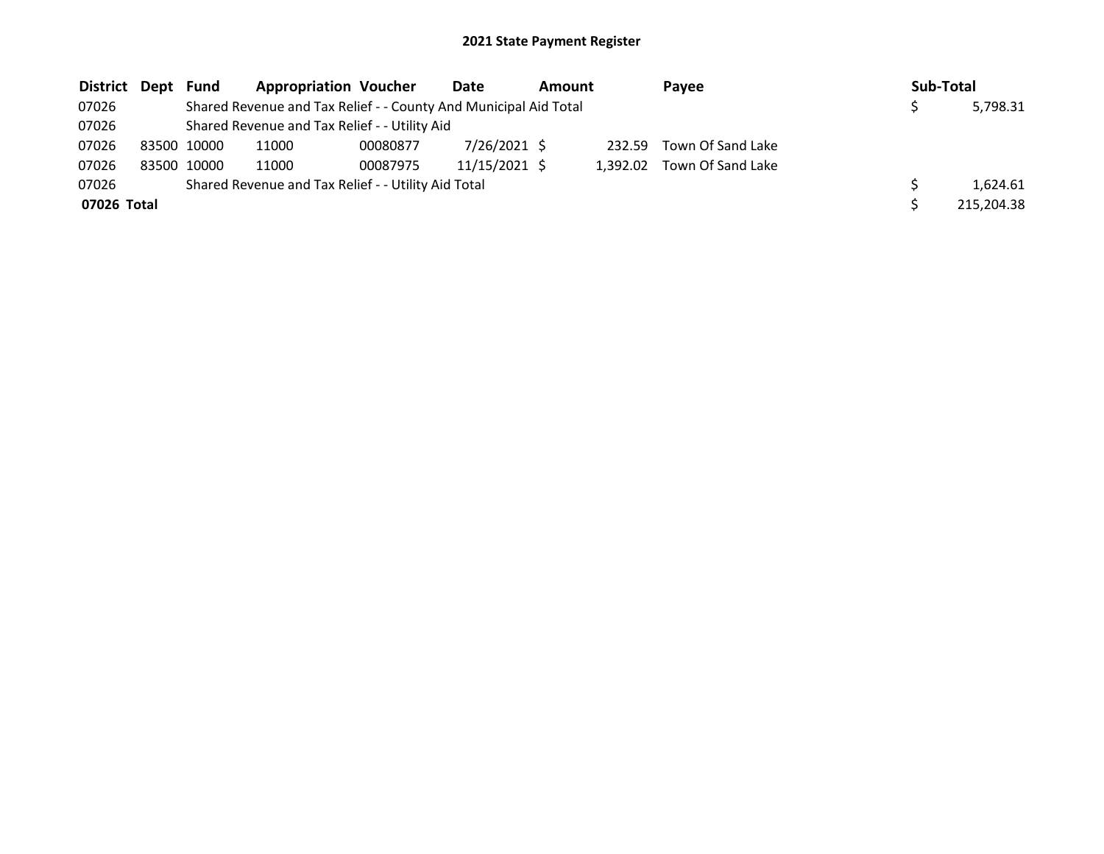| District    | Dept Fund |             | <b>Appropriation Voucher</b>                                     |          | Date          | Amount |          | Pavee             | Sub-Total |            |
|-------------|-----------|-------------|------------------------------------------------------------------|----------|---------------|--------|----------|-------------------|-----------|------------|
| 07026       |           |             | Shared Revenue and Tax Relief - - County And Municipal Aid Total |          |               |        |          |                   |           | 5,798.31   |
| 07026       |           |             | Shared Revenue and Tax Relief - - Utility Aid                    |          |               |        |          |                   |           |            |
| 07026       |           | 83500 10000 | 11000                                                            | 00080877 | 7/26/2021 \$  |        | 232.59   | Town Of Sand Lake |           |            |
| 07026       |           | 83500 10000 | 11000                                                            | 00087975 | 11/15/2021 \$ |        | 1.392.02 | Town Of Sand Lake |           |            |
| 07026       |           |             | Shared Revenue and Tax Relief - - Utility Aid Total              |          |               |        |          |                   |           | 1.624.61   |
| 07026 Total |           |             |                                                                  |          |               |        |          |                   |           | 215,204.38 |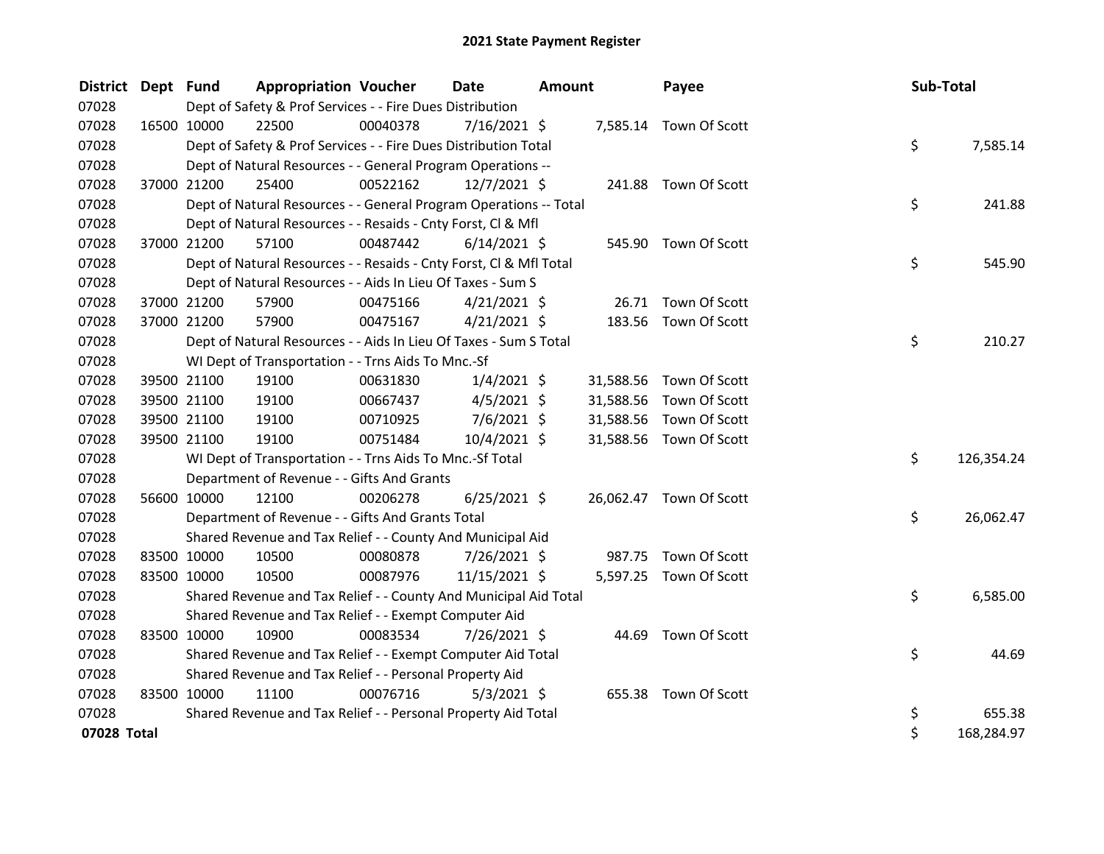| <b>District</b> | Dept Fund |             | <b>Appropriation Voucher</b>                                       |          | Date           | Amount |           | Payee                   | Sub-Total |            |
|-----------------|-----------|-------------|--------------------------------------------------------------------|----------|----------------|--------|-----------|-------------------------|-----------|------------|
| 07028           |           |             | Dept of Safety & Prof Services - - Fire Dues Distribution          |          |                |        |           |                         |           |            |
| 07028           |           | 16500 10000 | 22500                                                              | 00040378 | $7/16/2021$ \$ |        |           | 7,585.14 Town Of Scott  |           |            |
| 07028           |           |             | Dept of Safety & Prof Services - - Fire Dues Distribution Total    |          |                |        |           |                         | \$        | 7,585.14   |
| 07028           |           |             | Dept of Natural Resources - - General Program Operations --        |          |                |        |           |                         |           |            |
| 07028           |           | 37000 21200 | 25400                                                              | 00522162 | 12/7/2021 \$   |        |           | 241.88 Town Of Scott    |           |            |
| 07028           |           |             | Dept of Natural Resources - - General Program Operations -- Total  |          |                |        |           |                         | \$        | 241.88     |
| 07028           |           |             | Dept of Natural Resources - - Resaids - Cnty Forst, Cl & Mfl       |          |                |        |           |                         |           |            |
| 07028           |           | 37000 21200 | 57100                                                              | 00487442 | $6/14/2021$ \$ |        |           | 545.90 Town Of Scott    |           |            |
| 07028           |           |             | Dept of Natural Resources - - Resaids - Cnty Forst, Cl & Mfl Total |          |                |        |           |                         | \$        | 545.90     |
| 07028           |           |             | Dept of Natural Resources - - Aids In Lieu Of Taxes - Sum S        |          |                |        |           |                         |           |            |
| 07028           |           | 37000 21200 | 57900                                                              | 00475166 | $4/21/2021$ \$ |        |           | 26.71 Town Of Scott     |           |            |
| 07028           |           | 37000 21200 | 57900                                                              | 00475167 | $4/21/2021$ \$ |        |           | 183.56 Town Of Scott    |           |            |
| 07028           |           |             | Dept of Natural Resources - - Aids In Lieu Of Taxes - Sum S Total  |          |                |        |           |                         | \$        | 210.27     |
| 07028           |           |             | WI Dept of Transportation - - Trns Aids To Mnc.-Sf                 |          |                |        |           |                         |           |            |
| 07028           |           | 39500 21100 | 19100                                                              | 00631830 | $1/4/2021$ \$  |        | 31,588.56 | Town Of Scott           |           |            |
| 07028           |           | 39500 21100 | 19100                                                              | 00667437 | $4/5/2021$ \$  |        | 31,588.56 | Town Of Scott           |           |            |
| 07028           |           | 39500 21100 | 19100                                                              | 00710925 | $7/6/2021$ \$  |        | 31,588.56 | Town Of Scott           |           |            |
| 07028           |           | 39500 21100 | 19100                                                              | 00751484 | 10/4/2021 \$   |        |           | 31,588.56 Town Of Scott |           |            |
| 07028           |           |             | WI Dept of Transportation - - Trns Aids To Mnc.-Sf Total           |          |                |        |           |                         | \$.       | 126,354.24 |
| 07028           |           |             | Department of Revenue - - Gifts And Grants                         |          |                |        |           |                         |           |            |
| 07028           |           | 56600 10000 | 12100                                                              | 00206278 | $6/25/2021$ \$ |        |           | 26,062.47 Town Of Scott |           |            |
| 07028           |           |             | Department of Revenue - - Gifts And Grants Total                   |          |                |        |           |                         | \$        | 26,062.47  |
| 07028           |           |             | Shared Revenue and Tax Relief - - County And Municipal Aid         |          |                |        |           |                         |           |            |
| 07028           |           | 83500 10000 | 10500                                                              | 00080878 | $7/26/2021$ \$ |        |           | 987.75 Town Of Scott    |           |            |
| 07028           |           | 83500 10000 | 10500                                                              | 00087976 | 11/15/2021 \$  |        |           | 5,597.25 Town Of Scott  |           |            |
| 07028           |           |             | Shared Revenue and Tax Relief - - County And Municipal Aid Total   |          |                |        |           |                         | \$        | 6,585.00   |
| 07028           |           |             | Shared Revenue and Tax Relief - - Exempt Computer Aid              |          |                |        |           |                         |           |            |
| 07028           |           | 83500 10000 | 10900                                                              | 00083534 | 7/26/2021 \$   |        |           | 44.69 Town Of Scott     |           |            |
| 07028           |           |             | Shared Revenue and Tax Relief - - Exempt Computer Aid Total        |          |                |        |           |                         | \$        | 44.69      |
| 07028           |           |             | Shared Revenue and Tax Relief - - Personal Property Aid            |          |                |        |           |                         |           |            |
| 07028           |           | 83500 10000 | 11100                                                              | 00076716 | $5/3/2021$ \$  |        |           | 655.38 Town Of Scott    |           |            |
| 07028           |           |             | Shared Revenue and Tax Relief - - Personal Property Aid Total      |          |                |        |           |                         | \$        | 655.38     |
| 07028 Total     |           |             |                                                                    |          |                |        |           |                         | \$        | 168,284.97 |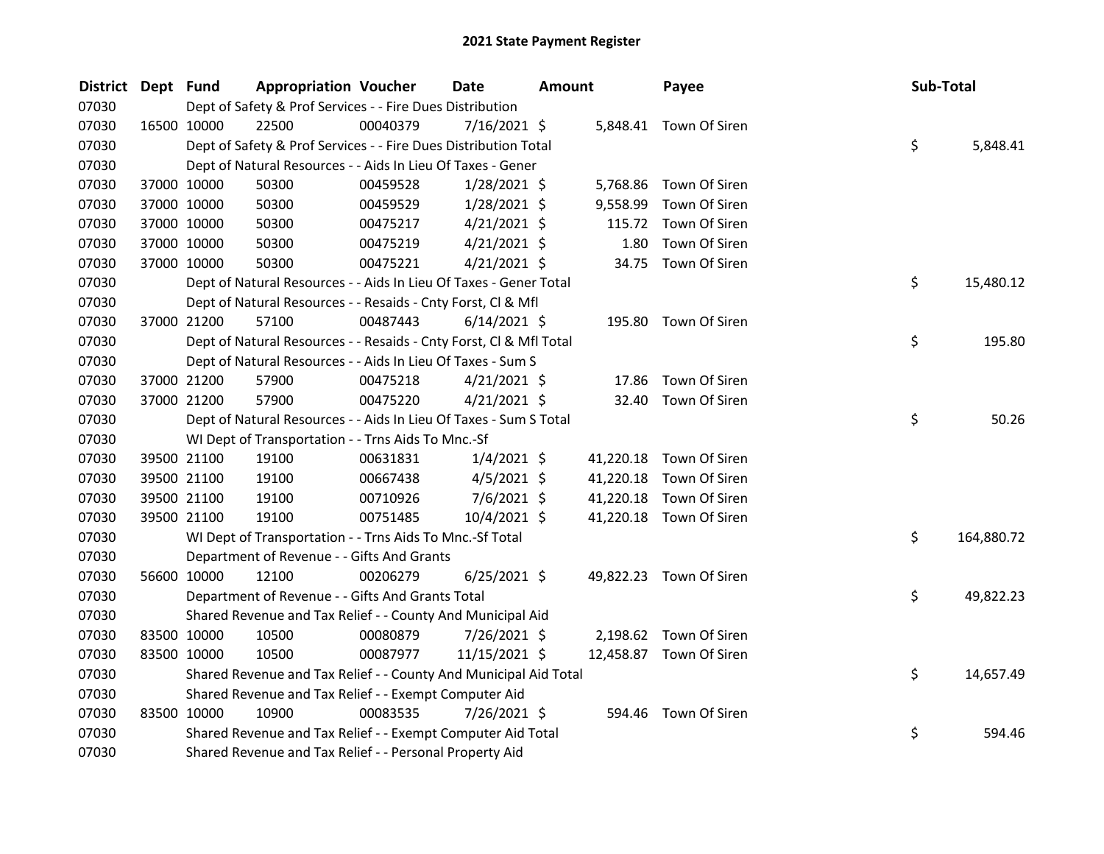| <b>District</b> | Dept Fund |             | <b>Appropriation Voucher</b>                                       |          | Date           | Amount |           | Payee                   | Sub-Total |            |
|-----------------|-----------|-------------|--------------------------------------------------------------------|----------|----------------|--------|-----------|-------------------------|-----------|------------|
| 07030           |           |             | Dept of Safety & Prof Services - - Fire Dues Distribution          |          |                |        |           |                         |           |            |
| 07030           |           | 16500 10000 | 22500                                                              | 00040379 | 7/16/2021 \$   |        |           | 5,848.41 Town Of Siren  |           |            |
| 07030           |           |             | Dept of Safety & Prof Services - - Fire Dues Distribution Total    |          |                |        |           |                         | \$        | 5,848.41   |
| 07030           |           |             | Dept of Natural Resources - - Aids In Lieu Of Taxes - Gener        |          |                |        |           |                         |           |            |
| 07030           |           | 37000 10000 | 50300                                                              | 00459528 | $1/28/2021$ \$ |        |           | 5,768.86 Town Of Siren  |           |            |
| 07030           |           | 37000 10000 | 50300                                                              | 00459529 | $1/28/2021$ \$ |        | 9,558.99  | Town Of Siren           |           |            |
| 07030           |           | 37000 10000 | 50300                                                              | 00475217 | $4/21/2021$ \$ |        |           | 115.72 Town Of Siren    |           |            |
| 07030           |           | 37000 10000 | 50300                                                              | 00475219 | $4/21/2021$ \$ |        | 1.80      | Town Of Siren           |           |            |
| 07030           |           | 37000 10000 | 50300                                                              | 00475221 | $4/21/2021$ \$ |        |           | 34.75 Town Of Siren     |           |            |
| 07030           |           |             | Dept of Natural Resources - - Aids In Lieu Of Taxes - Gener Total  |          |                |        |           |                         | \$        | 15,480.12  |
| 07030           |           |             | Dept of Natural Resources - - Resaids - Cnty Forst, Cl & Mfl       |          |                |        |           |                         |           |            |
| 07030           |           | 37000 21200 | 57100                                                              | 00487443 | $6/14/2021$ \$ |        |           | 195.80 Town Of Siren    |           |            |
| 07030           |           |             | Dept of Natural Resources - - Resaids - Cnty Forst, Cl & Mfl Total |          |                |        |           |                         | \$        | 195.80     |
| 07030           |           |             | Dept of Natural Resources - - Aids In Lieu Of Taxes - Sum S        |          |                |        |           |                         |           |            |
| 07030           |           | 37000 21200 | 57900                                                              | 00475218 | $4/21/2021$ \$ |        | 17.86     | Town Of Siren           |           |            |
| 07030           |           | 37000 21200 | 57900                                                              | 00475220 | $4/21/2021$ \$ |        | 32.40     | Town Of Siren           |           |            |
| 07030           |           |             | Dept of Natural Resources - - Aids In Lieu Of Taxes - Sum S Total  |          |                |        |           |                         | \$        | 50.26      |
| 07030           |           |             | WI Dept of Transportation - - Trns Aids To Mnc.-Sf                 |          |                |        |           |                         |           |            |
| 07030           |           | 39500 21100 | 19100                                                              | 00631831 | $1/4/2021$ \$  |        |           | 41,220.18 Town Of Siren |           |            |
| 07030           |           | 39500 21100 | 19100                                                              | 00667438 | $4/5/2021$ \$  |        | 41,220.18 | Town Of Siren           |           |            |
| 07030           |           | 39500 21100 | 19100                                                              | 00710926 | $7/6/2021$ \$  |        | 41,220.18 | Town Of Siren           |           |            |
| 07030           |           | 39500 21100 | 19100                                                              | 00751485 | $10/4/2021$ \$ |        |           | 41,220.18 Town Of Siren |           |            |
| 07030           |           |             | WI Dept of Transportation - - Trns Aids To Mnc.-Sf Total           |          |                |        |           |                         | \$        | 164,880.72 |
| 07030           |           |             | Department of Revenue - - Gifts And Grants                         |          |                |        |           |                         |           |            |
| 07030           |           | 56600 10000 | 12100                                                              | 00206279 | $6/25/2021$ \$ |        |           | 49,822.23 Town Of Siren |           |            |
| 07030           |           |             | Department of Revenue - - Gifts And Grants Total                   |          |                |        |           |                         | \$        | 49,822.23  |
| 07030           |           |             | Shared Revenue and Tax Relief - - County And Municipal Aid         |          |                |        |           |                         |           |            |
| 07030           |           | 83500 10000 | 10500                                                              | 00080879 | $7/26/2021$ \$ |        |           | 2,198.62 Town Of Siren  |           |            |
| 07030           |           | 83500 10000 | 10500                                                              | 00087977 | 11/15/2021 \$  |        |           | 12,458.87 Town Of Siren |           |            |
| 07030           |           |             | Shared Revenue and Tax Relief - - County And Municipal Aid Total   |          |                |        |           |                         | \$        | 14,657.49  |
| 07030           |           |             | Shared Revenue and Tax Relief - - Exempt Computer Aid              |          |                |        |           |                         |           |            |
| 07030           |           | 83500 10000 | 10900                                                              | 00083535 | 7/26/2021 \$   |        |           | 594.46 Town Of Siren    |           |            |
| 07030           |           |             | Shared Revenue and Tax Relief - - Exempt Computer Aid Total        |          |                |        |           |                         | \$        | 594.46     |
| 07030           |           |             | Shared Revenue and Tax Relief - - Personal Property Aid            |          |                |        |           |                         |           |            |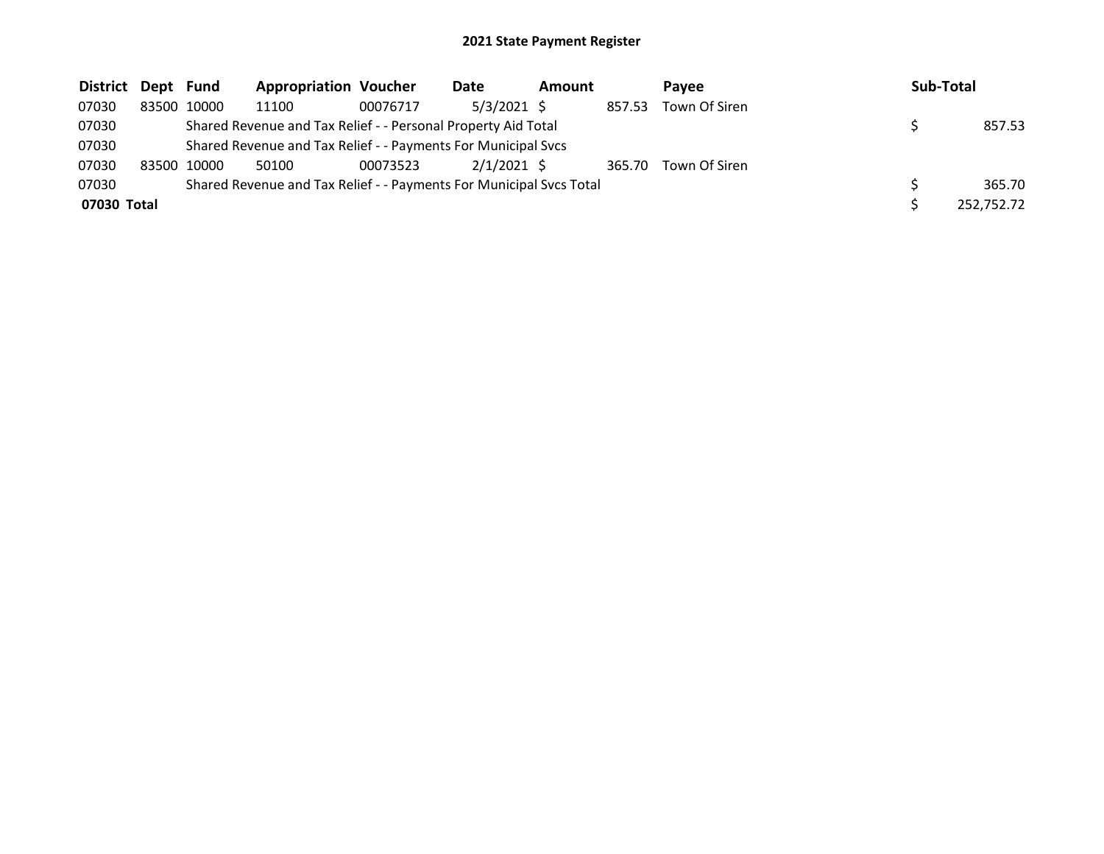| District Dept Fund |       |       | <b>Appropriation Voucher</b>                                        |          | Date          | Amount |        | Pavee         | Sub-Total  |
|--------------------|-------|-------|---------------------------------------------------------------------|----------|---------------|--------|--------|---------------|------------|
| 07030              | 83500 | 10000 | 11100                                                               | 00076717 | 5/3/2021 \$   |        | 857.53 | Town Of Siren |            |
| 07030              |       |       | Shared Revenue and Tax Relief - - Personal Property Aid Total       |          |               |        |        |               | 857.53     |
| 07030              |       |       | Shared Revenue and Tax Relief - - Payments For Municipal Svcs       |          |               |        |        |               |            |
| 07030              | 83500 | 10000 | 50100                                                               | 00073523 | $2/1/2021$ \$ |        | 365.70 | Town Of Siren |            |
| 07030              |       |       | Shared Revenue and Tax Relief - - Payments For Municipal Svcs Total |          |               |        |        |               | 365.70     |
| 07030 Total        |       |       |                                                                     |          |               |        |        |               | 252,752.72 |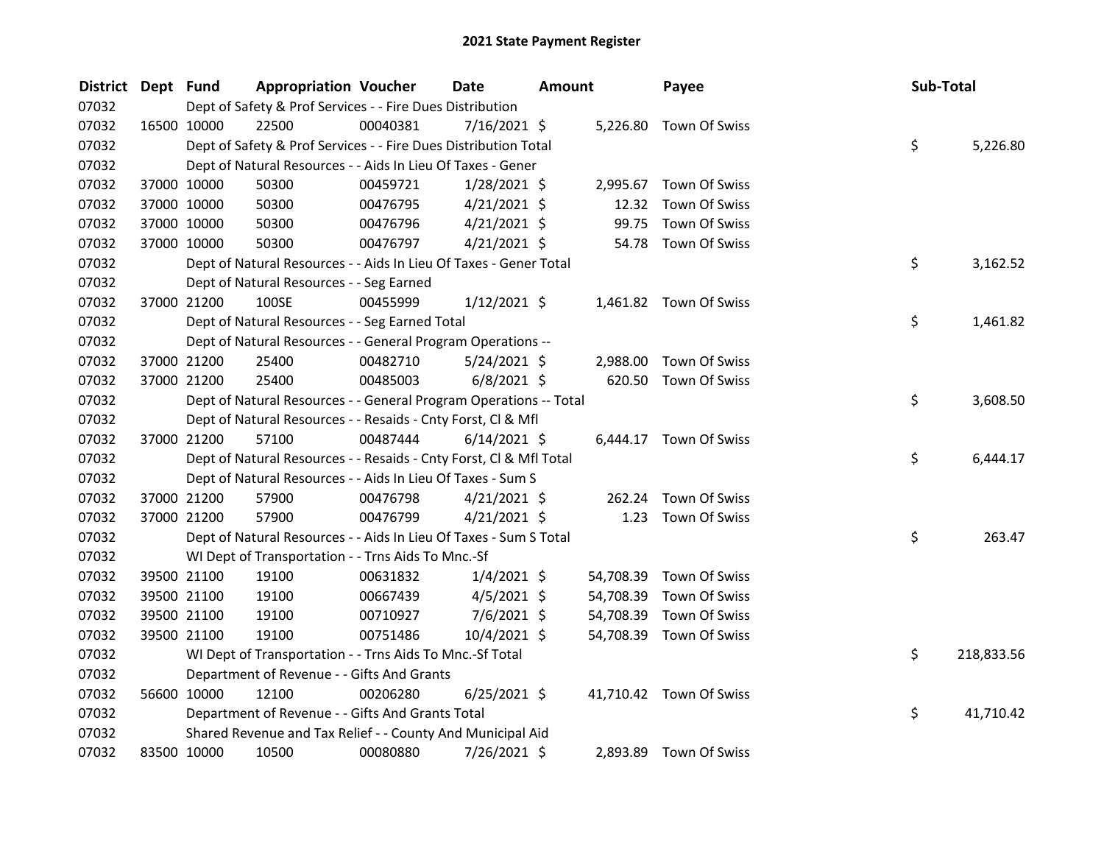| <b>District</b> | Dept Fund |             | <b>Appropriation Voucher</b>                                       |          | Date           | <b>Amount</b> |           | Payee                   | Sub-Total |            |
|-----------------|-----------|-------------|--------------------------------------------------------------------|----------|----------------|---------------|-----------|-------------------------|-----------|------------|
| 07032           |           |             | Dept of Safety & Prof Services - - Fire Dues Distribution          |          |                |               |           |                         |           |            |
| 07032           |           | 16500 10000 | 22500                                                              | 00040381 | 7/16/2021 \$   |               |           | 5,226.80 Town Of Swiss  |           |            |
| 07032           |           |             | Dept of Safety & Prof Services - - Fire Dues Distribution Total    |          |                |               |           |                         | \$        | 5,226.80   |
| 07032           |           |             | Dept of Natural Resources - - Aids In Lieu Of Taxes - Gener        |          |                |               |           |                         |           |            |
| 07032           |           | 37000 10000 | 50300                                                              | 00459721 | $1/28/2021$ \$ |               |           | 2,995.67 Town Of Swiss  |           |            |
| 07032           |           | 37000 10000 | 50300                                                              | 00476795 | $4/21/2021$ \$ |               | 12.32     | Town Of Swiss           |           |            |
| 07032           |           | 37000 10000 | 50300                                                              | 00476796 | $4/21/2021$ \$ |               | 99.75     | Town Of Swiss           |           |            |
| 07032           |           | 37000 10000 | 50300                                                              | 00476797 | $4/21/2021$ \$ |               | 54.78     | Town Of Swiss           |           |            |
| 07032           |           |             | Dept of Natural Resources - - Aids In Lieu Of Taxes - Gener Total  |          |                |               |           |                         | \$        | 3,162.52   |
| 07032           |           |             | Dept of Natural Resources - - Seg Earned                           |          |                |               |           |                         |           |            |
| 07032           |           | 37000 21200 | 100SE                                                              | 00455999 | $1/12/2021$ \$ |               |           | 1,461.82 Town Of Swiss  |           |            |
| 07032           |           |             | Dept of Natural Resources - - Seg Earned Total                     |          |                |               |           |                         | \$        | 1,461.82   |
| 07032           |           |             | Dept of Natural Resources - - General Program Operations --        |          |                |               |           |                         |           |            |
| 07032           |           | 37000 21200 | 25400                                                              | 00482710 | $5/24/2021$ \$ |               | 2,988.00  | Town Of Swiss           |           |            |
| 07032           |           | 37000 21200 | 25400                                                              | 00485003 | $6/8/2021$ \$  |               |           | 620.50 Town Of Swiss    |           |            |
| 07032           |           |             | Dept of Natural Resources - - General Program Operations -- Total  |          |                |               |           |                         | \$        | 3,608.50   |
| 07032           |           |             | Dept of Natural Resources - - Resaids - Cnty Forst, Cl & Mfl       |          |                |               |           |                         |           |            |
| 07032           |           | 37000 21200 | 57100                                                              | 00487444 | $6/14/2021$ \$ |               |           | 6,444.17 Town Of Swiss  |           |            |
| 07032           |           |             | Dept of Natural Resources - - Resaids - Cnty Forst, CI & Mfl Total |          |                |               |           |                         | \$        | 6,444.17   |
| 07032           |           |             | Dept of Natural Resources - - Aids In Lieu Of Taxes - Sum S        |          |                |               |           |                         |           |            |
| 07032           |           | 37000 21200 | 57900                                                              | 00476798 | $4/21/2021$ \$ |               | 262.24    | Town Of Swiss           |           |            |
| 07032           |           | 37000 21200 | 57900                                                              | 00476799 | $4/21/2021$ \$ |               | 1.23      | Town Of Swiss           |           |            |
| 07032           |           |             | Dept of Natural Resources - - Aids In Lieu Of Taxes - Sum S Total  |          |                |               |           |                         | \$        | 263.47     |
| 07032           |           |             | WI Dept of Transportation - - Trns Aids To Mnc.-Sf                 |          |                |               |           |                         |           |            |
| 07032           |           | 39500 21100 | 19100                                                              | 00631832 | $1/4/2021$ \$  |               | 54,708.39 | Town Of Swiss           |           |            |
| 07032           |           | 39500 21100 | 19100                                                              | 00667439 | $4/5/2021$ \$  |               | 54,708.39 | Town Of Swiss           |           |            |
| 07032           |           | 39500 21100 | 19100                                                              | 00710927 | $7/6/2021$ \$  |               | 54,708.39 | <b>Town Of Swiss</b>    |           |            |
| 07032           |           | 39500 21100 | 19100                                                              | 00751486 | 10/4/2021 \$   |               |           | 54,708.39 Town Of Swiss |           |            |
| 07032           |           |             | WI Dept of Transportation - - Trns Aids To Mnc.-Sf Total           |          |                |               |           |                         | \$        | 218,833.56 |
| 07032           |           |             | Department of Revenue - - Gifts And Grants                         |          |                |               |           |                         |           |            |
| 07032           |           | 56600 10000 | 12100                                                              | 00206280 | $6/25/2021$ \$ |               |           | 41,710.42 Town Of Swiss |           |            |
| 07032           |           |             | Department of Revenue - - Gifts And Grants Total                   |          |                |               |           |                         | \$        | 41,710.42  |
| 07032           |           |             | Shared Revenue and Tax Relief - - County And Municipal Aid         |          |                |               |           |                         |           |            |
| 07032           |           | 83500 10000 | 10500                                                              | 00080880 | 7/26/2021 \$   |               |           | 2,893.89 Town Of Swiss  |           |            |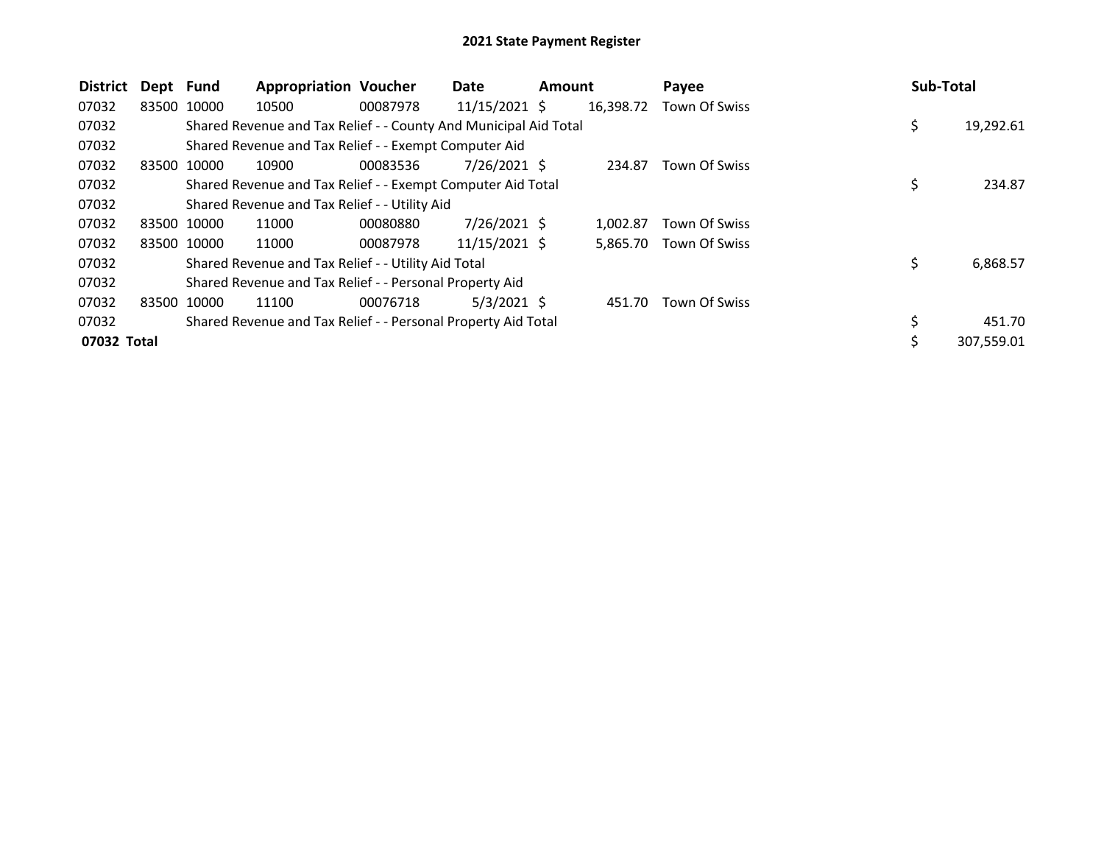| <b>District</b> | Dept Fund   |             | <b>Appropriation Voucher</b>                                     |          | Date            | <b>Amount</b> |           | Payee                | Sub-Total |            |
|-----------------|-------------|-------------|------------------------------------------------------------------|----------|-----------------|---------------|-----------|----------------------|-----------|------------|
| 07032           | 83500 10000 |             | 10500                                                            | 00087978 | $11/15/2021$ \$ |               | 16,398.72 | Town Of Swiss        |           |            |
| 07032           |             |             | Shared Revenue and Tax Relief - - County And Municipal Aid Total |          |                 |               |           |                      | \$        | 19,292.61  |
| 07032           |             |             | Shared Revenue and Tax Relief - - Exempt Computer Aid            |          |                 |               |           |                      |           |            |
| 07032           |             | 83500 10000 | 10900                                                            | 00083536 | $7/26/2021$ \$  |               | 234.87    | <b>Town Of Swiss</b> |           |            |
| 07032           |             |             | Shared Revenue and Tax Relief - - Exempt Computer Aid Total      |          |                 |               |           |                      | \$        | 234.87     |
| 07032           |             |             | Shared Revenue and Tax Relief - - Utility Aid                    |          |                 |               |           |                      |           |            |
| 07032           |             | 83500 10000 | 11000                                                            | 00080880 | $7/26/2021$ \$  |               | 1.002.87  | Town Of Swiss        |           |            |
| 07032           |             | 83500 10000 | 11000                                                            | 00087978 | 11/15/2021 \$   |               | 5.865.70  | Town Of Swiss        |           |            |
| 07032           |             |             | Shared Revenue and Tax Relief - - Utility Aid Total              |          |                 |               |           |                      | \$        | 6,868.57   |
| 07032           |             |             | Shared Revenue and Tax Relief - - Personal Property Aid          |          |                 |               |           |                      |           |            |
| 07032           | 83500 10000 |             | 11100                                                            | 00076718 | $5/3/2021$ \$   |               | 451.70    | Town Of Swiss        |           |            |
| 07032           |             |             | Shared Revenue and Tax Relief - - Personal Property Aid Total    |          |                 |               |           |                      |           | 451.70     |
| 07032 Total     |             |             |                                                                  |          |                 |               |           |                      | \$        | 307,559.01 |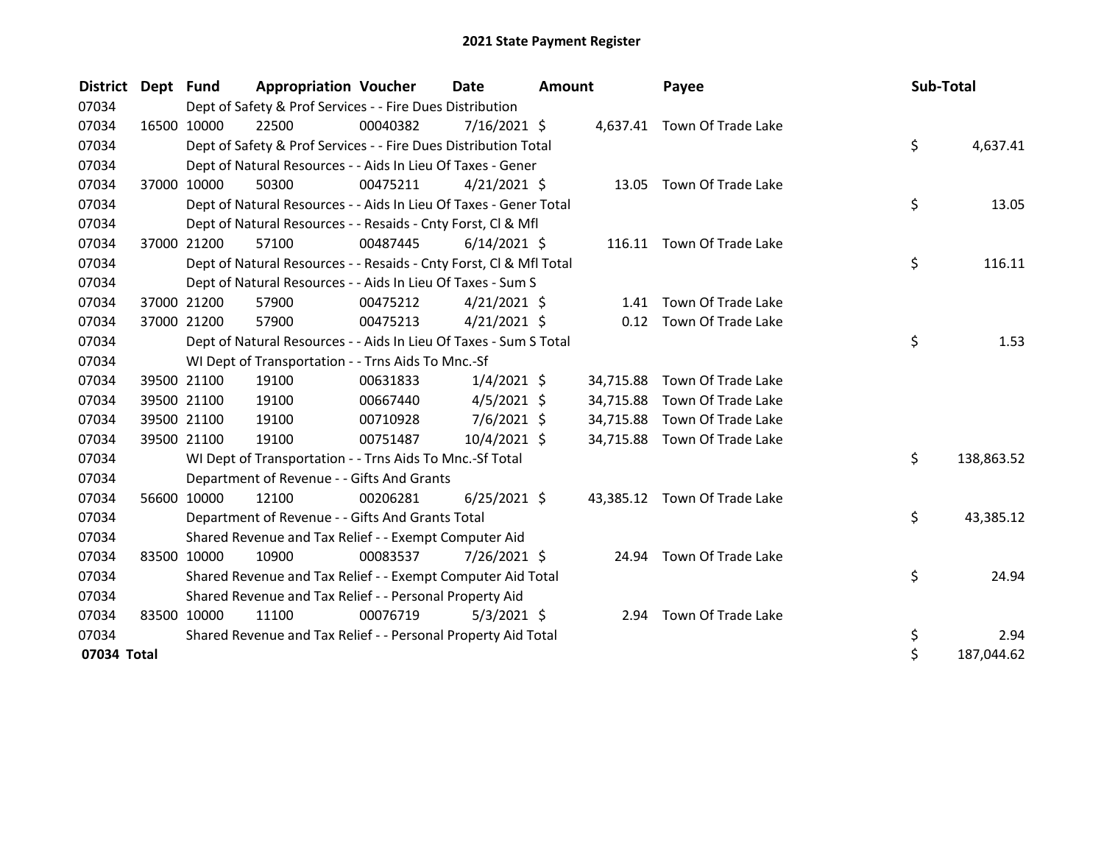| <b>District</b> | Dept | Fund        | <b>Appropriation Voucher</b>                                       |          | Date           | <b>Amount</b> |           | Payee                        |  | Sub-Total |            |
|-----------------|------|-------------|--------------------------------------------------------------------|----------|----------------|---------------|-----------|------------------------------|--|-----------|------------|
| 07034           |      |             | Dept of Safety & Prof Services - - Fire Dues Distribution          |          |                |               |           |                              |  |           |            |
| 07034           |      | 16500 10000 | 22500                                                              | 00040382 | 7/16/2021 \$   |               |           | 4,637.41 Town Of Trade Lake  |  |           |            |
| 07034           |      |             | Dept of Safety & Prof Services - - Fire Dues Distribution Total    |          |                |               |           |                              |  | \$        | 4,637.41   |
| 07034           |      |             | Dept of Natural Resources - - Aids In Lieu Of Taxes - Gener        |          |                |               |           |                              |  |           |            |
| 07034           |      | 37000 10000 | 50300                                                              | 00475211 | $4/21/2021$ \$ |               |           | 13.05 Town Of Trade Lake     |  |           |            |
| 07034           |      |             | Dept of Natural Resources - - Aids In Lieu Of Taxes - Gener Total  |          |                |               |           |                              |  | \$        | 13.05      |
| 07034           |      |             | Dept of Natural Resources - - Resaids - Cnty Forst, Cl & Mfl       |          |                |               |           |                              |  |           |            |
| 07034           |      | 37000 21200 | 57100                                                              | 00487445 | $6/14/2021$ \$ |               |           | 116.11 Town Of Trade Lake    |  |           |            |
| 07034           |      |             | Dept of Natural Resources - - Resaids - Cnty Forst, CI & Mfl Total |          |                |               |           |                              |  | \$        | 116.11     |
| 07034           |      |             | Dept of Natural Resources - - Aids In Lieu Of Taxes - Sum S        |          |                |               |           |                              |  |           |            |
| 07034           |      | 37000 21200 | 57900                                                              | 00475212 | $4/21/2021$ \$ |               | 1.41      | Town Of Trade Lake           |  |           |            |
| 07034           |      | 37000 21200 | 57900                                                              | 00475213 | $4/21/2021$ \$ |               |           | 0.12 Town Of Trade Lake      |  |           |            |
| 07034           |      |             | Dept of Natural Resources - - Aids In Lieu Of Taxes - Sum S Total  |          |                |               |           |                              |  | \$        | 1.53       |
| 07034           |      |             | WI Dept of Transportation - - Trns Aids To Mnc.-Sf                 |          |                |               |           |                              |  |           |            |
| 07034           |      | 39500 21100 | 19100                                                              | 00631833 | $1/4/2021$ \$  |               | 34,715.88 | Town Of Trade Lake           |  |           |            |
| 07034           |      | 39500 21100 | 19100                                                              | 00667440 | $4/5/2021$ \$  |               | 34,715.88 | Town Of Trade Lake           |  |           |            |
| 07034           |      | 39500 21100 | 19100                                                              | 00710928 | $7/6/2021$ \$  |               | 34,715.88 | Town Of Trade Lake           |  |           |            |
| 07034           |      | 39500 21100 | 19100                                                              | 00751487 | $10/4/2021$ \$ |               | 34,715.88 | Town Of Trade Lake           |  |           |            |
| 07034           |      |             | WI Dept of Transportation - - Trns Aids To Mnc.-Sf Total           |          |                |               |           |                              |  | \$        | 138,863.52 |
| 07034           |      |             | Department of Revenue - - Gifts And Grants                         |          |                |               |           |                              |  |           |            |
| 07034           |      | 56600 10000 | 12100                                                              | 00206281 | $6/25/2021$ \$ |               |           | 43,385.12 Town Of Trade Lake |  |           |            |
| 07034           |      |             | Department of Revenue - - Gifts And Grants Total                   |          |                |               |           |                              |  | \$        | 43,385.12  |
| 07034           |      |             | Shared Revenue and Tax Relief - - Exempt Computer Aid              |          |                |               |           |                              |  |           |            |
| 07034           |      | 83500 10000 | 10900                                                              | 00083537 | 7/26/2021 \$   |               | 24.94     | Town Of Trade Lake           |  |           |            |
| 07034           |      |             | Shared Revenue and Tax Relief - - Exempt Computer Aid Total        |          |                |               |           |                              |  | \$        | 24.94      |
| 07034           |      |             | Shared Revenue and Tax Relief - - Personal Property Aid            |          |                |               |           |                              |  |           |            |
| 07034           |      | 83500 10000 | 11100                                                              | 00076719 | $5/3/2021$ \$  |               | 2.94      | Town Of Trade Lake           |  |           |            |
| 07034           |      |             | Shared Revenue and Tax Relief - - Personal Property Aid Total      |          |                |               |           |                              |  | \$        | 2.94       |
| 07034 Total     |      |             |                                                                    |          |                |               |           |                              |  | \$        | 187,044.62 |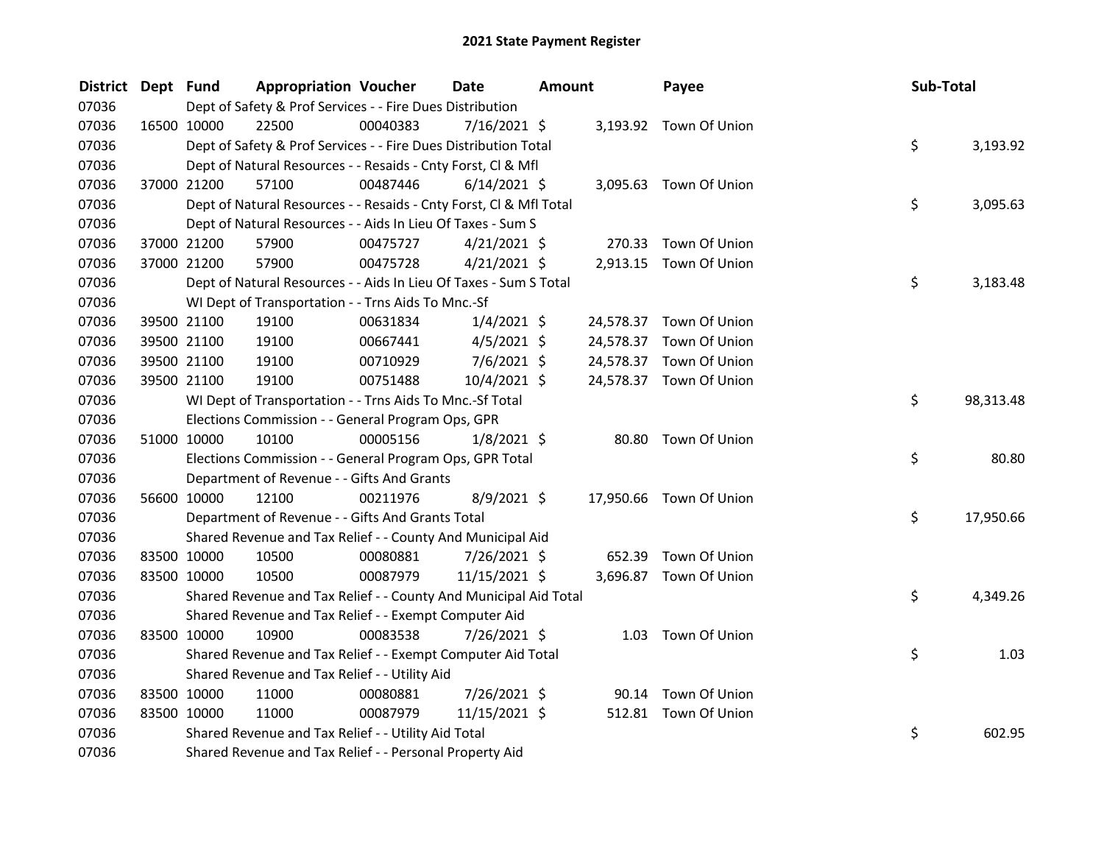| District Dept Fund |             | <b>Appropriation Voucher</b>                                       |          | <b>Date</b>    | <b>Amount</b> |           | Payee                   | Sub-Total |           |
|--------------------|-------------|--------------------------------------------------------------------|----------|----------------|---------------|-----------|-------------------------|-----------|-----------|
| 07036              |             | Dept of Safety & Prof Services - - Fire Dues Distribution          |          |                |               |           |                         |           |           |
| 07036              | 16500 10000 | 22500                                                              | 00040383 | $7/16/2021$ \$ |               |           | 3,193.92 Town Of Union  |           |           |
| 07036              |             | Dept of Safety & Prof Services - - Fire Dues Distribution Total    |          |                |               |           |                         | \$        | 3,193.92  |
| 07036              |             | Dept of Natural Resources - - Resaids - Cnty Forst, Cl & Mfl       |          |                |               |           |                         |           |           |
| 07036              | 37000 21200 | 57100                                                              | 00487446 | $6/14/2021$ \$ |               |           | 3,095.63 Town Of Union  |           |           |
| 07036              |             | Dept of Natural Resources - - Resaids - Cnty Forst, Cl & Mfl Total |          |                |               |           |                         | \$        | 3,095.63  |
| 07036              |             | Dept of Natural Resources - - Aids In Lieu Of Taxes - Sum S        |          |                |               |           |                         |           |           |
| 07036              | 37000 21200 | 57900                                                              | 00475727 | $4/21/2021$ \$ |               |           | 270.33 Town Of Union    |           |           |
| 07036              | 37000 21200 | 57900                                                              | 00475728 | $4/21/2021$ \$ |               |           | 2,913.15 Town Of Union  |           |           |
| 07036              |             | Dept of Natural Resources - - Aids In Lieu Of Taxes - Sum S Total  |          |                |               |           |                         | \$        | 3,183.48  |
| 07036              |             | WI Dept of Transportation - - Trns Aids To Mnc.-Sf                 |          |                |               |           |                         |           |           |
| 07036              | 39500 21100 | 19100                                                              | 00631834 | $1/4/2021$ \$  |               |           | 24,578.37 Town Of Union |           |           |
| 07036              | 39500 21100 | 19100                                                              | 00667441 | $4/5/2021$ \$  |               | 24,578.37 | Town Of Union           |           |           |
| 07036              | 39500 21100 | 19100                                                              | 00710929 | $7/6/2021$ \$  |               |           | 24,578.37 Town Of Union |           |           |
| 07036              | 39500 21100 | 19100                                                              | 00751488 | 10/4/2021 \$   |               |           | 24,578.37 Town Of Union |           |           |
| 07036              |             | WI Dept of Transportation - - Trns Aids To Mnc.-Sf Total           |          |                |               |           |                         | \$        | 98,313.48 |
| 07036              |             | Elections Commission - - General Program Ops, GPR                  |          |                |               |           |                         |           |           |
| 07036              | 51000 10000 | 10100                                                              | 00005156 | $1/8/2021$ \$  |               |           | 80.80 Town Of Union     |           |           |
| 07036              |             | Elections Commission - - General Program Ops, GPR Total            |          |                |               |           |                         | \$        | 80.80     |
| 07036              |             | Department of Revenue - - Gifts And Grants                         |          |                |               |           |                         |           |           |
| 07036              | 56600 10000 | 12100                                                              | 00211976 | $8/9/2021$ \$  |               |           | 17,950.66 Town Of Union |           |           |
| 07036              |             | Department of Revenue - - Gifts And Grants Total                   |          |                |               |           |                         | \$        | 17,950.66 |
| 07036              |             | Shared Revenue and Tax Relief - - County And Municipal Aid         |          |                |               |           |                         |           |           |
| 07036              | 83500 10000 | 10500                                                              | 00080881 | 7/26/2021 \$   |               | 652.39    | Town Of Union           |           |           |
| 07036              | 83500 10000 | 10500                                                              | 00087979 | 11/15/2021 \$  |               |           | 3,696.87 Town Of Union  |           |           |
| 07036              |             | Shared Revenue and Tax Relief - - County And Municipal Aid Total   |          |                |               |           |                         | \$        | 4,349.26  |
| 07036              |             | Shared Revenue and Tax Relief - - Exempt Computer Aid              |          |                |               |           |                         |           |           |
| 07036              | 83500 10000 | 10900                                                              | 00083538 | 7/26/2021 \$   |               |           | 1.03 Town Of Union      |           |           |
| 07036              |             | Shared Revenue and Tax Relief - - Exempt Computer Aid Total        |          |                |               |           |                         | \$        | 1.03      |
| 07036              |             | Shared Revenue and Tax Relief - - Utility Aid                      |          |                |               |           |                         |           |           |
| 07036              | 83500 10000 | 11000                                                              | 00080881 | 7/26/2021 \$   |               | 90.14     | Town Of Union           |           |           |
| 07036              | 83500 10000 | 11000                                                              | 00087979 | 11/15/2021 \$  |               |           | 512.81 Town Of Union    |           |           |
| 07036              |             | Shared Revenue and Tax Relief - - Utility Aid Total                |          |                |               |           |                         | \$        | 602.95    |
| 07036              |             | Shared Revenue and Tax Relief - - Personal Property Aid            |          |                |               |           |                         |           |           |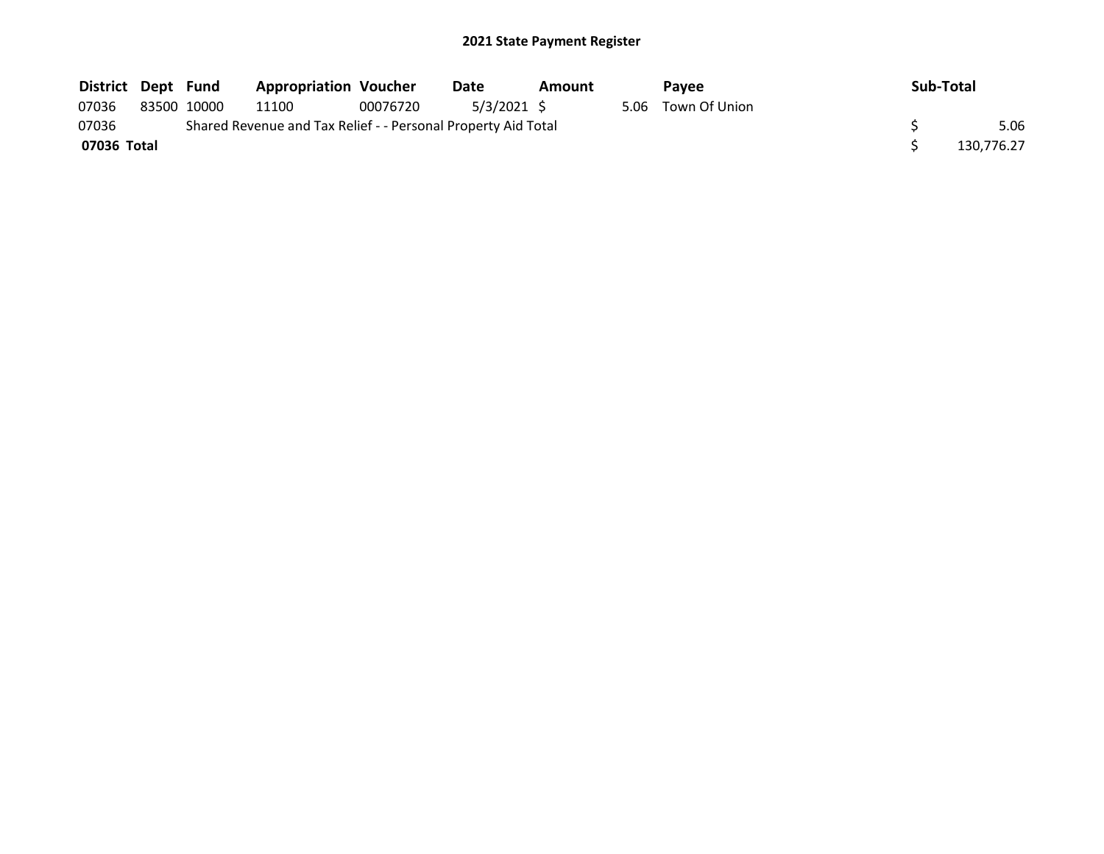| District Dept Fund |             | <b>Appropriation Voucher</b>                                  |          | Date        | Amount |      | <b>Pavee</b>  | Sub-Total  |
|--------------------|-------------|---------------------------------------------------------------|----------|-------------|--------|------|---------------|------------|
| 07036              | 83500 10000 | 11100                                                         | 00076720 | 5/3/2021 \$ |        | 5.06 | Town Of Union |            |
| 07036              |             | Shared Revenue and Tax Relief - - Personal Property Aid Total |          |             |        |      |               | 5.06       |
| 07036 Total        |             |                                                               |          |             |        |      |               | 130.776.27 |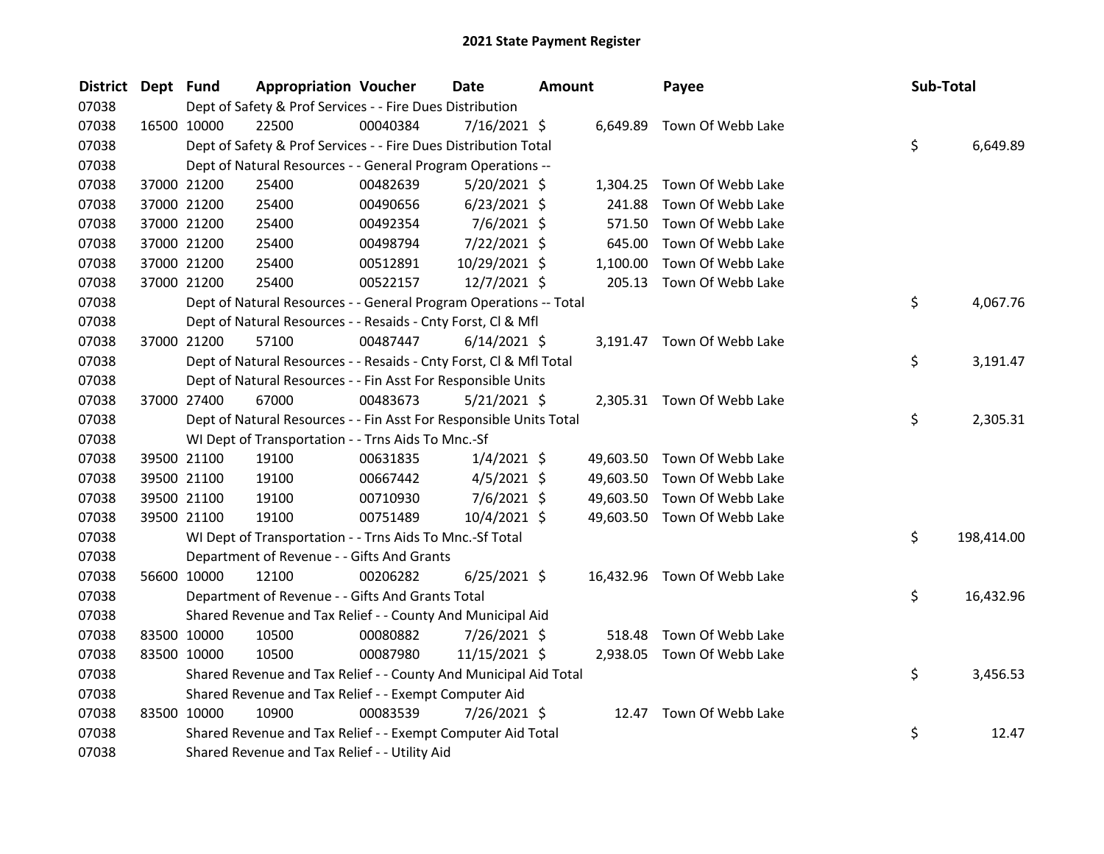| <b>District</b> | Dept Fund   |                                                                    | <b>Appropriation Voucher</b> | Date           | <b>Amount</b> |          | Payee                       | Sub-Total |            |
|-----------------|-------------|--------------------------------------------------------------------|------------------------------|----------------|---------------|----------|-----------------------------|-----------|------------|
| 07038           |             | Dept of Safety & Prof Services - - Fire Dues Distribution          |                              |                |               |          |                             |           |            |
| 07038           |             | 22500<br>16500 10000                                               | 00040384                     | 7/16/2021 \$   |               |          | 6,649.89 Town Of Webb Lake  |           |            |
| 07038           |             | Dept of Safety & Prof Services - - Fire Dues Distribution Total    |                              |                |               |          |                             | \$.       | 6,649.89   |
| 07038           |             | Dept of Natural Resources - - General Program Operations --        |                              |                |               |          |                             |           |            |
| 07038           |             | 37000 21200<br>25400                                               | 00482639                     | $5/20/2021$ \$ |               |          | 1,304.25 Town Of Webb Lake  |           |            |
| 07038           |             | 37000 21200<br>25400                                               | 00490656                     | $6/23/2021$ \$ |               | 241.88   | Town Of Webb Lake           |           |            |
| 07038           |             | 37000 21200<br>25400                                               | 00492354                     | $7/6/2021$ \$  |               | 571.50   | Town Of Webb Lake           |           |            |
| 07038           |             | 37000 21200<br>25400                                               | 00498794                     | 7/22/2021 \$   |               | 645.00   | Town Of Webb Lake           |           |            |
| 07038           |             | 37000 21200<br>25400                                               | 00512891                     | 10/29/2021 \$  |               | 1,100.00 | Town Of Webb Lake           |           |            |
| 07038           |             | 37000 21200<br>25400                                               | 00522157                     | 12/7/2021 \$   |               | 205.13   | Town Of Webb Lake           |           |            |
| 07038           |             | Dept of Natural Resources - - General Program Operations -- Total  |                              |                |               |          |                             | \$.       | 4,067.76   |
| 07038           |             | Dept of Natural Resources - - Resaids - Cnty Forst, Cl & Mfl       |                              |                |               |          |                             |           |            |
| 07038           |             | 37000 21200<br>57100                                               | 00487447                     | $6/14/2021$ \$ |               |          | 3,191.47 Town Of Webb Lake  |           |            |
| 07038           |             | Dept of Natural Resources - - Resaids - Cnty Forst, Cl & Mfl Total |                              |                |               |          |                             | \$        | 3,191.47   |
| 07038           |             | Dept of Natural Resources - - Fin Asst For Responsible Units       |                              |                |               |          |                             |           |            |
| 07038           |             | 37000 27400<br>67000                                               | 00483673                     | $5/21/2021$ \$ |               |          | 2,305.31 Town Of Webb Lake  |           |            |
| 07038           |             | Dept of Natural Resources - - Fin Asst For Responsible Units Total |                              |                |               |          |                             | \$.       | 2,305.31   |
| 07038           |             | WI Dept of Transportation - - Trns Aids To Mnc.-Sf                 |                              |                |               |          |                             |           |            |
| 07038           |             | 39500 21100<br>19100                                               | 00631835                     | $1/4/2021$ \$  |               |          | 49,603.50 Town Of Webb Lake |           |            |
| 07038           |             | 39500 21100<br>19100                                               | 00667442                     | $4/5/2021$ \$  |               |          | 49,603.50 Town Of Webb Lake |           |            |
| 07038           |             | 39500 21100<br>19100                                               | 00710930                     | $7/6/2021$ \$  |               |          | 49,603.50 Town Of Webb Lake |           |            |
| 07038           |             | 19100<br>39500 21100                                               | 00751489                     | 10/4/2021 \$   |               |          | 49,603.50 Town Of Webb Lake |           |            |
| 07038           |             | WI Dept of Transportation - - Trns Aids To Mnc.-Sf Total           |                              |                |               |          |                             | \$        | 198,414.00 |
| 07038           |             | Department of Revenue - - Gifts And Grants                         |                              |                |               |          |                             |           |            |
| 07038           |             | 56600 10000<br>12100                                               | 00206282                     | $6/25/2021$ \$ |               |          | 16,432.96 Town Of Webb Lake |           |            |
| 07038           |             | Department of Revenue - - Gifts And Grants Total                   |                              |                |               |          |                             | \$.       | 16,432.96  |
| 07038           |             | Shared Revenue and Tax Relief - - County And Municipal Aid         |                              |                |               |          |                             |           |            |
| 07038           |             | 83500 10000<br>10500                                               | 00080882                     | 7/26/2021 \$   |               | 518.48   | Town Of Webb Lake           |           |            |
| 07038           |             | 83500 10000<br>10500                                               | 00087980                     | 11/15/2021 \$  |               |          | 2,938.05 Town Of Webb Lake  |           |            |
| 07038           |             | Shared Revenue and Tax Relief - - County And Municipal Aid Total   |                              |                |               |          |                             | \$        | 3,456.53   |
| 07038           |             | Shared Revenue and Tax Relief - - Exempt Computer Aid              |                              |                |               |          |                             |           |            |
| 07038           | 83500 10000 | 10900                                                              | 00083539                     | 7/26/2021 \$   |               |          | 12.47 Town Of Webb Lake     |           |            |
| 07038           |             | Shared Revenue and Tax Relief - - Exempt Computer Aid Total        |                              |                |               |          |                             | \$        | 12.47      |
| 07038           |             | Shared Revenue and Tax Relief - - Utility Aid                      |                              |                |               |          |                             |           |            |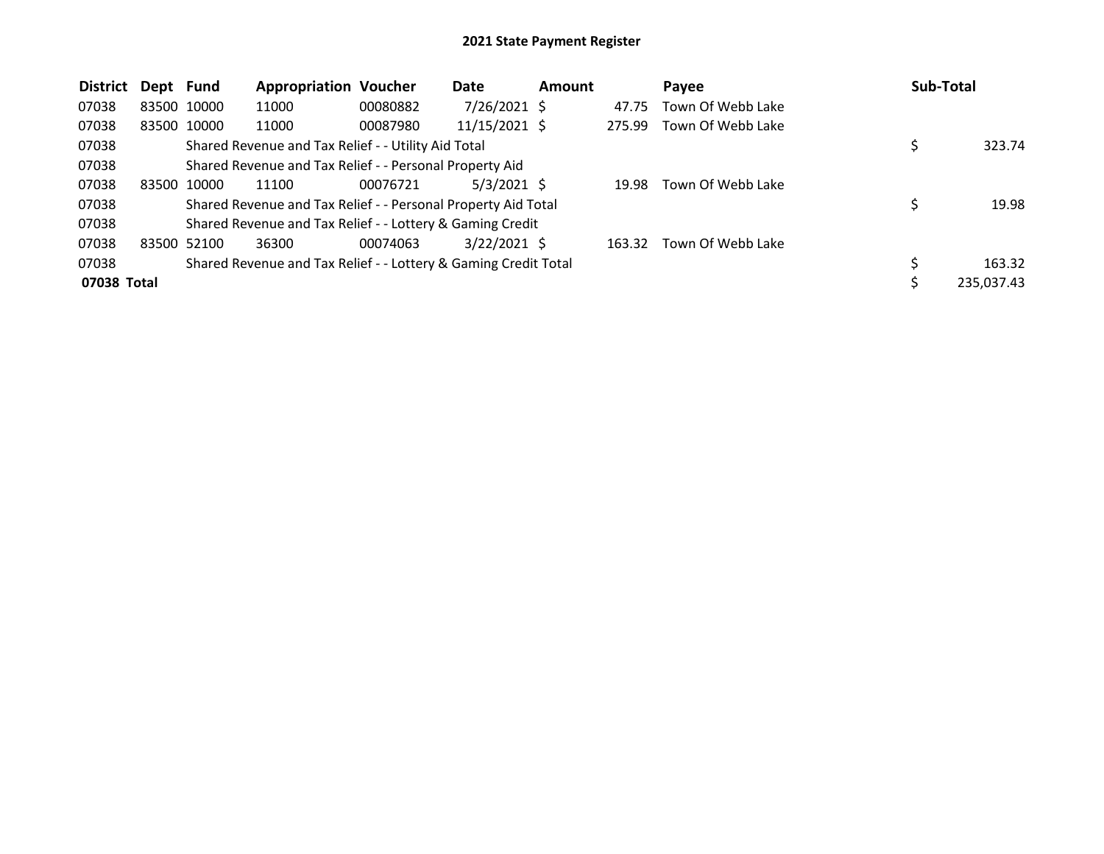| <b>District</b> | Dept Fund |             | <b>Appropriation Voucher</b>                                    |          | Date           | <b>Amount</b> |        | Payee             | Sub-Total  |
|-----------------|-----------|-------------|-----------------------------------------------------------------|----------|----------------|---------------|--------|-------------------|------------|
| 07038           |           | 83500 10000 | 11000                                                           | 00080882 | $7/26/2021$ \$ |               | 47.75  | Town Of Webb Lake |            |
| 07038           |           | 83500 10000 | 11000                                                           | 00087980 | 11/15/2021 \$  |               | 275.99 | Town Of Webb Lake |            |
| 07038           |           |             | Shared Revenue and Tax Relief - - Utility Aid Total             |          |                |               |        |                   | 323.74     |
| 07038           |           |             | Shared Revenue and Tax Relief - - Personal Property Aid         |          |                |               |        |                   |            |
| 07038           |           | 83500 10000 | 11100                                                           | 00076721 | $5/3/2021$ \$  |               | 19.98  | Town Of Webb Lake |            |
| 07038           |           |             | Shared Revenue and Tax Relief - - Personal Property Aid Total   |          |                |               |        |                   | 19.98      |
| 07038           |           |             | Shared Revenue and Tax Relief - - Lottery & Gaming Credit       |          |                |               |        |                   |            |
| 07038           |           | 83500 52100 | 36300                                                           | 00074063 | $3/22/2021$ \$ |               | 163.32 | Town Of Webb Lake |            |
| 07038           |           |             | Shared Revenue and Tax Relief - - Lottery & Gaming Credit Total |          |                |               |        |                   | 163.32     |
| 07038 Total     |           |             |                                                                 |          |                |               |        |                   | 235,037.43 |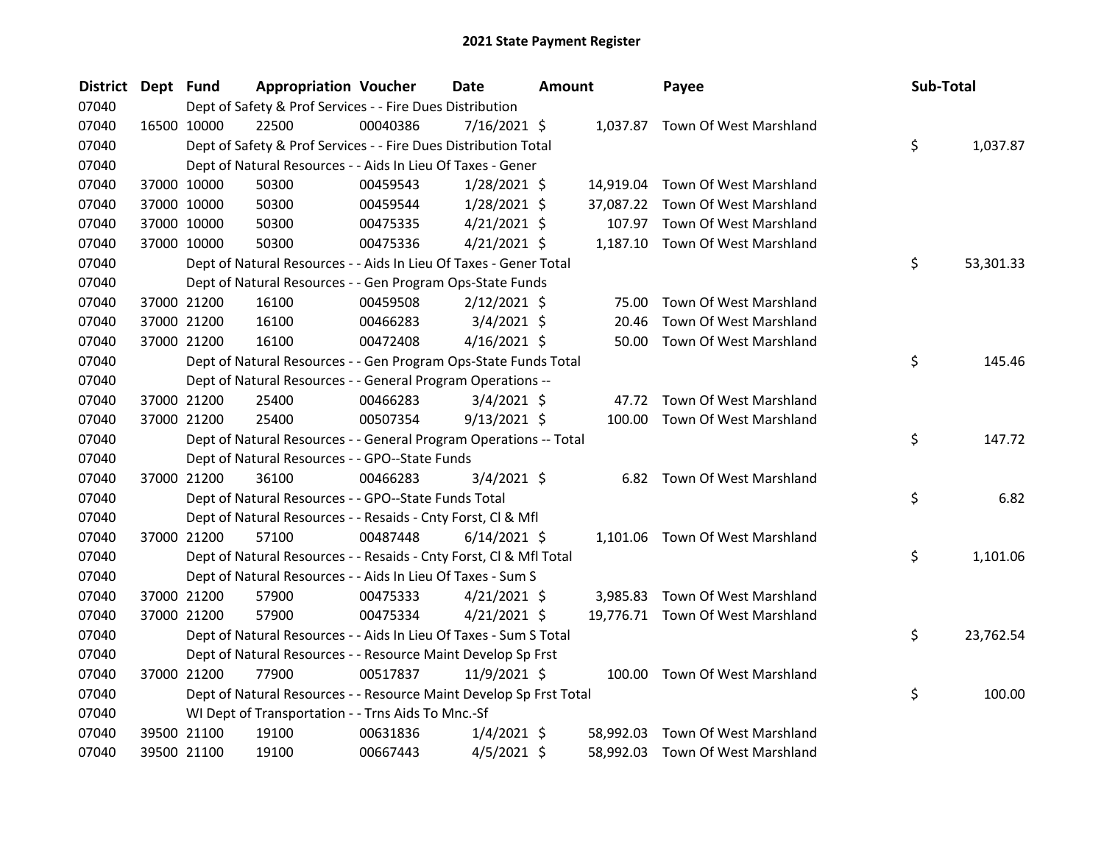| <b>District</b> | Dept Fund |             | <b>Appropriation Voucher</b>                                       |          | <b>Date</b>    | <b>Amount</b> |           | Payee                            | Sub-Total |           |
|-----------------|-----------|-------------|--------------------------------------------------------------------|----------|----------------|---------------|-----------|----------------------------------|-----------|-----------|
| 07040           |           |             | Dept of Safety & Prof Services - - Fire Dues Distribution          |          |                |               |           |                                  |           |           |
| 07040           |           | 16500 10000 | 22500                                                              | 00040386 | $7/16/2021$ \$ |               |           | 1,037.87 Town Of West Marshland  |           |           |
| 07040           |           |             | Dept of Safety & Prof Services - - Fire Dues Distribution Total    |          |                |               |           |                                  | \$        | 1,037.87  |
| 07040           |           |             | Dept of Natural Resources - - Aids In Lieu Of Taxes - Gener        |          |                |               |           |                                  |           |           |
| 07040           |           | 37000 10000 | 50300                                                              | 00459543 | $1/28/2021$ \$ |               |           | 14,919.04 Town Of West Marshland |           |           |
| 07040           |           | 37000 10000 | 50300                                                              | 00459544 | $1/28/2021$ \$ |               | 37,087.22 | Town Of West Marshland           |           |           |
| 07040           |           | 37000 10000 | 50300                                                              | 00475335 | $4/21/2021$ \$ |               |           | 107.97 Town Of West Marshland    |           |           |
| 07040           |           | 37000 10000 | 50300                                                              | 00475336 | $4/21/2021$ \$ |               |           | 1,187.10 Town Of West Marshland  |           |           |
| 07040           |           |             | Dept of Natural Resources - - Aids In Lieu Of Taxes - Gener Total  |          |                |               |           |                                  | \$        | 53,301.33 |
| 07040           |           |             | Dept of Natural Resources - - Gen Program Ops-State Funds          |          |                |               |           |                                  |           |           |
| 07040           |           | 37000 21200 | 16100                                                              | 00459508 | $2/12/2021$ \$ |               | 75.00     | Town Of West Marshland           |           |           |
| 07040           |           | 37000 21200 | 16100                                                              | 00466283 | $3/4/2021$ \$  |               | 20.46     | Town Of West Marshland           |           |           |
| 07040           |           | 37000 21200 | 16100                                                              | 00472408 | $4/16/2021$ \$ |               | 50.00     | Town Of West Marshland           |           |           |
| 07040           |           |             | Dept of Natural Resources - - Gen Program Ops-State Funds Total    |          |                |               |           |                                  | \$        | 145.46    |
| 07040           |           |             | Dept of Natural Resources - - General Program Operations --        |          |                |               |           |                                  |           |           |
| 07040           |           | 37000 21200 | 25400                                                              | 00466283 | $3/4/2021$ \$  |               |           | 47.72 Town Of West Marshland     |           |           |
| 07040           |           | 37000 21200 | 25400                                                              | 00507354 | $9/13/2021$ \$ |               | 100.00    | Town Of West Marshland           |           |           |
| 07040           |           |             | Dept of Natural Resources - - General Program Operations -- Total  |          |                |               |           |                                  | \$        | 147.72    |
| 07040           |           |             | Dept of Natural Resources - - GPO--State Funds                     |          |                |               |           |                                  |           |           |
| 07040           |           | 37000 21200 | 36100                                                              | 00466283 | $3/4/2021$ \$  |               |           | 6.82 Town Of West Marshland      |           |           |
| 07040           |           |             | Dept of Natural Resources - - GPO--State Funds Total               |          |                |               |           |                                  | \$        | 6.82      |
| 07040           |           |             | Dept of Natural Resources - - Resaids - Cnty Forst, Cl & Mfl       |          |                |               |           |                                  |           |           |
| 07040           |           | 37000 21200 | 57100                                                              | 00487448 | $6/14/2021$ \$ |               |           | 1,101.06 Town Of West Marshland  |           |           |
| 07040           |           |             | Dept of Natural Resources - - Resaids - Cnty Forst, Cl & Mfl Total |          |                |               |           |                                  | \$        | 1,101.06  |
| 07040           |           |             | Dept of Natural Resources - - Aids In Lieu Of Taxes - Sum S        |          |                |               |           |                                  |           |           |
| 07040           |           | 37000 21200 | 57900                                                              | 00475333 | $4/21/2021$ \$ |               |           | 3,985.83 Town Of West Marshland  |           |           |
| 07040           |           | 37000 21200 | 57900                                                              | 00475334 | $4/21/2021$ \$ |               |           | 19,776.71 Town Of West Marshland |           |           |
| 07040           |           |             | Dept of Natural Resources - - Aids In Lieu Of Taxes - Sum S Total  |          |                |               |           |                                  | \$        | 23,762.54 |
| 07040           |           |             | Dept of Natural Resources - - Resource Maint Develop Sp Frst       |          |                |               |           |                                  |           |           |
| 07040           |           | 37000 21200 | 77900                                                              | 00517837 | 11/9/2021 \$   |               |           | 100.00 Town Of West Marshland    |           |           |
| 07040           |           |             | Dept of Natural Resources - - Resource Maint Develop Sp Frst Total |          |                |               |           |                                  | \$        | 100.00    |
| 07040           |           |             | WI Dept of Transportation - - Trns Aids To Mnc.-Sf                 |          |                |               |           |                                  |           |           |
| 07040           |           | 39500 21100 | 19100                                                              | 00631836 | $1/4/2021$ \$  |               | 58,992.03 | Town Of West Marshland           |           |           |
| 07040           |           | 39500 21100 | 19100                                                              | 00667443 | $4/5/2021$ \$  |               | 58,992.03 | Town Of West Marshland           |           |           |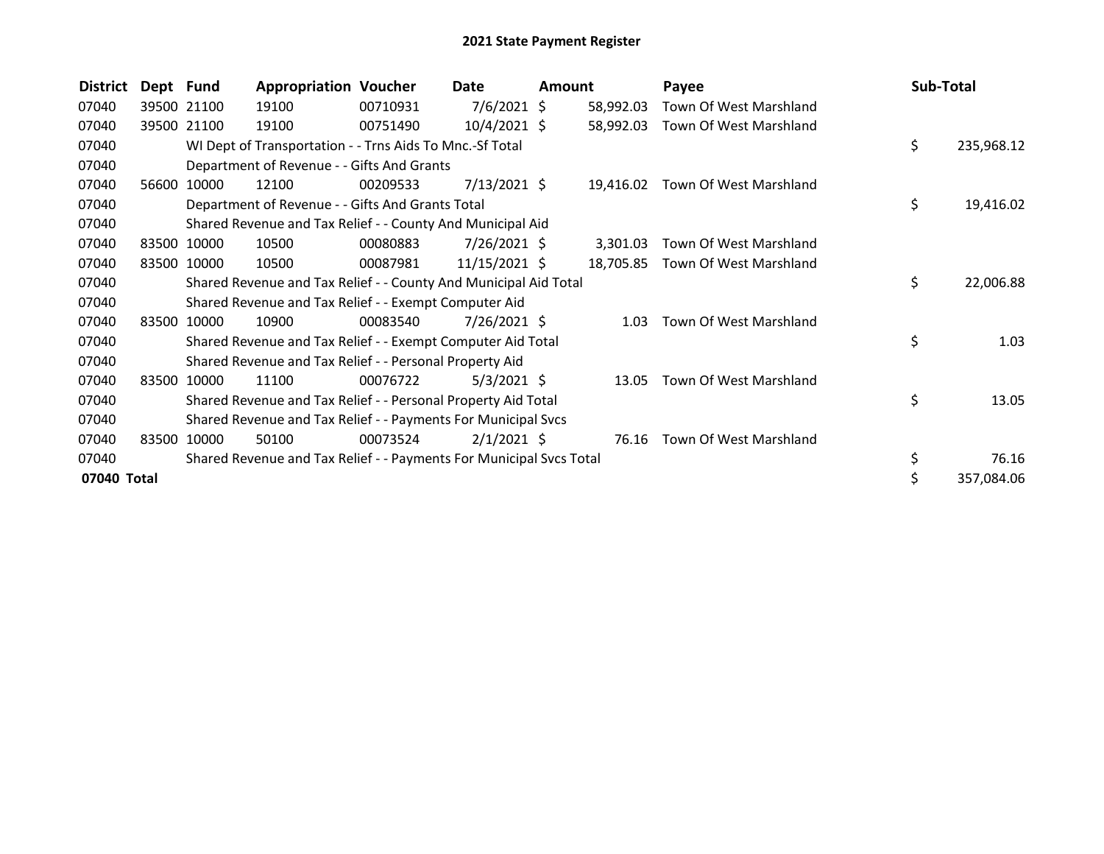| <b>District</b> | Dept Fund |             | <b>Appropriation Voucher</b>                                        |          | Date           | <b>Amount</b> |           | Payee                  | Sub-Total |            |
|-----------------|-----------|-------------|---------------------------------------------------------------------|----------|----------------|---------------|-----------|------------------------|-----------|------------|
| 07040           |           | 39500 21100 | 19100                                                               | 00710931 | $7/6/2021$ \$  |               | 58,992.03 | Town Of West Marshland |           |            |
| 07040           |           | 39500 21100 | 19100                                                               | 00751490 | 10/4/2021 \$   |               | 58,992.03 | Town Of West Marshland |           |            |
| 07040           |           |             | WI Dept of Transportation - - Trns Aids To Mnc.-Sf Total            |          |                |               |           |                        | \$        | 235,968.12 |
| 07040           |           |             | Department of Revenue - - Gifts And Grants                          |          |                |               |           |                        |           |            |
| 07040           | 56600     | 10000       | 12100                                                               | 00209533 | $7/13/2021$ \$ |               | 19,416.02 | Town Of West Marshland |           |            |
| 07040           |           |             | Department of Revenue - - Gifts And Grants Total                    |          |                |               |           |                        | \$        | 19,416.02  |
| 07040           |           |             | Shared Revenue and Tax Relief - - County And Municipal Aid          |          |                |               |           |                        |           |            |
| 07040           | 83500     | 10000       | 10500                                                               | 00080883 | 7/26/2021 \$   |               | 3,301.03  | Town Of West Marshland |           |            |
| 07040           |           | 83500 10000 | 10500                                                               | 00087981 | 11/15/2021 \$  |               | 18,705.85 | Town Of West Marshland |           |            |
| 07040           |           |             | Shared Revenue and Tax Relief - - County And Municipal Aid Total    |          |                |               |           |                        | \$        | 22,006.88  |
| 07040           |           |             | Shared Revenue and Tax Relief - - Exempt Computer Aid               |          |                |               |           |                        |           |            |
| 07040           | 83500     | 10000       | 10900                                                               | 00083540 | 7/26/2021 \$   |               | 1.03      | Town Of West Marshland |           |            |
| 07040           |           |             | Shared Revenue and Tax Relief - - Exempt Computer Aid Total         |          |                |               |           |                        | \$        | 1.03       |
| 07040           |           |             | Shared Revenue and Tax Relief - - Personal Property Aid             |          |                |               |           |                        |           |            |
| 07040           | 83500     | 10000       | 11100                                                               | 00076722 | $5/3/2021$ \$  |               | 13.05     | Town Of West Marshland |           |            |
| 07040           |           |             | Shared Revenue and Tax Relief - - Personal Property Aid Total       |          |                |               |           |                        | \$        | 13.05      |
| 07040           |           |             | Shared Revenue and Tax Relief - - Payments For Municipal Svcs       |          |                |               |           |                        |           |            |
| 07040           | 83500     | 10000       | 50100                                                               | 00073524 | $2/1/2021$ \$  |               | 76.16     | Town Of West Marshland |           |            |
| 07040           |           |             | Shared Revenue and Tax Relief - - Payments For Municipal Svcs Total |          |                |               |           |                        | \$        | 76.16      |
| 07040 Total     |           |             |                                                                     |          |                |               |           |                        | \$        | 357,084.06 |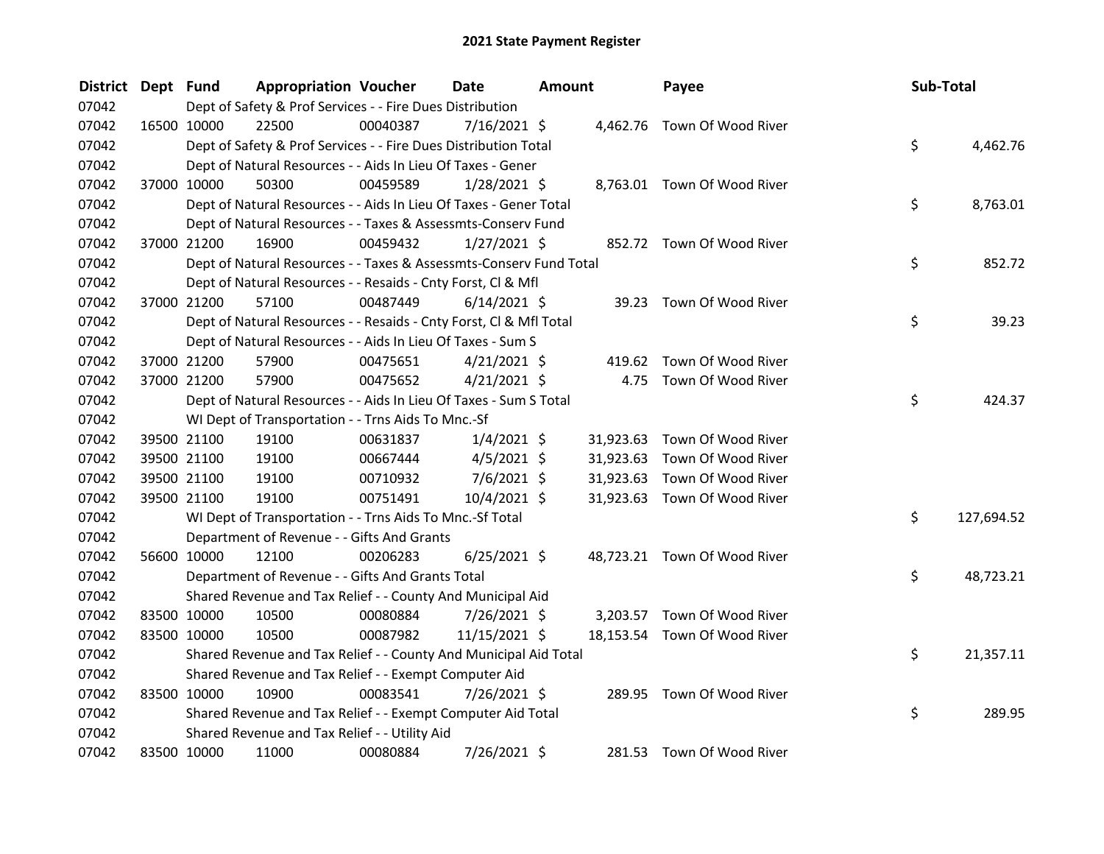| <b>District</b> | Dept Fund |             | <b>Appropriation Voucher</b>                                       |          | Date           | <b>Amount</b> |           | Payee                        | Sub-Total |            |
|-----------------|-----------|-------------|--------------------------------------------------------------------|----------|----------------|---------------|-----------|------------------------------|-----------|------------|
| 07042           |           |             | Dept of Safety & Prof Services - - Fire Dues Distribution          |          |                |               |           |                              |           |            |
| 07042           |           | 16500 10000 | 22500                                                              | 00040387 | 7/16/2021 \$   |               |           | 4,462.76 Town Of Wood River  |           |            |
| 07042           |           |             | Dept of Safety & Prof Services - - Fire Dues Distribution Total    |          |                |               |           |                              | \$        | 4,462.76   |
| 07042           |           |             | Dept of Natural Resources - - Aids In Lieu Of Taxes - Gener        |          |                |               |           |                              |           |            |
| 07042           |           | 37000 10000 | 50300                                                              | 00459589 | $1/28/2021$ \$ |               |           | 8,763.01 Town Of Wood River  |           |            |
| 07042           |           |             | Dept of Natural Resources - - Aids In Lieu Of Taxes - Gener Total  |          |                |               |           |                              | \$        | 8,763.01   |
| 07042           |           |             | Dept of Natural Resources - - Taxes & Assessmts-Conserv Fund       |          |                |               |           |                              |           |            |
| 07042           |           | 37000 21200 | 16900                                                              | 00459432 | $1/27/2021$ \$ |               |           | 852.72 Town Of Wood River    |           |            |
| 07042           |           |             | Dept of Natural Resources - - Taxes & Assessmts-Conserv Fund Total |          |                |               |           |                              | \$        | 852.72     |
| 07042           |           |             | Dept of Natural Resources - - Resaids - Cnty Forst, Cl & Mfl       |          |                |               |           |                              |           |            |
| 07042           |           | 37000 21200 | 57100                                                              | 00487449 | $6/14/2021$ \$ |               |           | 39.23 Town Of Wood River     |           |            |
| 07042           |           |             | Dept of Natural Resources - - Resaids - Cnty Forst, Cl & Mfl Total |          |                |               |           |                              | \$        | 39.23      |
| 07042           |           |             | Dept of Natural Resources - - Aids In Lieu Of Taxes - Sum S        |          |                |               |           |                              |           |            |
| 07042           |           | 37000 21200 | 57900                                                              | 00475651 | $4/21/2021$ \$ |               | 419.62    | Town Of Wood River           |           |            |
| 07042           |           | 37000 21200 | 57900                                                              | 00475652 | $4/21/2021$ \$ |               |           | 4.75 Town Of Wood River      |           |            |
| 07042           |           |             | Dept of Natural Resources - - Aids In Lieu Of Taxes - Sum S Total  |          |                |               |           |                              | \$        | 424.37     |
| 07042           |           |             | WI Dept of Transportation - - Trns Aids To Mnc.-Sf                 |          |                |               |           |                              |           |            |
| 07042           |           | 39500 21100 | 19100                                                              | 00631837 | $1/4/2021$ \$  |               |           | 31,923.63 Town Of Wood River |           |            |
| 07042           |           | 39500 21100 | 19100                                                              | 00667444 | $4/5/2021$ \$  |               | 31,923.63 | Town Of Wood River           |           |            |
| 07042           |           | 39500 21100 | 19100                                                              | 00710932 | $7/6/2021$ \$  |               |           | 31,923.63 Town Of Wood River |           |            |
| 07042           |           | 39500 21100 | 19100                                                              | 00751491 | 10/4/2021 \$   |               |           | 31,923.63 Town Of Wood River |           |            |
| 07042           |           |             | WI Dept of Transportation - - Trns Aids To Mnc.-Sf Total           |          |                |               |           |                              | \$        | 127,694.52 |
| 07042           |           |             | Department of Revenue - - Gifts And Grants                         |          |                |               |           |                              |           |            |
| 07042           |           | 56600 10000 | 12100                                                              | 00206283 | $6/25/2021$ \$ |               |           | 48,723.21 Town Of Wood River |           |            |
| 07042           |           |             | Department of Revenue - - Gifts And Grants Total                   |          |                |               |           |                              | \$        | 48,723.21  |
| 07042           |           |             | Shared Revenue and Tax Relief - - County And Municipal Aid         |          |                |               |           |                              |           |            |
| 07042           |           | 83500 10000 | 10500                                                              | 00080884 | $7/26/2021$ \$ |               |           | 3,203.57 Town Of Wood River  |           |            |
| 07042           |           | 83500 10000 | 10500                                                              | 00087982 | 11/15/2021 \$  |               |           | 18,153.54 Town Of Wood River |           |            |
| 07042           |           |             | Shared Revenue and Tax Relief - - County And Municipal Aid Total   |          |                |               |           |                              | \$        | 21,357.11  |
| 07042           |           |             | Shared Revenue and Tax Relief - - Exempt Computer Aid              |          |                |               |           |                              |           |            |
| 07042           |           | 83500 10000 | 10900                                                              | 00083541 | 7/26/2021 \$   |               |           | 289.95 Town Of Wood River    |           |            |
| 07042           |           |             | Shared Revenue and Tax Relief - - Exempt Computer Aid Total        |          |                |               |           |                              | \$        | 289.95     |
| 07042           |           |             | Shared Revenue and Tax Relief - - Utility Aid                      |          |                |               |           |                              |           |            |
| 07042           |           | 83500 10000 | 11000                                                              | 00080884 | 7/26/2021 \$   |               |           | 281.53 Town Of Wood River    |           |            |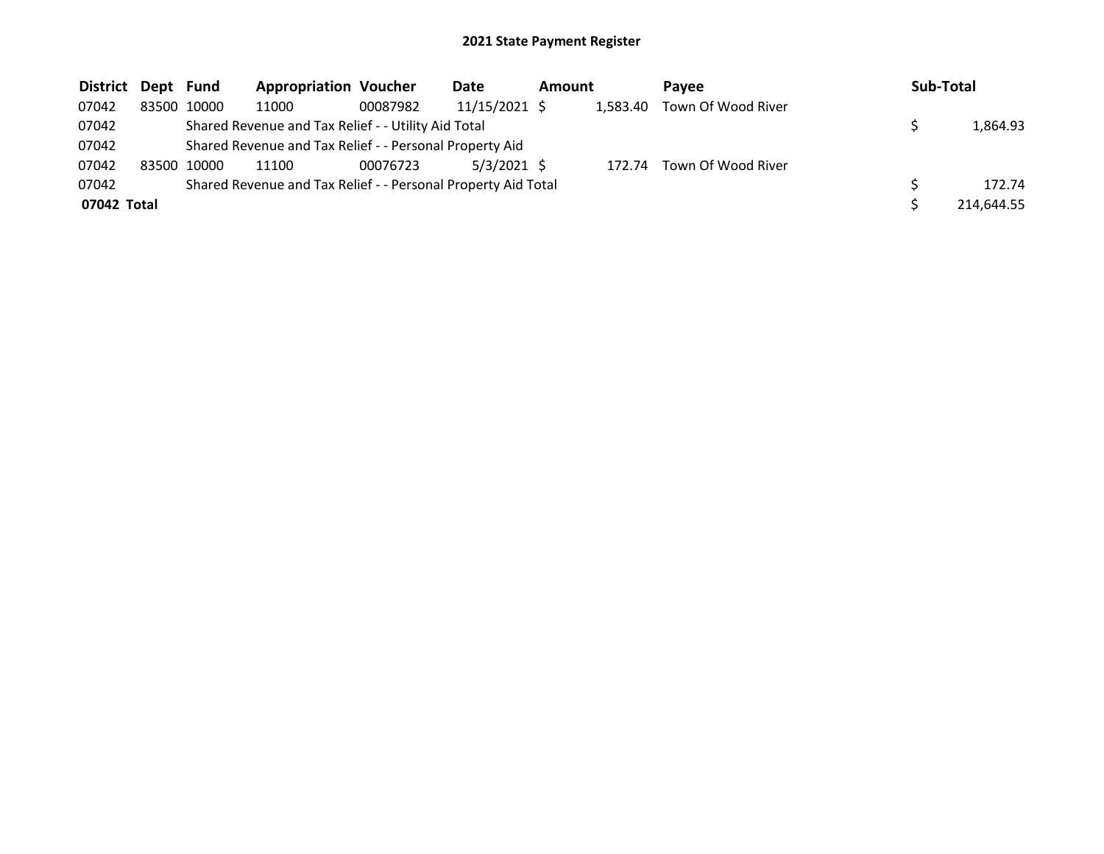| <b>District</b> | Dept Fund |       | <b>Appropriation Voucher</b>                                  |          | <b>Date</b>   | Amount |          | Pavee              | <b>Sub-Total</b> |
|-----------------|-----------|-------|---------------------------------------------------------------|----------|---------------|--------|----------|--------------------|------------------|
| 07042           | 83500     | 10000 | 11000                                                         | 00087982 | 11/15/2021 \$ |        | 1.583.40 | Town Of Wood River |                  |
| 07042           |           |       | Shared Revenue and Tax Relief - - Utility Aid Total           |          |               |        |          |                    | 1,864.93         |
| 07042           |           |       | Shared Revenue and Tax Relief - - Personal Property Aid       |          |               |        |          |                    |                  |
| 07042           | 83500     | 10000 | 11100                                                         | 00076723 | $5/3/2021$ \$ |        | 172.74   | Town Of Wood River |                  |
| 07042           |           |       | Shared Revenue and Tax Relief - - Personal Property Aid Total |          |               |        |          |                    | 172.74           |
| 07042 Total     |           |       |                                                               |          |               |        |          |                    | 214,644.55       |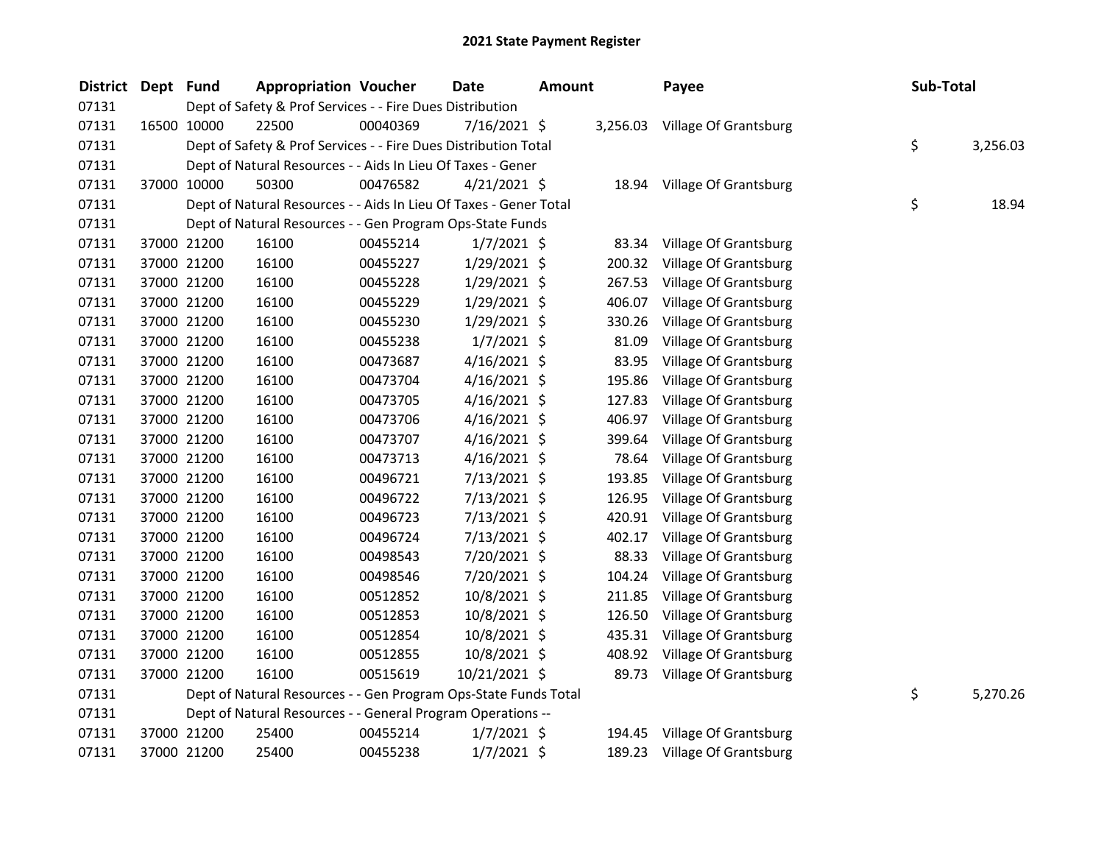| District Dept Fund |             | <b>Appropriation Voucher</b>                                      |          | Date           | <b>Amount</b> |        | Payee                          | Sub-Total |          |
|--------------------|-------------|-------------------------------------------------------------------|----------|----------------|---------------|--------|--------------------------------|-----------|----------|
| 07131              |             | Dept of Safety & Prof Services - - Fire Dues Distribution         |          |                |               |        |                                |           |          |
| 07131              | 16500 10000 | 22500                                                             | 00040369 | 7/16/2021 \$   |               |        | 3,256.03 Village Of Grantsburg |           |          |
| 07131              |             | Dept of Safety & Prof Services - - Fire Dues Distribution Total   |          |                |               |        |                                | \$        | 3,256.03 |
| 07131              |             | Dept of Natural Resources - - Aids In Lieu Of Taxes - Gener       |          |                |               |        |                                |           |          |
| 07131              | 37000 10000 | 50300                                                             | 00476582 | $4/21/2021$ \$ |               |        | 18.94 Village Of Grantsburg    |           |          |
| 07131              |             | Dept of Natural Resources - - Aids In Lieu Of Taxes - Gener Total |          |                |               |        |                                | \$        | 18.94    |
| 07131              |             | Dept of Natural Resources - - Gen Program Ops-State Funds         |          |                |               |        |                                |           |          |
| 07131              | 37000 21200 | 16100                                                             | 00455214 | $1/7/2021$ \$  |               | 83.34  | Village Of Grantsburg          |           |          |
| 07131              | 37000 21200 | 16100                                                             | 00455227 | 1/29/2021 \$   |               | 200.32 | <b>Village Of Grantsburg</b>   |           |          |
| 07131              | 37000 21200 | 16100                                                             | 00455228 | 1/29/2021 \$   |               | 267.53 | <b>Village Of Grantsburg</b>   |           |          |
| 07131              | 37000 21200 | 16100                                                             | 00455229 | $1/29/2021$ \$ |               | 406.07 | Village Of Grantsburg          |           |          |
| 07131              | 37000 21200 | 16100                                                             | 00455230 | $1/29/2021$ \$ |               | 330.26 | Village Of Grantsburg          |           |          |
| 07131              | 37000 21200 | 16100                                                             | 00455238 | $1/7/2021$ \$  |               | 81.09  | Village Of Grantsburg          |           |          |
| 07131              | 37000 21200 | 16100                                                             | 00473687 | $4/16/2021$ \$ |               | 83.95  | Village Of Grantsburg          |           |          |
| 07131              | 37000 21200 | 16100                                                             | 00473704 | $4/16/2021$ \$ |               | 195.86 | Village Of Grantsburg          |           |          |
| 07131              | 37000 21200 | 16100                                                             | 00473705 | $4/16/2021$ \$ |               | 127.83 | Village Of Grantsburg          |           |          |
| 07131              | 37000 21200 | 16100                                                             | 00473706 | $4/16/2021$ \$ |               | 406.97 | Village Of Grantsburg          |           |          |
| 07131              | 37000 21200 | 16100                                                             | 00473707 | $4/16/2021$ \$ |               | 399.64 | Village Of Grantsburg          |           |          |
| 07131              | 37000 21200 | 16100                                                             | 00473713 | 4/16/2021 \$   |               | 78.64  | Village Of Grantsburg          |           |          |
| 07131              | 37000 21200 | 16100                                                             | 00496721 | 7/13/2021 \$   |               | 193.85 | Village Of Grantsburg          |           |          |
| 07131              | 37000 21200 | 16100                                                             | 00496722 | 7/13/2021 \$   |               | 126.95 | Village Of Grantsburg          |           |          |
| 07131              | 37000 21200 | 16100                                                             | 00496723 | 7/13/2021 \$   |               | 420.91 | Village Of Grantsburg          |           |          |
| 07131              | 37000 21200 | 16100                                                             | 00496724 | $7/13/2021$ \$ |               | 402.17 | Village Of Grantsburg          |           |          |
| 07131              | 37000 21200 | 16100                                                             | 00498543 | 7/20/2021 \$   |               | 88.33  | Village Of Grantsburg          |           |          |
| 07131              | 37000 21200 | 16100                                                             | 00498546 | 7/20/2021 \$   |               | 104.24 | Village Of Grantsburg          |           |          |
| 07131              | 37000 21200 | 16100                                                             | 00512852 | 10/8/2021 \$   |               | 211.85 | Village Of Grantsburg          |           |          |
| 07131              | 37000 21200 | 16100                                                             | 00512853 | 10/8/2021 \$   |               | 126.50 | Village Of Grantsburg          |           |          |
| 07131              | 37000 21200 | 16100                                                             | 00512854 | 10/8/2021 \$   |               | 435.31 | Village Of Grantsburg          |           |          |
| 07131              | 37000 21200 | 16100                                                             | 00512855 | 10/8/2021 \$   |               | 408.92 | Village Of Grantsburg          |           |          |
| 07131              | 37000 21200 | 16100                                                             | 00515619 | 10/21/2021 \$  |               | 89.73  | <b>Village Of Grantsburg</b>   |           |          |
| 07131              |             | Dept of Natural Resources - - Gen Program Ops-State Funds Total   |          |                |               |        |                                | \$        | 5,270.26 |
| 07131              |             | Dept of Natural Resources - - General Program Operations --       |          |                |               |        |                                |           |          |
| 07131              | 37000 21200 | 25400                                                             | 00455214 | $1/7/2021$ \$  |               | 194.45 | Village Of Grantsburg          |           |          |
| 07131              | 37000 21200 | 25400                                                             | 00455238 | 1/7/2021 \$    |               | 189.23 | Village Of Grantsburg          |           |          |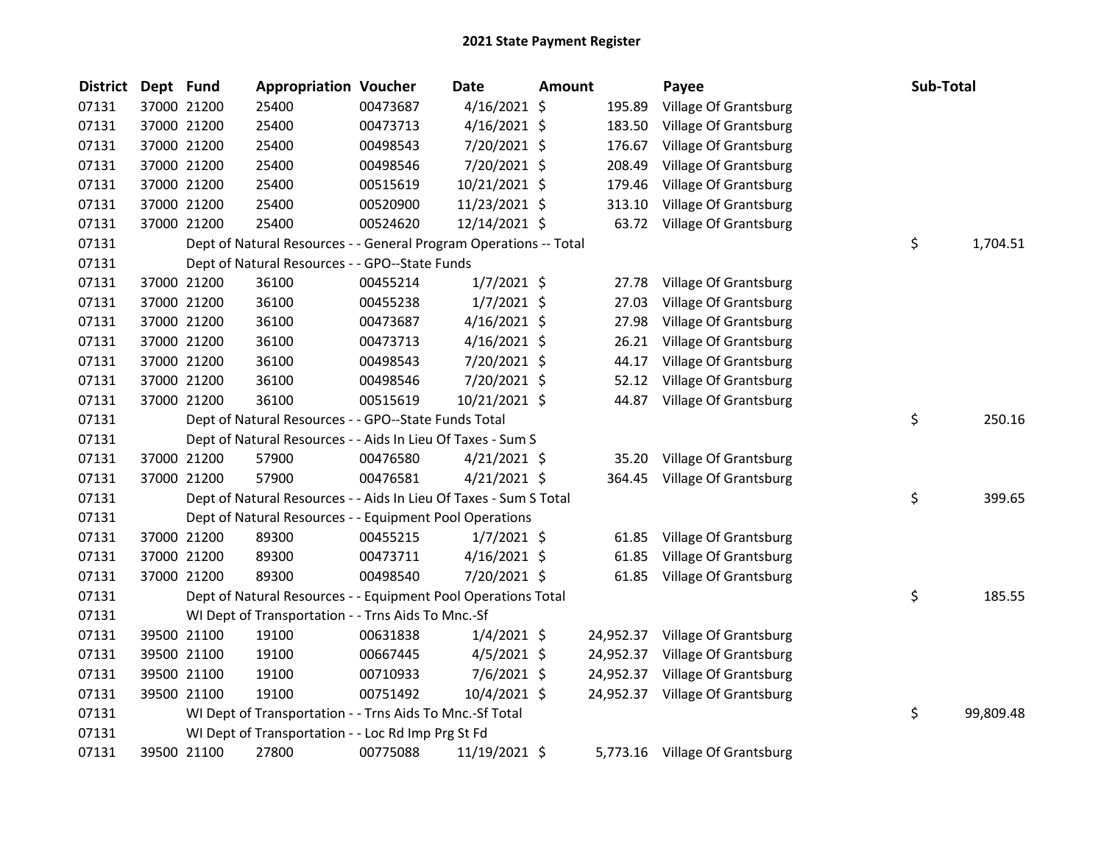| <b>District</b> | Dept Fund |             | <b>Appropriation Voucher</b>                                      |          | <b>Date</b>    | <b>Amount</b> |           | Payee                          | Sub-Total |           |
|-----------------|-----------|-------------|-------------------------------------------------------------------|----------|----------------|---------------|-----------|--------------------------------|-----------|-----------|
| 07131           |           | 37000 21200 | 25400                                                             | 00473687 | $4/16/2021$ \$ |               | 195.89    | Village Of Grantsburg          |           |           |
| 07131           |           | 37000 21200 | 25400                                                             | 00473713 | $4/16/2021$ \$ |               | 183.50    | Village Of Grantsburg          |           |           |
| 07131           |           | 37000 21200 | 25400                                                             | 00498543 | 7/20/2021 \$   |               | 176.67    | Village Of Grantsburg          |           |           |
| 07131           |           | 37000 21200 | 25400                                                             | 00498546 | 7/20/2021 \$   |               | 208.49    | Village Of Grantsburg          |           |           |
| 07131           |           | 37000 21200 | 25400                                                             | 00515619 | 10/21/2021 \$  |               | 179.46    | Village Of Grantsburg          |           |           |
| 07131           |           | 37000 21200 | 25400                                                             | 00520900 | 11/23/2021 \$  |               | 313.10    | Village Of Grantsburg          |           |           |
| 07131           |           | 37000 21200 | 25400                                                             | 00524620 | 12/14/2021 \$  |               | 63.72     | Village Of Grantsburg          |           |           |
| 07131           |           |             | Dept of Natural Resources - - General Program Operations -- Total |          |                |               |           |                                | \$        | 1,704.51  |
| 07131           |           |             | Dept of Natural Resources - - GPO--State Funds                    |          |                |               |           |                                |           |           |
| 07131           |           | 37000 21200 | 36100                                                             | 00455214 | $1/7/2021$ \$  |               | 27.78     | Village Of Grantsburg          |           |           |
| 07131           |           | 37000 21200 | 36100                                                             | 00455238 | $1/7/2021$ \$  |               | 27.03     | Village Of Grantsburg          |           |           |
| 07131           |           | 37000 21200 | 36100                                                             | 00473687 | $4/16/2021$ \$ |               | 27.98     | Village Of Grantsburg          |           |           |
| 07131           |           | 37000 21200 | 36100                                                             | 00473713 | $4/16/2021$ \$ |               | 26.21     | Village Of Grantsburg          |           |           |
| 07131           |           | 37000 21200 | 36100                                                             | 00498543 | 7/20/2021 \$   |               | 44.17     | Village Of Grantsburg          |           |           |
| 07131           |           | 37000 21200 | 36100                                                             | 00498546 | 7/20/2021 \$   |               | 52.12     | Village Of Grantsburg          |           |           |
| 07131           |           | 37000 21200 | 36100                                                             | 00515619 | 10/21/2021 \$  |               | 44.87     | Village Of Grantsburg          |           |           |
| 07131           |           |             | Dept of Natural Resources - - GPO--State Funds Total              |          |                |               |           |                                | \$        | 250.16    |
| 07131           |           |             | Dept of Natural Resources - - Aids In Lieu Of Taxes - Sum S       |          |                |               |           |                                |           |           |
| 07131           |           | 37000 21200 | 57900                                                             | 00476580 | $4/21/2021$ \$ |               | 35.20     | Village Of Grantsburg          |           |           |
| 07131           |           | 37000 21200 | 57900                                                             | 00476581 | $4/21/2021$ \$ |               | 364.45    | Village Of Grantsburg          |           |           |
| 07131           |           |             | Dept of Natural Resources - - Aids In Lieu Of Taxes - Sum S Total |          |                |               |           |                                | \$        | 399.65    |
| 07131           |           |             | Dept of Natural Resources - - Equipment Pool Operations           |          |                |               |           |                                |           |           |
| 07131           |           | 37000 21200 | 89300                                                             | 00455215 | $1/7/2021$ \$  |               | 61.85     | Village Of Grantsburg          |           |           |
| 07131           |           | 37000 21200 | 89300                                                             | 00473711 | $4/16/2021$ \$ |               | 61.85     | Village Of Grantsburg          |           |           |
| 07131           |           | 37000 21200 | 89300                                                             | 00498540 | 7/20/2021 \$   |               | 61.85     | Village Of Grantsburg          |           |           |
| 07131           |           |             | Dept of Natural Resources - - Equipment Pool Operations Total     |          |                |               |           |                                | \$        | 185.55    |
| 07131           |           |             | WI Dept of Transportation - - Trns Aids To Mnc.-Sf                |          |                |               |           |                                |           |           |
| 07131           |           | 39500 21100 | 19100                                                             | 00631838 | $1/4/2021$ \$  |               | 24,952.37 | Village Of Grantsburg          |           |           |
| 07131           |           | 39500 21100 | 19100                                                             | 00667445 | $4/5/2021$ \$  |               | 24,952.37 | Village Of Grantsburg          |           |           |
| 07131           |           | 39500 21100 | 19100                                                             | 00710933 | 7/6/2021 \$    |               | 24,952.37 | Village Of Grantsburg          |           |           |
| 07131           |           | 39500 21100 | 19100                                                             | 00751492 | 10/4/2021 \$   |               | 24,952.37 | Village Of Grantsburg          |           |           |
| 07131           |           |             | WI Dept of Transportation - - Trns Aids To Mnc.-Sf Total          |          |                |               |           |                                | \$        | 99,809.48 |
| 07131           |           |             | WI Dept of Transportation - - Loc Rd Imp Prg St Fd                |          |                |               |           |                                |           |           |
| 07131           |           | 39500 21100 | 27800                                                             | 00775088 | 11/19/2021 \$  |               |           | 5,773.16 Village Of Grantsburg |           |           |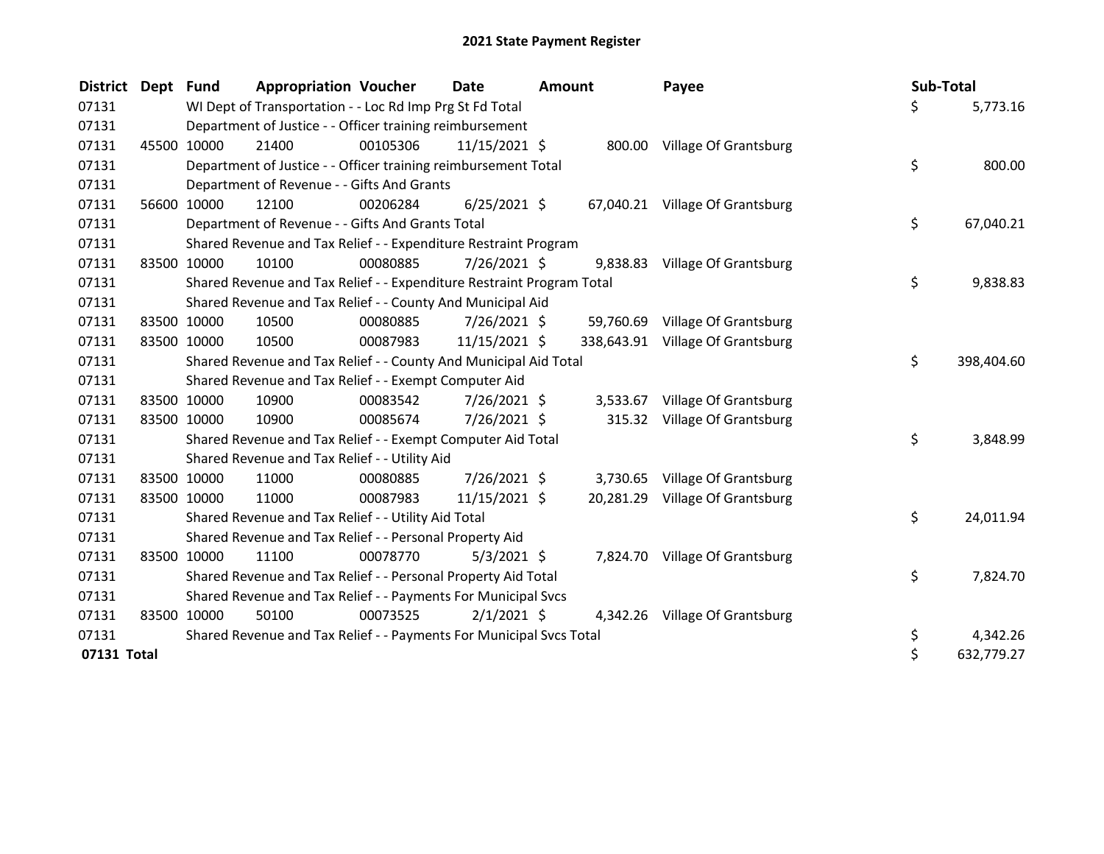| District Dept Fund |             | <b>Appropriation Voucher</b>                                          |          | Date           | <b>Amount</b> |           | Payee                            | Sub-Total |            |
|--------------------|-------------|-----------------------------------------------------------------------|----------|----------------|---------------|-----------|----------------------------------|-----------|------------|
| 07131              |             | WI Dept of Transportation - - Loc Rd Imp Prg St Fd Total              |          |                |               |           |                                  | \$        | 5,773.16   |
| 07131              |             | Department of Justice - - Officer training reimbursement              |          |                |               |           |                                  |           |            |
| 07131              | 45500 10000 | 21400                                                                 | 00105306 | 11/15/2021 \$  |               |           | 800.00 Village Of Grantsburg     |           |            |
| 07131              |             | Department of Justice - - Officer training reimbursement Total        |          |                |               |           |                                  | \$        | 800.00     |
| 07131              |             | Department of Revenue - - Gifts And Grants                            |          |                |               |           |                                  |           |            |
| 07131              | 56600 10000 | 12100                                                                 | 00206284 | $6/25/2021$ \$ |               |           | 67,040.21 Village Of Grantsburg  |           |            |
| 07131              |             | Department of Revenue - - Gifts And Grants Total                      |          |                |               |           |                                  | \$        | 67,040.21  |
| 07131              |             | Shared Revenue and Tax Relief - - Expenditure Restraint Program       |          |                |               |           |                                  |           |            |
| 07131              | 83500 10000 | 10100                                                                 | 00080885 | $7/26/2021$ \$ |               | 9,838.83  | Village Of Grantsburg            |           |            |
| 07131              |             | Shared Revenue and Tax Relief - - Expenditure Restraint Program Total |          |                |               |           |                                  | \$        | 9,838.83   |
| 07131              |             | Shared Revenue and Tax Relief - - County And Municipal Aid            |          |                |               |           |                                  |           |            |
| 07131              | 83500 10000 | 10500                                                                 | 00080885 | 7/26/2021 \$   |               | 59,760.69 | Village Of Grantsburg            |           |            |
| 07131              | 83500 10000 | 10500                                                                 | 00087983 | 11/15/2021 \$  |               |           | 338,643.91 Village Of Grantsburg |           |            |
| 07131              |             | Shared Revenue and Tax Relief - - County And Municipal Aid Total      |          |                |               |           |                                  | \$        | 398,404.60 |
| 07131              |             | Shared Revenue and Tax Relief - - Exempt Computer Aid                 |          |                |               |           |                                  |           |            |
| 07131              | 83500 10000 | 10900                                                                 | 00083542 | 7/26/2021 \$   |               | 3,533.67  | Village Of Grantsburg            |           |            |
| 07131              | 83500 10000 | 10900                                                                 | 00085674 | 7/26/2021 \$   |               |           | 315.32 Village Of Grantsburg     |           |            |
| 07131              |             | Shared Revenue and Tax Relief - - Exempt Computer Aid Total           |          |                |               |           |                                  | \$        | 3,848.99   |
| 07131              |             | Shared Revenue and Tax Relief - - Utility Aid                         |          |                |               |           |                                  |           |            |
| 07131              | 83500 10000 | 11000                                                                 | 00080885 | 7/26/2021 \$   |               | 3,730.65  | Village Of Grantsburg            |           |            |
| 07131              | 83500 10000 | 11000                                                                 | 00087983 | 11/15/2021 \$  |               |           | 20,281.29 Village Of Grantsburg  |           |            |
| 07131              |             | Shared Revenue and Tax Relief - - Utility Aid Total                   |          |                |               |           |                                  | \$        | 24,011.94  |
| 07131              |             | Shared Revenue and Tax Relief - - Personal Property Aid               |          |                |               |           |                                  |           |            |
| 07131              | 83500 10000 | 11100                                                                 | 00078770 | $5/3/2021$ \$  |               |           | 7,824.70 Village Of Grantsburg   |           |            |
| 07131              |             | Shared Revenue and Tax Relief - - Personal Property Aid Total         |          |                |               |           |                                  | \$        | 7,824.70   |
| 07131              |             | Shared Revenue and Tax Relief - - Payments For Municipal Svcs         |          |                |               |           |                                  |           |            |
| 07131              | 83500 10000 | 50100                                                                 | 00073525 | $2/1/2021$ \$  |               |           | 4,342.26 Village Of Grantsburg   |           |            |
| 07131              |             | Shared Revenue and Tax Relief - - Payments For Municipal Svcs Total   |          |                |               |           |                                  | \$        | 4,342.26   |
| 07131 Total        |             |                                                                       |          |                |               |           |                                  | \$        | 632,779.27 |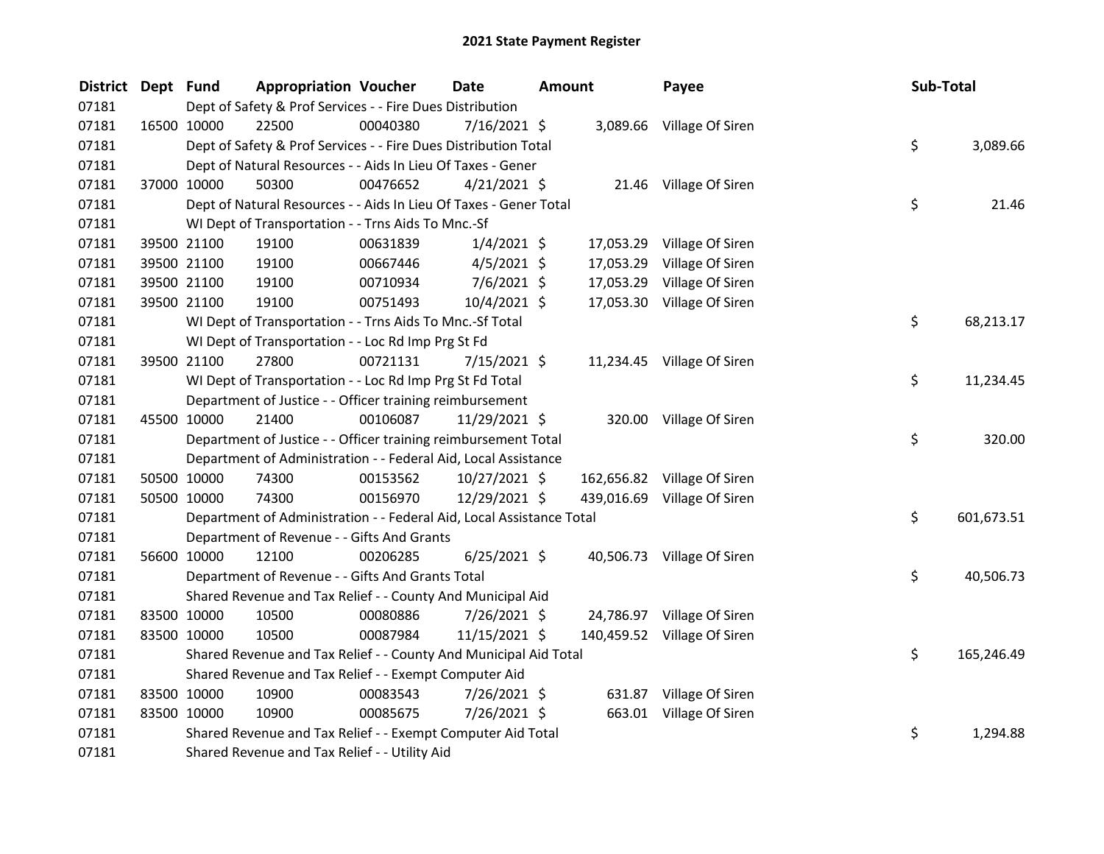| <b>District</b> | Dept Fund |             | <b>Appropriation Voucher</b>                                         |          | <b>Date</b>    | <b>Amount</b> |           | Payee                       | Sub-Total |            |
|-----------------|-----------|-------------|----------------------------------------------------------------------|----------|----------------|---------------|-----------|-----------------------------|-----------|------------|
| 07181           |           |             | Dept of Safety & Prof Services - - Fire Dues Distribution            |          |                |               |           |                             |           |            |
| 07181           |           | 16500 10000 | 22500                                                                | 00040380 | $7/16/2021$ \$ |               |           | 3,089.66 Village Of Siren   |           |            |
| 07181           |           |             | Dept of Safety & Prof Services - - Fire Dues Distribution Total      |          |                |               |           |                             | \$        | 3,089.66   |
| 07181           |           |             | Dept of Natural Resources - - Aids In Lieu Of Taxes - Gener          |          |                |               |           |                             |           |            |
| 07181           |           | 37000 10000 | 50300                                                                | 00476652 | $4/21/2021$ \$ |               |           | 21.46 Village Of Siren      |           |            |
| 07181           |           |             | Dept of Natural Resources - - Aids In Lieu Of Taxes - Gener Total    |          |                |               |           |                             | \$        | 21.46      |
| 07181           |           |             | WI Dept of Transportation - - Trns Aids To Mnc.-Sf                   |          |                |               |           |                             |           |            |
| 07181           |           | 39500 21100 | 19100                                                                | 00631839 | $1/4/2021$ \$  |               | 17,053.29 | Village Of Siren            |           |            |
| 07181           |           | 39500 21100 | 19100                                                                | 00667446 | $4/5/2021$ \$  |               | 17,053.29 | Village Of Siren            |           |            |
| 07181           |           | 39500 21100 | 19100                                                                | 00710934 | $7/6/2021$ \$  |               | 17,053.29 | Village Of Siren            |           |            |
| 07181           |           | 39500 21100 | 19100                                                                | 00751493 | 10/4/2021 \$   |               |           | 17,053.30 Village Of Siren  |           |            |
| 07181           |           |             | WI Dept of Transportation - - Trns Aids To Mnc.-Sf Total             |          |                |               |           |                             | \$        | 68,213.17  |
| 07181           |           |             | WI Dept of Transportation - - Loc Rd Imp Prg St Fd                   |          |                |               |           |                             |           |            |
| 07181           |           | 39500 21100 | 27800                                                                | 00721131 | 7/15/2021 \$   |               |           | 11,234.45 Village Of Siren  |           |            |
| 07181           |           |             | WI Dept of Transportation - - Loc Rd Imp Prg St Fd Total             |          |                |               |           |                             | \$        | 11,234.45  |
| 07181           |           |             | Department of Justice - - Officer training reimbursement             |          |                |               |           |                             |           |            |
| 07181           |           | 45500 10000 | 21400                                                                | 00106087 | 11/29/2021 \$  |               |           | 320.00 Village Of Siren     |           |            |
| 07181           |           |             | Department of Justice - - Officer training reimbursement Total       |          |                |               |           |                             | \$        | 320.00     |
| 07181           |           |             | Department of Administration - - Federal Aid, Local Assistance       |          |                |               |           |                             |           |            |
| 07181           |           | 50500 10000 | 74300                                                                | 00153562 | 10/27/2021 \$  |               |           | 162,656.82 Village Of Siren |           |            |
| 07181           |           | 50500 10000 | 74300                                                                | 00156970 | 12/29/2021 \$  |               |           | 439,016.69 Village Of Siren |           |            |
| 07181           |           |             | Department of Administration - - Federal Aid, Local Assistance Total |          |                |               |           |                             | \$        | 601,673.51 |
| 07181           |           |             | Department of Revenue - - Gifts And Grants                           |          |                |               |           |                             |           |            |
| 07181           |           | 56600 10000 | 12100                                                                | 00206285 | $6/25/2021$ \$ |               |           | 40,506.73 Village Of Siren  |           |            |
| 07181           |           |             | Department of Revenue - - Gifts And Grants Total                     |          |                |               |           |                             | \$        | 40,506.73  |
| 07181           |           |             | Shared Revenue and Tax Relief - - County And Municipal Aid           |          |                |               |           |                             |           |            |
| 07181           |           | 83500 10000 | 10500                                                                | 00080886 | 7/26/2021 \$   |               |           | 24,786.97 Village Of Siren  |           |            |
| 07181           |           | 83500 10000 | 10500                                                                | 00087984 | 11/15/2021 \$  |               |           | 140,459.52 Village Of Siren |           |            |
| 07181           |           |             | Shared Revenue and Tax Relief - - County And Municipal Aid Total     |          |                |               |           |                             | \$        | 165,246.49 |
| 07181           |           |             | Shared Revenue and Tax Relief - - Exempt Computer Aid                |          |                |               |           |                             |           |            |
| 07181           |           | 83500 10000 | 10900                                                                | 00083543 | 7/26/2021 \$   |               |           | 631.87 Village Of Siren     |           |            |
| 07181           |           | 83500 10000 | 10900                                                                | 00085675 | 7/26/2021 \$   |               |           | 663.01 Village Of Siren     |           |            |
| 07181           |           |             | Shared Revenue and Tax Relief - - Exempt Computer Aid Total          |          |                |               |           |                             | \$        | 1,294.88   |
| 07181           |           |             | Shared Revenue and Tax Relief - - Utility Aid                        |          |                |               |           |                             |           |            |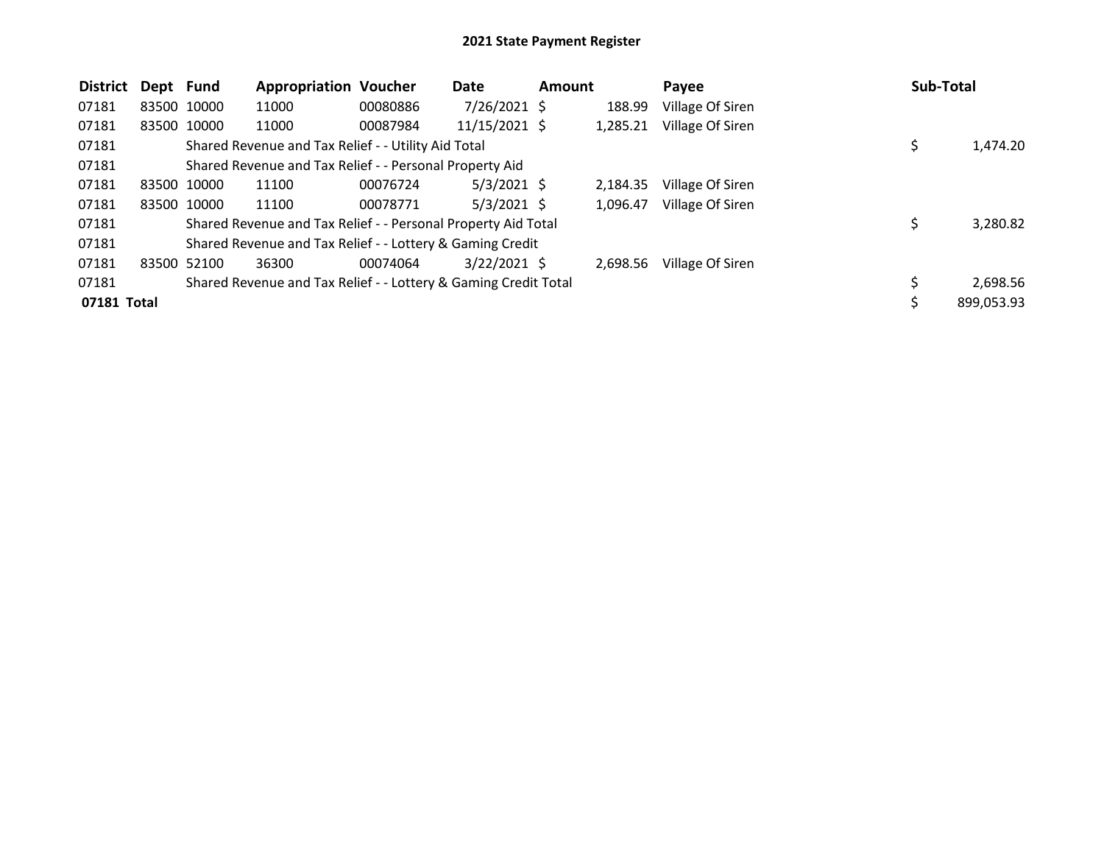| <b>District</b> | Dept Fund   | <b>Appropriation Voucher</b>                                    |          | Date           | <b>Amount</b> |          | Payee            | Sub-Total |            |
|-----------------|-------------|-----------------------------------------------------------------|----------|----------------|---------------|----------|------------------|-----------|------------|
| 07181           | 83500 10000 | 11000                                                           | 00080886 | $7/26/2021$ \$ |               | 188.99   | Village Of Siren |           |            |
| 07181           | 83500 10000 | 11000                                                           | 00087984 | 11/15/2021 \$  |               | 1,285.21 | Village Of Siren |           |            |
| 07181           |             | Shared Revenue and Tax Relief - - Utility Aid Total             |          |                |               |          |                  | \$        | 1,474.20   |
| 07181           |             | Shared Revenue and Tax Relief - - Personal Property Aid         |          |                |               |          |                  |           |            |
| 07181           | 83500 10000 | 11100                                                           | 00076724 | $5/3/2021$ \$  |               | 2,184.35 | Village Of Siren |           |            |
| 07181           | 83500 10000 | 11100                                                           | 00078771 | $5/3/2021$ \$  |               | 1,096.47 | Village Of Siren |           |            |
| 07181           |             | Shared Revenue and Tax Relief - - Personal Property Aid Total   |          |                |               |          |                  | S         | 3,280.82   |
| 07181           |             | Shared Revenue and Tax Relief - - Lottery & Gaming Credit       |          |                |               |          |                  |           |            |
| 07181           | 83500 52100 | 36300                                                           | 00074064 | $3/22/2021$ \$ |               | 2,698.56 | Village Of Siren |           |            |
| 07181           |             | Shared Revenue and Tax Relief - - Lottery & Gaming Credit Total |          |                |               |          |                  | \$        | 2,698.56   |
| 07181 Total     |             |                                                                 |          |                |               |          |                  | S         | 899,053.93 |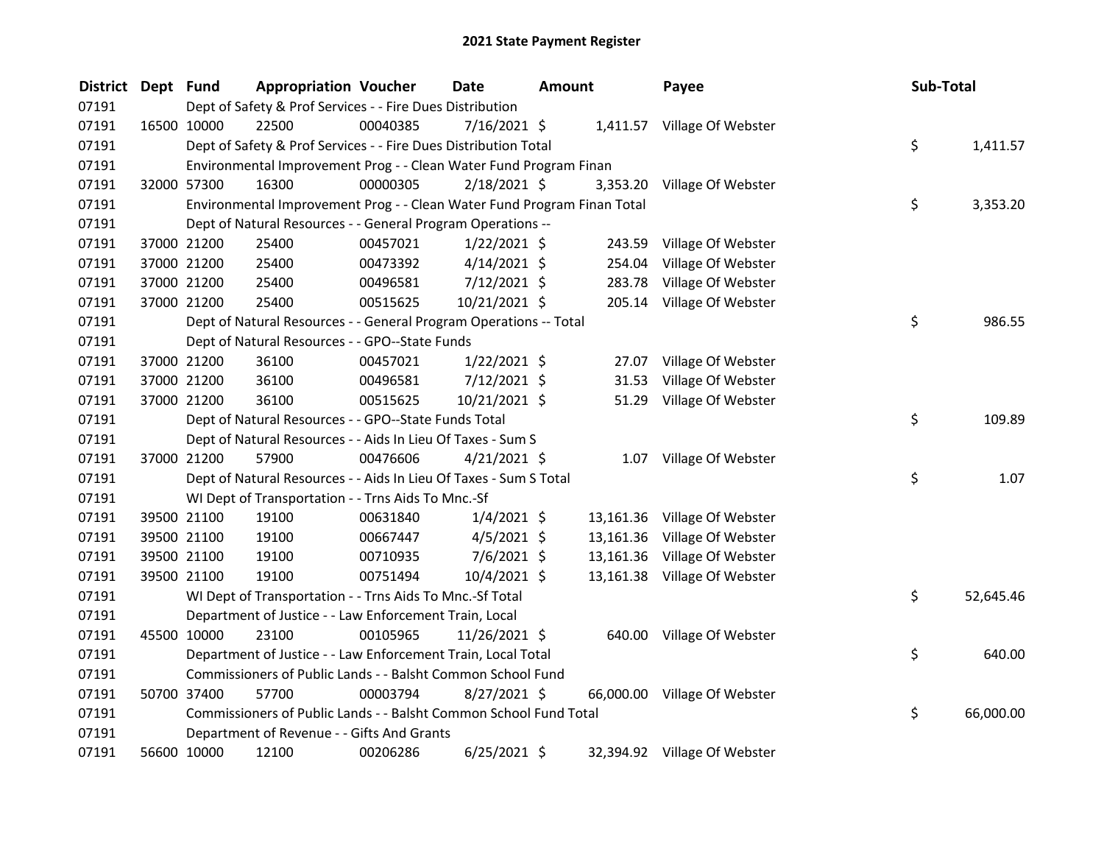| <b>District</b> | Dept Fund |             | <b>Appropriation Voucher</b>                                            |          | Date           | <b>Amount</b> |           | Payee                        | Sub-Total |           |
|-----------------|-----------|-------------|-------------------------------------------------------------------------|----------|----------------|---------------|-----------|------------------------------|-----------|-----------|
| 07191           |           |             | Dept of Safety & Prof Services - - Fire Dues Distribution               |          |                |               |           |                              |           |           |
| 07191           |           | 16500 10000 | 22500                                                                   | 00040385 | 7/16/2021 \$   |               |           | 1,411.57 Village Of Webster  |           |           |
| 07191           |           |             | Dept of Safety & Prof Services - - Fire Dues Distribution Total         |          |                |               |           |                              | \$        | 1,411.57  |
| 07191           |           |             | Environmental Improvement Prog - - Clean Water Fund Program Finan       |          |                |               |           |                              |           |           |
| 07191           |           | 32000 57300 | 16300                                                                   | 00000305 | 2/18/2021 \$   |               |           | 3,353.20 Village Of Webster  |           |           |
| 07191           |           |             | Environmental Improvement Prog - - Clean Water Fund Program Finan Total |          |                |               |           |                              | \$        | 3,353.20  |
| 07191           |           |             | Dept of Natural Resources - - General Program Operations --             |          |                |               |           |                              |           |           |
| 07191           |           | 37000 21200 | 25400                                                                   | 00457021 | $1/22/2021$ \$ |               | 243.59    | Village Of Webster           |           |           |
| 07191           |           | 37000 21200 | 25400                                                                   | 00473392 | $4/14/2021$ \$ |               | 254.04    | Village Of Webster           |           |           |
| 07191           |           | 37000 21200 | 25400                                                                   | 00496581 | 7/12/2021 \$   |               | 283.78    | Village Of Webster           |           |           |
| 07191           |           | 37000 21200 | 25400                                                                   | 00515625 | 10/21/2021 \$  |               |           | 205.14 Village Of Webster    |           |           |
| 07191           |           |             | Dept of Natural Resources - - General Program Operations -- Total       |          |                |               |           |                              | \$        | 986.55    |
| 07191           |           |             | Dept of Natural Resources - - GPO--State Funds                          |          |                |               |           |                              |           |           |
| 07191           |           | 37000 21200 | 36100                                                                   | 00457021 | $1/22/2021$ \$ |               | 27.07     | Village Of Webster           |           |           |
| 07191           |           | 37000 21200 | 36100                                                                   | 00496581 | 7/12/2021 \$   |               | 31.53     | Village Of Webster           |           |           |
| 07191           |           | 37000 21200 | 36100                                                                   | 00515625 | 10/21/2021 \$  |               |           | 51.29 Village Of Webster     |           |           |
| 07191           |           |             | Dept of Natural Resources - - GPO--State Funds Total                    |          |                |               |           |                              | \$        | 109.89    |
| 07191           |           |             | Dept of Natural Resources - - Aids In Lieu Of Taxes - Sum S             |          |                |               |           |                              |           |           |
| 07191           |           | 37000 21200 | 57900                                                                   | 00476606 | $4/21/2021$ \$ |               |           | 1.07 Village Of Webster      |           |           |
| 07191           |           |             | Dept of Natural Resources - - Aids In Lieu Of Taxes - Sum S Total       |          |                |               |           |                              | \$        | 1.07      |
| 07191           |           |             | WI Dept of Transportation - - Trns Aids To Mnc.-Sf                      |          |                |               |           |                              |           |           |
| 07191           |           | 39500 21100 | 19100                                                                   | 00631840 | $1/4/2021$ \$  |               |           | 13,161.36 Village Of Webster |           |           |
| 07191           |           | 39500 21100 | 19100                                                                   | 00667447 | $4/5/2021$ \$  |               | 13,161.36 | Village Of Webster           |           |           |
| 07191           |           | 39500 21100 | 19100                                                                   | 00710935 | 7/6/2021 \$    |               | 13,161.36 | Village Of Webster           |           |           |
| 07191           |           | 39500 21100 | 19100                                                                   | 00751494 | 10/4/2021 \$   |               |           | 13,161.38 Village Of Webster |           |           |
| 07191           |           |             | WI Dept of Transportation - - Trns Aids To Mnc.-Sf Total                |          |                |               |           |                              | \$        | 52,645.46 |
| 07191           |           |             | Department of Justice - - Law Enforcement Train, Local                  |          |                |               |           |                              |           |           |
| 07191           |           | 45500 10000 | 23100                                                                   | 00105965 | 11/26/2021 \$  |               |           | 640.00 Village Of Webster    |           |           |
| 07191           |           |             | Department of Justice - - Law Enforcement Train, Local Total            |          |                |               |           |                              | \$        | 640.00    |
| 07191           |           |             | Commissioners of Public Lands - - Balsht Common School Fund             |          |                |               |           |                              |           |           |
| 07191           |           | 50700 37400 | 57700                                                                   | 00003794 | 8/27/2021 \$   |               |           | 66,000.00 Village Of Webster |           |           |
| 07191           |           |             | Commissioners of Public Lands - - Balsht Common School Fund Total       |          |                |               |           |                              | \$        | 66,000.00 |
| 07191           |           |             | Department of Revenue - - Gifts And Grants                              |          |                |               |           |                              |           |           |
| 07191           |           | 56600 10000 | 12100                                                                   | 00206286 | $6/25/2021$ \$ |               |           | 32,394.92 Village Of Webster |           |           |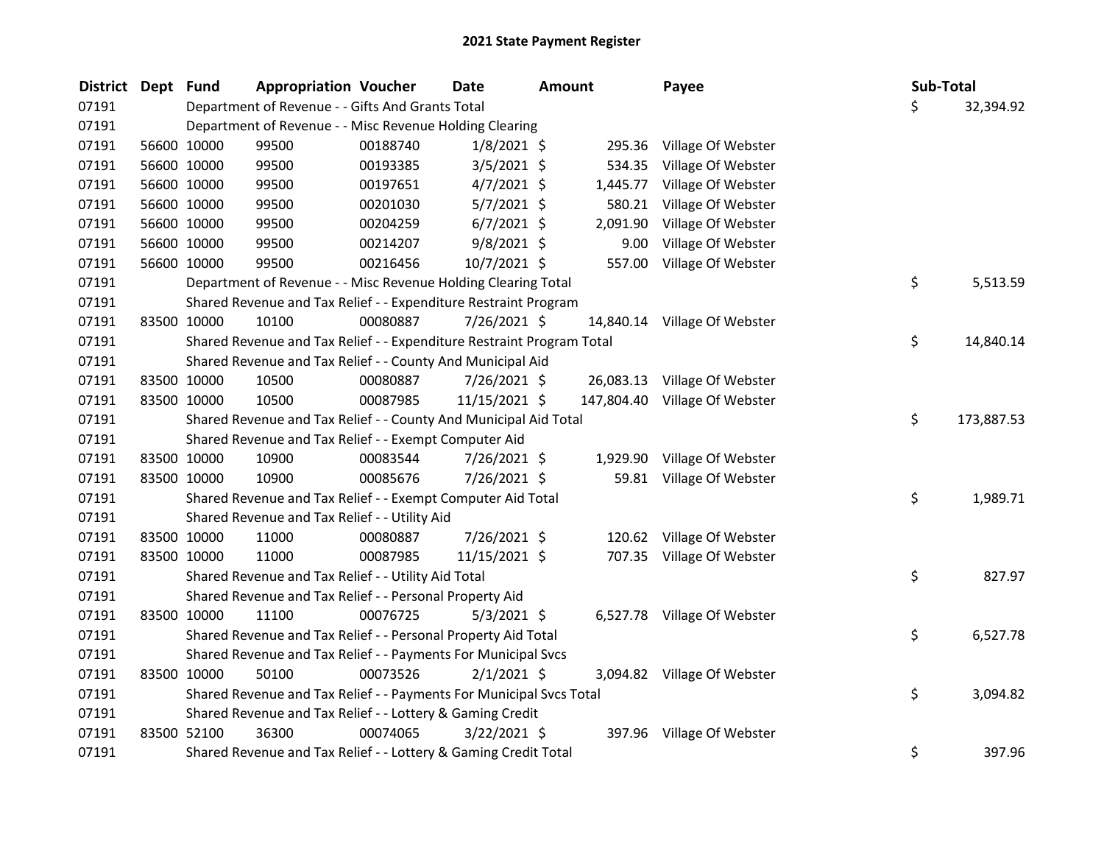| <b>District</b> | Dept Fund |             | <b>Appropriation Voucher</b>                                          |          | <b>Date</b>    | <b>Amount</b> | Payee                         | Sub-Total |            |
|-----------------|-----------|-------------|-----------------------------------------------------------------------|----------|----------------|---------------|-------------------------------|-----------|------------|
| 07191           |           |             | Department of Revenue - - Gifts And Grants Total                      |          |                |               |                               | \$        | 32,394.92  |
| 07191           |           |             | Department of Revenue - - Misc Revenue Holding Clearing               |          |                |               |                               |           |            |
| 07191           |           | 56600 10000 | 99500                                                                 | 00188740 | $1/8/2021$ \$  | 295.36        | Village Of Webster            |           |            |
| 07191           |           | 56600 10000 | 99500                                                                 | 00193385 | $3/5/2021$ \$  | 534.35        | Village Of Webster            |           |            |
| 07191           |           | 56600 10000 | 99500                                                                 | 00197651 | $4/7/2021$ \$  | 1,445.77      | Village Of Webster            |           |            |
| 07191           |           | 56600 10000 | 99500                                                                 | 00201030 | $5/7/2021$ \$  | 580.21        | Village Of Webster            |           |            |
| 07191           |           | 56600 10000 | 99500                                                                 | 00204259 | $6/7/2021$ \$  | 2,091.90      | Village Of Webster            |           |            |
| 07191           |           | 56600 10000 | 99500                                                                 | 00214207 | $9/8/2021$ \$  | 9.00          | Village Of Webster            |           |            |
| 07191           |           | 56600 10000 | 99500                                                                 | 00216456 | 10/7/2021 \$   | 557.00        | Village Of Webster            |           |            |
| 07191           |           |             | Department of Revenue - - Misc Revenue Holding Clearing Total         |          |                |               |                               | \$        | 5,513.59   |
| 07191           |           |             | Shared Revenue and Tax Relief - - Expenditure Restraint Program       |          |                |               |                               |           |            |
| 07191           |           | 83500 10000 | 10100                                                                 | 00080887 | 7/26/2021 \$   |               | 14,840.14 Village Of Webster  |           |            |
| 07191           |           |             | Shared Revenue and Tax Relief - - Expenditure Restraint Program Total |          |                |               |                               | \$        | 14,840.14  |
| 07191           |           |             | Shared Revenue and Tax Relief - - County And Municipal Aid            |          |                |               |                               |           |            |
| 07191           |           | 83500 10000 | 10500                                                                 | 00080887 | 7/26/2021 \$   | 26,083.13     | Village Of Webster            |           |            |
| 07191           |           | 83500 10000 | 10500                                                                 | 00087985 | 11/15/2021 \$  |               | 147,804.40 Village Of Webster |           |            |
| 07191           |           |             | Shared Revenue and Tax Relief - - County And Municipal Aid Total      |          |                |               |                               | \$        | 173,887.53 |
| 07191           |           |             | Shared Revenue and Tax Relief - - Exempt Computer Aid                 |          |                |               |                               |           |            |
| 07191           |           | 83500 10000 | 10900                                                                 | 00083544 | 7/26/2021 \$   |               | 1,929.90 Village Of Webster   |           |            |
| 07191           |           | 83500 10000 | 10900                                                                 | 00085676 | 7/26/2021 \$   |               | 59.81 Village Of Webster      |           |            |
| 07191           |           |             | Shared Revenue and Tax Relief - - Exempt Computer Aid Total           |          |                |               |                               | \$        | 1,989.71   |
| 07191           |           |             | Shared Revenue and Tax Relief - - Utility Aid                         |          |                |               |                               |           |            |
| 07191           |           | 83500 10000 | 11000                                                                 | 00080887 | 7/26/2021 \$   | 120.62        | Village Of Webster            |           |            |
| 07191           |           | 83500 10000 | 11000                                                                 | 00087985 | 11/15/2021 \$  |               | 707.35 Village Of Webster     |           |            |
| 07191           |           |             | Shared Revenue and Tax Relief - - Utility Aid Total                   |          |                |               |                               | \$        | 827.97     |
| 07191           |           |             | Shared Revenue and Tax Relief - - Personal Property Aid               |          |                |               |                               |           |            |
| 07191           |           | 83500 10000 | 11100                                                                 | 00076725 | $5/3/2021$ \$  |               | 6,527.78 Village Of Webster   |           |            |
| 07191           |           |             | Shared Revenue and Tax Relief - - Personal Property Aid Total         |          |                |               |                               | \$        | 6,527.78   |
| 07191           |           |             | Shared Revenue and Tax Relief - - Payments For Municipal Svcs         |          |                |               |                               |           |            |
| 07191           |           | 83500 10000 | 50100                                                                 | 00073526 | $2/1/2021$ \$  |               | 3,094.82 Village Of Webster   |           |            |
| 07191           |           |             | Shared Revenue and Tax Relief - - Payments For Municipal Svcs Total   |          |                |               |                               | \$        | 3,094.82   |
| 07191           |           |             | Shared Revenue and Tax Relief - - Lottery & Gaming Credit             |          |                |               |                               |           |            |
| 07191           |           | 83500 52100 | 36300                                                                 | 00074065 | $3/22/2021$ \$ | 397.96        | Village Of Webster            |           |            |
| 07191           |           |             | Shared Revenue and Tax Relief - - Lottery & Gaming Credit Total       |          |                |               |                               | \$        | 397.96     |